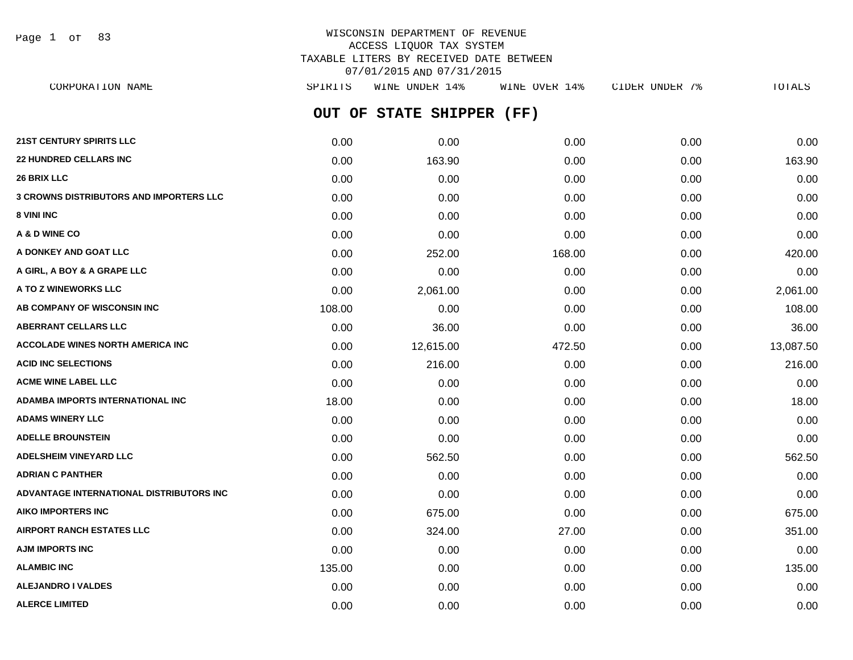Page 1 of 83

# WISCONSIN DEPARTMENT OF REVENUE ACCESS LIQUOR TAX SYSTEM TAXABLE LITERS BY RECEIVED DATE BETWEEN 07/01/2015 AND 07/31/2015

**OUT OF STATE SHIPPER (FF) 21ST CENTURY SPIRITS LLC** 0.00 0.00 0.00 0.00 0.00 **22 HUNDRED CELLARS INC** 0.00 163.90 0.00 0.00 163.90 **26 BRIX LLC** 0.00 0.00 0.00 0.00 0.00 **3 CROWNS DISTRIBUTORS AND IMPORTERS LLC** 0.00 0.00 0.00 0.00 0.00 **8 VINI INC** 0.00 0.00 0.00 0.00 0.00 **A & D WINE CO** 0.00 0.00 0.00 0.00 0.00 **A DONKEY AND GOAT LLC** 0.00 252.00 168.00 0.00 420.00 **A GIRL, A BOY & A GRAPE LLC** 0.00 0.00 0.00 0.00 0.00 **A TO Z WINEWORKS LLC** 0.00 2,061.00 0.00 0.00 2,061.00 **AB COMPANY OF WISCONSIN INC** 108.00 0.00 0.00 0.00 108.00 **ABERRANT CELLARS LLC** 0.00 36.00 0.00 0.00 36.00 **ACCOLADE WINES NORTH AMERICA INC** 0.00 12,615.00 472.50 0.00 13,087.50 **ACID INC SELECTIONS** 0.00 216.00 0.00 0.00 216.00 **ACME WINE LABEL LLC** 0.00 0.00 0.00 0.00 0.00 **ADAMBA IMPORTS INTERNATIONAL INC** 18.00 0.00 0.00 0.00 18.00 **ADAMS WINERY LLC** 0.00 0.00 0.00 0.00 0.00 **ADELLE BROUNSTEIN** 0.00 0.00 0.00 0.00 0.00 **ADELSHEIM VINEYARD LLC** 0.00 562.50 0.00 0.00 562.50 **ADRIAN C PANTHER** 0.00 0.00 0.00 0.00 0.00 **ADVANTAGE INTERNATIONAL DISTRIBUTORS INC** 0.00 0.00 0.00 0.00 0.00 **AIKO IMPORTERS INC** 0.00 675.00 0.00 0.00 675.00 **AIRPORT RANCH ESTATES LLC** 0.00 324.00 27.00 0.00 351.00 **AJM IMPORTS INC** 0.00 0.00 0.00 0.00 0.00 **ALAMBIC INC** 135.00 **135.00 135.00 135.00 0.00 0.00 0.00 0.00 0.00 135.00 ALEJANDRO I VALDES** 0.00 0.00 0.00 0.00 0.00 CORPORATION NAME SPIRITS WINE UNDER 14% WINE OVER 14% CIDER UNDER 7% TOTALS

**ALERCE LIMITED** 0.00 0.00 0.00 0.00 0.00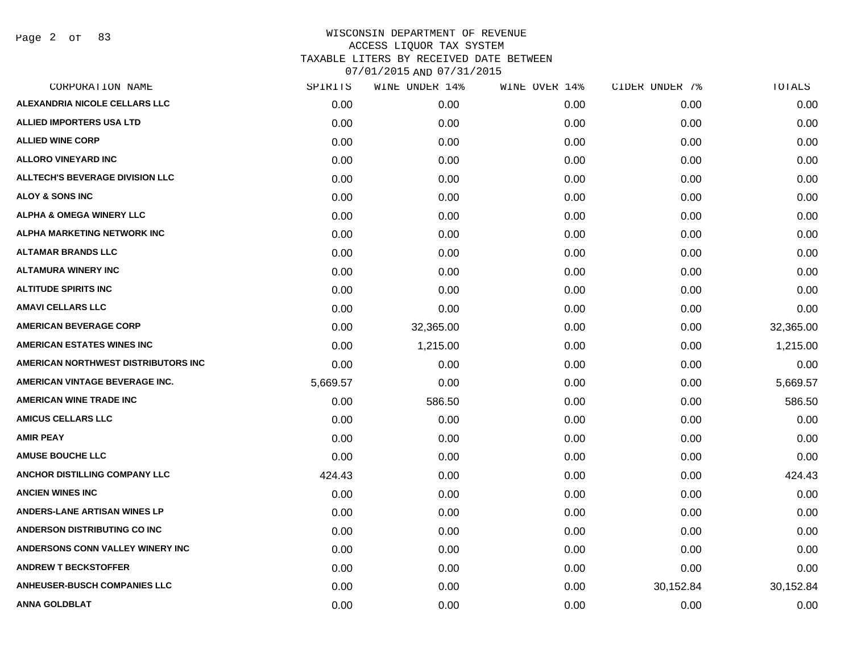Page 2 of 83

| CORPORATION NAME                       | SPIRITS  | WINE UNDER 14% | WINE OVER 14% | CIDER UNDER 7% | TOTALS    |
|----------------------------------------|----------|----------------|---------------|----------------|-----------|
| ALEXANDRIA NICOLE CELLARS LLC          | 0.00     | 0.00           | 0.00          | 0.00           | 0.00      |
| <b>ALLIED IMPORTERS USA LTD</b>        | 0.00     | 0.00           | 0.00          | 0.00           | 0.00      |
| <b>ALLIED WINE CORP</b>                | 0.00     | 0.00           | 0.00          | 0.00           | 0.00      |
| <b>ALLORO VINEYARD INC</b>             | 0.00     | 0.00           | 0.00          | 0.00           | 0.00      |
| <b>ALLTECH'S BEVERAGE DIVISION LLC</b> | 0.00     | 0.00           | 0.00          | 0.00           | 0.00      |
| <b>ALOY &amp; SONS INC</b>             | 0.00     | 0.00           | 0.00          | 0.00           | 0.00      |
| <b>ALPHA &amp; OMEGA WINERY LLC</b>    | 0.00     | 0.00           | 0.00          | 0.00           | 0.00      |
| ALPHA MARKETING NETWORK INC            | 0.00     | 0.00           | 0.00          | 0.00           | 0.00      |
| <b>ALTAMAR BRANDS LLC</b>              | 0.00     | 0.00           | 0.00          | 0.00           | 0.00      |
| <b>ALTAMURA WINERY INC</b>             | 0.00     | 0.00           | 0.00          | 0.00           | 0.00      |
| <b>ALTITUDE SPIRITS INC</b>            | 0.00     | 0.00           | 0.00          | 0.00           | 0.00      |
| <b>AMAVI CELLARS LLC</b>               | 0.00     | 0.00           | 0.00          | 0.00           | 0.00      |
| <b>AMERICAN BEVERAGE CORP</b>          | 0.00     | 32,365.00      | 0.00          | 0.00           | 32,365.00 |
| <b>AMERICAN ESTATES WINES INC</b>      | 0.00     | 1,215.00       | 0.00          | 0.00           | 1,215.00  |
| AMERICAN NORTHWEST DISTRIBUTORS INC    | 0.00     | 0.00           | 0.00          | 0.00           | 0.00      |
| AMERICAN VINTAGE BEVERAGE INC.         | 5,669.57 | 0.00           | 0.00          | 0.00           | 5,669.57  |
| <b>AMERICAN WINE TRADE INC</b>         | 0.00     | 586.50         | 0.00          | 0.00           | 586.50    |
| <b>AMICUS CELLARS LLC</b>              | 0.00     | 0.00           | 0.00          | 0.00           | 0.00      |
| <b>AMIR PEAY</b>                       | 0.00     | 0.00           | 0.00          | 0.00           | 0.00      |
| <b>AMUSE BOUCHE LLC</b>                | 0.00     | 0.00           | 0.00          | 0.00           | 0.00      |
| <b>ANCHOR DISTILLING COMPANY LLC</b>   | 424.43   | 0.00           | 0.00          | 0.00           | 424.43    |
| <b>ANCIEN WINES INC</b>                | 0.00     | 0.00           | 0.00          | 0.00           | 0.00      |
| ANDERS-LANE ARTISAN WINES LP           | 0.00     | 0.00           | 0.00          | 0.00           | 0.00      |
| <b>ANDERSON DISTRIBUTING CO INC</b>    | 0.00     | 0.00           | 0.00          | 0.00           | 0.00      |
| ANDERSONS CONN VALLEY WINERY INC       | 0.00     | 0.00           | 0.00          | 0.00           | 0.00      |
| <b>ANDREW T BECKSTOFFER</b>            | 0.00     | 0.00           | 0.00          | 0.00           | 0.00      |
| <b>ANHEUSER-BUSCH COMPANIES LLC</b>    | 0.00     | 0.00           | 0.00          | 30,152.84      | 30,152.84 |
| ANNA GOLDBLAT                          | 0.00     | 0.00           | 0.00          | 0.00           | 0.00      |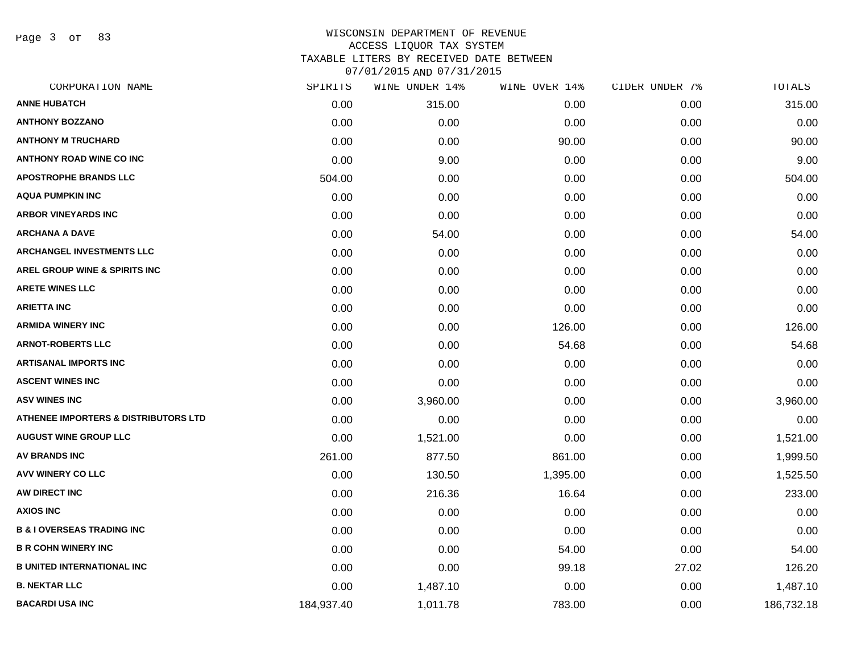Page 3 of 83

| CORPORATION NAME                                | SPIRITS    | WINE UNDER 14% | WINE OVER 14% | CIDER UNDER 7% | TOTALS     |
|-------------------------------------------------|------------|----------------|---------------|----------------|------------|
| <b>ANNE HUBATCH</b>                             | 0.00       | 315.00         | 0.00          | 0.00           | 315.00     |
| <b>ANTHONY BOZZANO</b>                          | 0.00       | 0.00           | 0.00          | 0.00           | 0.00       |
| <b>ANTHONY M TRUCHARD</b>                       | 0.00       | 0.00           | 90.00         | 0.00           | 90.00      |
| <b>ANTHONY ROAD WINE CO INC</b>                 | 0.00       | 9.00           | 0.00          | 0.00           | 9.00       |
| <b>APOSTROPHE BRANDS LLC</b>                    | 504.00     | 0.00           | 0.00          | 0.00           | 504.00     |
| <b>AQUA PUMPKIN INC</b>                         | 0.00       | 0.00           | 0.00          | 0.00           | 0.00       |
| <b>ARBOR VINEYARDS INC</b>                      | 0.00       | 0.00           | 0.00          | 0.00           | 0.00       |
| <b>ARCHANA A DAVE</b>                           | 0.00       | 54.00          | 0.00          | 0.00           | 54.00      |
| <b>ARCHANGEL INVESTMENTS LLC</b>                | 0.00       | 0.00           | 0.00          | 0.00           | 0.00       |
| AREL GROUP WINE & SPIRITS INC                   | 0.00       | 0.00           | 0.00          | 0.00           | 0.00       |
| <b>ARETE WINES LLC</b>                          | 0.00       | 0.00           | 0.00          | 0.00           | 0.00       |
| <b>ARIETTA INC</b>                              | 0.00       | 0.00           | 0.00          | 0.00           | 0.00       |
| <b>ARMIDA WINERY INC</b>                        | 0.00       | 0.00           | 126.00        | 0.00           | 126.00     |
| <b>ARNOT-ROBERTS LLC</b>                        | 0.00       | 0.00           | 54.68         | 0.00           | 54.68      |
| <b>ARTISANAL IMPORTS INC</b>                    | 0.00       | 0.00           | 0.00          | 0.00           | 0.00       |
| <b>ASCENT WINES INC</b>                         | 0.00       | 0.00           | 0.00          | 0.00           | 0.00       |
| <b>ASV WINES INC</b>                            | 0.00       | 3,960.00       | 0.00          | 0.00           | 3,960.00   |
| <b>ATHENEE IMPORTERS &amp; DISTRIBUTORS LTD</b> | 0.00       | 0.00           | 0.00          | 0.00           | 0.00       |
| <b>AUGUST WINE GROUP LLC</b>                    | 0.00       | 1,521.00       | 0.00          | 0.00           | 1,521.00   |
| <b>AV BRANDS INC</b>                            | 261.00     | 877.50         | 861.00        | 0.00           | 1,999.50   |
| <b>AVV WINERY CO LLC</b>                        | 0.00       | 130.50         | 1,395.00      | 0.00           | 1,525.50   |
| AW DIRECT INC                                   | 0.00       | 216.36         | 16.64         | 0.00           | 233.00     |
| <b>AXIOS INC</b>                                | 0.00       | 0.00           | 0.00          | 0.00           | 0.00       |
| <b>B &amp; I OVERSEAS TRADING INC</b>           | 0.00       | 0.00           | 0.00          | 0.00           | 0.00       |
| <b>B R COHN WINERY INC</b>                      | 0.00       | 0.00           | 54.00         | 0.00           | 54.00      |
| <b>B UNITED INTERNATIONAL INC</b>               | 0.00       | 0.00           | 99.18         | 27.02          | 126.20     |
| <b>B. NEKTAR LLC</b>                            | 0.00       | 1,487.10       | 0.00          | 0.00           | 1,487.10   |
| <b>BACARDI USA INC</b>                          | 184,937.40 | 1,011.78       | 783.00        | 0.00           | 186,732.18 |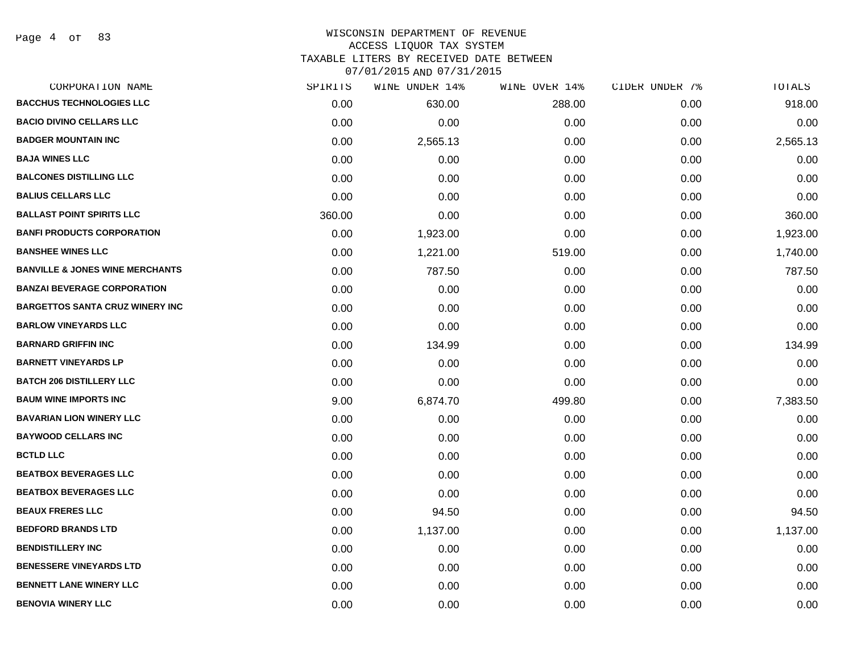# WISCONSIN DEPARTMENT OF REVENUE ACCESS LIQUOR TAX SYSTEM

TAXABLE LITERS BY RECEIVED DATE BETWEEN

| CORPORATION NAME                           | SPIRITS | WINE UNDER 14% | WINE OVER 14% | CIDER UNDER 7% | TOTALS   |
|--------------------------------------------|---------|----------------|---------------|----------------|----------|
| <b>BACCHUS TECHNOLOGIES LLC</b>            | 0.00    | 630.00         | 288.00        | 0.00           | 918.00   |
| <b>BACIO DIVINO CELLARS LLC</b>            | 0.00    | 0.00           | 0.00          | 0.00           | 0.00     |
| <b>BADGER MOUNTAIN INC</b>                 | 0.00    | 2,565.13       | 0.00          | 0.00           | 2,565.13 |
| <b>BAJA WINES LLC</b>                      | 0.00    | 0.00           | 0.00          | 0.00           | 0.00     |
| <b>BALCONES DISTILLING LLC</b>             | 0.00    | 0.00           | 0.00          | 0.00           | 0.00     |
| <b>BALIUS CELLARS LLC</b>                  | 0.00    | 0.00           | 0.00          | 0.00           | 0.00     |
| <b>BALLAST POINT SPIRITS LLC</b>           | 360.00  | 0.00           | 0.00          | 0.00           | 360.00   |
| <b>BANFI PRODUCTS CORPORATION</b>          | 0.00    | 1,923.00       | 0.00          | 0.00           | 1,923.00 |
| <b>BANSHEE WINES LLC</b>                   | 0.00    | 1,221.00       | 519.00        | 0.00           | 1,740.00 |
| <b>BANVILLE &amp; JONES WINE MERCHANTS</b> | 0.00    | 787.50         | 0.00          | 0.00           | 787.50   |
| <b>BANZAI BEVERAGE CORPORATION</b>         | 0.00    | 0.00           | 0.00          | 0.00           | 0.00     |
| <b>BARGETTOS SANTA CRUZ WINERY INC</b>     | 0.00    | 0.00           | 0.00          | 0.00           | 0.00     |
| <b>BARLOW VINEYARDS LLC</b>                | 0.00    | 0.00           | 0.00          | 0.00           | 0.00     |
| <b>BARNARD GRIFFIN INC</b>                 | 0.00    | 134.99         | 0.00          | 0.00           | 134.99   |
| <b>BARNETT VINEYARDS LP</b>                | 0.00    | 0.00           | 0.00          | 0.00           | 0.00     |
| <b>BATCH 206 DISTILLERY LLC</b>            | 0.00    | 0.00           | 0.00          | 0.00           | 0.00     |
| <b>BAUM WINE IMPORTS INC</b>               | 9.00    | 6,874.70       | 499.80        | 0.00           | 7,383.50 |
| <b>BAVARIAN LION WINERY LLC</b>            | 0.00    | 0.00           | 0.00          | 0.00           | 0.00     |
| <b>BAYWOOD CELLARS INC</b>                 | 0.00    | 0.00           | 0.00          | 0.00           | 0.00     |
| <b>BCTLD LLC</b>                           | 0.00    | 0.00           | 0.00          | 0.00           | 0.00     |
| <b>BEATBOX BEVERAGES LLC</b>               | 0.00    | 0.00           | 0.00          | 0.00           | 0.00     |
| <b>BEATBOX BEVERAGES LLC</b>               | 0.00    | 0.00           | 0.00          | 0.00           | 0.00     |
| <b>BEAUX FRERES LLC</b>                    | 0.00    | 94.50          | 0.00          | 0.00           | 94.50    |
| <b>BEDFORD BRANDS LTD</b>                  | 0.00    | 1,137.00       | 0.00          | 0.00           | 1,137.00 |
| <b>BENDISTILLERY INC</b>                   | 0.00    | 0.00           | 0.00          | 0.00           | 0.00     |
| <b>BENESSERE VINEYARDS LTD</b>             | 0.00    | 0.00           | 0.00          | 0.00           | 0.00     |
| <b>BENNETT LANE WINERY LLC</b>             | 0.00    | 0.00           | 0.00          | 0.00           | 0.00     |
| <b>BENOVIA WINERY LLC</b>                  | 0.00    | 0.00           | 0.00          | 0.00           | 0.00     |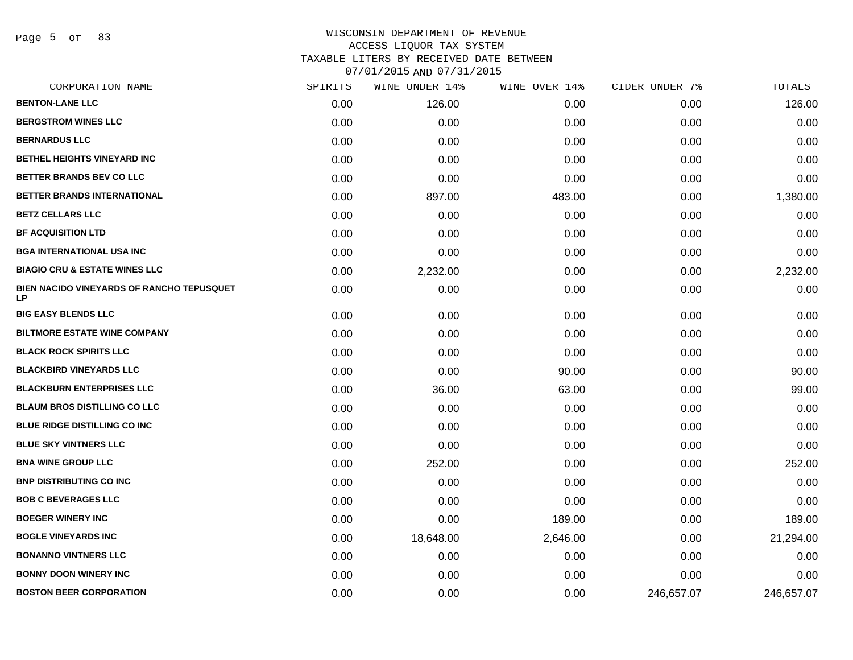Page 5 of 83

| CORPORATION NAME                                       | SPIRITS | WINE UNDER 14% | WINE OVER 14% | CIDER UNDER 7% | <b>TOTALS</b> |
|--------------------------------------------------------|---------|----------------|---------------|----------------|---------------|
| <b>BENTON-LANE LLC</b>                                 | 0.00    | 126.00         | 0.00          | 0.00           | 126.00        |
| <b>BERGSTROM WINES LLC</b>                             | 0.00    | 0.00           | 0.00          | 0.00           | 0.00          |
| <b>BERNARDUS LLC</b>                                   | 0.00    | 0.00           | 0.00          | 0.00           | 0.00          |
| <b>BETHEL HEIGHTS VINEYARD INC</b>                     | 0.00    | 0.00           | 0.00          | 0.00           | 0.00          |
| BETTER BRANDS BEV CO LLC                               | 0.00    | 0.00           | 0.00          | 0.00           | 0.00          |
| BETTER BRANDS INTERNATIONAL                            | 0.00    | 897.00         | 483.00        | 0.00           | 1,380.00      |
| <b>BETZ CELLARS LLC</b>                                | 0.00    | 0.00           | 0.00          | 0.00           | 0.00          |
| <b>BF ACQUISITION LTD</b>                              | 0.00    | 0.00           | 0.00          | 0.00           | 0.00          |
| <b>BGA INTERNATIONAL USA INC</b>                       | 0.00    | 0.00           | 0.00          | 0.00           | 0.00          |
| <b>BIAGIO CRU &amp; ESTATE WINES LLC</b>               | 0.00    | 2,232.00       | 0.00          | 0.00           | 2,232.00      |
| BIEN NACIDO VINEYARDS OF RANCHO TEPUSQUET<br><b>LP</b> | 0.00    | 0.00           | 0.00          | 0.00           | 0.00          |
| <b>BIG EASY BLENDS LLC</b>                             | 0.00    | 0.00           | 0.00          | 0.00           | 0.00          |
| <b>BILTMORE ESTATE WINE COMPANY</b>                    | 0.00    | 0.00           | 0.00          | 0.00           | 0.00          |
| <b>BLACK ROCK SPIRITS LLC</b>                          | 0.00    | 0.00           | 0.00          | 0.00           | 0.00          |
| <b>BLACKBIRD VINEYARDS LLC</b>                         | 0.00    | 0.00           | 90.00         | 0.00           | 90.00         |
| <b>BLACKBURN ENTERPRISES LLC</b>                       | 0.00    | 36.00          | 63.00         | 0.00           | 99.00         |
| <b>BLAUM BROS DISTILLING CO LLC</b>                    | 0.00    | 0.00           | 0.00          | 0.00           | 0.00          |
| <b>BLUE RIDGE DISTILLING CO INC</b>                    | 0.00    | 0.00           | 0.00          | 0.00           | 0.00          |
| <b>BLUE SKY VINTNERS LLC</b>                           | 0.00    | 0.00           | 0.00          | 0.00           | 0.00          |
| <b>BNA WINE GROUP LLC</b>                              | 0.00    | 252.00         | 0.00          | 0.00           | 252.00        |
| <b>BNP DISTRIBUTING CO INC</b>                         | 0.00    | 0.00           | 0.00          | 0.00           | 0.00          |
| <b>BOB C BEVERAGES LLC</b>                             | 0.00    | 0.00           | 0.00          | 0.00           | 0.00          |
| <b>BOEGER WINERY INC</b>                               | 0.00    | 0.00           | 189.00        | 0.00           | 189.00        |
| <b>BOGLE VINEYARDS INC</b>                             | 0.00    | 18,648.00      | 2,646.00      | 0.00           | 21,294.00     |
| <b>BONANNO VINTNERS LLC</b>                            | 0.00    | 0.00           | 0.00          | 0.00           | 0.00          |
| <b>BONNY DOON WINERY INC</b>                           | 0.00    | 0.00           | 0.00          | 0.00           | 0.00          |
| <b>BOSTON BEER CORPORATION</b>                         | 0.00    | 0.00           | 0.00          | 246,657.07     | 246,657.07    |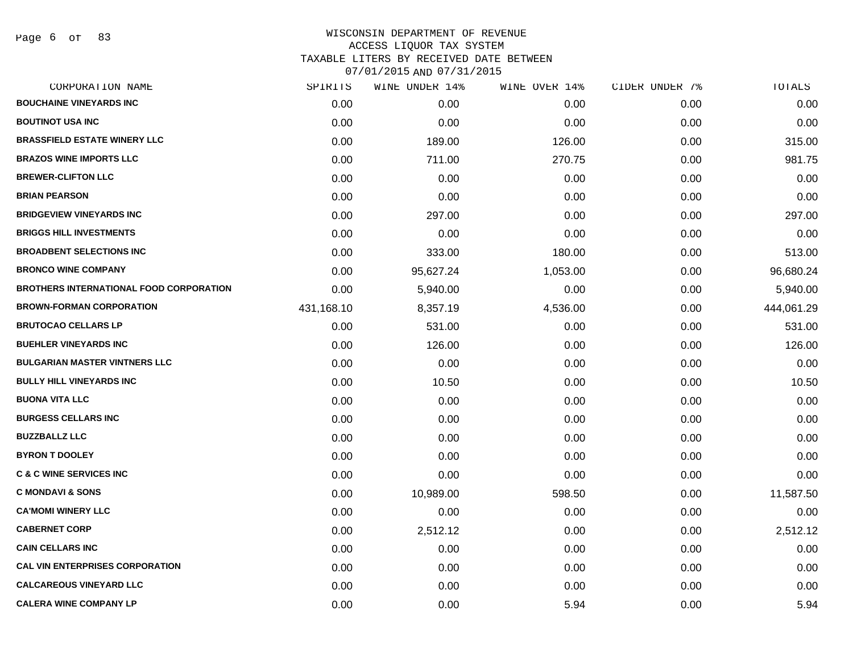Page 6 of 83

| CORPORATION NAME                               | SPIRITS    | WINE UNDER 14% | WINE OVER 14% | CIDER UNDER 7% | TOTALS     |
|------------------------------------------------|------------|----------------|---------------|----------------|------------|
| <b>BOUCHAINE VINEYARDS INC</b>                 | 0.00       | 0.00           | 0.00          | 0.00           | 0.00       |
| <b>BOUTINOT USA INC</b>                        | 0.00       | 0.00           | 0.00          | 0.00           | 0.00       |
| <b>BRASSFIELD ESTATE WINERY LLC</b>            | 0.00       | 189.00         | 126.00        | 0.00           | 315.00     |
| <b>BRAZOS WINE IMPORTS LLC</b>                 | 0.00       | 711.00         | 270.75        | 0.00           | 981.75     |
| <b>BREWER-CLIFTON LLC</b>                      | 0.00       | 0.00           | 0.00          | 0.00           | 0.00       |
| <b>BRIAN PEARSON</b>                           | 0.00       | 0.00           | 0.00          | 0.00           | 0.00       |
| <b>BRIDGEVIEW VINEYARDS INC</b>                | 0.00       | 297.00         | 0.00          | 0.00           | 297.00     |
| <b>BRIGGS HILL INVESTMENTS</b>                 | 0.00       | 0.00           | 0.00          | 0.00           | 0.00       |
| <b>BROADBENT SELECTIONS INC</b>                | 0.00       | 333.00         | 180.00        | 0.00           | 513.00     |
| <b>BRONCO WINE COMPANY</b>                     | 0.00       | 95,627.24      | 1,053.00      | 0.00           | 96,680.24  |
| <b>BROTHERS INTERNATIONAL FOOD CORPORATION</b> | 0.00       | 5,940.00       | 0.00          | 0.00           | 5,940.00   |
| <b>BROWN-FORMAN CORPORATION</b>                | 431,168.10 | 8,357.19       | 4,536.00      | 0.00           | 444,061.29 |
| <b>BRUTOCAO CELLARS LP</b>                     | 0.00       | 531.00         | 0.00          | 0.00           | 531.00     |
| <b>BUEHLER VINEYARDS INC</b>                   | 0.00       | 126.00         | 0.00          | 0.00           | 126.00     |
| <b>BULGARIAN MASTER VINTNERS LLC</b>           | 0.00       | 0.00           | 0.00          | 0.00           | 0.00       |
| <b>BULLY HILL VINEYARDS INC</b>                | 0.00       | 10.50          | 0.00          | 0.00           | 10.50      |
| <b>BUONA VITA LLC</b>                          | 0.00       | 0.00           | 0.00          | 0.00           | 0.00       |
| <b>BURGESS CELLARS INC</b>                     | 0.00       | 0.00           | 0.00          | 0.00           | 0.00       |
| <b>BUZZBALLZ LLC</b>                           | 0.00       | 0.00           | 0.00          | 0.00           | 0.00       |
| <b>BYRON T DOOLEY</b>                          | 0.00       | 0.00           | 0.00          | 0.00           | 0.00       |
| <b>C &amp; C WINE SERVICES INC</b>             | 0.00       | 0.00           | 0.00          | 0.00           | 0.00       |
| <b>C MONDAVI &amp; SONS</b>                    | 0.00       | 10,989.00      | 598.50        | 0.00           | 11,587.50  |
| <b>CA'MOMI WINERY LLC</b>                      | 0.00       | 0.00           | 0.00          | 0.00           | 0.00       |
| <b>CABERNET CORP</b>                           | 0.00       | 2,512.12       | 0.00          | 0.00           | 2,512.12   |
| <b>CAIN CELLARS INC</b>                        | 0.00       | 0.00           | 0.00          | 0.00           | 0.00       |
| <b>CAL VIN ENTERPRISES CORPORATION</b>         | 0.00       | 0.00           | 0.00          | 0.00           | 0.00       |
| <b>CALCAREOUS VINEYARD LLC</b>                 | 0.00       | 0.00           | 0.00          | 0.00           | 0.00       |
| <b>CALERA WINE COMPANY LP</b>                  | 0.00       | 0.00           | 5.94          | 0.00           | 5.94       |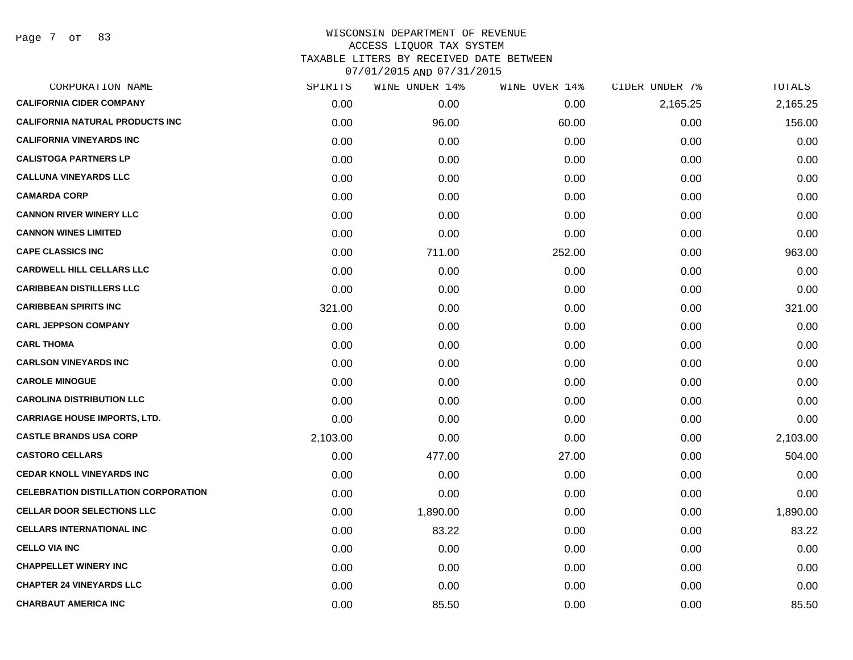Page 7 of 83

| SPIRITS  | WINE UNDER 14% | WINE OVER 14% | CIDER UNDER 7% | TOTALS   |
|----------|----------------|---------------|----------------|----------|
| 0.00     | 0.00           | 0.00          | 2,165.25       | 2,165.25 |
| 0.00     | 96.00          | 60.00         | 0.00           | 156.00   |
| 0.00     | 0.00           | 0.00          | 0.00           | 0.00     |
| 0.00     | 0.00           | 0.00          | 0.00           | 0.00     |
| 0.00     | 0.00           | 0.00          | 0.00           | 0.00     |
| 0.00     | 0.00           | 0.00          | 0.00           | 0.00     |
| 0.00     | 0.00           | 0.00          | 0.00           | 0.00     |
| 0.00     | 0.00           | 0.00          | 0.00           | 0.00     |
| 0.00     | 711.00         | 252.00        | 0.00           | 963.00   |
| 0.00     | 0.00           | 0.00          | 0.00           | 0.00     |
| 0.00     | 0.00           | 0.00          | 0.00           | 0.00     |
| 321.00   | 0.00           | 0.00          | 0.00           | 321.00   |
| 0.00     | 0.00           | 0.00          | 0.00           | 0.00     |
| 0.00     | 0.00           | 0.00          | 0.00           | 0.00     |
| 0.00     | 0.00           | 0.00          | 0.00           | 0.00     |
| 0.00     | 0.00           | 0.00          | 0.00           | 0.00     |
| 0.00     | 0.00           | 0.00          | 0.00           | 0.00     |
| 0.00     | 0.00           | 0.00          | 0.00           | 0.00     |
| 2,103.00 | 0.00           | 0.00          | 0.00           | 2,103.00 |
| 0.00     | 477.00         | 27.00         | 0.00           | 504.00   |
| 0.00     | 0.00           | 0.00          | 0.00           | 0.00     |
| 0.00     | 0.00           | 0.00          | 0.00           | 0.00     |
| 0.00     | 1,890.00       | 0.00          | 0.00           | 1,890.00 |
| 0.00     | 83.22          | 0.00          | 0.00           | 83.22    |
| 0.00     | 0.00           | 0.00          | 0.00           | 0.00     |
| 0.00     | 0.00           | 0.00          | 0.00           | 0.00     |
| 0.00     | 0.00           | 0.00          | 0.00           | 0.00     |
| 0.00     | 85.50          | 0.00          | 0.00           | 85.50    |
|          |                |               |                |          |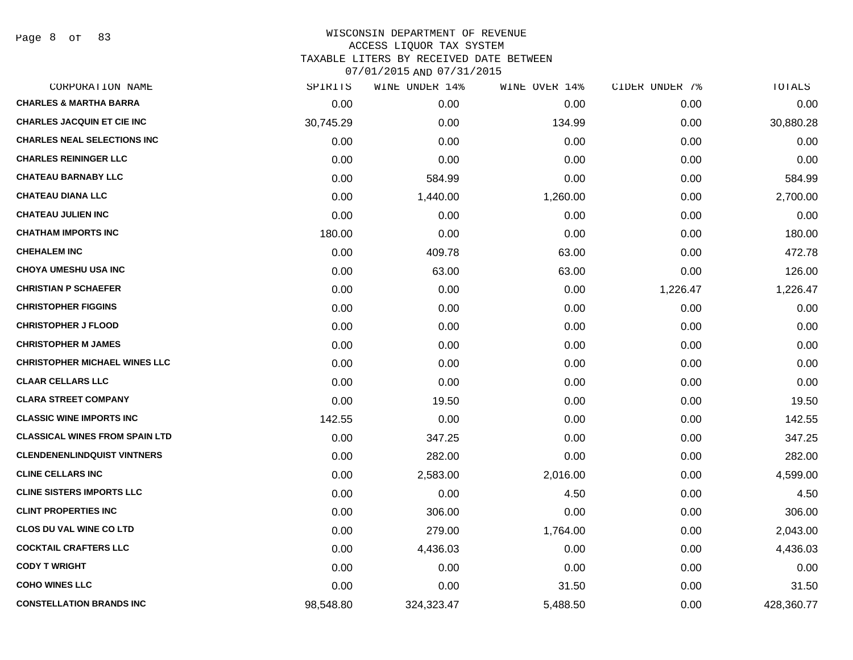Page 8 of 83

| CORPORATION NAME                      | SPIRITS   | WINE UNDER 14% | WINE OVER 14% | CIDER UNDER 7% | TOTALS     |
|---------------------------------------|-----------|----------------|---------------|----------------|------------|
| <b>CHARLES &amp; MARTHA BARRA</b>     | 0.00      | 0.00           | 0.00          | 0.00           | 0.00       |
| <b>CHARLES JACQUIN ET CIE INC</b>     | 30,745.29 | 0.00           | 134.99        | 0.00           | 30,880.28  |
| <b>CHARLES NEAL SELECTIONS INC</b>    | 0.00      | 0.00           | 0.00          | 0.00           | 0.00       |
| <b>CHARLES REININGER LLC</b>          | 0.00      | 0.00           | 0.00          | 0.00           | 0.00       |
| <b>CHATEAU BARNABY LLC</b>            | 0.00      | 584.99         | 0.00          | 0.00           | 584.99     |
| <b>CHATEAU DIANA LLC</b>              | 0.00      | 1,440.00       | 1,260.00      | 0.00           | 2,700.00   |
| <b>CHATEAU JULIEN INC</b>             | 0.00      | 0.00           | 0.00          | 0.00           | 0.00       |
| <b>CHATHAM IMPORTS INC</b>            | 180.00    | 0.00           | 0.00          | 0.00           | 180.00     |
| <b>CHEHALEM INC</b>                   | 0.00      | 409.78         | 63.00         | 0.00           | 472.78     |
| <b>CHOYA UMESHU USA INC</b>           | 0.00      | 63.00          | 63.00         | 0.00           | 126.00     |
| <b>CHRISTIAN P SCHAEFER</b>           | 0.00      | 0.00           | 0.00          | 1,226.47       | 1,226.47   |
| <b>CHRISTOPHER FIGGINS</b>            | 0.00      | 0.00           | 0.00          | 0.00           | 0.00       |
| <b>CHRISTOPHER J FLOOD</b>            | 0.00      | 0.00           | 0.00          | 0.00           | 0.00       |
| <b>CHRISTOPHER M JAMES</b>            | 0.00      | 0.00           | 0.00          | 0.00           | 0.00       |
| <b>CHRISTOPHER MICHAEL WINES LLC</b>  | 0.00      | 0.00           | 0.00          | 0.00           | 0.00       |
| <b>CLAAR CELLARS LLC</b>              | 0.00      | 0.00           | 0.00          | 0.00           | 0.00       |
| <b>CLARA STREET COMPANY</b>           | 0.00      | 19.50          | 0.00          | 0.00           | 19.50      |
| <b>CLASSIC WINE IMPORTS INC</b>       | 142.55    | 0.00           | 0.00          | 0.00           | 142.55     |
| <b>CLASSICAL WINES FROM SPAIN LTD</b> | 0.00      | 347.25         | 0.00          | 0.00           | 347.25     |
| <b>CLENDENENLINDQUIST VINTNERS</b>    | 0.00      | 282.00         | 0.00          | 0.00           | 282.00     |
| <b>CLINE CELLARS INC</b>              | 0.00      | 2,583.00       | 2,016.00      | 0.00           | 4,599.00   |
| <b>CLINE SISTERS IMPORTS LLC</b>      | 0.00      | 0.00           | 4.50          | 0.00           | 4.50       |
| <b>CLINT PROPERTIES INC</b>           | 0.00      | 306.00         | 0.00          | 0.00           | 306.00     |
| <b>CLOS DU VAL WINE CO LTD</b>        | 0.00      | 279.00         | 1,764.00      | 0.00           | 2,043.00   |
| <b>COCKTAIL CRAFTERS LLC</b>          | 0.00      | 4,436.03       | 0.00          | 0.00           | 4,436.03   |
| <b>CODY T WRIGHT</b>                  | 0.00      | 0.00           | 0.00          | 0.00           | 0.00       |
| <b>COHO WINES LLC</b>                 | 0.00      | 0.00           | 31.50         | 0.00           | 31.50      |
| <b>CONSTELLATION BRANDS INC</b>       | 98,548.80 | 324,323.47     | 5,488.50      | 0.00           | 428,360.77 |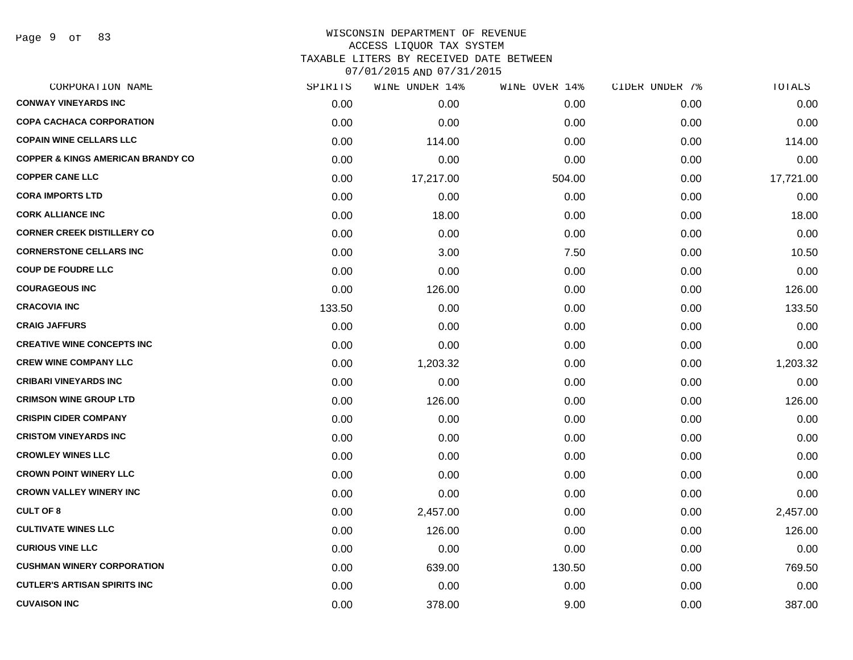#### WISCONSIN DEPARTMENT OF REVENUE ACCESS LIQUOR TAX SYSTEM TAXABLE LITERS BY RECEIVED DATE BETWEEN

| CORPORATION NAME                             | SPIRITS | WINE UNDER 14% | WINE OVER 14% | CIDER UNDER 7% | TOTALS    |
|----------------------------------------------|---------|----------------|---------------|----------------|-----------|
| <b>CONWAY VINEYARDS INC</b>                  | 0.00    | 0.00           | 0.00          | 0.00           | 0.00      |
| <b>COPA CACHACA CORPORATION</b>              | 0.00    | 0.00           | 0.00          | 0.00           | 0.00      |
| <b>COPAIN WINE CELLARS LLC</b>               | 0.00    | 114.00         | 0.00          | 0.00           | 114.00    |
| <b>COPPER &amp; KINGS AMERICAN BRANDY CO</b> | 0.00    | 0.00           | 0.00          | 0.00           | 0.00      |
| <b>COPPER CANE LLC</b>                       | 0.00    | 17,217.00      | 504.00        | 0.00           | 17,721.00 |
| <b>CORA IMPORTS LTD</b>                      | 0.00    | 0.00           | 0.00          | 0.00           | 0.00      |
| <b>CORK ALLIANCE INC</b>                     | 0.00    | 18.00          | 0.00          | 0.00           | 18.00     |
| <b>CORNER CREEK DISTILLERY CO</b>            | 0.00    | 0.00           | 0.00          | 0.00           | 0.00      |
| <b>CORNERSTONE CELLARS INC</b>               | 0.00    | 3.00           | 7.50          | 0.00           | 10.50     |
| <b>COUP DE FOUDRE LLC</b>                    | 0.00    | 0.00           | 0.00          | 0.00           | 0.00      |
| <b>COURAGEOUS INC</b>                        | 0.00    | 126.00         | 0.00          | 0.00           | 126.00    |
| <b>CRACOVIA INC</b>                          | 133.50  | 0.00           | 0.00          | 0.00           | 133.50    |
| <b>CRAIG JAFFURS</b>                         | 0.00    | 0.00           | 0.00          | 0.00           | 0.00      |
| <b>CREATIVE WINE CONCEPTS INC</b>            | 0.00    | 0.00           | 0.00          | 0.00           | 0.00      |
| <b>CREW WINE COMPANY LLC</b>                 | 0.00    | 1,203.32       | 0.00          | 0.00           | 1,203.32  |
| <b>CRIBARI VINEYARDS INC</b>                 | 0.00    | 0.00           | 0.00          | 0.00           | 0.00      |
| <b>CRIMSON WINE GROUP LTD</b>                | 0.00    | 126.00         | 0.00          | 0.00           | 126.00    |
| <b>CRISPIN CIDER COMPANY</b>                 | 0.00    | 0.00           | 0.00          | 0.00           | 0.00      |
| <b>CRISTOM VINEYARDS INC</b>                 | 0.00    | 0.00           | 0.00          | 0.00           | 0.00      |
| <b>CROWLEY WINES LLC</b>                     | 0.00    | 0.00           | 0.00          | 0.00           | 0.00      |
| <b>CROWN POINT WINERY LLC</b>                | 0.00    | 0.00           | 0.00          | 0.00           | 0.00      |
| <b>CROWN VALLEY WINERY INC</b>               | 0.00    | 0.00           | 0.00          | 0.00           | 0.00      |
| <b>CULT OF 8</b>                             | 0.00    | 2,457.00       | 0.00          | 0.00           | 2,457.00  |
| <b>CULTIVATE WINES LLC</b>                   | 0.00    | 126.00         | 0.00          | 0.00           | 126.00    |
| <b>CURIOUS VINE LLC</b>                      | 0.00    | 0.00           | 0.00          | 0.00           | 0.00      |
| <b>CUSHMAN WINERY CORPORATION</b>            | 0.00    | 639.00         | 130.50        | 0.00           | 769.50    |
| <b>CUTLER'S ARTISAN SPIRITS INC</b>          | 0.00    | 0.00           | 0.00          | 0.00           | 0.00      |
| <b>CUVAISON INC</b>                          | 0.00    | 378.00         | 9.00          | 0.00           | 387.00    |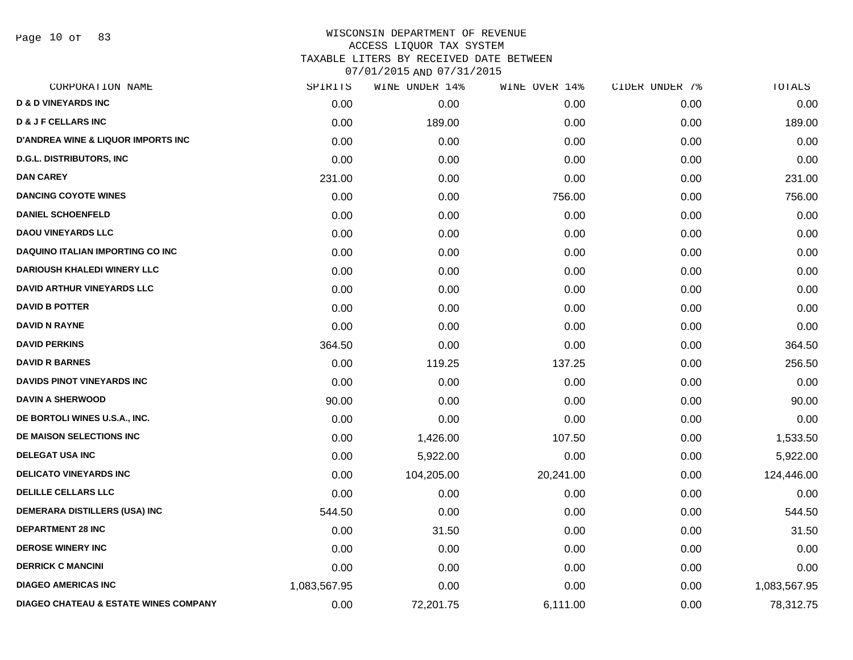Page 10 of 83

|              |            | WINE OVER 14%  | CIDER UNDER 7% | TOTALS       |
|--------------|------------|----------------|----------------|--------------|
| 0.00         | 0.00       | 0.00           | 0.00           | 0.00         |
| 0.00         | 189.00     | 0.00           | 0.00           | 189.00       |
| 0.00         | 0.00       | 0.00           | 0.00           | 0.00         |
| 0.00         | 0.00       | 0.00           | 0.00           | 0.00         |
| 231.00       | 0.00       | 0.00           | 0.00           | 231.00       |
| 0.00         | 0.00       | 756.00         | 0.00           | 756.00       |
| 0.00         | 0.00       | 0.00           | 0.00           | 0.00         |
| 0.00         | 0.00       | 0.00           | 0.00           | 0.00         |
| 0.00         | 0.00       | 0.00           | 0.00           | 0.00         |
| 0.00         | 0.00       | 0.00           | 0.00           | 0.00         |
| 0.00         | 0.00       | 0.00           | 0.00           | 0.00         |
| 0.00         | 0.00       | 0.00           | 0.00           | 0.00         |
| 0.00         | 0.00       | 0.00           | 0.00           | 0.00         |
| 364.50       | 0.00       | 0.00           | 0.00           | 364.50       |
| 0.00         | 119.25     | 137.25         | 0.00           | 256.50       |
| 0.00         | 0.00       | 0.00           | 0.00           | 0.00         |
| 90.00        | 0.00       | 0.00           | 0.00           | 90.00        |
| 0.00         | 0.00       | 0.00           | 0.00           | 0.00         |
| 0.00         | 1,426.00   | 107.50         | 0.00           | 1,533.50     |
| 0.00         | 5,922.00   | 0.00           | 0.00           | 5,922.00     |
| 0.00         | 104,205.00 | 20,241.00      | 0.00           | 124,446.00   |
| 0.00         | 0.00       | 0.00           | 0.00           | 0.00         |
| 544.50       | 0.00       | 0.00           | 0.00           | 544.50       |
| 0.00         | 31.50      | 0.00           | 0.00           | 31.50        |
| 0.00         | 0.00       | 0.00           | 0.00           | 0.00         |
| 0.00         | 0.00       | 0.00           | 0.00           | 0.00         |
| 1,083,567.95 | 0.00       | 0.00           | 0.00           | 1,083,567.95 |
| 0.00         | 72,201.75  | 6,111.00       | 0.00           | 78,312.75    |
|              | SPIRITS    | WINE UNDER 14% |                |              |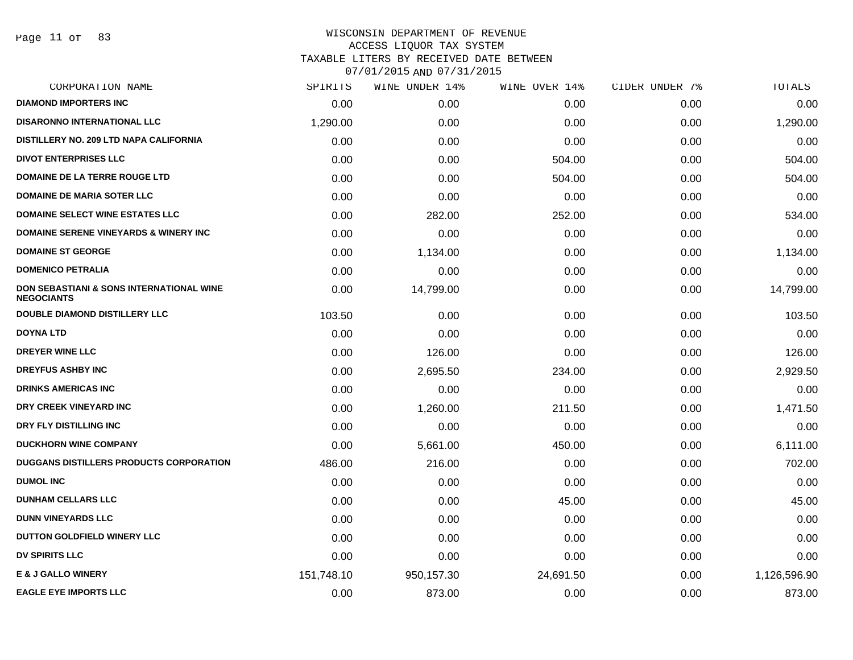Page 11 of 83

| <b>DIAMOND IMPORTERS INC</b><br><b>DISARONNO INTERNATIONAL LLC</b><br>DISTILLERY NO. 209 LTD NAPA CALIFORNIA<br><b>DIVOT ENTERPRISES LLC</b><br><b>DOMAINE DE LA TERRE ROUGE LTD</b><br><b>DOMAINE DE MARIA SOTER LLC</b><br><b>DOMAINE SELECT WINE ESTATES LLC</b> | 0.00<br>1,290.00<br>0.00<br>0.00 | 0.00<br>0.00<br>0.00 | 0.00<br>0.00 | 0.00<br>0.00 | 0.00         |
|---------------------------------------------------------------------------------------------------------------------------------------------------------------------------------------------------------------------------------------------------------------------|----------------------------------|----------------------|--------------|--------------|--------------|
|                                                                                                                                                                                                                                                                     |                                  |                      |              |              |              |
|                                                                                                                                                                                                                                                                     |                                  |                      |              |              | 1,290.00     |
|                                                                                                                                                                                                                                                                     |                                  |                      | 0.00         | 0.00         | 0.00         |
|                                                                                                                                                                                                                                                                     |                                  | 0.00                 | 504.00       | 0.00         | 504.00       |
|                                                                                                                                                                                                                                                                     | 0.00                             | 0.00                 | 504.00       | 0.00         | 504.00       |
|                                                                                                                                                                                                                                                                     | 0.00                             | 0.00                 | 0.00         | 0.00         | 0.00         |
|                                                                                                                                                                                                                                                                     | 0.00                             | 282.00               | 252.00       | 0.00         | 534.00       |
| DOMAINE SERENE VINEYARDS & WINERY INC                                                                                                                                                                                                                               | 0.00                             | 0.00                 | 0.00         | 0.00         | 0.00         |
| <b>DOMAINE ST GEORGE</b>                                                                                                                                                                                                                                            | 0.00                             | 1,134.00             | 0.00         | 0.00         | 1,134.00     |
| <b>DOMENICO PETRALIA</b>                                                                                                                                                                                                                                            | 0.00                             | 0.00                 | 0.00         | 0.00         | 0.00         |
| DON SEBASTIANI & SONS INTERNATIONAL WINE<br><b>NEGOCIANTS</b>                                                                                                                                                                                                       | 0.00                             | 14,799.00            | 0.00         | 0.00         | 14,799.00    |
| <b>DOUBLE DIAMOND DISTILLERY LLC</b>                                                                                                                                                                                                                                | 103.50                           | 0.00                 | 0.00         | 0.00         | 103.50       |
| DOYNA LTD                                                                                                                                                                                                                                                           | 0.00                             | 0.00                 | 0.00         | 0.00         | 0.00         |
| DREYER WINE LLC                                                                                                                                                                                                                                                     | 0.00                             | 126.00               | 0.00         | 0.00         | 126.00       |
| <b>DREYFUS ASHBY INC</b>                                                                                                                                                                                                                                            | 0.00                             | 2,695.50             | 234.00       | 0.00         | 2,929.50     |
| <b>DRINKS AMERICAS INC</b>                                                                                                                                                                                                                                          | 0.00                             | 0.00                 | 0.00         | 0.00         | 0.00         |
| DRY CREEK VINEYARD INC                                                                                                                                                                                                                                              | 0.00                             | 1,260.00             | 211.50       | 0.00         | 1,471.50     |
| DRY FLY DISTILLING INC                                                                                                                                                                                                                                              | 0.00                             | 0.00                 | 0.00         | 0.00         | 0.00         |
| <b>DUCKHORN WINE COMPANY</b>                                                                                                                                                                                                                                        | 0.00                             | 5,661.00             | 450.00       | 0.00         | 6,111.00     |
| <b>DUGGANS DISTILLERS PRODUCTS CORPORATION</b>                                                                                                                                                                                                                      | 486.00                           | 216.00               | 0.00         | 0.00         | 702.00       |
| <b>DUMOL INC</b>                                                                                                                                                                                                                                                    | 0.00                             | 0.00                 | 0.00         | 0.00         | 0.00         |
| <b>DUNHAM CELLARS LLC</b>                                                                                                                                                                                                                                           | 0.00                             | 0.00                 | 45.00        | 0.00         | 45.00        |
| <b>DUNN VINEYARDS LLC</b>                                                                                                                                                                                                                                           | 0.00                             | 0.00                 | 0.00         | 0.00         | 0.00         |
| <b>DUTTON GOLDFIELD WINERY LLC</b>                                                                                                                                                                                                                                  | 0.00                             | 0.00                 | 0.00         | 0.00         | 0.00         |
| <b>DV SPIRITS LLC</b>                                                                                                                                                                                                                                               | 0.00                             | 0.00                 | 0.00         | 0.00         | 0.00         |
| <b>E &amp; J GALLO WINERY</b>                                                                                                                                                                                                                                       | 151,748.10                       | 950,157.30           | 24,691.50    | 0.00         | 1,126,596.90 |
| <b>EAGLE EYE IMPORTS LLC</b>                                                                                                                                                                                                                                        | 0.00                             | 873.00               | 0.00         | 0.00         | 873.00       |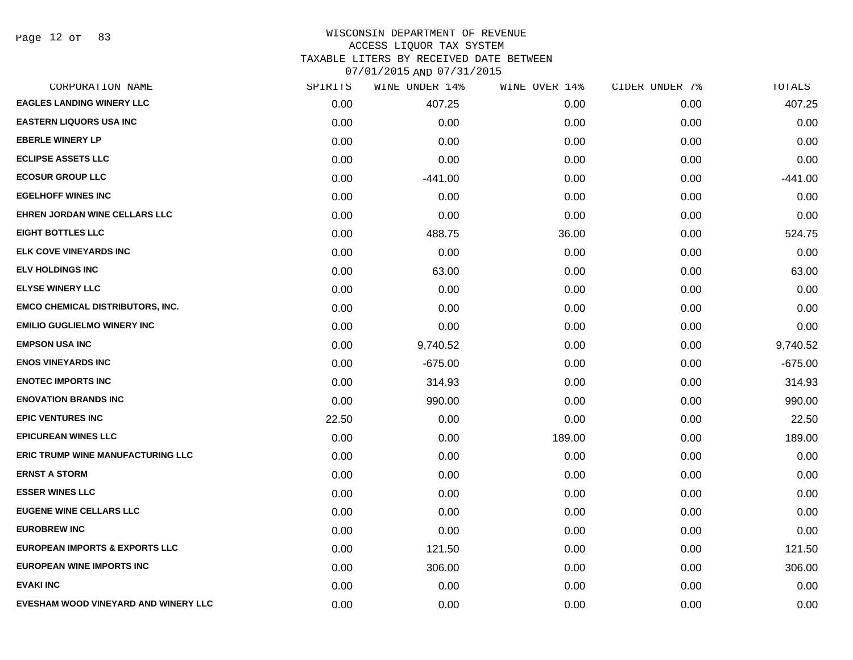Page 12 of 83

## WISCONSIN DEPARTMENT OF REVENUE ACCESS LIQUOR TAX SYSTEM

TAXABLE LITERS BY RECEIVED DATE BETWEEN

| CORPORATION NAME                          | SPIRITS | WINE UNDER 14% | WINE OVER 14% | CIDER UNDER 7% | TOTALS    |
|-------------------------------------------|---------|----------------|---------------|----------------|-----------|
| <b>EAGLES LANDING WINERY LLC</b>          | 0.00    | 407.25         | 0.00          | 0.00           | 407.25    |
| <b>EASTERN LIQUORS USA INC</b>            | 0.00    | 0.00           | 0.00          | 0.00           | 0.00      |
| <b>EBERLE WINERY LP</b>                   | 0.00    | 0.00           | 0.00          | 0.00           | 0.00      |
| <b>ECLIPSE ASSETS LLC</b>                 | 0.00    | 0.00           | 0.00          | 0.00           | 0.00      |
| <b>ECOSUR GROUP LLC</b>                   | 0.00    | $-441.00$      | 0.00          | 0.00           | $-441.00$ |
| <b>EGELHOFF WINES INC</b>                 | 0.00    | 0.00           | 0.00          | 0.00           | 0.00      |
| <b>EHREN JORDAN WINE CELLARS LLC</b>      | 0.00    | 0.00           | 0.00          | 0.00           | 0.00      |
| <b>EIGHT BOTTLES LLC</b>                  | 0.00    | 488.75         | 36.00         | 0.00           | 524.75    |
| <b>ELK COVE VINEYARDS INC</b>             | 0.00    | 0.00           | 0.00          | 0.00           | 0.00      |
| <b>ELV HOLDINGS INC</b>                   | 0.00    | 63.00          | 0.00          | 0.00           | 63.00     |
| <b>ELYSE WINERY LLC</b>                   | 0.00    | 0.00           | 0.00          | 0.00           | 0.00      |
| <b>EMCO CHEMICAL DISTRIBUTORS, INC.</b>   | 0.00    | 0.00           | 0.00          | 0.00           | 0.00      |
| <b>EMILIO GUGLIELMO WINERY INC</b>        | 0.00    | 0.00           | 0.00          | 0.00           | 0.00      |
| <b>EMPSON USA INC</b>                     | 0.00    | 9,740.52       | 0.00          | 0.00           | 9,740.52  |
| <b>ENOS VINEYARDS INC</b>                 | 0.00    | $-675.00$      | 0.00          | 0.00           | $-675.00$ |
| <b>ENOTEC IMPORTS INC</b>                 | 0.00    | 314.93         | 0.00          | 0.00           | 314.93    |
| <b>ENOVATION BRANDS INC</b>               | 0.00    | 990.00         | 0.00          | 0.00           | 990.00    |
| <b>EPIC VENTURES INC</b>                  | 22.50   | 0.00           | 0.00          | 0.00           | 22.50     |
| <b>EPICUREAN WINES LLC</b>                | 0.00    | 0.00           | 189.00        | 0.00           | 189.00    |
| <b>ERIC TRUMP WINE MANUFACTURING LLC</b>  | 0.00    | 0.00           | 0.00          | 0.00           | 0.00      |
| <b>ERNST A STORM</b>                      | 0.00    | 0.00           | 0.00          | 0.00           | 0.00      |
| <b>ESSER WINES LLC</b>                    | 0.00    | 0.00           | 0.00          | 0.00           | 0.00      |
| <b>EUGENE WINE CELLARS LLC</b>            | 0.00    | 0.00           | 0.00          | 0.00           | 0.00      |
| <b>EUROBREW INC</b>                       | 0.00    | 0.00           | 0.00          | 0.00           | 0.00      |
| <b>EUROPEAN IMPORTS &amp; EXPORTS LLC</b> | 0.00    | 121.50         | 0.00          | 0.00           | 121.50    |
| <b>EUROPEAN WINE IMPORTS INC</b>          | 0.00    | 306.00         | 0.00          | 0.00           | 306.00    |
| <b>EVAKI INC</b>                          | 0.00    | 0.00           | 0.00          | 0.00           | 0.00      |
| EVESHAM WOOD VINEYARD AND WINERY LLC      | 0.00    | 0.00           | 0.00          | 0.00           | 0.00      |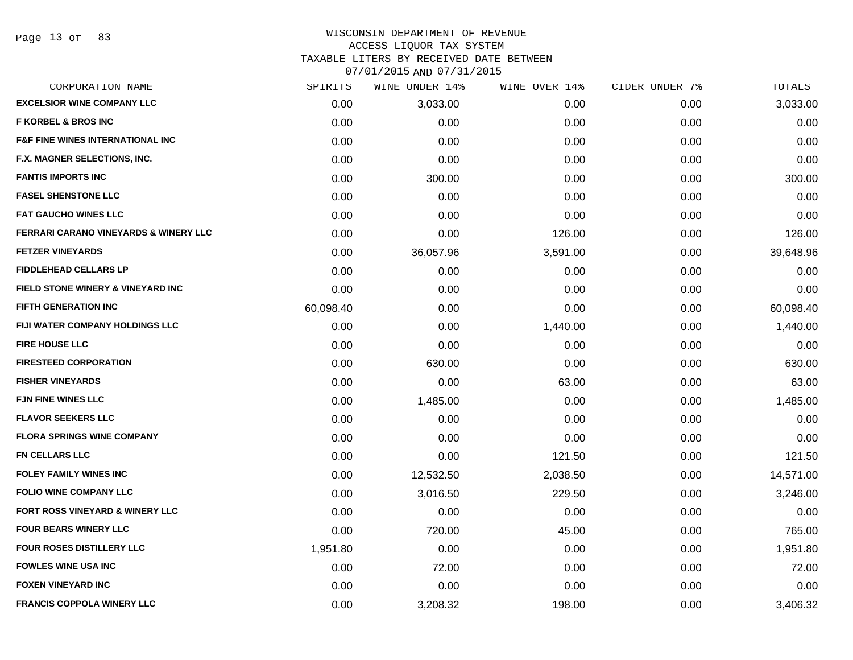# WISCONSIN DEPARTMENT OF REVENUE ACCESS LIQUOR TAX SYSTEM

TAXABLE LITERS BY RECEIVED DATE BETWEEN

| CORPORATION NAME                                 | SPIRITS   | WINE UNDER 14% | WINE OVER 14% | CIDER UNDER 7% | TOTALS    |
|--------------------------------------------------|-----------|----------------|---------------|----------------|-----------|
| <b>EXCELSIOR WINE COMPANY LLC</b>                | 0.00      | 3,033.00       | 0.00          | 0.00           | 3,033.00  |
| <b>F KORBEL &amp; BROS INC</b>                   | 0.00      | 0.00           | 0.00          | 0.00           | 0.00      |
| <b>F&amp;F FINE WINES INTERNATIONAL INC</b>      | 0.00      | 0.00           | 0.00          | 0.00           | 0.00      |
| F.X. MAGNER SELECTIONS, INC.                     | 0.00      | 0.00           | 0.00          | 0.00           | 0.00      |
| <b>FANTIS IMPORTS INC</b>                        | 0.00      | 300.00         | 0.00          | 0.00           | 300.00    |
| <b>FASEL SHENSTONE LLC</b>                       | 0.00      | 0.00           | 0.00          | 0.00           | 0.00      |
| <b>FAT GAUCHO WINES LLC</b>                      | 0.00      | 0.00           | 0.00          | 0.00           | 0.00      |
| <b>FERRARI CARANO VINEYARDS &amp; WINERY LLC</b> | 0.00      | 0.00           | 126.00        | 0.00           | 126.00    |
| <b>FETZER VINEYARDS</b>                          | 0.00      | 36,057.96      | 3,591.00      | 0.00           | 39,648.96 |
| <b>FIDDLEHEAD CELLARS LP</b>                     | 0.00      | 0.00           | 0.00          | 0.00           | 0.00      |
| FIELD STONE WINERY & VINEYARD INC                | 0.00      | 0.00           | 0.00          | 0.00           | 0.00      |
| <b>FIFTH GENERATION INC</b>                      | 60,098.40 | 0.00           | 0.00          | 0.00           | 60,098.40 |
| <b>FIJI WATER COMPANY HOLDINGS LLC</b>           | 0.00      | 0.00           | 1,440.00      | 0.00           | 1,440.00  |
| <b>FIRE HOUSE LLC</b>                            | 0.00      | 0.00           | 0.00          | 0.00           | 0.00      |
| <b>FIRESTEED CORPORATION</b>                     | 0.00      | 630.00         | 0.00          | 0.00           | 630.00    |
| <b>FISHER VINEYARDS</b>                          | 0.00      | 0.00           | 63.00         | 0.00           | 63.00     |
| <b>FJN FINE WINES LLC</b>                        | 0.00      | 1,485.00       | 0.00          | 0.00           | 1,485.00  |
| <b>FLAVOR SEEKERS LLC</b>                        | 0.00      | 0.00           | 0.00          | 0.00           | 0.00      |
| <b>FLORA SPRINGS WINE COMPANY</b>                | 0.00      | 0.00           | 0.00          | 0.00           | 0.00      |
| <b>FN CELLARS LLC</b>                            | 0.00      | 0.00           | 121.50        | 0.00           | 121.50    |
| FOLEY FAMILY WINES INC                           | 0.00      | 12,532.50      | 2,038.50      | 0.00           | 14,571.00 |
| <b>FOLIO WINE COMPANY LLC</b>                    | 0.00      | 3,016.50       | 229.50        | 0.00           | 3,246.00  |
| FORT ROSS VINEYARD & WINERY LLC                  | 0.00      | 0.00           | 0.00          | 0.00           | 0.00      |
| <b>FOUR BEARS WINERY LLC</b>                     | 0.00      | 720.00         | 45.00         | 0.00           | 765.00    |
| <b>FOUR ROSES DISTILLERY LLC</b>                 | 1,951.80  | 0.00           | 0.00          | 0.00           | 1,951.80  |
| <b>FOWLES WINE USA INC</b>                       | 0.00      | 72.00          | 0.00          | 0.00           | 72.00     |
| <b>FOXEN VINEYARD INC</b>                        | 0.00      | 0.00           | 0.00          | 0.00           | 0.00      |
| <b>FRANCIS COPPOLA WINERY LLC</b>                | 0.00      | 3,208.32       | 198.00        | 0.00           | 3,406.32  |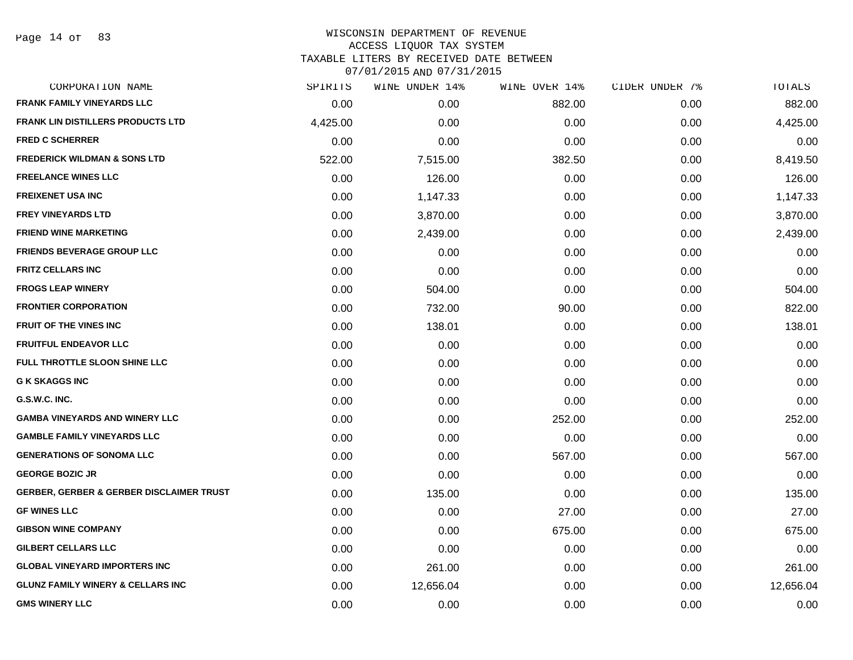| CORPORATION NAME                                    | SPIRITS  | <b>WINE UNDER 14%</b> | WINE OVER 14% | CIDER UNDER 7% | TOTALS    |
|-----------------------------------------------------|----------|-----------------------|---------------|----------------|-----------|
| <b>FRANK FAMILY VINEYARDS LLC</b>                   | 0.00     | 0.00                  | 882.00        | 0.00           | 882.00    |
| <b>FRANK LIN DISTILLERS PRODUCTS LTD</b>            | 4,425.00 | 0.00                  | 0.00          | 0.00           | 4,425.00  |
| <b>FRED C SCHERRER</b>                              | 0.00     | 0.00                  | 0.00          | 0.00           | 0.00      |
| <b>FREDERICK WILDMAN &amp; SONS LTD</b>             | 522.00   | 7,515.00              | 382.50        | 0.00           | 8,419.50  |
| <b>FREELANCE WINES LLC</b>                          | 0.00     | 126.00                | 0.00          | 0.00           | 126.00    |
| <b>FREIXENET USA INC</b>                            | 0.00     | 1,147.33              | 0.00          | 0.00           | 1,147.33  |
| <b>FREY VINEYARDS LTD</b>                           | 0.00     | 3,870.00              | 0.00          | 0.00           | 3,870.00  |
| <b>FRIEND WINE MARKETING</b>                        | 0.00     | 2,439.00              | 0.00          | 0.00           | 2,439.00  |
| <b>FRIENDS BEVERAGE GROUP LLC</b>                   | 0.00     | 0.00                  | 0.00          | 0.00           | 0.00      |
| <b>FRITZ CELLARS INC</b>                            | 0.00     | 0.00                  | 0.00          | 0.00           | 0.00      |
| <b>FROGS LEAP WINERY</b>                            | 0.00     | 504.00                | 0.00          | 0.00           | 504.00    |
| <b>FRONTIER CORPORATION</b>                         | 0.00     | 732.00                | 90.00         | 0.00           | 822.00    |
| <b>FRUIT OF THE VINES INC</b>                       | 0.00     | 138.01                | 0.00          | 0.00           | 138.01    |
| <b>FRUITFUL ENDEAVOR LLC</b>                        | 0.00     | 0.00                  | 0.00          | 0.00           | 0.00      |
| FULL THROTTLE SLOON SHINE LLC                       | 0.00     | 0.00                  | 0.00          | 0.00           | 0.00      |
| <b>G K SKAGGS INC</b>                               | 0.00     | 0.00                  | 0.00          | 0.00           | 0.00      |
| G.S.W.C. INC.                                       | 0.00     | 0.00                  | 0.00          | 0.00           | 0.00      |
| <b>GAMBA VINEYARDS AND WINERY LLC</b>               | 0.00     | 0.00                  | 252.00        | 0.00           | 252.00    |
| <b>GAMBLE FAMILY VINEYARDS LLC</b>                  | 0.00     | 0.00                  | 0.00          | 0.00           | 0.00      |
| <b>GENERATIONS OF SONOMA LLC</b>                    | 0.00     | 0.00                  | 567.00        | 0.00           | 567.00    |
| <b>GEORGE BOZIC JR</b>                              | 0.00     | 0.00                  | 0.00          | 0.00           | 0.00      |
| <b>GERBER, GERBER &amp; GERBER DISCLAIMER TRUST</b> | 0.00     | 135.00                | 0.00          | 0.00           | 135.00    |
| <b>GF WINES LLC</b>                                 | 0.00     | 0.00                  | 27.00         | 0.00           | 27.00     |
| <b>GIBSON WINE COMPANY</b>                          | 0.00     | 0.00                  | 675.00        | 0.00           | 675.00    |
| <b>GILBERT CELLARS LLC</b>                          | 0.00     | 0.00                  | 0.00          | 0.00           | 0.00      |
| <b>GLOBAL VINEYARD IMPORTERS INC</b>                | 0.00     | 261.00                | 0.00          | 0.00           | 261.00    |
| <b>GLUNZ FAMILY WINERY &amp; CELLARS INC</b>        | 0.00     | 12,656.04             | 0.00          | 0.00           | 12,656.04 |
| <b>GMS WINERY LLC</b>                               | 0.00     | 0.00                  | 0.00          | 0.00           | 0.00      |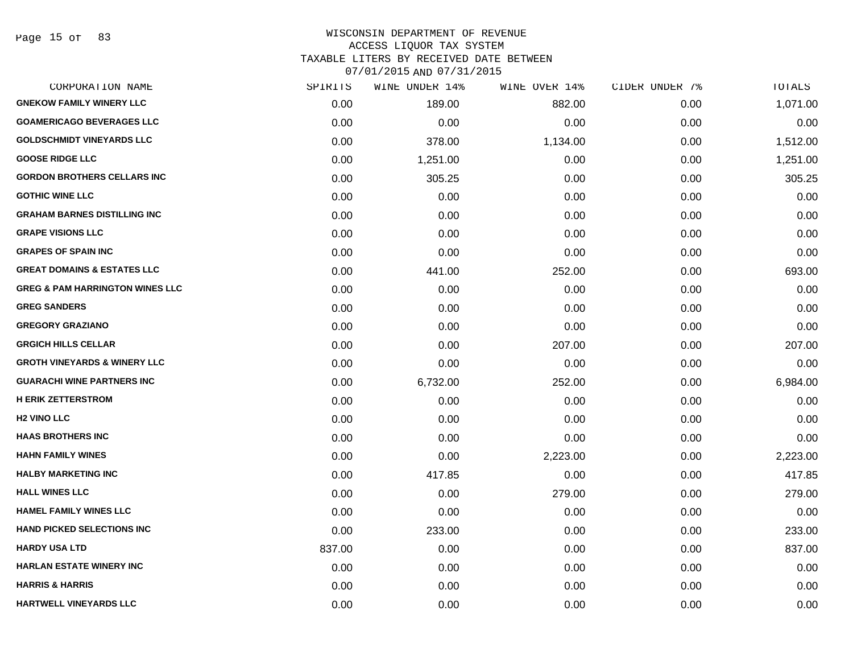#### WISCONSIN DEPARTMENT OF REVENUE ACCESS LIQUOR TAX SYSTEM TAXABLE LITERS BY RECEIVED DATE BETWEEN

| CORPORATION NAME                           | SPIRITS | WINE UNDER 14% | WINE OVER 14% | CIDER UNDER 7% | TOTALS   |
|--------------------------------------------|---------|----------------|---------------|----------------|----------|
| <b>GNEKOW FAMILY WINERY LLC</b>            | 0.00    | 189.00         | 882.00        | 0.00           | 1,071.00 |
| <b>GOAMERICAGO BEVERAGES LLC</b>           | 0.00    | 0.00           | 0.00          | 0.00           | 0.00     |
| <b>GOLDSCHMIDT VINEYARDS LLC</b>           | 0.00    | 378.00         | 1,134.00      | 0.00           | 1,512.00 |
| <b>GOOSE RIDGE LLC</b>                     | 0.00    | 1,251.00       | 0.00          | 0.00           | 1,251.00 |
| <b>GORDON BROTHERS CELLARS INC</b>         | 0.00    | 305.25         | 0.00          | 0.00           | 305.25   |
| <b>GOTHIC WINE LLC</b>                     | 0.00    | 0.00           | 0.00          | 0.00           | 0.00     |
| <b>GRAHAM BARNES DISTILLING INC</b>        | 0.00    | 0.00           | 0.00          | 0.00           | 0.00     |
| <b>GRAPE VISIONS LLC</b>                   | 0.00    | 0.00           | 0.00          | 0.00           | 0.00     |
| <b>GRAPES OF SPAIN INC</b>                 | 0.00    | 0.00           | 0.00          | 0.00           | 0.00     |
| <b>GREAT DOMAINS &amp; ESTATES LLC</b>     | 0.00    | 441.00         | 252.00        | 0.00           | 693.00   |
| <b>GREG &amp; PAM HARRINGTON WINES LLC</b> | 0.00    | 0.00           | 0.00          | 0.00           | 0.00     |
| <b>GREG SANDERS</b>                        | 0.00    | 0.00           | 0.00          | 0.00           | 0.00     |
| <b>GREGORY GRAZIANO</b>                    | 0.00    | 0.00           | 0.00          | 0.00           | 0.00     |
| <b>GRGICH HILLS CELLAR</b>                 | 0.00    | 0.00           | 207.00        | 0.00           | 207.00   |
| <b>GROTH VINEYARDS &amp; WINERY LLC</b>    | 0.00    | 0.00           | 0.00          | 0.00           | 0.00     |
| <b>GUARACHI WINE PARTNERS INC</b>          | 0.00    | 6,732.00       | 252.00        | 0.00           | 6,984.00 |
| <b>H ERIK ZETTERSTROM</b>                  | 0.00    | 0.00           | 0.00          | 0.00           | 0.00     |
| <b>H2 VINO LLC</b>                         | 0.00    | 0.00           | 0.00          | 0.00           | 0.00     |
| <b>HAAS BROTHERS INC</b>                   | 0.00    | 0.00           | 0.00          | 0.00           | 0.00     |
| <b>HAHN FAMILY WINES</b>                   | 0.00    | 0.00           | 2,223.00      | 0.00           | 2,223.00 |
| <b>HALBY MARKETING INC</b>                 | 0.00    | 417.85         | 0.00          | 0.00           | 417.85   |
| <b>HALL WINES LLC</b>                      | 0.00    | 0.00           | 279.00        | 0.00           | 279.00   |
| <b>HAMEL FAMILY WINES LLC</b>              | 0.00    | 0.00           | 0.00          | 0.00           | 0.00     |
| <b>HAND PICKED SELECTIONS INC</b>          | 0.00    | 233.00         | 0.00          | 0.00           | 233.00   |
| <b>HARDY USA LTD</b>                       | 837.00  | 0.00           | 0.00          | 0.00           | 837.00   |
| <b>HARLAN ESTATE WINERY INC</b>            | 0.00    | 0.00           | 0.00          | 0.00           | 0.00     |
| <b>HARRIS &amp; HARRIS</b>                 | 0.00    | 0.00           | 0.00          | 0.00           | 0.00     |
| <b>HARTWELL VINEYARDS LLC</b>              | 0.00    | 0.00           | 0.00          | 0.00           | 0.00     |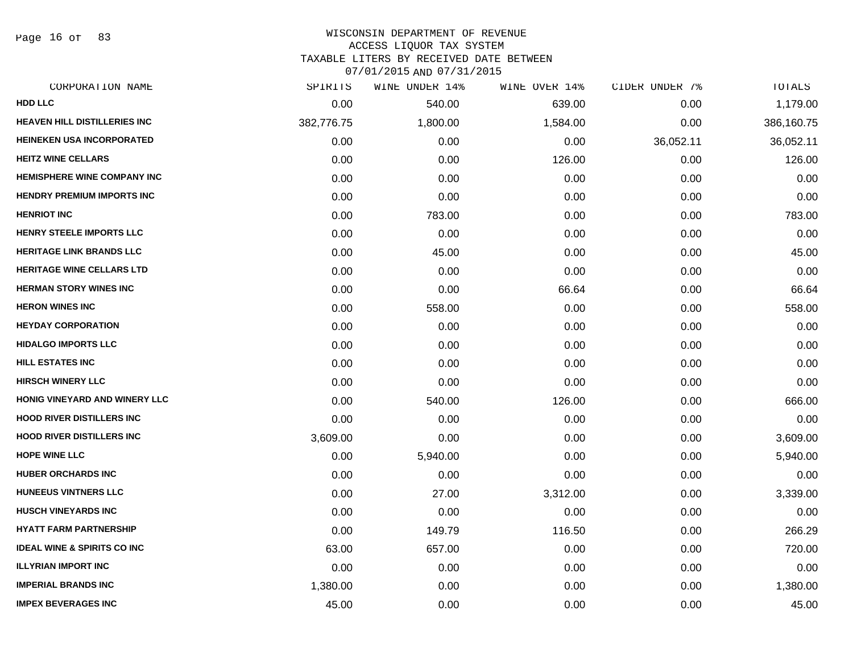Page 16 of 83

#### WISCONSIN DEPARTMENT OF REVENUE ACCESS LIQUOR TAX SYSTEM TAXABLE LITERS BY RECEIVED DATE BETWEEN

| CORPORATION NAME                       | SPIRITS    | WINE UNDER 14% | WINE OVER 14% | CIDER UNDER 7% | TOTALS     |
|----------------------------------------|------------|----------------|---------------|----------------|------------|
| <b>HDD LLC</b>                         | 0.00       | 540.00         | 639.00        | 0.00           | 1,179.00   |
| <b>HEAVEN HILL DISTILLERIES INC</b>    | 382,776.75 | 1,800.00       | 1,584.00      | 0.00           | 386,160.75 |
| <b>HEINEKEN USA INCORPORATED</b>       | 0.00       | 0.00           | 0.00          | 36,052.11      | 36,052.11  |
| <b>HEITZ WINE CELLARS</b>              | 0.00       | 0.00           | 126.00        | 0.00           | 126.00     |
| <b>HEMISPHERE WINE COMPANY INC</b>     | 0.00       | 0.00           | 0.00          | 0.00           | 0.00       |
| <b>HENDRY PREMIUM IMPORTS INC</b>      | 0.00       | 0.00           | 0.00          | 0.00           | 0.00       |
| <b>HENRIOT INC</b>                     | 0.00       | 783.00         | 0.00          | 0.00           | 783.00     |
| <b>HENRY STEELE IMPORTS LLC</b>        | 0.00       | 0.00           | 0.00          | 0.00           | 0.00       |
| <b>HERITAGE LINK BRANDS LLC</b>        | 0.00       | 45.00          | 0.00          | 0.00           | 45.00      |
| <b>HERITAGE WINE CELLARS LTD</b>       | 0.00       | 0.00           | 0.00          | 0.00           | 0.00       |
| <b>HERMAN STORY WINES INC</b>          | 0.00       | 0.00           | 66.64         | 0.00           | 66.64      |
| <b>HERON WINES INC</b>                 | 0.00       | 558.00         | 0.00          | 0.00           | 558.00     |
| <b>HEYDAY CORPORATION</b>              | 0.00       | 0.00           | 0.00          | 0.00           | 0.00       |
| <b>HIDALGO IMPORTS LLC</b>             | 0.00       | 0.00           | 0.00          | 0.00           | 0.00       |
| <b>HILL ESTATES INC</b>                | 0.00       | 0.00           | 0.00          | 0.00           | 0.00       |
| <b>HIRSCH WINERY LLC</b>               | 0.00       | 0.00           | 0.00          | 0.00           | 0.00       |
| HONIG VINEYARD AND WINERY LLC          | 0.00       | 540.00         | 126.00        | 0.00           | 666.00     |
| <b>HOOD RIVER DISTILLERS INC</b>       | 0.00       | 0.00           | 0.00          | 0.00           | 0.00       |
| <b>HOOD RIVER DISTILLERS INC</b>       | 3,609.00   | 0.00           | 0.00          | 0.00           | 3,609.00   |
| <b>HOPE WINE LLC</b>                   | 0.00       | 5,940.00       | 0.00          | 0.00           | 5,940.00   |
| <b>HUBER ORCHARDS INC</b>              | 0.00       | 0.00           | 0.00          | 0.00           | 0.00       |
| <b>HUNEEUS VINTNERS LLC</b>            | 0.00       | 27.00          | 3,312.00      | 0.00           | 3,339.00   |
| <b>HUSCH VINEYARDS INC</b>             | 0.00       | 0.00           | 0.00          | 0.00           | 0.00       |
| <b>HYATT FARM PARTNERSHIP</b>          | 0.00       | 149.79         | 116.50        | 0.00           | 266.29     |
| <b>IDEAL WINE &amp; SPIRITS CO INC</b> | 63.00      | 657.00         | 0.00          | 0.00           | 720.00     |
| <b>ILLYRIAN IMPORT INC</b>             | 0.00       | 0.00           | 0.00          | 0.00           | 0.00       |
| <b>IMPERIAL BRANDS INC</b>             | 1,380.00   | 0.00           | 0.00          | 0.00           | 1,380.00   |
| <b>IMPEX BEVERAGES INC</b>             | 45.00      | 0.00           | 0.00          | 0.00           | 45.00      |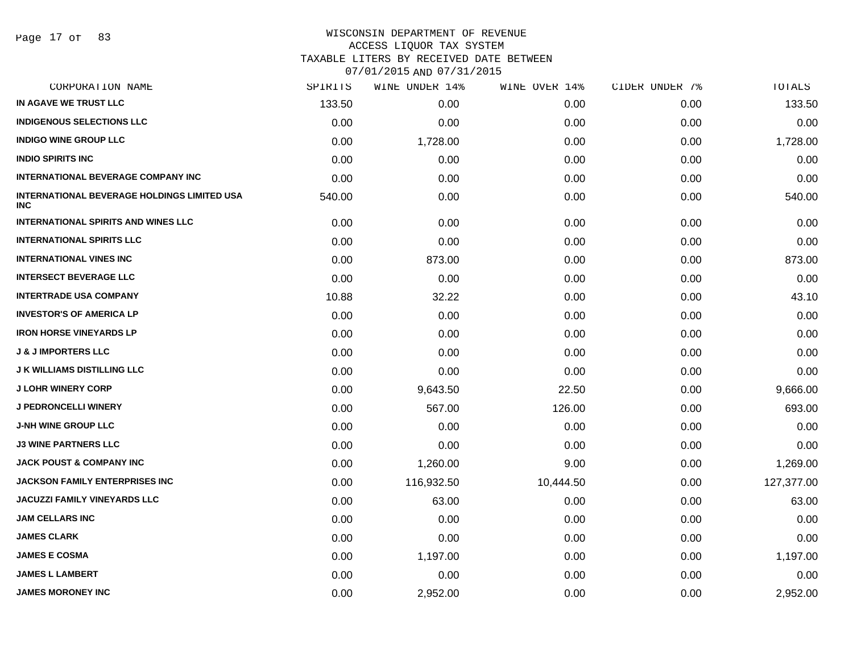Page 17 of 83

#### WISCONSIN DEPARTMENT OF REVENUE ACCESS LIQUOR TAX SYSTEM

TAXABLE LITERS BY RECEIVED DATE BETWEEN

| CORPORATION NAME                                                 | SPIRITS | WINE UNDER 14% | WINE OVER 14% | CIDER UNDER 7% | TOTALS     |
|------------------------------------------------------------------|---------|----------------|---------------|----------------|------------|
| IN AGAVE WE TRUST LLC                                            | 133.50  | 0.00           | 0.00          | 0.00           | 133.50     |
| <b>INDIGENOUS SELECTIONS LLC</b>                                 | 0.00    | 0.00           | 0.00          | 0.00           | 0.00       |
| <b>INDIGO WINE GROUP LLC</b>                                     | 0.00    | 1,728.00       | 0.00          | 0.00           | 1,728.00   |
| <b>INDIO SPIRITS INC</b>                                         | 0.00    | 0.00           | 0.00          | 0.00           | 0.00       |
| <b>INTERNATIONAL BEVERAGE COMPANY INC</b>                        | 0.00    | 0.00           | 0.00          | 0.00           | 0.00       |
| <b>INTERNATIONAL BEVERAGE HOLDINGS LIMITED USA</b><br><b>INC</b> | 540.00  | 0.00           | 0.00          | 0.00           | 540.00     |
| <b>INTERNATIONAL SPIRITS AND WINES LLC</b>                       | 0.00    | 0.00           | 0.00          | 0.00           | 0.00       |
| <b>INTERNATIONAL SPIRITS LLC</b>                                 | 0.00    | 0.00           | 0.00          | 0.00           | 0.00       |
| <b>INTERNATIONAL VINES INC</b>                                   | 0.00    | 873.00         | 0.00          | 0.00           | 873.00     |
| <b>INTERSECT BEVERAGE LLC</b>                                    | 0.00    | 0.00           | 0.00          | 0.00           | 0.00       |
| <b>INTERTRADE USA COMPANY</b>                                    | 10.88   | 32.22          | 0.00          | 0.00           | 43.10      |
| <b>INVESTOR'S OF AMERICA LP</b>                                  | 0.00    | 0.00           | 0.00          | 0.00           | 0.00       |
| <b>IRON HORSE VINEYARDS LP</b>                                   | 0.00    | 0.00           | 0.00          | 0.00           | 0.00       |
| <b>J &amp; J IMPORTERS LLC</b>                                   | 0.00    | 0.00           | 0.00          | 0.00           | 0.00       |
| <b>J K WILLIAMS DISTILLING LLC</b>                               | 0.00    | 0.00           | 0.00          | 0.00           | 0.00       |
| <b>J LOHR WINERY CORP</b>                                        | 0.00    | 9,643.50       | 22.50         | 0.00           | 9,666.00   |
| <b>J PEDRONCELLI WINERY</b>                                      | 0.00    | 567.00         | 126.00        | 0.00           | 693.00     |
| <b>J-NH WINE GROUP LLC</b>                                       | 0.00    | 0.00           | 0.00          | 0.00           | 0.00       |
| <b>J3 WINE PARTNERS LLC</b>                                      | 0.00    | 0.00           | 0.00          | 0.00           | 0.00       |
| <b>JACK POUST &amp; COMPANY INC</b>                              | 0.00    | 1,260.00       | 9.00          | 0.00           | 1,269.00   |
| <b>JACKSON FAMILY ENTERPRISES INC</b>                            | 0.00    | 116,932.50     | 10,444.50     | 0.00           | 127,377.00 |
| <b>JACUZZI FAMILY VINEYARDS LLC</b>                              | 0.00    | 63.00          | 0.00          | 0.00           | 63.00      |
| <b>JAM CELLARS INC</b>                                           | 0.00    | 0.00           | 0.00          | 0.00           | 0.00       |
| <b>JAMES CLARK</b>                                               | 0.00    | 0.00           | 0.00          | 0.00           | 0.00       |
| <b>JAMES E COSMA</b>                                             | 0.00    | 1,197.00       | 0.00          | 0.00           | 1,197.00   |
| <b>JAMES L LAMBERT</b>                                           | 0.00    | 0.00           | 0.00          | 0.00           | 0.00       |
| <b>JAMES MORONEY INC</b>                                         | 0.00    | 2,952.00       | 0.00          | 0.00           | 2,952.00   |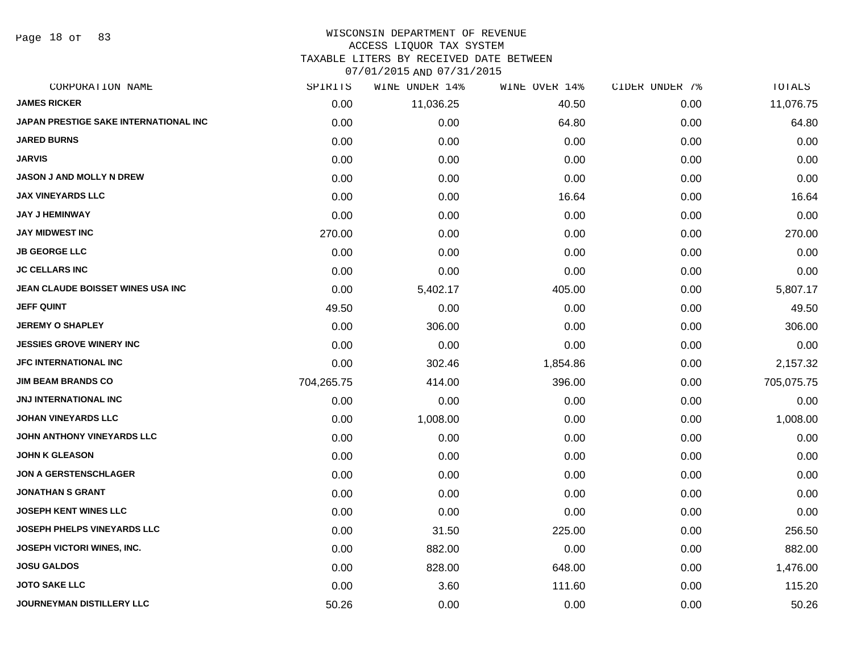Page 18 of 83

#### WISCONSIN DEPARTMENT OF REVENUE ACCESS LIQUOR TAX SYSTEM

TAXABLE LITERS BY RECEIVED DATE BETWEEN

| CORPORATION NAME                      | SPIRITS    | WINE UNDER 14% | WINE OVER 14% | CIDER UNDER 7% | TOTALS     |
|---------------------------------------|------------|----------------|---------------|----------------|------------|
| <b>JAMES RICKER</b>                   | 0.00       | 11,036.25      | 40.50         | 0.00           | 11,076.75  |
| JAPAN PRESTIGE SAKE INTERNATIONAL INC | 0.00       | 0.00           | 64.80         | 0.00           | 64.80      |
| <b>JARED BURNS</b>                    | 0.00       | 0.00           | 0.00          | 0.00           | 0.00       |
| JARVIS                                | 0.00       | 0.00           | 0.00          | 0.00           | 0.00       |
| <b>JASON J AND MOLLY N DREW</b>       | 0.00       | 0.00           | 0.00          | 0.00           | 0.00       |
| <b>JAX VINEYARDS LLC</b>              | 0.00       | 0.00           | 16.64         | 0.00           | 16.64      |
| <b>JAY J HEMINWAY</b>                 | 0.00       | 0.00           | 0.00          | 0.00           | 0.00       |
| JAY MIDWEST INC                       | 270.00     | 0.00           | 0.00          | 0.00           | 270.00     |
| <b>JB GEORGE LLC</b>                  | 0.00       | 0.00           | 0.00          | 0.00           | 0.00       |
| <b>JC CELLARS INC</b>                 | 0.00       | 0.00           | 0.00          | 0.00           | 0.00       |
| JEAN CLAUDE BOISSET WINES USA INC     | 0.00       | 5,402.17       | 405.00        | 0.00           | 5,807.17   |
| JEFF QUINT                            | 49.50      | 0.00           | 0.00          | 0.00           | 49.50      |
| <b>JEREMY O SHAPLEY</b>               | 0.00       | 306.00         | 0.00          | 0.00           | 306.00     |
| <b>JESSIES GROVE WINERY INC</b>       | 0.00       | 0.00           | 0.00          | 0.00           | 0.00       |
| <b>JFC INTERNATIONAL INC</b>          | 0.00       | 302.46         | 1,854.86      | 0.00           | 2,157.32   |
| <b>JIM BEAM BRANDS CO</b>             | 704,265.75 | 414.00         | 396.00        | 0.00           | 705,075.75 |
| JNJ INTERNATIONAL INC                 | 0.00       | 0.00           | 0.00          | 0.00           | 0.00       |
| <b>JOHAN VINEYARDS LLC</b>            | 0.00       | 1,008.00       | 0.00          | 0.00           | 1,008.00   |
| JOHN ANTHONY VINEYARDS LLC            | 0.00       | 0.00           | 0.00          | 0.00           | 0.00       |
| <b>JOHN K GLEASON</b>                 | 0.00       | 0.00           | 0.00          | 0.00           | 0.00       |
| <b>JON A GERSTENSCHLAGER</b>          | 0.00       | 0.00           | 0.00          | 0.00           | 0.00       |
| <b>JONATHAN S GRANT</b>               | 0.00       | 0.00           | 0.00          | 0.00           | 0.00       |
| <b>JOSEPH KENT WINES LLC</b>          | 0.00       | 0.00           | 0.00          | 0.00           | 0.00       |
| <b>JOSEPH PHELPS VINEYARDS LLC</b>    | 0.00       | 31.50          | 225.00        | 0.00           | 256.50     |
| JOSEPH VICTORI WINES, INC.            | 0.00       | 882.00         | 0.00          | 0.00           | 882.00     |
| <b>JOSU GALDOS</b>                    | 0.00       | 828.00         | 648.00        | 0.00           | 1,476.00   |
| <b>JOTO SAKE LLC</b>                  | 0.00       | 3.60           | 111.60        | 0.00           | 115.20     |
| <b>JOURNEYMAN DISTILLERY LLC</b>      | 50.26      | 0.00           | 0.00          | 0.00           | 50.26      |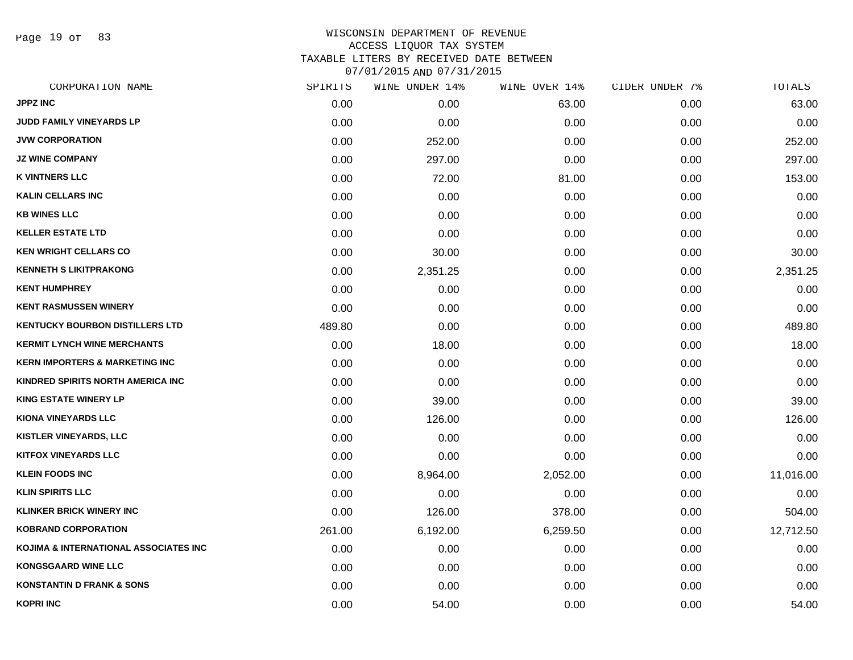Page 19 of 83

| CORPORATION NAME                          | SPIRITS | WINE UNDER 14% | WINE OVER 14% | CIDER UNDER 7% | TOTALS    |
|-------------------------------------------|---------|----------------|---------------|----------------|-----------|
| <b>JPPZ INC</b>                           | 0.00    | 0.00           | 63.00         | 0.00           | 63.00     |
| JUDD FAMILY VINEYARDS LP                  | 0.00    | 0.00           | 0.00          | 0.00           | 0.00      |
| <b>JVW CORPORATION</b>                    | 0.00    | 252.00         | 0.00          | 0.00           | 252.00    |
| <b>JZ WINE COMPANY</b>                    | 0.00    | 297.00         | 0.00          | 0.00           | 297.00    |
| <b>K VINTNERS LLC</b>                     | 0.00    | 72.00          | 81.00         | 0.00           | 153.00    |
| <b>KALIN CELLARS INC</b>                  | 0.00    | 0.00           | 0.00          | 0.00           | 0.00      |
| <b>KB WINES LLC</b>                       | 0.00    | 0.00           | 0.00          | 0.00           | 0.00      |
| <b>KELLER ESTATE LTD</b>                  | 0.00    | 0.00           | 0.00          | 0.00           | 0.00      |
| <b>KEN WRIGHT CELLARS CO</b>              | 0.00    | 30.00          | 0.00          | 0.00           | 30.00     |
| <b>KENNETH S LIKITPRAKONG</b>             | 0.00    | 2,351.25       | 0.00          | 0.00           | 2,351.25  |
| <b>KENT HUMPHREY</b>                      | 0.00    | 0.00           | 0.00          | 0.00           | 0.00      |
| <b>KENT RASMUSSEN WINERY</b>              | 0.00    | 0.00           | 0.00          | 0.00           | 0.00      |
| <b>KENTUCKY BOURBON DISTILLERS LTD</b>    | 489.80  | 0.00           | 0.00          | 0.00           | 489.80    |
| <b>KERMIT LYNCH WINE MERCHANTS</b>        | 0.00    | 18.00          | 0.00          | 0.00           | 18.00     |
| <b>KERN IMPORTERS &amp; MARKETING INC</b> | 0.00    | 0.00           | 0.00          | 0.00           | 0.00      |
| KINDRED SPIRITS NORTH AMERICA INC         | 0.00    | 0.00           | 0.00          | 0.00           | 0.00      |
| <b>KING ESTATE WINERY LP</b>              | 0.00    | 39.00          | 0.00          | 0.00           | 39.00     |
| <b>KIONA VINEYARDS LLC</b>                | 0.00    | 126.00         | 0.00          | 0.00           | 126.00    |
| KISTLER VINEYARDS, LLC                    | 0.00    | 0.00           | 0.00          | 0.00           | 0.00      |
| <b>KITFOX VINEYARDS LLC</b>               | 0.00    | 0.00           | 0.00          | 0.00           | 0.00      |
| <b>KLEIN FOODS INC</b>                    | 0.00    | 8,964.00       | 2,052.00      | 0.00           | 11,016.00 |
| <b>KLIN SPIRITS LLC</b>                   | 0.00    | 0.00           | 0.00          | 0.00           | 0.00      |
| <b>KLINKER BRICK WINERY INC</b>           | 0.00    | 126.00         | 378.00        | 0.00           | 504.00    |
| <b>KOBRAND CORPORATION</b>                | 261.00  | 6,192.00       | 6,259.50      | 0.00           | 12,712.50 |
| KOJIMA & INTERNATIONAL ASSOCIATES INC     | 0.00    | 0.00           | 0.00          | 0.00           | 0.00      |
| <b>KONGSGAARD WINE LLC</b>                | 0.00    | 0.00           | 0.00          | 0.00           | 0.00      |
| <b>KONSTANTIN D FRANK &amp; SONS</b>      | 0.00    | 0.00           | 0.00          | 0.00           | 0.00      |
| <b>KOPRI INC</b>                          | 0.00    | 54.00          | 0.00          | 0.00           | 54.00     |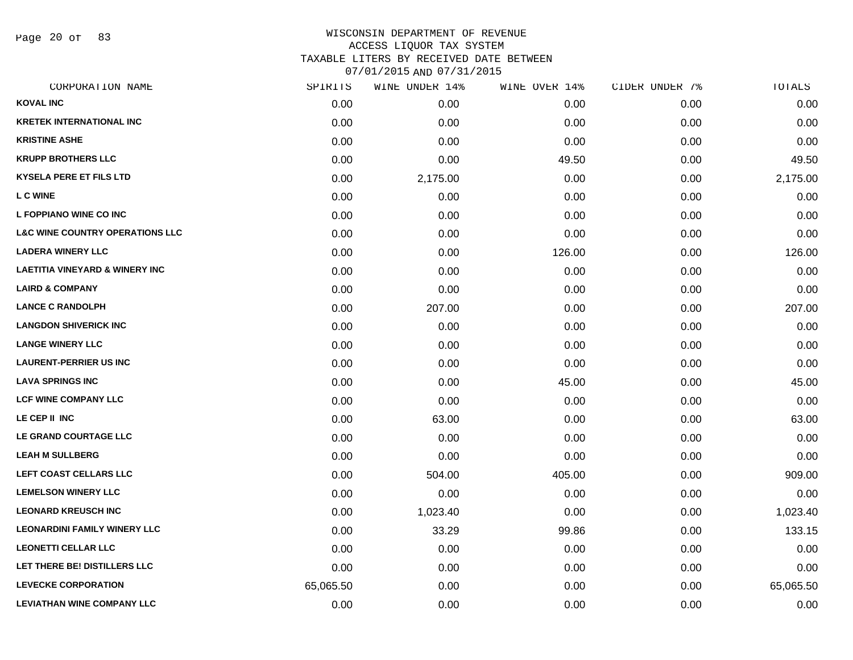Page 20 of 83

| CORPORATION NAME                           | SPIRITS   | WINE UNDER 14% | WINE OVER 14% | CIDER UNDER 7% | TOTALS    |
|--------------------------------------------|-----------|----------------|---------------|----------------|-----------|
| <b>KOVAL INC</b>                           | 0.00      | 0.00           | 0.00          | 0.00           | 0.00      |
| <b>KRETEK INTERNATIONAL INC</b>            | 0.00      | 0.00           | 0.00          | 0.00           | 0.00      |
| <b>KRISTINE ASHE</b>                       | 0.00      | 0.00           | 0.00          | 0.00           | 0.00      |
| <b>KRUPP BROTHERS LLC</b>                  | 0.00      | 0.00           | 49.50         | 0.00           | 49.50     |
| <b>KYSELA PERE ET FILS LTD</b>             | 0.00      | 2,175.00       | 0.00          | 0.00           | 2,175.00  |
| <b>L C WINE</b>                            | 0.00      | 0.00           | 0.00          | 0.00           | 0.00      |
| L FOPPIANO WINE CO INC                     | 0.00      | 0.00           | 0.00          | 0.00           | 0.00      |
| <b>L&amp;C WINE COUNTRY OPERATIONS LLC</b> | 0.00      | 0.00           | 0.00          | 0.00           | 0.00      |
| <b>LADERA WINERY LLC</b>                   | 0.00      | 0.00           | 126.00        | 0.00           | 126.00    |
| <b>LAETITIA VINEYARD &amp; WINERY INC</b>  | 0.00      | 0.00           | 0.00          | 0.00           | 0.00      |
| <b>LAIRD &amp; COMPANY</b>                 | 0.00      | 0.00           | 0.00          | 0.00           | 0.00      |
| <b>LANCE C RANDOLPH</b>                    | 0.00      | 207.00         | 0.00          | 0.00           | 207.00    |
| <b>LANGDON SHIVERICK INC</b>               | 0.00      | 0.00           | 0.00          | 0.00           | 0.00      |
| <b>LANGE WINERY LLC</b>                    | 0.00      | 0.00           | 0.00          | 0.00           | 0.00      |
| <b>LAURENT-PERRIER US INC</b>              | 0.00      | 0.00           | 0.00          | 0.00           | 0.00      |
| <b>LAVA SPRINGS INC</b>                    | 0.00      | 0.00           | 45.00         | 0.00           | 45.00     |
| <b>LCF WINE COMPANY LLC</b>                | 0.00      | 0.00           | 0.00          | 0.00           | 0.00      |
| LE CEP II INC                              | 0.00      | 63.00          | 0.00          | 0.00           | 63.00     |
| LE GRAND COURTAGE LLC                      | 0.00      | 0.00           | 0.00          | 0.00           | 0.00      |
| <b>LEAH M SULLBERG</b>                     | 0.00      | 0.00           | 0.00          | 0.00           | 0.00      |
| LEFT COAST CELLARS LLC                     | 0.00      | 504.00         | 405.00        | 0.00           | 909.00    |
| <b>LEMELSON WINERY LLC</b>                 | 0.00      | 0.00           | 0.00          | 0.00           | 0.00      |
| <b>LEONARD KREUSCH INC</b>                 | 0.00      | 1,023.40       | 0.00          | 0.00           | 1,023.40  |
| <b>LEONARDINI FAMILY WINERY LLC</b>        | 0.00      | 33.29          | 99.86         | 0.00           | 133.15    |
| <b>LEONETTI CELLAR LLC</b>                 | 0.00      | 0.00           | 0.00          | 0.00           | 0.00      |
| LET THERE BE! DISTILLERS LLC               | 0.00      | 0.00           | 0.00          | 0.00           | 0.00      |
| <b>LEVECKE CORPORATION</b>                 | 65,065.50 | 0.00           | 0.00          | 0.00           | 65,065.50 |
| <b>LEVIATHAN WINE COMPANY LLC</b>          | 0.00      | 0.00           | 0.00          | 0.00           | 0.00      |
|                                            |           |                |               |                |           |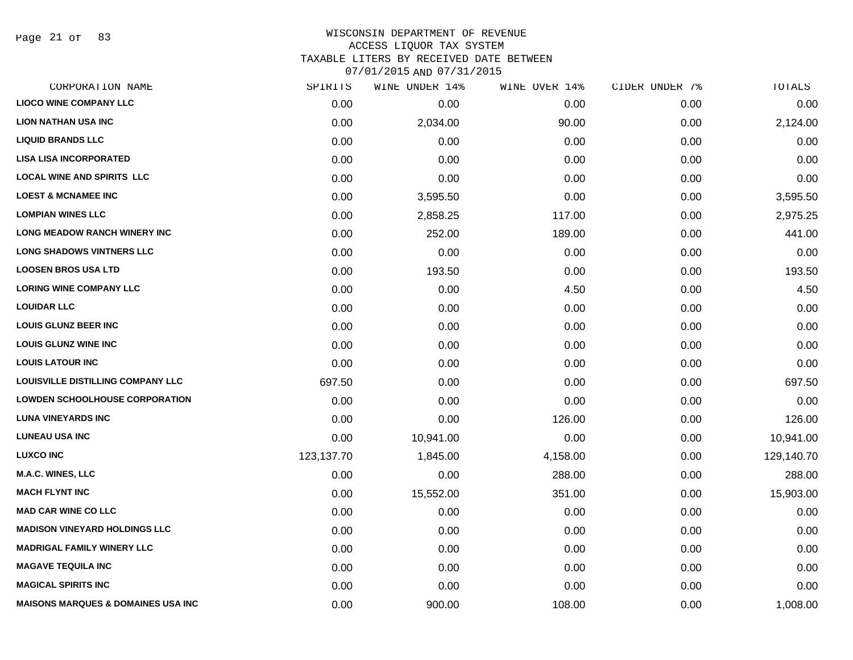Page 21 of 83

#### WISCONSIN DEPARTMENT OF REVENUE ACCESS LIQUOR TAX SYSTEM TAXABLE LITERS BY RECEIVED DATE BETWEEN

| CORPORATION NAME                              | SPIRITS    | WINE UNDER 14% | WINE OVER 14% | CIDER UNDER 7% | TOTALS     |
|-----------------------------------------------|------------|----------------|---------------|----------------|------------|
| <b>LIOCO WINE COMPANY LLC</b>                 | 0.00       | 0.00           | 0.00          | 0.00           | 0.00       |
| <b>LION NATHAN USA INC</b>                    | 0.00       | 2,034.00       | 90.00         | 0.00           | 2,124.00   |
| <b>LIQUID BRANDS LLC</b>                      | 0.00       | 0.00           | 0.00          | 0.00           | 0.00       |
| <b>LISA LISA INCORPORATED</b>                 | 0.00       | 0.00           | 0.00          | 0.00           | 0.00       |
| <b>LOCAL WINE AND SPIRITS LLC</b>             | 0.00       | 0.00           | 0.00          | 0.00           | 0.00       |
| <b>LOEST &amp; MCNAMEE INC</b>                | 0.00       | 3,595.50       | 0.00          | 0.00           | 3,595.50   |
| <b>LOMPIAN WINES LLC</b>                      | 0.00       | 2,858.25       | 117.00        | 0.00           | 2,975.25   |
| <b>LONG MEADOW RANCH WINERY INC</b>           | 0.00       | 252.00         | 189.00        | 0.00           | 441.00     |
| <b>LONG SHADOWS VINTNERS LLC</b>              | 0.00       | 0.00           | 0.00          | 0.00           | 0.00       |
| <b>LOOSEN BROS USA LTD</b>                    | 0.00       | 193.50         | 0.00          | 0.00           | 193.50     |
| <b>LORING WINE COMPANY LLC</b>                | 0.00       | 0.00           | 4.50          | 0.00           | 4.50       |
| <b>LOUIDAR LLC</b>                            | 0.00       | 0.00           | 0.00          | 0.00           | 0.00       |
| <b>LOUIS GLUNZ BEER INC</b>                   | 0.00       | 0.00           | 0.00          | 0.00           | 0.00       |
| <b>LOUIS GLUNZ WINE INC</b>                   | 0.00       | 0.00           | 0.00          | 0.00           | 0.00       |
| <b>LOUIS LATOUR INC</b>                       | 0.00       | 0.00           | 0.00          | 0.00           | 0.00       |
| LOUISVILLE DISTILLING COMPANY LLC             | 697.50     | 0.00           | 0.00          | 0.00           | 697.50     |
| <b>LOWDEN SCHOOLHOUSE CORPORATION</b>         | 0.00       | 0.00           | 0.00          | 0.00           | 0.00       |
| <b>LUNA VINEYARDS INC</b>                     | 0.00       | 0.00           | 126.00        | 0.00           | 126.00     |
| <b>LUNEAU USA INC</b>                         | 0.00       | 10,941.00      | 0.00          | 0.00           | 10,941.00  |
| <b>LUXCO INC</b>                              | 123,137.70 | 1,845.00       | 4,158.00      | 0.00           | 129,140.70 |
| <b>M.A.C. WINES, LLC</b>                      | 0.00       | 0.00           | 288.00        | 0.00           | 288.00     |
| <b>MACH FLYNT INC</b>                         | 0.00       | 15,552.00      | 351.00        | 0.00           | 15,903.00  |
| <b>MAD CAR WINE CO LLC</b>                    | 0.00       | 0.00           | 0.00          | 0.00           | 0.00       |
| <b>MADISON VINEYARD HOLDINGS LLC</b>          | 0.00       | 0.00           | 0.00          | 0.00           | 0.00       |
| <b>MADRIGAL FAMILY WINERY LLC</b>             | 0.00       | 0.00           | 0.00          | 0.00           | 0.00       |
| <b>MAGAVE TEQUILA INC</b>                     | 0.00       | 0.00           | 0.00          | 0.00           | 0.00       |
| <b>MAGICAL SPIRITS INC</b>                    | 0.00       | 0.00           | 0.00          | 0.00           | 0.00       |
| <b>MAISONS MARQUES &amp; DOMAINES USA INC</b> | 0.00       | 900.00         | 108.00        | 0.00           | 1,008.00   |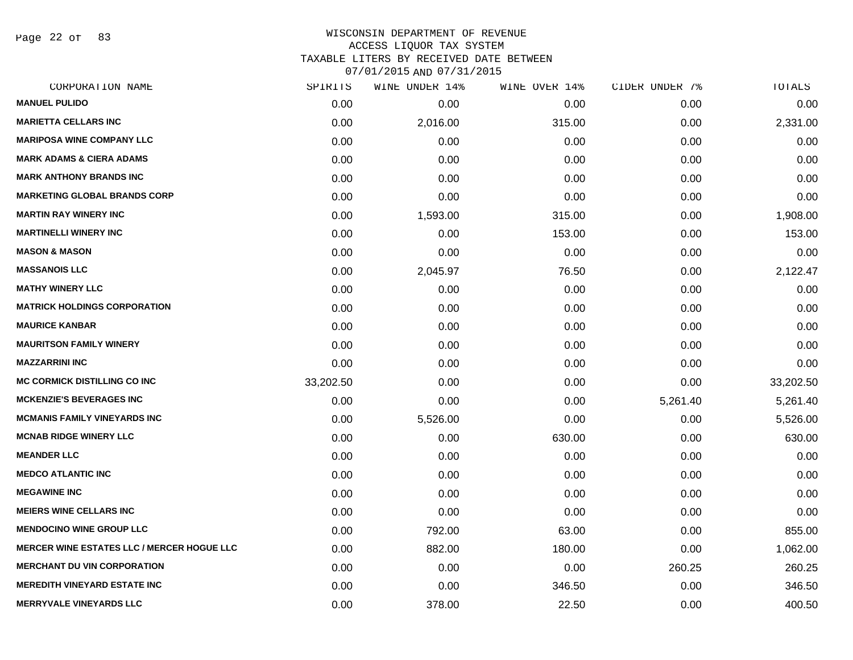Page 22 of 83

# WISCONSIN DEPARTMENT OF REVENUE ACCESS LIQUOR TAX SYSTEM TAXABLE LITERS BY RECEIVED DATE BETWEEN

| CORPORATION NAME                                  | SPIRITS   | WINE UNDER 14% | WINE OVER 14% | CIDER UNDER 7% | TOTALS    |
|---------------------------------------------------|-----------|----------------|---------------|----------------|-----------|
| <b>MANUEL PULIDO</b>                              | 0.00      | 0.00           | 0.00          | 0.00           | 0.00      |
| <b>MARIETTA CELLARS INC</b>                       | 0.00      | 2,016.00       | 315.00        | 0.00           | 2,331.00  |
| <b>MARIPOSA WINE COMPANY LLC</b>                  | 0.00      | 0.00           | 0.00          | 0.00           | 0.00      |
| <b>MARK ADAMS &amp; CIERA ADAMS</b>               | 0.00      | 0.00           | 0.00          | 0.00           | 0.00      |
| <b>MARK ANTHONY BRANDS INC</b>                    | 0.00      | 0.00           | 0.00          | 0.00           | 0.00      |
| <b>MARKETING GLOBAL BRANDS CORP</b>               | 0.00      | 0.00           | 0.00          | 0.00           | 0.00      |
| <b>MARTIN RAY WINERY INC</b>                      | 0.00      | 1,593.00       | 315.00        | 0.00           | 1,908.00  |
| <b>MARTINELLI WINERY INC</b>                      | 0.00      | 0.00           | 153.00        | 0.00           | 153.00    |
| <b>MASON &amp; MASON</b>                          | 0.00      | 0.00           | 0.00          | 0.00           | 0.00      |
| <b>MASSANOIS LLC</b>                              | 0.00      | 2,045.97       | 76.50         | 0.00           | 2,122.47  |
| <b>MATHY WINERY LLC</b>                           | 0.00      | 0.00           | 0.00          | 0.00           | 0.00      |
| <b>MATRICK HOLDINGS CORPORATION</b>               | 0.00      | 0.00           | 0.00          | 0.00           | 0.00      |
| <b>MAURICE KANBAR</b>                             | 0.00      | 0.00           | 0.00          | 0.00           | 0.00      |
| <b>MAURITSON FAMILY WINERY</b>                    | 0.00      | 0.00           | 0.00          | 0.00           | 0.00      |
| <b>MAZZARRINI INC</b>                             | 0.00      | 0.00           | 0.00          | 0.00           | 0.00      |
| <b>MC CORMICK DISTILLING CO INC</b>               | 33,202.50 | 0.00           | 0.00          | 0.00           | 33,202.50 |
| <b>MCKENZIE'S BEVERAGES INC</b>                   | 0.00      | 0.00           | 0.00          | 5,261.40       | 5,261.40  |
| <b>MCMANIS FAMILY VINEYARDS INC</b>               | 0.00      | 5,526.00       | 0.00          | 0.00           | 5,526.00  |
| <b>MCNAB RIDGE WINERY LLC</b>                     | 0.00      | 0.00           | 630.00        | 0.00           | 630.00    |
| <b>MEANDER LLC</b>                                | 0.00      | 0.00           | 0.00          | 0.00           | 0.00      |
| <b>MEDCO ATLANTIC INC</b>                         | 0.00      | 0.00           | 0.00          | 0.00           | 0.00      |
| <b>MEGAWINE INC</b>                               | 0.00      | 0.00           | 0.00          | 0.00           | 0.00      |
| <b>MEIERS WINE CELLARS INC</b>                    | 0.00      | 0.00           | 0.00          | 0.00           | 0.00      |
| <b>MENDOCINO WINE GROUP LLC</b>                   | 0.00      | 792.00         | 63.00         | 0.00           | 855.00    |
| <b>MERCER WINE ESTATES LLC / MERCER HOGUE LLC</b> | 0.00      | 882.00         | 180.00        | 0.00           | 1,062.00  |
| <b>MERCHANT DU VIN CORPORATION</b>                | 0.00      | 0.00           | 0.00          | 260.25         | 260.25    |
| <b>MEREDITH VINEYARD ESTATE INC</b>               | 0.00      | 0.00           | 346.50        | 0.00           | 346.50    |
| <b>MERRYVALE VINEYARDS LLC</b>                    | 0.00      | 378.00         | 22.50         | 0.00           | 400.50    |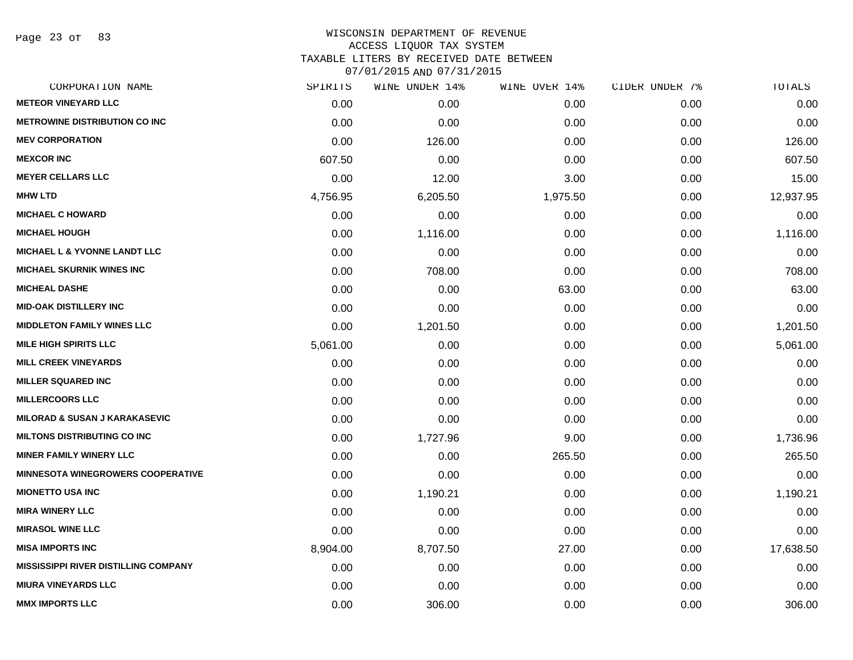Page 23 of 83

| CORPORATION NAME                            | SPIRITS  | WINE UNDER 14% | WINE OVER 14% | CIDER UNDER 7% | TOTALS    |
|---------------------------------------------|----------|----------------|---------------|----------------|-----------|
| <b>METEOR VINEYARD LLC</b>                  | 0.00     | 0.00           | 0.00          | 0.00           | 0.00      |
| <b>METROWINE DISTRIBUTION CO INC</b>        | 0.00     | 0.00           | 0.00          | 0.00           | 0.00      |
| <b>MEV CORPORATION</b>                      | 0.00     | 126.00         | 0.00          | 0.00           | 126.00    |
| <b>MEXCOR INC</b>                           | 607.50   | 0.00           | 0.00          | 0.00           | 607.50    |
| <b>MEYER CELLARS LLC</b>                    | 0.00     | 12.00          | 3.00          | 0.00           | 15.00     |
| <b>MHW LTD</b>                              | 4,756.95 | 6,205.50       | 1,975.50      | 0.00           | 12,937.95 |
| <b>MICHAEL C HOWARD</b>                     | 0.00     | 0.00           | 0.00          | 0.00           | 0.00      |
| <b>MICHAEL HOUGH</b>                        | 0.00     | 1,116.00       | 0.00          | 0.00           | 1,116.00  |
| <b>MICHAEL L &amp; YVONNE LANDT LLC</b>     | 0.00     | 0.00           | 0.00          | 0.00           | 0.00      |
| <b>MICHAEL SKURNIK WINES INC</b>            | 0.00     | 708.00         | 0.00          | 0.00           | 708.00    |
| <b>MICHEAL DASHE</b>                        | 0.00     | 0.00           | 63.00         | 0.00           | 63.00     |
| <b>MID-OAK DISTILLERY INC</b>               | 0.00     | 0.00           | 0.00          | 0.00           | 0.00      |
| <b>MIDDLETON FAMILY WINES LLC</b>           | 0.00     | 1,201.50       | 0.00          | 0.00           | 1,201.50  |
| <b>MILE HIGH SPIRITS LLC</b>                | 5,061.00 | 0.00           | 0.00          | 0.00           | 5,061.00  |
| <b>MILL CREEK VINEYARDS</b>                 | 0.00     | 0.00           | 0.00          | 0.00           | 0.00      |
| <b>MILLER SQUARED INC</b>                   | 0.00     | 0.00           | 0.00          | 0.00           | 0.00      |
| <b>MILLERCOORS LLC</b>                      | 0.00     | 0.00           | 0.00          | 0.00           | 0.00      |
| <b>MILORAD &amp; SUSAN J KARAKASEVIC</b>    | 0.00     | 0.00           | 0.00          | 0.00           | 0.00      |
| <b>MILTONS DISTRIBUTING CO INC</b>          | 0.00     | 1,727.96       | 9.00          | 0.00           | 1,736.96  |
| <b>MINER FAMILY WINERY LLC</b>              | 0.00     | 0.00           | 265.50        | 0.00           | 265.50    |
| <b>MINNESOTA WINEGROWERS COOPERATIVE</b>    | 0.00     | 0.00           | 0.00          | 0.00           | 0.00      |
| <b>MIONETTO USA INC</b>                     | 0.00     | 1,190.21       | 0.00          | 0.00           | 1,190.21  |
| <b>MIRA WINERY LLC</b>                      | 0.00     | 0.00           | 0.00          | 0.00           | 0.00      |
| <b>MIRASOL WINE LLC</b>                     | 0.00     | 0.00           | 0.00          | 0.00           | 0.00      |
| <b>MISA IMPORTS INC</b>                     | 8,904.00 | 8,707.50       | 27.00         | 0.00           | 17,638.50 |
| <b>MISSISSIPPI RIVER DISTILLING COMPANY</b> | 0.00     | 0.00           | 0.00          | 0.00           | 0.00      |
| <b>MIURA VINEYARDS LLC</b>                  | 0.00     | 0.00           | 0.00          | 0.00           | 0.00      |
| <b>MMX IMPORTS LLC</b>                      | 0.00     | 306.00         | 0.00          | 0.00           | 306.00    |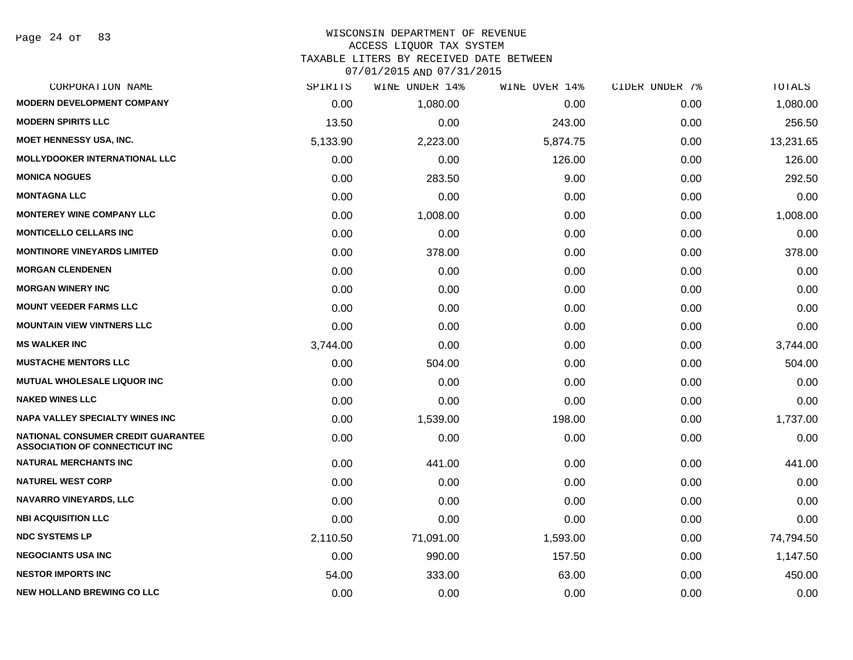| CORPORATION NAME                                                                   | SPIRITS  | WINE UNDER 14% | WINE OVER 14% | CIDER UNDER 7% | TOTALS    |
|------------------------------------------------------------------------------------|----------|----------------|---------------|----------------|-----------|
| <b>MODERN DEVELOPMENT COMPANY</b>                                                  | 0.00     | 1,080.00       | 0.00          | 0.00           | 1,080.00  |
| <b>MODERN SPIRITS LLC</b>                                                          | 13.50    | 0.00           | 243.00        | 0.00           | 256.50    |
| <b>MOET HENNESSY USA, INC.</b>                                                     | 5,133.90 | 2,223.00       | 5,874.75      | 0.00           | 13,231.65 |
| <b>MOLLYDOOKER INTERNATIONAL LLC</b>                                               | 0.00     | 0.00           | 126.00        | 0.00           | 126.00    |
| <b>MONICA NOGUES</b>                                                               | 0.00     | 283.50         | 9.00          | 0.00           | 292.50    |
| <b>MONTAGNA LLC</b>                                                                | 0.00     | 0.00           | 0.00          | 0.00           | 0.00      |
| <b>MONTEREY WINE COMPANY LLC</b>                                                   | 0.00     | 1,008.00       | 0.00          | 0.00           | 1,008.00  |
| <b>MONTICELLO CELLARS INC</b>                                                      | 0.00     | 0.00           | 0.00          | 0.00           | 0.00      |
| <b>MONTINORE VINEYARDS LIMITED</b>                                                 | 0.00     | 378.00         | 0.00          | 0.00           | 378.00    |
| <b>MORGAN CLENDENEN</b>                                                            | 0.00     | 0.00           | 0.00          | 0.00           | 0.00      |
| <b>MORGAN WINERY INC</b>                                                           | 0.00     | 0.00           | 0.00          | 0.00           | 0.00      |
| <b>MOUNT VEEDER FARMS LLC</b>                                                      | 0.00     | 0.00           | 0.00          | 0.00           | 0.00      |
| <b>MOUNTAIN VIEW VINTNERS LLC</b>                                                  | 0.00     | 0.00           | 0.00          | 0.00           | 0.00      |
| <b>MS WALKER INC</b>                                                               | 3,744.00 | 0.00           | 0.00          | 0.00           | 3,744.00  |
| <b>MUSTACHE MENTORS LLC</b>                                                        | 0.00     | 504.00         | 0.00          | 0.00           | 504.00    |
| <b>MUTUAL WHOLESALE LIQUOR INC</b>                                                 | 0.00     | 0.00           | 0.00          | 0.00           | 0.00      |
| <b>NAKED WINES LLC</b>                                                             | 0.00     | 0.00           | 0.00          | 0.00           | 0.00      |
| <b>NAPA VALLEY SPECIALTY WINES INC</b>                                             | 0.00     | 1,539.00       | 198.00        | 0.00           | 1,737.00  |
| <b>NATIONAL CONSUMER CREDIT GUARANTEE</b><br><b>ASSOCIATION OF CONNECTICUT INC</b> | 0.00     | 0.00           | 0.00          | 0.00           | 0.00      |
| <b>NATURAL MERCHANTS INC</b>                                                       | 0.00     | 441.00         | 0.00          | 0.00           | 441.00    |
| <b>NATUREL WEST CORP</b>                                                           | 0.00     | 0.00           | 0.00          | 0.00           | 0.00      |
| <b>NAVARRO VINEYARDS, LLC</b>                                                      | 0.00     | 0.00           | 0.00          | 0.00           | 0.00      |
| <b>NBI ACQUISITION LLC</b>                                                         | 0.00     | 0.00           | 0.00          | 0.00           | 0.00      |
| <b>NDC SYSTEMS LP</b>                                                              | 2,110.50 | 71,091.00      | 1,593.00      | 0.00           | 74,794.50 |
| <b>NEGOCIANTS USA INC</b>                                                          | 0.00     | 990.00         | 157.50        | 0.00           | 1,147.50  |
| <b>NESTOR IMPORTS INC</b>                                                          | 54.00    | 333.00         | 63.00         | 0.00           | 450.00    |
| <b>NEW HOLLAND BREWING CO LLC</b>                                                  | 0.00     | 0.00           | 0.00          | 0.00           | 0.00      |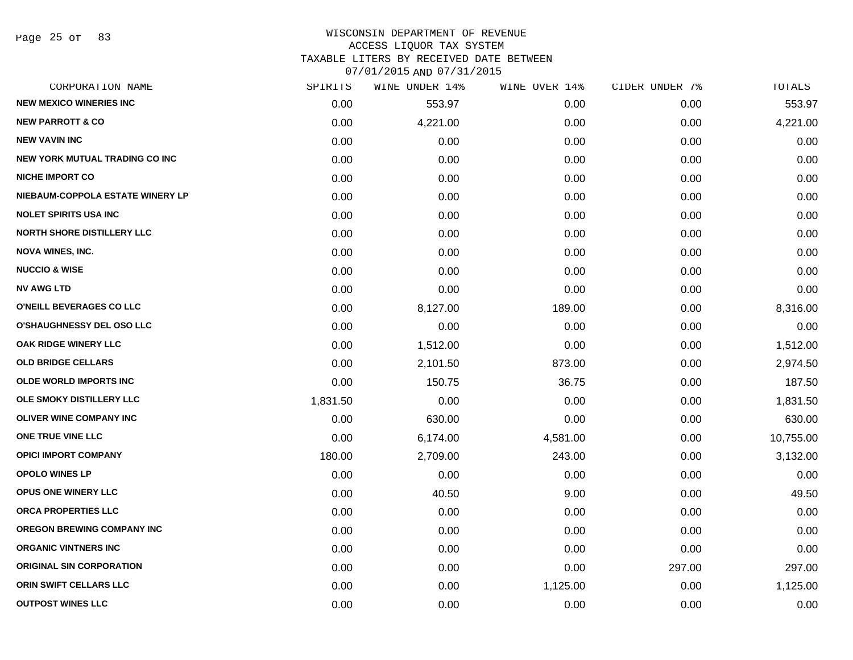# WISCONSIN DEPARTMENT OF REVENUE ACCESS LIQUOR TAX SYSTEM TAXABLE LITERS BY RECEIVED DATE BETWEEN

| CORPORATION NAME                  | SPIRITS  | WINE UNDER 14% | WINE OVER 14% | CIDER UNDER 7% | <b>TOTALS</b> |
|-----------------------------------|----------|----------------|---------------|----------------|---------------|
| <b>NEW MEXICO WINERIES INC</b>    | 0.00     | 553.97         | 0.00          | 0.00           | 553.97        |
| <b>NEW PARROTT &amp; CO</b>       | 0.00     | 4,221.00       | 0.00          | 0.00           | 4,221.00      |
| <b>NEW VAVIN INC</b>              | 0.00     | 0.00           | 0.00          | 0.00           | 0.00          |
| NEW YORK MUTUAL TRADING CO INC    | 0.00     | 0.00           | 0.00          | 0.00           | 0.00          |
| <b>NICHE IMPORT CO</b>            | 0.00     | 0.00           | 0.00          | 0.00           | 0.00          |
| NIEBAUM-COPPOLA ESTATE WINERY LP  | 0.00     | 0.00           | 0.00          | 0.00           | 0.00          |
| <b>NOLET SPIRITS USA INC</b>      | 0.00     | 0.00           | 0.00          | 0.00           | 0.00          |
| <b>NORTH SHORE DISTILLERY LLC</b> | 0.00     | 0.00           | 0.00          | 0.00           | 0.00          |
| <b>NOVA WINES, INC.</b>           | 0.00     | 0.00           | 0.00          | 0.00           | 0.00          |
| <b>NUCCIO &amp; WISE</b>          | 0.00     | 0.00           | 0.00          | 0.00           | 0.00          |
| <b>NV AWG LTD</b>                 | 0.00     | 0.00           | 0.00          | 0.00           | 0.00          |
| O'NEILL BEVERAGES CO LLC          | 0.00     | 8,127.00       | 189.00        | 0.00           | 8,316.00      |
| O'SHAUGHNESSY DEL OSO LLC         | 0.00     | 0.00           | 0.00          | 0.00           | 0.00          |
| OAK RIDGE WINERY LLC              | 0.00     | 1,512.00       | 0.00          | 0.00           | 1,512.00      |
| <b>OLD BRIDGE CELLARS</b>         | 0.00     | 2,101.50       | 873.00        | 0.00           | 2,974.50      |
| <b>OLDE WORLD IMPORTS INC</b>     | 0.00     | 150.75         | 36.75         | 0.00           | 187.50        |
| OLE SMOKY DISTILLERY LLC          | 1,831.50 | 0.00           | 0.00          | 0.00           | 1,831.50      |
| <b>OLIVER WINE COMPANY INC</b>    | 0.00     | 630.00         | 0.00          | 0.00           | 630.00        |
| ONE TRUE VINE LLC                 | 0.00     | 6,174.00       | 4,581.00      | 0.00           | 10,755.00     |
| <b>OPICI IMPORT COMPANY</b>       | 180.00   | 2,709.00       | 243.00        | 0.00           | 3,132.00      |
| <b>OPOLO WINES LP</b>             | 0.00     | 0.00           | 0.00          | 0.00           | 0.00          |
| <b>OPUS ONE WINERY LLC</b>        | 0.00     | 40.50          | 9.00          | 0.00           | 49.50         |
| ORCA PROPERTIES LLC               | 0.00     | 0.00           | 0.00          | 0.00           | 0.00          |
| OREGON BREWING COMPANY INC        | 0.00     | 0.00           | 0.00          | 0.00           | 0.00          |
| <b>ORGANIC VINTNERS INC</b>       | 0.00     | 0.00           | 0.00          | 0.00           | 0.00          |
| <b>ORIGINAL SIN CORPORATION</b>   | 0.00     | 0.00           | 0.00          | 297.00         | 297.00        |
| ORIN SWIFT CELLARS LLC            | 0.00     | 0.00           | 1,125.00      | 0.00           | 1,125.00      |
| <b>OUTPOST WINES LLC</b>          | 0.00     | 0.00           | 0.00          | 0.00           | 0.00          |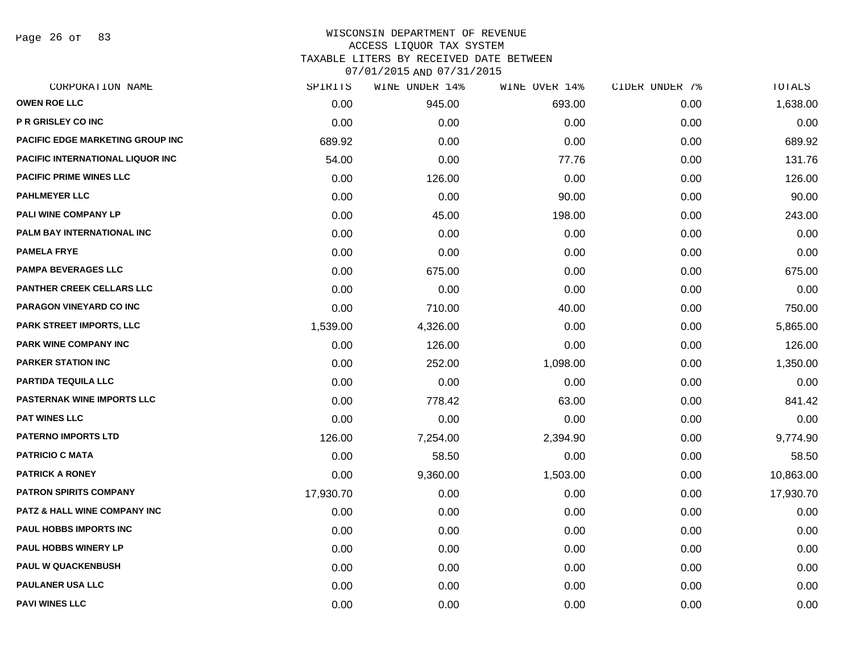Page 26 of 83

| CORPORATION NAME                        | SPIRITS   | WINE UNDER 14% | WINE OVER 14% | CIDER UNDER 7% | TOTALS    |
|-----------------------------------------|-----------|----------------|---------------|----------------|-----------|
| <b>OWEN ROE LLC</b>                     | 0.00      | 945.00         | 693.00        | 0.00           | 1,638.00  |
| <b>P R GRISLEY CO INC</b>               | 0.00      | 0.00           | 0.00          | 0.00           | 0.00      |
| PACIFIC EDGE MARKETING GROUP INC        | 689.92    | 0.00           | 0.00          | 0.00           | 689.92    |
| PACIFIC INTERNATIONAL LIQUOR INC        | 54.00     | 0.00           | 77.76         | 0.00           | 131.76    |
| <b>PACIFIC PRIME WINES LLC</b>          | 0.00      | 126.00         | 0.00          | 0.00           | 126.00    |
| <b>PAHLMEYER LLC</b>                    | 0.00      | 0.00           | 90.00         | 0.00           | 90.00     |
| PALI WINE COMPANY LP                    | 0.00      | 45.00          | 198.00        | 0.00           | 243.00    |
| PALM BAY INTERNATIONAL INC              | 0.00      | 0.00           | 0.00          | 0.00           | 0.00      |
| <b>PAMELA FRYE</b>                      | 0.00      | 0.00           | 0.00          | 0.00           | 0.00      |
| <b>PAMPA BEVERAGES LLC</b>              | 0.00      | 675.00         | 0.00          | 0.00           | 675.00    |
| <b>PANTHER CREEK CELLARS LLC</b>        | 0.00      | 0.00           | 0.00          | 0.00           | 0.00      |
| PARAGON VINEYARD CO INC                 | 0.00      | 710.00         | 40.00         | 0.00           | 750.00    |
| PARK STREET IMPORTS, LLC                | 1,539.00  | 4,326.00       | 0.00          | 0.00           | 5,865.00  |
| PARK WINE COMPANY INC                   | 0.00      | 126.00         | 0.00          | 0.00           | 126.00    |
| <b>PARKER STATION INC</b>               | 0.00      | 252.00         | 1,098.00      | 0.00           | 1,350.00  |
| PARTIDA TEQUILA LLC                     | 0.00      | 0.00           | 0.00          | 0.00           | 0.00      |
| <b>PASTERNAK WINE IMPORTS LLC</b>       | 0.00      | 778.42         | 63.00         | 0.00           | 841.42    |
| <b>PAT WINES LLC</b>                    | 0.00      | 0.00           | 0.00          | 0.00           | 0.00      |
| <b>PATERNO IMPORTS LTD</b>              | 126.00    | 7,254.00       | 2,394.90      | 0.00           | 9,774.90  |
| <b>PATRICIO C MATA</b>                  | 0.00      | 58.50          | 0.00          | 0.00           | 58.50     |
| <b>PATRICK A RONEY</b>                  | 0.00      | 9,360.00       | 1,503.00      | 0.00           | 10,863.00 |
| <b>PATRON SPIRITS COMPANY</b>           | 17,930.70 | 0.00           | 0.00          | 0.00           | 17,930.70 |
| <b>PATZ &amp; HALL WINE COMPANY INC</b> | 0.00      | 0.00           | 0.00          | 0.00           | 0.00      |
| PAUL HOBBS IMPORTS INC                  | 0.00      | 0.00           | 0.00          | 0.00           | 0.00      |
| <b>PAUL HOBBS WINERY LP</b>             | 0.00      | 0.00           | 0.00          | 0.00           | 0.00      |
| <b>PAUL W QUACKENBUSH</b>               | 0.00      | 0.00           | 0.00          | 0.00           | 0.00      |
| <b>PAULANER USA LLC</b>                 | 0.00      | 0.00           | 0.00          | 0.00           | 0.00      |
| <b>PAVI WINES LLC</b>                   | 0.00      | 0.00           | 0.00          | 0.00           | 0.00      |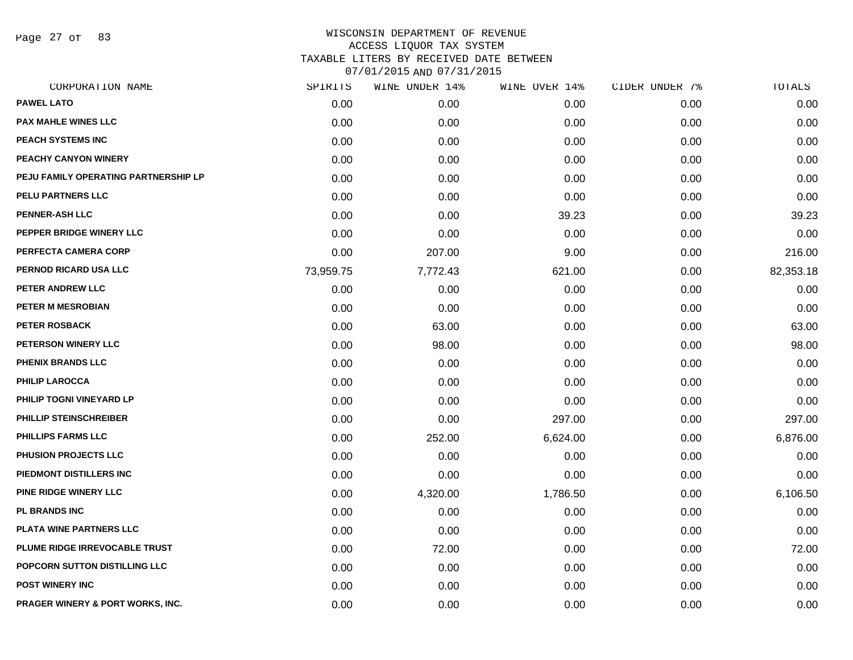Page 27 of 83

| CORPORATION NAME                     | SPIRITS   | WINE UNDER 14% | WINE OVER 14% | CIDER UNDER 7% | TOTALS    |
|--------------------------------------|-----------|----------------|---------------|----------------|-----------|
| <b>PAWEL LATO</b>                    | 0.00      | 0.00           | 0.00          | 0.00           | 0.00      |
| <b>PAX MAHLE WINES LLC</b>           | 0.00      | 0.00           | 0.00          | 0.00           | 0.00      |
| PEACH SYSTEMS INC                    | 0.00      | 0.00           | 0.00          | 0.00           | 0.00      |
| PEACHY CANYON WINERY                 | 0.00      | 0.00           | 0.00          | 0.00           | 0.00      |
| PEJU FAMILY OPERATING PARTNERSHIP LP | 0.00      | 0.00           | 0.00          | 0.00           | 0.00      |
| PELU PARTNERS LLC                    | 0.00      | 0.00           | 0.00          | 0.00           | 0.00      |
| <b>PENNER-ASH LLC</b>                | 0.00      | 0.00           | 39.23         | 0.00           | 39.23     |
| PEPPER BRIDGE WINERY LLC             | 0.00      | 0.00           | 0.00          | 0.00           | 0.00      |
| PERFECTA CAMERA CORP                 | 0.00      | 207.00         | 9.00          | 0.00           | 216.00    |
| PERNOD RICARD USA LLC                | 73,959.75 | 7,772.43       | 621.00        | 0.00           | 82,353.18 |
| PETER ANDREW LLC                     | 0.00      | 0.00           | 0.00          | 0.00           | 0.00      |
| PETER M MESROBIAN                    | 0.00      | 0.00           | 0.00          | 0.00           | 0.00      |
| PETER ROSBACK                        | 0.00      | 63.00          | 0.00          | 0.00           | 63.00     |
| PETERSON WINERY LLC                  | 0.00      | 98.00          | 0.00          | 0.00           | 98.00     |
| <b>PHENIX BRANDS LLC</b>             | 0.00      | 0.00           | 0.00          | 0.00           | 0.00      |
| PHILIP LAROCCA                       | 0.00      | 0.00           | 0.00          | 0.00           | 0.00      |
| PHILIP TOGNI VINEYARD LP             | 0.00      | 0.00           | 0.00          | 0.00           | 0.00      |
| <b>PHILLIP STEINSCHREIBER</b>        | 0.00      | 0.00           | 297.00        | 0.00           | 297.00    |
| PHILLIPS FARMS LLC                   | 0.00      | 252.00         | 6,624.00      | 0.00           | 6,876.00  |
| <b>PHUSION PROJECTS LLC</b>          | 0.00      | 0.00           | 0.00          | 0.00           | 0.00      |
| PIEDMONT DISTILLERS INC              | 0.00      | 0.00           | 0.00          | 0.00           | 0.00      |
| PINE RIDGE WINERY LLC                | 0.00      | 4,320.00       | 1,786.50      | 0.00           | 6,106.50  |
| <b>PL BRANDS INC</b>                 | 0.00      | 0.00           | 0.00          | 0.00           | 0.00      |
| PLATA WINE PARTNERS LLC              | 0.00      | 0.00           | 0.00          | 0.00           | 0.00      |
| PLUME RIDGE IRREVOCABLE TRUST        | 0.00      | 72.00          | 0.00          | 0.00           | 72.00     |
| POPCORN SUTTON DISTILLING LLC        | 0.00      | 0.00           | 0.00          | 0.00           | 0.00      |
| <b>POST WINERY INC</b>               | 0.00      | 0.00           | 0.00          | 0.00           | 0.00      |
| PRAGER WINERY & PORT WORKS, INC.     | 0.00      | 0.00           | 0.00          | 0.00           | 0.00      |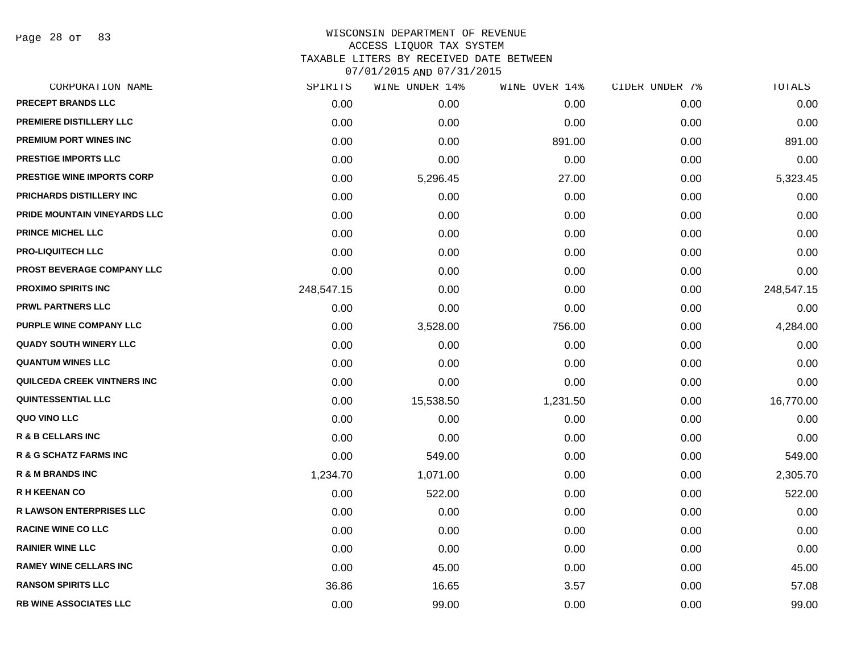Page 28 of 83

| CORPORATION NAME                  | SPIRITS    | WINE UNDER 14% | WINE OVER 14% | CIDER UNDER 7% | TOTALS     |
|-----------------------------------|------------|----------------|---------------|----------------|------------|
| <b>PRECEPT BRANDS LLC</b>         | 0.00       | 0.00           | 0.00          | 0.00           | 0.00       |
| PREMIERE DISTILLERY LLC           | 0.00       | 0.00           | 0.00          | 0.00           | 0.00       |
| PREMIUM PORT WINES INC            | 0.00       | 0.00           | 891.00        | 0.00           | 891.00     |
| <b>PRESTIGE IMPORTS LLC</b>       | 0.00       | 0.00           | 0.00          | 0.00           | 0.00       |
| <b>PRESTIGE WINE IMPORTS CORP</b> | 0.00       | 5,296.45       | 27.00         | 0.00           | 5,323.45   |
| PRICHARDS DISTILLERY INC          | 0.00       | 0.00           | 0.00          | 0.00           | 0.00       |
| PRIDE MOUNTAIN VINEYARDS LLC      | 0.00       | 0.00           | 0.00          | 0.00           | 0.00       |
| <b>PRINCE MICHEL LLC</b>          | 0.00       | 0.00           | 0.00          | 0.00           | 0.00       |
| <b>PRO-LIQUITECH LLC</b>          | 0.00       | 0.00           | 0.00          | 0.00           | 0.00       |
| PROST BEVERAGE COMPANY LLC        | 0.00       | 0.00           | 0.00          | 0.00           | 0.00       |
| <b>PROXIMO SPIRITS INC</b>        | 248,547.15 | 0.00           | 0.00          | 0.00           | 248,547.15 |
| <b>PRWL PARTNERS LLC</b>          | 0.00       | 0.00           | 0.00          | 0.00           | 0.00       |
| PURPLE WINE COMPANY LLC           | 0.00       | 3,528.00       | 756.00        | 0.00           | 4,284.00   |
| <b>QUADY SOUTH WINERY LLC</b>     | 0.00       | 0.00           | 0.00          | 0.00           | 0.00       |
| <b>QUANTUM WINES LLC</b>          | 0.00       | 0.00           | 0.00          | 0.00           | 0.00       |
| QUILCEDA CREEK VINTNERS INC       | 0.00       | 0.00           | 0.00          | 0.00           | 0.00       |
| <b>QUINTESSENTIAL LLC</b>         | 0.00       | 15,538.50      | 1,231.50      | 0.00           | 16,770.00  |
| QUO VINO LLC                      | 0.00       | 0.00           | 0.00          | 0.00           | 0.00       |
| <b>R &amp; B CELLARS INC</b>      | 0.00       | 0.00           | 0.00          | 0.00           | 0.00       |
| <b>R &amp; G SCHATZ FARMS INC</b> | 0.00       | 549.00         | 0.00          | 0.00           | 549.00     |
| <b>R &amp; M BRANDS INC</b>       | 1,234.70   | 1,071.00       | 0.00          | 0.00           | 2,305.70   |
| <b>R H KEENAN CO</b>              | 0.00       | 522.00         | 0.00          | 0.00           | 522.00     |
| <b>R LAWSON ENTERPRISES LLC</b>   | 0.00       | 0.00           | 0.00          | 0.00           | 0.00       |
| <b>RACINE WINE CO LLC</b>         | 0.00       | 0.00           | 0.00          | 0.00           | 0.00       |
| <b>RAINIER WINE LLC</b>           | 0.00       | 0.00           | 0.00          | 0.00           | 0.00       |
| <b>RAMEY WINE CELLARS INC</b>     | 0.00       | 45.00          | 0.00          | 0.00           | 45.00      |
| <b>RANSOM SPIRITS LLC</b>         | 36.86      | 16.65          | 3.57          | 0.00           | 57.08      |
| <b>RB WINE ASSOCIATES LLC</b>     | 0.00       | 99.00          | 0.00          | 0.00           | 99.00      |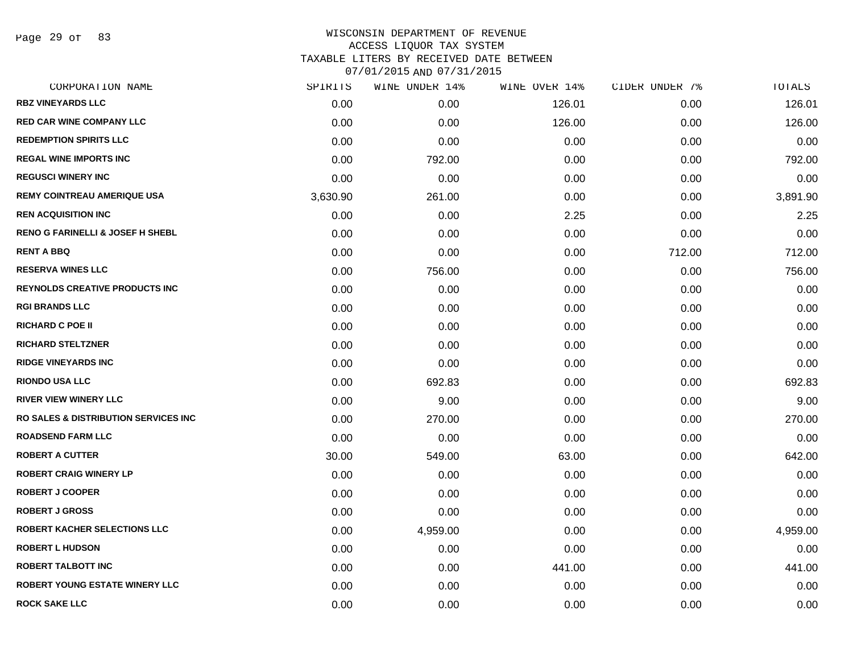Page 29 of 83

| SPIRITS  | WINE UNDER 14% | WINE OVER 14% | CIDER UNDER 7% | TOTALS   |
|----------|----------------|---------------|----------------|----------|
| 0.00     | 0.00           | 126.01        | 0.00           | 126.01   |
| 0.00     | 0.00           | 126.00        | 0.00           | 126.00   |
| 0.00     | 0.00           | 0.00          | 0.00           | 0.00     |
| 0.00     | 792.00         | 0.00          | 0.00           | 792.00   |
| 0.00     | 0.00           | 0.00          | 0.00           | 0.00     |
| 3,630.90 | 261.00         | 0.00          | 0.00           | 3,891.90 |
| 0.00     | 0.00           | 2.25          | 0.00           | 2.25     |
| 0.00     | 0.00           | 0.00          | 0.00           | 0.00     |
| 0.00     | 0.00           | 0.00          | 712.00         | 712.00   |
| 0.00     | 756.00         | 0.00          | 0.00           | 756.00   |
| 0.00     | 0.00           | 0.00          | 0.00           | 0.00     |
| 0.00     | 0.00           | 0.00          | 0.00           | 0.00     |
| 0.00     | 0.00           | 0.00          | 0.00           | 0.00     |
| 0.00     | 0.00           | 0.00          | 0.00           | 0.00     |
| 0.00     | 0.00           | 0.00          | 0.00           | 0.00     |
| 0.00     | 692.83         | 0.00          | 0.00           | 692.83   |
| 0.00     | 9.00           | 0.00          | 0.00           | 9.00     |
| 0.00     | 270.00         | 0.00          | 0.00           | 270.00   |
| 0.00     | 0.00           | 0.00          | 0.00           | 0.00     |
| 30.00    | 549.00         | 63.00         | 0.00           | 642.00   |
| 0.00     | 0.00           | 0.00          | 0.00           | 0.00     |
| 0.00     | 0.00           | 0.00          | 0.00           | 0.00     |
| 0.00     | 0.00           | 0.00          | 0.00           | 0.00     |
| 0.00     | 4,959.00       | 0.00          | 0.00           | 4,959.00 |
| 0.00     | 0.00           | 0.00          | 0.00           | 0.00     |
| 0.00     | 0.00           | 441.00        | 0.00           | 441.00   |
| 0.00     | 0.00           | 0.00          | 0.00           | 0.00     |
| 0.00     | 0.00           | 0.00          | 0.00           | 0.00     |
|          |                |               |                |          |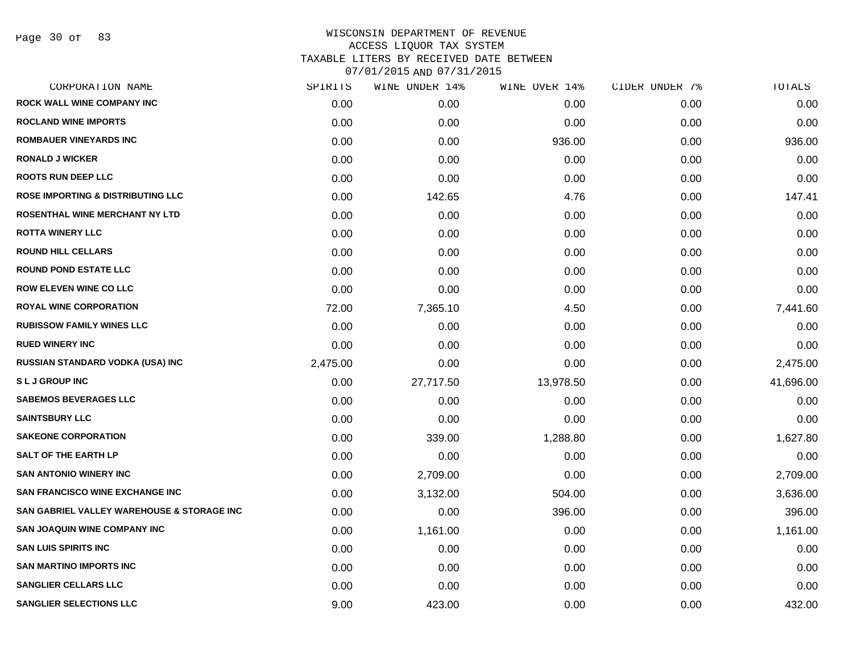Page 30 of 83

| CORPORATION NAME                           | SPIRITS  | WINE UNDER 14% | WINE OVER 14% | CIDER UNDER 7% | TOTALS    |
|--------------------------------------------|----------|----------------|---------------|----------------|-----------|
| ROCK WALL WINE COMPANY INC                 | 0.00     | 0.00           | 0.00          | 0.00           | 0.00      |
| <b>ROCLAND WINE IMPORTS</b>                | 0.00     | 0.00           | 0.00          | 0.00           | 0.00      |
| <b>ROMBAUER VINEYARDS INC</b>              | 0.00     | 0.00           | 936.00        | 0.00           | 936.00    |
| <b>RONALD J WICKER</b>                     | 0.00     | 0.00           | 0.00          | 0.00           | 0.00      |
| <b>ROOTS RUN DEEP LLC</b>                  | 0.00     | 0.00           | 0.00          | 0.00           | 0.00      |
| ROSE IMPORTING & DISTRIBUTING LLC          | 0.00     | 142.65         | 4.76          | 0.00           | 147.41    |
| <b>ROSENTHAL WINE MERCHANT NY LTD</b>      | 0.00     | 0.00           | 0.00          | 0.00           | 0.00      |
| <b>ROTTA WINERY LLC</b>                    | 0.00     | 0.00           | 0.00          | 0.00           | 0.00      |
| <b>ROUND HILL CELLARS</b>                  | 0.00     | 0.00           | 0.00          | 0.00           | 0.00      |
| <b>ROUND POND ESTATE LLC</b>               | 0.00     | 0.00           | 0.00          | 0.00           | 0.00      |
| <b>ROW ELEVEN WINE CO LLC</b>              | 0.00     | 0.00           | 0.00          | 0.00           | 0.00      |
| <b>ROYAL WINE CORPORATION</b>              | 72.00    | 7,365.10       | 4.50          | 0.00           | 7,441.60  |
| <b>RUBISSOW FAMILY WINES LLC</b>           | 0.00     | 0.00           | 0.00          | 0.00           | 0.00      |
| <b>RUED WINERY INC</b>                     | 0.00     | 0.00           | 0.00          | 0.00           | 0.00      |
| <b>RUSSIAN STANDARD VODKA (USA) INC</b>    | 2,475.00 | 0.00           | 0.00          | 0.00           | 2,475.00  |
| <b>SLJ GROUP INC</b>                       | 0.00     | 27,717.50      | 13,978.50     | 0.00           | 41,696.00 |
| <b>SABEMOS BEVERAGES LLC</b>               | 0.00     | 0.00           | 0.00          | 0.00           | 0.00      |
| <b>SAINTSBURY LLC</b>                      | 0.00     | 0.00           | 0.00          | 0.00           | 0.00      |
| <b>SAKEONE CORPORATION</b>                 | 0.00     | 339.00         | 1,288.80      | 0.00           | 1,627.80  |
| <b>SALT OF THE EARTH LP</b>                | 0.00     | 0.00           | 0.00          | 0.00           | 0.00      |
| <b>SAN ANTONIO WINERY INC</b>              | 0.00     | 2,709.00       | 0.00          | 0.00           | 2,709.00  |
| SAN FRANCISCO WINE EXCHANGE INC            | 0.00     | 3,132.00       | 504.00        | 0.00           | 3,636.00  |
| SAN GABRIEL VALLEY WAREHOUSE & STORAGE INC | 0.00     | 0.00           | 396.00        | 0.00           | 396.00    |
| <b>SAN JOAQUIN WINE COMPANY INC</b>        | 0.00     | 1,161.00       | 0.00          | 0.00           | 1,161.00  |
| <b>SAN LUIS SPIRITS INC</b>                | 0.00     | 0.00           | 0.00          | 0.00           | 0.00      |
| <b>SAN MARTINO IMPORTS INC</b>             | 0.00     | 0.00           | 0.00          | 0.00           | 0.00      |
| <b>SANGLIER CELLARS LLC</b>                | 0.00     | 0.00           | 0.00          | 0.00           | 0.00      |
| <b>SANGLIER SELECTIONS LLC</b>             | 9.00     | 423.00         | 0.00          | 0.00           | 432.00    |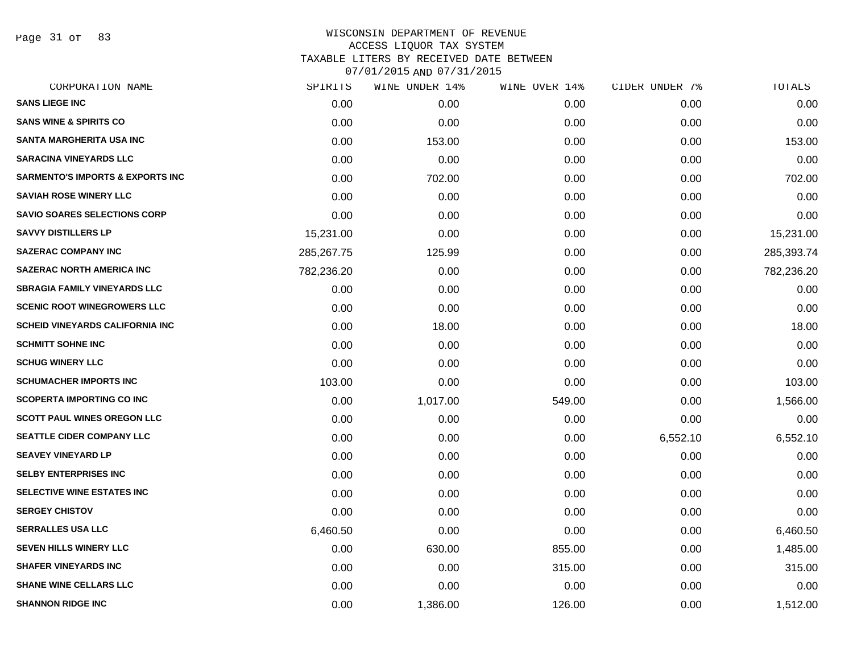Page 31 of 83

| CORPORATION NAME                            | SPIRITS    | WINE UNDER 14% | WINE OVER 14% | CIDER UNDER 7% | TOTALS     |
|---------------------------------------------|------------|----------------|---------------|----------------|------------|
| <b>SANS LIEGE INC</b>                       | 0.00       | 0.00           | 0.00          | 0.00           | 0.00       |
| <b>SANS WINE &amp; SPIRITS CO</b>           | 0.00       | 0.00           | 0.00          | 0.00           | 0.00       |
| <b>SANTA MARGHERITA USA INC</b>             | 0.00       | 153.00         | 0.00          | 0.00           | 153.00     |
| <b>SARACINA VINEYARDS LLC</b>               | 0.00       | 0.00           | 0.00          | 0.00           | 0.00       |
| <b>SARMENTO'S IMPORTS &amp; EXPORTS INC</b> | 0.00       | 702.00         | 0.00          | 0.00           | 702.00     |
| <b>SAVIAH ROSE WINERY LLC</b>               | 0.00       | 0.00           | 0.00          | 0.00           | 0.00       |
| <b>SAVIO SOARES SELECTIONS CORP</b>         | 0.00       | 0.00           | 0.00          | 0.00           | 0.00       |
| <b>SAVVY DISTILLERS LP</b>                  | 15,231.00  | 0.00           | 0.00          | 0.00           | 15,231.00  |
| <b>SAZERAC COMPANY INC</b>                  | 285,267.75 | 125.99         | 0.00          | 0.00           | 285,393.74 |
| <b>SAZERAC NORTH AMERICA INC</b>            | 782,236.20 | 0.00           | 0.00          | 0.00           | 782,236.20 |
| <b>SBRAGIA FAMILY VINEYARDS LLC</b>         | 0.00       | 0.00           | 0.00          | 0.00           | 0.00       |
| <b>SCENIC ROOT WINEGROWERS LLC</b>          | 0.00       | 0.00           | 0.00          | 0.00           | 0.00       |
| <b>SCHEID VINEYARDS CALIFORNIA INC</b>      | 0.00       | 18.00          | 0.00          | 0.00           | 18.00      |
| <b>SCHMITT SOHNE INC</b>                    | 0.00       | 0.00           | 0.00          | 0.00           | 0.00       |
| <b>SCHUG WINERY LLC</b>                     | 0.00       | 0.00           | 0.00          | 0.00           | 0.00       |
| <b>SCHUMACHER IMPORTS INC</b>               | 103.00     | 0.00           | 0.00          | 0.00           | 103.00     |
| <b>SCOPERTA IMPORTING CO INC</b>            | 0.00       | 1,017.00       | 549.00        | 0.00           | 1,566.00   |
| <b>SCOTT PAUL WINES OREGON LLC</b>          | 0.00       | 0.00           | 0.00          | 0.00           | 0.00       |
| <b>SEATTLE CIDER COMPANY LLC</b>            | 0.00       | 0.00           | 0.00          | 6,552.10       | 6,552.10   |
| <b>SEAVEY VINEYARD LP</b>                   | 0.00       | 0.00           | 0.00          | 0.00           | 0.00       |
| <b>SELBY ENTERPRISES INC</b>                | 0.00       | 0.00           | 0.00          | 0.00           | 0.00       |
| SELECTIVE WINE ESTATES INC                  | 0.00       | 0.00           | 0.00          | 0.00           | 0.00       |
| <b>SERGEY CHISTOV</b>                       | 0.00       | 0.00           | 0.00          | 0.00           | 0.00       |
| <b>SERRALLES USA LLC</b>                    | 6,460.50   | 0.00           | 0.00          | 0.00           | 6,460.50   |
| <b>SEVEN HILLS WINERY LLC</b>               | 0.00       | 630.00         | 855.00        | 0.00           | 1,485.00   |
| <b>SHAFER VINEYARDS INC</b>                 | 0.00       | 0.00           | 315.00        | 0.00           | 315.00     |
| <b>SHANE WINE CELLARS LLC</b>               | 0.00       | 0.00           | 0.00          | 0.00           | 0.00       |
| <b>SHANNON RIDGE INC</b>                    | 0.00       | 1,386.00       | 126.00        | 0.00           | 1,512.00   |
|                                             |            |                |               |                |            |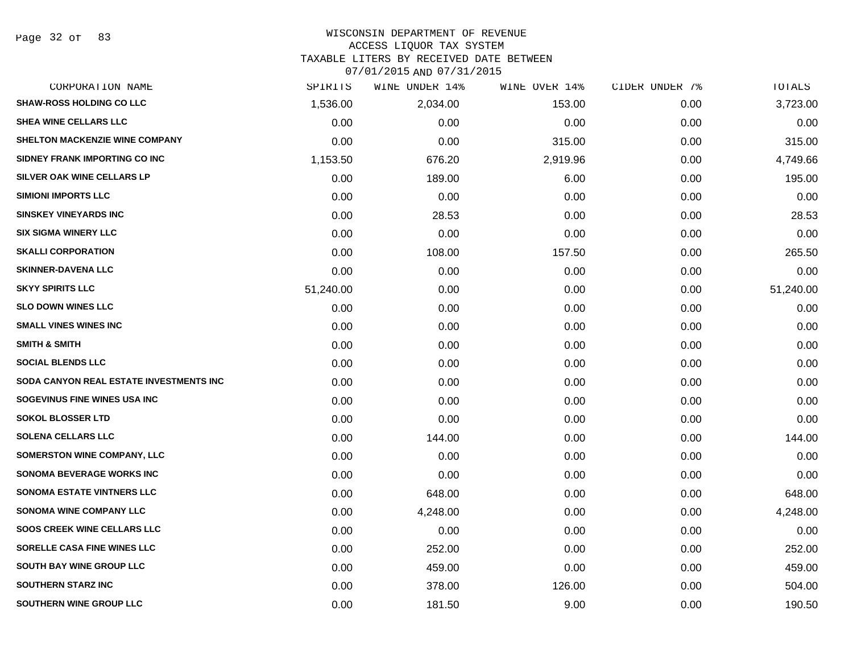#### WISCONSIN DEPARTMENT OF REVENUE ACCESS LIQUOR TAX SYSTEM

TAXABLE LITERS BY RECEIVED DATE BETWEEN

| CORPORATION NAME                        | SPIRITS   | WINE UNDER 14% | WINE OVER 14% | CIDER UNDER 7% | TOTALS    |
|-----------------------------------------|-----------|----------------|---------------|----------------|-----------|
| <b>SHAW-ROSS HOLDING CO LLC</b>         | 1,536.00  | 2,034.00       | 153.00        | 0.00           | 3,723.00  |
| <b>SHEA WINE CELLARS LLC</b>            | 0.00      | 0.00           | 0.00          | 0.00           | 0.00      |
| SHELTON MACKENZIE WINE COMPANY          | 0.00      | 0.00           | 315.00        | 0.00           | 315.00    |
| SIDNEY FRANK IMPORTING CO INC           | 1,153.50  | 676.20         | 2,919.96      | 0.00           | 4,749.66  |
| SILVER OAK WINE CELLARS LP              | 0.00      | 189.00         | 6.00          | 0.00           | 195.00    |
| <b>SIMIONI IMPORTS LLC</b>              | 0.00      | 0.00           | 0.00          | 0.00           | 0.00      |
| <b>SINSKEY VINEYARDS INC</b>            | 0.00      | 28.53          | 0.00          | 0.00           | 28.53     |
| <b>SIX SIGMA WINERY LLC</b>             | 0.00      | 0.00           | 0.00          | 0.00           | 0.00      |
| <b>SKALLI CORPORATION</b>               | 0.00      | 108.00         | 157.50        | 0.00           | 265.50    |
| <b>SKINNER-DAVENA LLC</b>               | 0.00      | 0.00           | 0.00          | 0.00           | 0.00      |
| <b>SKYY SPIRITS LLC</b>                 | 51,240.00 | 0.00           | 0.00          | 0.00           | 51,240.00 |
| <b>SLO DOWN WINES LLC</b>               | 0.00      | 0.00           | 0.00          | 0.00           | 0.00      |
| <b>SMALL VINES WINES INC</b>            | 0.00      | 0.00           | 0.00          | 0.00           | 0.00      |
| <b>SMITH &amp; SMITH</b>                | 0.00      | 0.00           | 0.00          | 0.00           | 0.00      |
| <b>SOCIAL BLENDS LLC</b>                | 0.00      | 0.00           | 0.00          | 0.00           | 0.00      |
| SODA CANYON REAL ESTATE INVESTMENTS INC | 0.00      | 0.00           | 0.00          | 0.00           | 0.00      |
| SOGEVINUS FINE WINES USA INC            | 0.00      | 0.00           | 0.00          | 0.00           | 0.00      |
| <b>SOKOL BLOSSER LTD</b>                | 0.00      | 0.00           | 0.00          | 0.00           | 0.00      |
| <b>SOLENA CELLARS LLC</b>               | 0.00      | 144.00         | 0.00          | 0.00           | 144.00    |
| <b>SOMERSTON WINE COMPANY, LLC</b>      | 0.00      | 0.00           | 0.00          | 0.00           | 0.00      |
| <b>SONOMA BEVERAGE WORKS INC</b>        | 0.00      | 0.00           | 0.00          | 0.00           | 0.00      |
| <b>SONOMA ESTATE VINTNERS LLC</b>       | 0.00      | 648.00         | 0.00          | 0.00           | 648.00    |
| <b>SONOMA WINE COMPANY LLC</b>          | 0.00      | 4,248.00       | 0.00          | 0.00           | 4,248.00  |
| SOOS CREEK WINE CELLARS LLC             | 0.00      | 0.00           | 0.00          | 0.00           | 0.00      |
| SORELLE CASA FINE WINES LLC             | 0.00      | 252.00         | 0.00          | 0.00           | 252.00    |
| <b>SOUTH BAY WINE GROUP LLC</b>         | 0.00      | 459.00         | 0.00          | 0.00           | 459.00    |
| <b>SOUTHERN STARZ INC</b>               | 0.00      | 378.00         | 126.00        | 0.00           | 504.00    |
| SOUTHERN WINE GROUP LLC                 | 0.00      | 181.50         | 9.00          | 0.00           | 190.50    |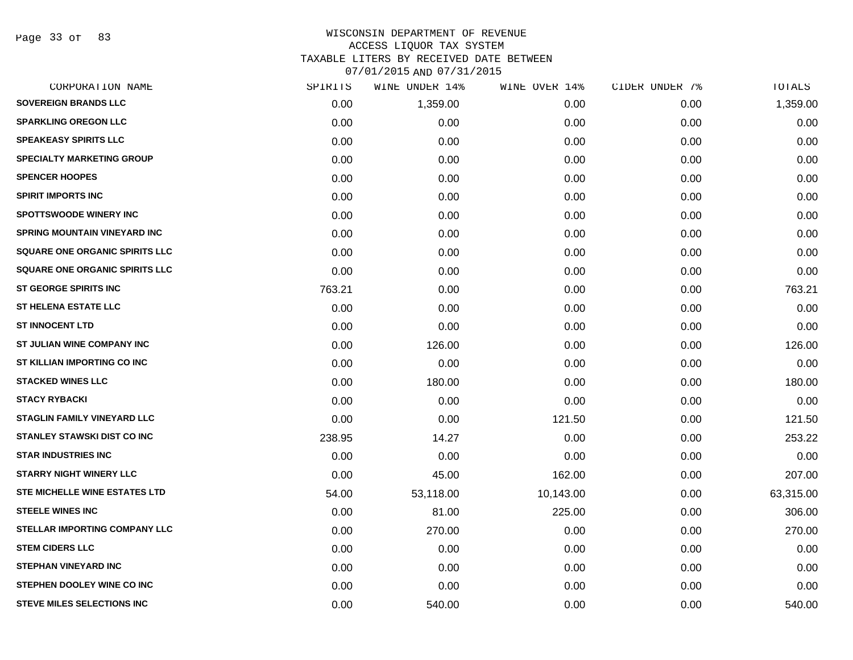Page 33 of 83

| CORPORATION NAME                      | SPIRITS | WINE UNDER 14% | WINE OVER 14% | CIDER UNDER 7% | TOTALS    |
|---------------------------------------|---------|----------------|---------------|----------------|-----------|
| <b>SOVEREIGN BRANDS LLC</b>           | 0.00    | 1,359.00       | 0.00          | 0.00           | 1,359.00  |
| <b>SPARKLING OREGON LLC</b>           | 0.00    | 0.00           | 0.00          | 0.00           | 0.00      |
| <b>SPEAKEASY SPIRITS LLC</b>          | 0.00    | 0.00           | 0.00          | 0.00           | 0.00      |
| <b>SPECIALTY MARKETING GROUP</b>      | 0.00    | 0.00           | 0.00          | 0.00           | 0.00      |
| <b>SPENCER HOOPES</b>                 | 0.00    | 0.00           | 0.00          | 0.00           | 0.00      |
| <b>SPIRIT IMPORTS INC</b>             | 0.00    | 0.00           | 0.00          | 0.00           | 0.00      |
| <b>SPOTTSWOODE WINERY INC</b>         | 0.00    | 0.00           | 0.00          | 0.00           | 0.00      |
| <b>SPRING MOUNTAIN VINEYARD INC</b>   | 0.00    | 0.00           | 0.00          | 0.00           | 0.00      |
| SQUARE ONE ORGANIC SPIRITS LLC        | 0.00    | 0.00           | 0.00          | 0.00           | 0.00      |
| <b>SQUARE ONE ORGANIC SPIRITS LLC</b> | 0.00    | 0.00           | 0.00          | 0.00           | 0.00      |
| <b>ST GEORGE SPIRITS INC</b>          | 763.21  | 0.00           | 0.00          | 0.00           | 763.21    |
| <b>ST HELENA ESTATE LLC</b>           | 0.00    | 0.00           | 0.00          | 0.00           | 0.00      |
| <b>ST INNOCENT LTD</b>                | 0.00    | 0.00           | 0.00          | 0.00           | 0.00      |
| ST JULIAN WINE COMPANY INC            | 0.00    | 126.00         | 0.00          | 0.00           | 126.00    |
| ST KILLIAN IMPORTING CO INC           | 0.00    | 0.00           | 0.00          | 0.00           | 0.00      |
| <b>STACKED WINES LLC</b>              | 0.00    | 180.00         | 0.00          | 0.00           | 180.00    |
| <b>STACY RYBACKI</b>                  | 0.00    | 0.00           | 0.00          | 0.00           | 0.00      |
| STAGLIN FAMILY VINEYARD LLC           | 0.00    | 0.00           | 121.50        | 0.00           | 121.50    |
| <b>STANLEY STAWSKI DIST CO INC</b>    | 238.95  | 14.27          | 0.00          | 0.00           | 253.22    |
| <b>STAR INDUSTRIES INC</b>            | 0.00    | 0.00           | 0.00          | 0.00           | 0.00      |
| <b>STARRY NIGHT WINERY LLC</b>        | 0.00    | 45.00          | 162.00        | 0.00           | 207.00    |
| <b>STE MICHELLE WINE ESTATES LTD</b>  | 54.00   | 53,118.00      | 10,143.00     | 0.00           | 63,315.00 |
| <b>STEELE WINES INC</b>               | 0.00    | 81.00          | 225.00        | 0.00           | 306.00    |
| <b>STELLAR IMPORTING COMPANY LLC</b>  | 0.00    | 270.00         | 0.00          | 0.00           | 270.00    |
| <b>STEM CIDERS LLC</b>                | 0.00    | 0.00           | 0.00          | 0.00           | 0.00      |
| <b>STEPHAN VINEYARD INC</b>           | 0.00    | 0.00           | 0.00          | 0.00           | 0.00      |
| STEPHEN DOOLEY WINE CO INC            | 0.00    | 0.00           | 0.00          | 0.00           | 0.00      |
| <b>STEVE MILES SELECTIONS INC</b>     | 0.00    | 540.00         | 0.00          | 0.00           | 540.00    |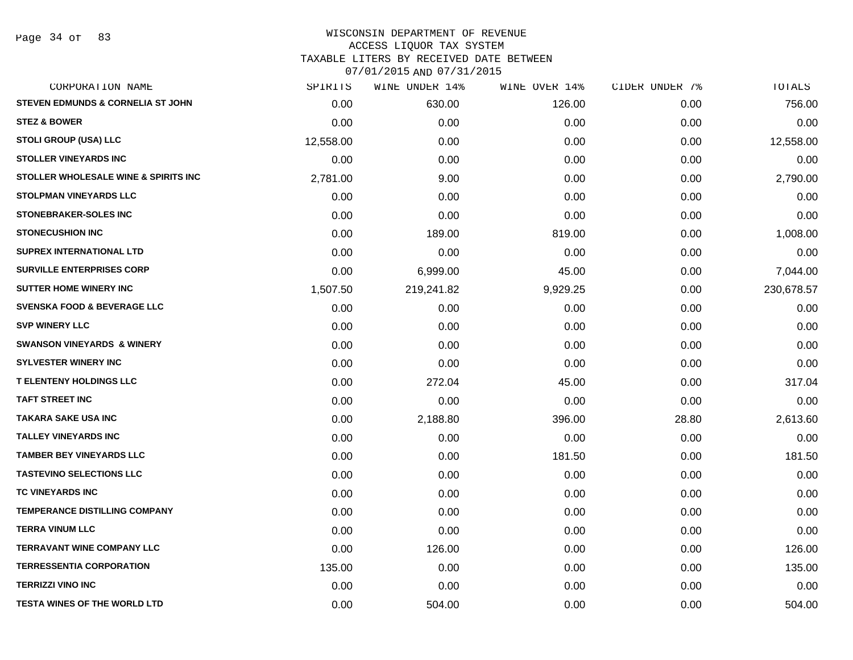Page 34 of 83

| CORPORATION NAME                             | SPIRITS   | WINE UNDER 14% | WINE OVER 14% | CIDER UNDER 7% | TOTALS     |
|----------------------------------------------|-----------|----------------|---------------|----------------|------------|
| <b>STEVEN EDMUNDS &amp; CORNELIA ST JOHN</b> | 0.00      | 630.00         | 126.00        | 0.00           | 756.00     |
| <b>STEZ &amp; BOWER</b>                      | 0.00      | 0.00           | 0.00          | 0.00           | 0.00       |
| <b>STOLI GROUP (USA) LLC</b>                 | 12,558.00 | 0.00           | 0.00          | 0.00           | 12,558.00  |
| <b>STOLLER VINEYARDS INC</b>                 | 0.00      | 0.00           | 0.00          | 0.00           | 0.00       |
| STOLLER WHOLESALE WINE & SPIRITS INC         | 2,781.00  | 9.00           | 0.00          | 0.00           | 2,790.00   |
| <b>STOLPMAN VINEYARDS LLC</b>                | 0.00      | 0.00           | 0.00          | 0.00           | 0.00       |
| <b>STONEBRAKER-SOLES INC</b>                 | 0.00      | 0.00           | 0.00          | 0.00           | 0.00       |
| <b>STONECUSHION INC</b>                      | 0.00      | 189.00         | 819.00        | 0.00           | 1,008.00   |
| <b>SUPREX INTERNATIONAL LTD</b>              | 0.00      | 0.00           | 0.00          | 0.00           | 0.00       |
| <b>SURVILLE ENTERPRISES CORP</b>             | 0.00      | 6,999.00       | 45.00         | 0.00           | 7,044.00   |
| <b>SUTTER HOME WINERY INC.</b>               | 1,507.50  | 219,241.82     | 9,929.25      | 0.00           | 230,678.57 |
| <b>SVENSKA FOOD &amp; BEVERAGE LLC</b>       | 0.00      | 0.00           | 0.00          | 0.00           | 0.00       |
| <b>SVP WINERY LLC</b>                        | 0.00      | 0.00           | 0.00          | 0.00           | 0.00       |
| <b>SWANSON VINEYARDS &amp; WINERY</b>        | 0.00      | 0.00           | 0.00          | 0.00           | 0.00       |
| <b>SYLVESTER WINERY INC</b>                  | 0.00      | 0.00           | 0.00          | 0.00           | 0.00       |
| <b>T ELENTENY HOLDINGS LLC</b>               | 0.00      | 272.04         | 45.00         | 0.00           | 317.04     |
| <b>TAFT STREET INC</b>                       | 0.00      | 0.00           | 0.00          | 0.00           | 0.00       |
| <b>TAKARA SAKE USA INC</b>                   | 0.00      | 2,188.80       | 396.00        | 28.80          | 2,613.60   |
| <b>TALLEY VINEYARDS INC</b>                  | 0.00      | 0.00           | 0.00          | 0.00           | 0.00       |
| <b>TAMBER BEY VINEYARDS LLC</b>              | 0.00      | 0.00           | 181.50        | 0.00           | 181.50     |
| <b>TASTEVINO SELECTIONS LLC</b>              | 0.00      | 0.00           | 0.00          | 0.00           | 0.00       |
| TC VINEYARDS INC                             | 0.00      | 0.00           | 0.00          | 0.00           | 0.00       |
| <b>TEMPERANCE DISTILLING COMPANY</b>         | 0.00      | 0.00           | 0.00          | 0.00           | 0.00       |
| <b>TERRA VINUM LLC</b>                       | 0.00      | 0.00           | 0.00          | 0.00           | 0.00       |
| <b>TERRAVANT WINE COMPANY LLC</b>            | 0.00      | 126.00         | 0.00          | 0.00           | 126.00     |
| <b>TERRESSENTIA CORPORATION</b>              | 135.00    | 0.00           | 0.00          | 0.00           | 135.00     |
| <b>TERRIZZI VINO INC</b>                     | 0.00      | 0.00           | 0.00          | 0.00           | 0.00       |
| <b>TESTA WINES OF THE WORLD LTD</b>          | 0.00      | 504.00         | 0.00          | 0.00           | 504.00     |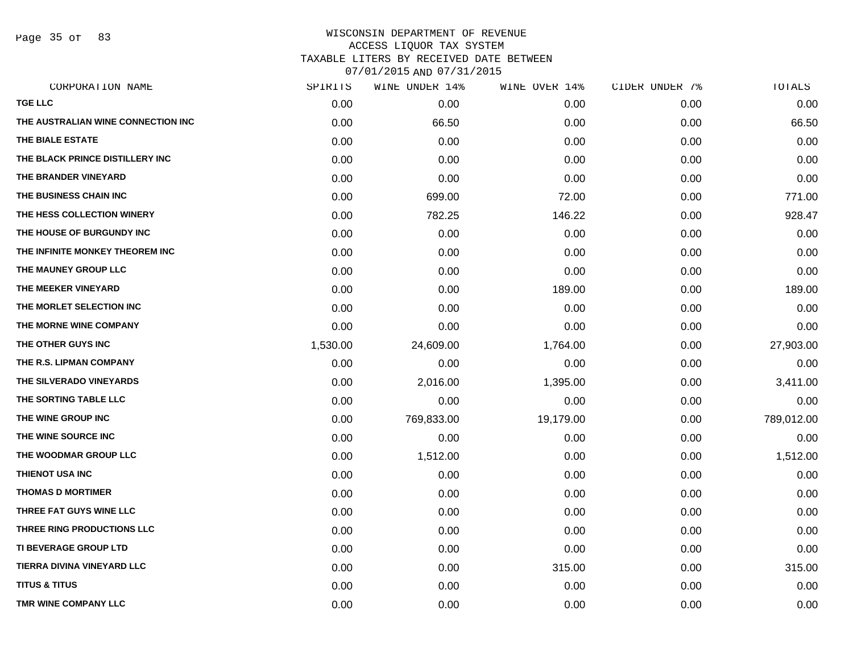Page 35 of 83

| SPIRITS  | WINE UNDER 14% | WINE OVER 14% | CIDER UNDER 7% | TOTALS     |
|----------|----------------|---------------|----------------|------------|
| 0.00     | 0.00           | 0.00          | 0.00           | 0.00       |
| 0.00     | 66.50          | 0.00          | 0.00           | 66.50      |
| 0.00     | 0.00           | 0.00          | 0.00           | 0.00       |
| 0.00     | 0.00           | 0.00          | 0.00           | 0.00       |
| 0.00     | 0.00           | 0.00          | 0.00           | 0.00       |
| 0.00     | 699.00         | 72.00         | 0.00           | 771.00     |
| 0.00     | 782.25         | 146.22        | 0.00           | 928.47     |
| 0.00     | 0.00           | 0.00          | 0.00           | 0.00       |
| 0.00     | 0.00           | 0.00          | 0.00           | 0.00       |
| 0.00     | 0.00           | 0.00          | 0.00           | 0.00       |
| 0.00     | 0.00           | 189.00        | 0.00           | 189.00     |
| 0.00     | 0.00           | 0.00          | 0.00           | 0.00       |
| 0.00     | 0.00           | 0.00          | 0.00           | 0.00       |
| 1,530.00 | 24,609.00      | 1,764.00      | 0.00           | 27,903.00  |
| 0.00     | 0.00           | 0.00          | 0.00           | 0.00       |
| 0.00     | 2,016.00       | 1,395.00      | 0.00           | 3,411.00   |
| 0.00     | 0.00           | 0.00          | 0.00           | 0.00       |
| 0.00     | 769,833.00     | 19,179.00     | 0.00           | 789,012.00 |
| 0.00     | 0.00           | 0.00          | 0.00           | 0.00       |
| 0.00     | 1,512.00       | 0.00          | 0.00           | 1,512.00   |
| 0.00     | 0.00           | 0.00          | 0.00           | 0.00       |
| 0.00     | 0.00           | 0.00          | 0.00           | 0.00       |
| 0.00     | 0.00           | 0.00          | 0.00           | 0.00       |
| 0.00     | 0.00           | 0.00          | 0.00           | 0.00       |
| 0.00     | 0.00           | 0.00          | 0.00           | 0.00       |
| 0.00     | 0.00           | 315.00        | 0.00           | 315.00     |
| 0.00     | 0.00           | 0.00          | 0.00           | 0.00       |
| 0.00     | 0.00           | 0.00          | 0.00           | 0.00       |
|          |                |               |                |            |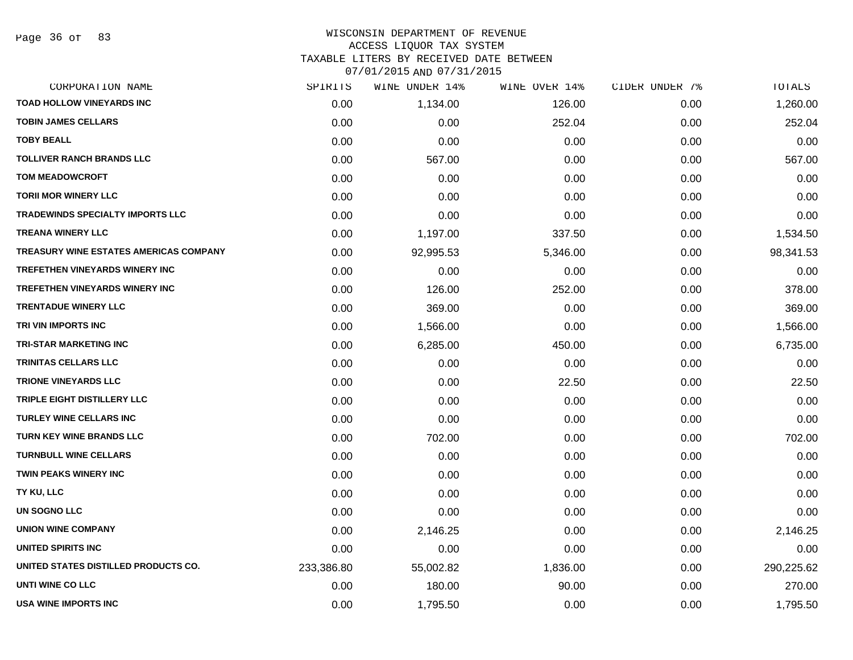#### WISCONSIN DEPARTMENT OF REVENUE ACCESS LIQUOR TAX SYSTEM TAXABLE LITERS BY RECEIVED DATE BETWEEN

| CORPORATION NAME                        | SPIRITS    | WINE UNDER 14% | WINE OVER 14% | CIDER UNDER 7% | TOTALS     |
|-----------------------------------------|------------|----------------|---------------|----------------|------------|
| TOAD HOLLOW VINEYARDS INC               | 0.00       | 1,134.00       | 126.00        | 0.00           | 1,260.00   |
| <b>TOBIN JAMES CELLARS</b>              | 0.00       | 0.00           | 252.04        | 0.00           | 252.04     |
| <b>TOBY BEALL</b>                       | 0.00       | 0.00           | 0.00          | 0.00           | 0.00       |
| <b>TOLLIVER RANCH BRANDS LLC</b>        | 0.00       | 567.00         | 0.00          | 0.00           | 567.00     |
| <b>TOM MEADOWCROFT</b>                  | 0.00       | 0.00           | 0.00          | 0.00           | 0.00       |
| <b>TORII MOR WINERY LLC</b>             | 0.00       | 0.00           | 0.00          | 0.00           | 0.00       |
| <b>TRADEWINDS SPECIALTY IMPORTS LLC</b> | 0.00       | 0.00           | 0.00          | 0.00           | 0.00       |
| <b>TREANA WINERY LLC</b>                | 0.00       | 1,197.00       | 337.50        | 0.00           | 1,534.50   |
| TREASURY WINE ESTATES AMERICAS COMPANY  | 0.00       | 92,995.53      | 5,346.00      | 0.00           | 98,341.53  |
| <b>TREFETHEN VINEYARDS WINERY INC</b>   | 0.00       | 0.00           | 0.00          | 0.00           | 0.00       |
| <b>TREFETHEN VINEYARDS WINERY INC</b>   | 0.00       | 126.00         | 252.00        | 0.00           | 378.00     |
| <b>TRENTADUE WINERY LLC</b>             | 0.00       | 369.00         | 0.00          | 0.00           | 369.00     |
| TRI VIN IMPORTS INC                     | 0.00       | 1,566.00       | 0.00          | 0.00           | 1,566.00   |
| <b>TRI-STAR MARKETING INC</b>           | 0.00       | 6,285.00       | 450.00        | 0.00           | 6,735.00   |
| <b>TRINITAS CELLARS LLC</b>             | 0.00       | 0.00           | 0.00          | 0.00           | 0.00       |
| <b>TRIONE VINEYARDS LLC</b>             | 0.00       | 0.00           | 22.50         | 0.00           | 22.50      |
| TRIPLE EIGHT DISTILLERY LLC             | 0.00       | 0.00           | 0.00          | 0.00           | 0.00       |
| <b>TURLEY WINE CELLARS INC</b>          | 0.00       | 0.00           | 0.00          | 0.00           | 0.00       |
| <b>TURN KEY WINE BRANDS LLC</b>         | 0.00       | 702.00         | 0.00          | 0.00           | 702.00     |
| <b>TURNBULL WINE CELLARS</b>            | 0.00       | 0.00           | 0.00          | 0.00           | 0.00       |
| <b>TWIN PEAKS WINERY INC</b>            | 0.00       | 0.00           | 0.00          | 0.00           | 0.00       |
| TY KU, LLC                              | 0.00       | 0.00           | 0.00          | 0.00           | 0.00       |
| UN SOGNO LLC                            | 0.00       | 0.00           | 0.00          | 0.00           | 0.00       |
| <b>UNION WINE COMPANY</b>               | 0.00       | 2,146.25       | 0.00          | 0.00           | 2,146.25   |
| <b>UNITED SPIRITS INC</b>               | 0.00       | 0.00           | 0.00          | 0.00           | 0.00       |
| UNITED STATES DISTILLED PRODUCTS CO.    | 233,386.80 | 55,002.82      | 1,836.00      | 0.00           | 290,225.62 |
| UNTI WINE CO LLC                        | 0.00       | 180.00         | 90.00         | 0.00           | 270.00     |
| USA WINE IMPORTS INC                    | 0.00       | 1,795.50       | 0.00          | 0.00           | 1,795.50   |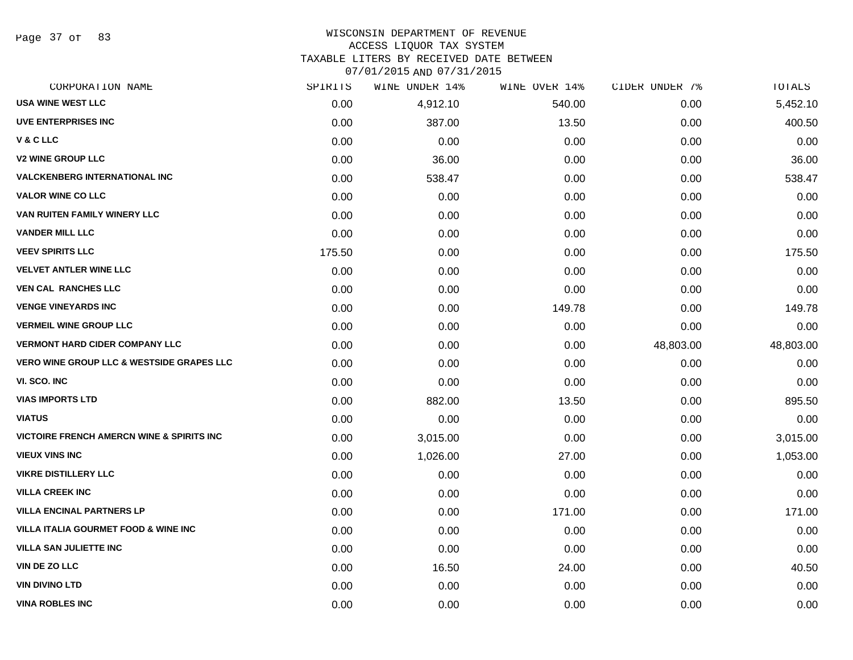Page 37 of 83

### WISCONSIN DEPARTMENT OF REVENUE ACCESS LIQUOR TAX SYSTEM

TAXABLE LITERS BY RECEIVED DATE BETWEEN

| CORPORATION NAME                                      | SPIRITS | WINE UNDER 14% | WINE OVER 14% | CIDER UNDER 7% | TOTALS    |
|-------------------------------------------------------|---------|----------------|---------------|----------------|-----------|
| <b>USA WINE WEST LLC</b>                              | 0.00    | 4,912.10       | 540.00        | 0.00           | 5,452.10  |
| <b>UVE ENTERPRISES INC</b>                            | 0.00    | 387.00         | 13.50         | 0.00           | 400.50    |
| V & C LLC                                             | 0.00    | 0.00           | 0.00          | 0.00           | 0.00      |
| <b>V2 WINE GROUP LLC</b>                              | 0.00    | 36.00          | 0.00          | 0.00           | 36.00     |
| <b>VALCKENBERG INTERNATIONAL INC</b>                  | 0.00    | 538.47         | 0.00          | 0.00           | 538.47    |
| <b>VALOR WINE CO LLC</b>                              | 0.00    | 0.00           | 0.00          | 0.00           | 0.00      |
| VAN RUITEN FAMILY WINERY LLC                          | 0.00    | 0.00           | 0.00          | 0.00           | 0.00      |
| <b>VANDER MILL LLC</b>                                | 0.00    | 0.00           | 0.00          | 0.00           | 0.00      |
| <b>VEEV SPIRITS LLC</b>                               | 175.50  | 0.00           | 0.00          | 0.00           | 175.50    |
| <b>VELVET ANTLER WINE LLC</b>                         | 0.00    | 0.00           | 0.00          | 0.00           | 0.00      |
| <b>VEN CAL RANCHES LLC</b>                            | 0.00    | 0.00           | 0.00          | 0.00           | 0.00      |
| <b>VENGE VINEYARDS INC</b>                            | 0.00    | 0.00           | 149.78        | 0.00           | 149.78    |
| <b>VERMEIL WINE GROUP LLC</b>                         | 0.00    | 0.00           | 0.00          | 0.00           | 0.00      |
| <b>VERMONT HARD CIDER COMPANY LLC</b>                 | 0.00    | 0.00           | 0.00          | 48,803.00      | 48,803.00 |
| <b>VERO WINE GROUP LLC &amp; WESTSIDE GRAPES LLC</b>  | 0.00    | 0.00           | 0.00          | 0.00           | 0.00      |
| VI. SCO. INC                                          | 0.00    | 0.00           | 0.00          | 0.00           | 0.00      |
| <b>VIAS IMPORTS LTD</b>                               | 0.00    | 882.00         | 13.50         | 0.00           | 895.50    |
| <b>VIATUS</b>                                         | 0.00    | 0.00           | 0.00          | 0.00           | 0.00      |
| <b>VICTOIRE FRENCH AMERCN WINE &amp; SPIRITS INC.</b> | 0.00    | 3,015.00       | 0.00          | 0.00           | 3,015.00  |
| <b>VIEUX VINS INC</b>                                 | 0.00    | 1,026.00       | 27.00         | 0.00           | 1,053.00  |
| <b>VIKRE DISTILLERY LLC</b>                           | 0.00    | 0.00           | 0.00          | 0.00           | 0.00      |
| <b>VILLA CREEK INC</b>                                | 0.00    | 0.00           | 0.00          | 0.00           | 0.00      |
| <b>VILLA ENCINAL PARTNERS LP</b>                      | 0.00    | 0.00           | 171.00        | 0.00           | 171.00    |
| <b>VILLA ITALIA GOURMET FOOD &amp; WINE INC</b>       | 0.00    | 0.00           | 0.00          | 0.00           | 0.00      |
| <b>VILLA SAN JULIETTE INC</b>                         | 0.00    | 0.00           | 0.00          | 0.00           | 0.00      |
| <b>VIN DE ZO LLC</b>                                  | 0.00    | 16.50          | 24.00         | 0.00           | 40.50     |
| <b>VIN DIVINO LTD</b>                                 | 0.00    | 0.00           | 0.00          | 0.00           | 0.00      |
| <b>VINA ROBLES INC</b>                                | 0.00    | 0.00           | 0.00          | 0.00           | 0.00      |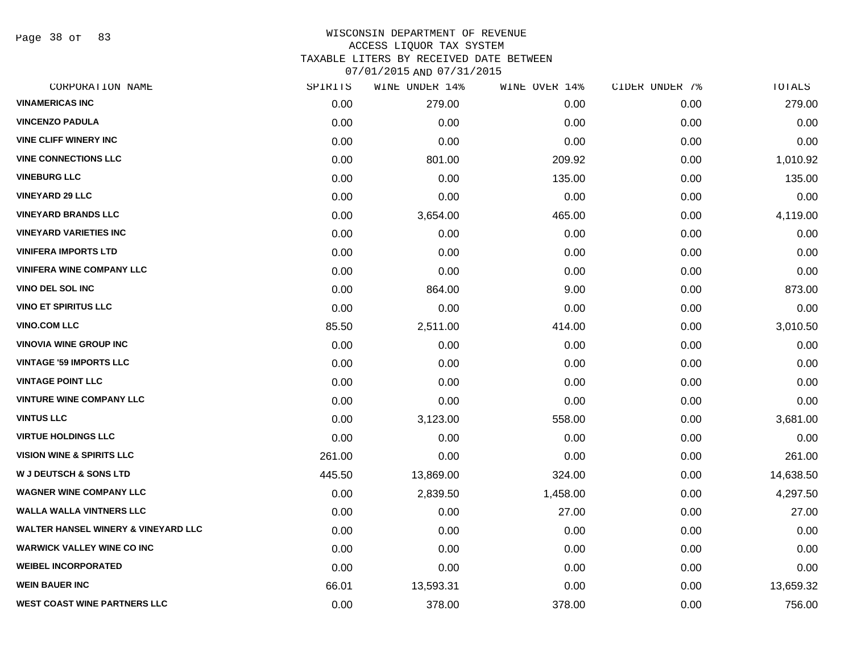Page 38 of 83

# WISCONSIN DEPARTMENT OF REVENUE ACCESS LIQUOR TAX SYSTEM TAXABLE LITERS BY RECEIVED DATE BETWEEN

| CORPORATION NAME                               | SPIRITS | WINE UNDER 14% | WINE OVER 14% | CIDER UNDER 7% | TOTALS    |
|------------------------------------------------|---------|----------------|---------------|----------------|-----------|
| <b>VINAMERICAS INC</b>                         | 0.00    | 279.00         | 0.00          | 0.00           | 279.00    |
| <b>VINCENZO PADULA</b>                         | 0.00    | 0.00           | 0.00          | 0.00           | 0.00      |
| <b>VINE CLIFF WINERY INC</b>                   | 0.00    | 0.00           | 0.00          | 0.00           | 0.00      |
| <b>VINE CONNECTIONS LLC</b>                    | 0.00    | 801.00         | 209.92        | 0.00           | 1,010.92  |
| <b>VINEBURG LLC</b>                            | 0.00    | 0.00           | 135.00        | 0.00           | 135.00    |
| <b>VINEYARD 29 LLC</b>                         | 0.00    | 0.00           | 0.00          | 0.00           | 0.00      |
| <b>VINEYARD BRANDS LLC</b>                     | 0.00    | 3,654.00       | 465.00        | 0.00           | 4,119.00  |
| <b>VINEYARD VARIETIES INC</b>                  | 0.00    | 0.00           | 0.00          | 0.00           | 0.00      |
| <b>VINIFERA IMPORTS LTD</b>                    | 0.00    | 0.00           | 0.00          | 0.00           | 0.00      |
| <b>VINIFERA WINE COMPANY LLC</b>               | 0.00    | 0.00           | 0.00          | 0.00           | 0.00      |
| <b>VINO DEL SOL INC</b>                        | 0.00    | 864.00         | 9.00          | 0.00           | 873.00    |
| <b>VINO ET SPIRITUS LLC</b>                    | 0.00    | 0.00           | 0.00          | 0.00           | 0.00      |
| <b>VINO.COM LLC</b>                            | 85.50   | 2,511.00       | 414.00        | 0.00           | 3,010.50  |
| <b>VINOVIA WINE GROUP INC</b>                  | 0.00    | 0.00           | 0.00          | 0.00           | 0.00      |
| <b>VINTAGE '59 IMPORTS LLC</b>                 | 0.00    | 0.00           | 0.00          | 0.00           | 0.00      |
| <b>VINTAGE POINT LLC</b>                       | 0.00    | 0.00           | 0.00          | 0.00           | 0.00      |
| <b>VINTURE WINE COMPANY LLC</b>                | 0.00    | 0.00           | 0.00          | 0.00           | 0.00      |
| <b>VINTUS LLC</b>                              | 0.00    | 3,123.00       | 558.00        | 0.00           | 3,681.00  |
| <b>VIRTUE HOLDINGS LLC</b>                     | 0.00    | 0.00           | 0.00          | 0.00           | 0.00      |
| <b>VISION WINE &amp; SPIRITS LLC</b>           | 261.00  | 0.00           | 0.00          | 0.00           | 261.00    |
| <b>W J DEUTSCH &amp; SONS LTD</b>              | 445.50  | 13,869.00      | 324.00        | 0.00           | 14,638.50 |
| <b>WAGNER WINE COMPANY LLC</b>                 | 0.00    | 2,839.50       | 1,458.00      | 0.00           | 4,297.50  |
| <b>WALLA WALLA VINTNERS LLC</b>                | 0.00    | 0.00           | 27.00         | 0.00           | 27.00     |
| <b>WALTER HANSEL WINERY &amp; VINEYARD LLC</b> | 0.00    | 0.00           | 0.00          | 0.00           | 0.00      |
| <b>WARWICK VALLEY WINE CO INC</b>              | 0.00    | 0.00           | 0.00          | 0.00           | 0.00      |
| <b>WEIBEL INCORPORATED</b>                     | 0.00    | 0.00           | 0.00          | 0.00           | 0.00      |
| <b>WEIN BAUER INC</b>                          | 66.01   | 13,593.31      | 0.00          | 0.00           | 13,659.32 |
| <b>WEST COAST WINE PARTNERS LLC</b>            | 0.00    | 378.00         | 378.00        | 0.00           | 756.00    |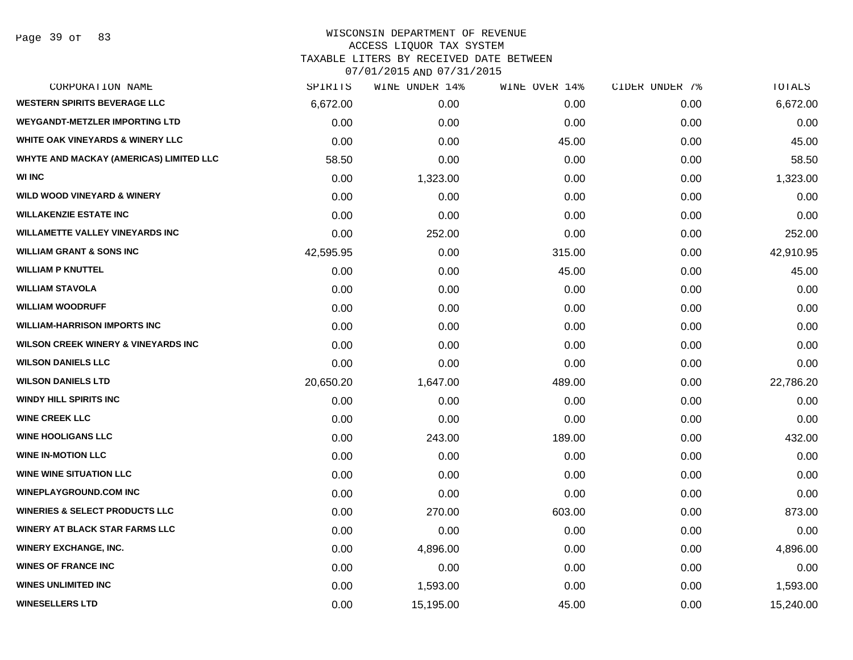### WISCONSIN DEPARTMENT OF REVENUE ACCESS LIQUOR TAX SYSTEM

TAXABLE LITERS BY RECEIVED DATE BETWEEN

| CORPORATION NAME                               | SPIRITS   | WINE UNDER 14% | WINE OVER 14% | CIDER UNDER 7% | TOTALS    |
|------------------------------------------------|-----------|----------------|---------------|----------------|-----------|
| <b>WESTERN SPIRITS BEVERAGE LLC</b>            | 6,672.00  | 0.00           | 0.00          | 0.00           | 6,672.00  |
| <b>WEYGANDT-METZLER IMPORTING LTD</b>          | 0.00      | 0.00           | 0.00          | 0.00           | 0.00      |
| <b>WHITE OAK VINEYARDS &amp; WINERY LLC</b>    | 0.00      | 0.00           | 45.00         | 0.00           | 45.00     |
| WHYTE AND MACKAY (AMERICAS) LIMITED LLC        | 58.50     | 0.00           | 0.00          | 0.00           | 58.50     |
| <b>WI INC</b>                                  | 0.00      | 1,323.00       | 0.00          | 0.00           | 1,323.00  |
| <b>WILD WOOD VINEYARD &amp; WINERY</b>         | 0.00      | 0.00           | 0.00          | 0.00           | 0.00      |
| <b>WILLAKENZIE ESTATE INC</b>                  | 0.00      | 0.00           | 0.00          | 0.00           | 0.00      |
| <b>WILLAMETTE VALLEY VINEYARDS INC</b>         | 0.00      | 252.00         | 0.00          | 0.00           | 252.00    |
| <b>WILLIAM GRANT &amp; SONS INC</b>            | 42,595.95 | 0.00           | 315.00        | 0.00           | 42,910.95 |
| <b>WILLIAM P KNUTTEL</b>                       | 0.00      | 0.00           | 45.00         | 0.00           | 45.00     |
| <b>WILLIAM STAVOLA</b>                         | 0.00      | 0.00           | 0.00          | 0.00           | 0.00      |
| <b>WILLIAM WOODRUFF</b>                        | 0.00      | 0.00           | 0.00          | 0.00           | 0.00      |
| <b>WILLIAM-HARRISON IMPORTS INC</b>            | 0.00      | 0.00           | 0.00          | 0.00           | 0.00      |
| <b>WILSON CREEK WINERY &amp; VINEYARDS INC</b> | 0.00      | 0.00           | 0.00          | 0.00           | 0.00      |
| <b>WILSON DANIELS LLC</b>                      | 0.00      | 0.00           | 0.00          | 0.00           | 0.00      |
| <b>WILSON DANIELS LTD</b>                      | 20,650.20 | 1,647.00       | 489.00        | 0.00           | 22,786.20 |
| <b>WINDY HILL SPIRITS INC</b>                  | 0.00      | 0.00           | 0.00          | 0.00           | 0.00      |
| <b>WINE CREEK LLC</b>                          | 0.00      | 0.00           | 0.00          | 0.00           | 0.00      |
| <b>WINE HOOLIGANS LLC</b>                      | 0.00      | 243.00         | 189.00        | 0.00           | 432.00    |
| <b>WINE IN-MOTION LLC</b>                      | 0.00      | 0.00           | 0.00          | 0.00           | 0.00      |
| <b>WINE WINE SITUATION LLC</b>                 | 0.00      | 0.00           | 0.00          | 0.00           | 0.00      |
| <b>WINEPLAYGROUND.COM INC</b>                  | 0.00      | 0.00           | 0.00          | 0.00           | 0.00      |
| <b>WINERIES &amp; SELECT PRODUCTS LLC</b>      | 0.00      | 270.00         | 603.00        | 0.00           | 873.00    |
| <b>WINERY AT BLACK STAR FARMS LLC</b>          | 0.00      | 0.00           | 0.00          | 0.00           | 0.00      |
| <b>WINERY EXCHANGE, INC.</b>                   | 0.00      | 4,896.00       | 0.00          | 0.00           | 4,896.00  |
| <b>WINES OF FRANCE INC</b>                     | 0.00      | 0.00           | 0.00          | 0.00           | 0.00      |
| <b>WINES UNLIMITED INC</b>                     | 0.00      | 1,593.00       | 0.00          | 0.00           | 1,593.00  |
| <b>WINESELLERS LTD</b>                         | 0.00      | 15,195.00      | 45.00         | 0.00           | 15,240.00 |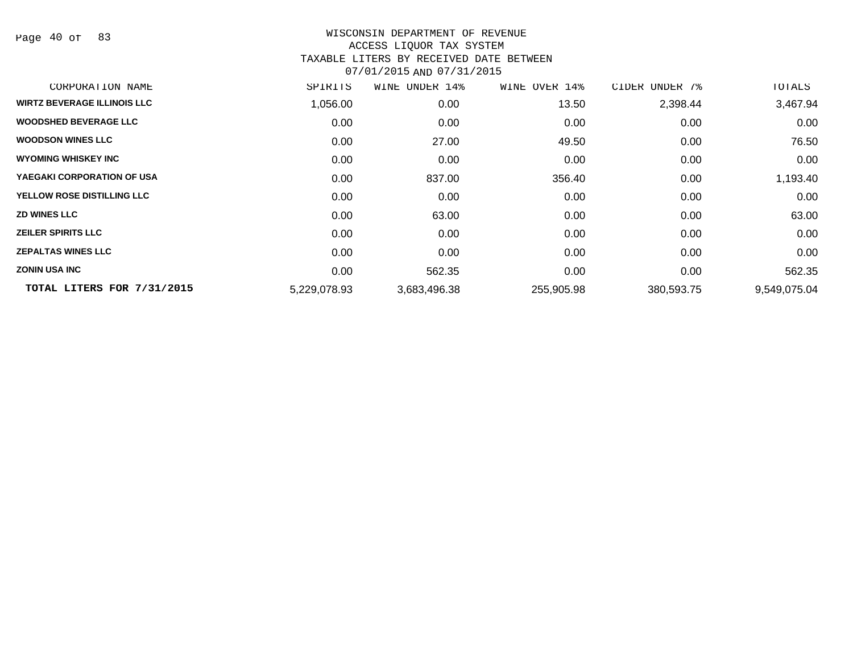Page 40 of 83

| CORPORATION NAME                   | SPIRITS      | UNDER 14%<br>WINE | WINE OVER 14% | CIDER<br>UNDER 7% | TOTALS       |
|------------------------------------|--------------|-------------------|---------------|-------------------|--------------|
| <b>WIRTZ BEVERAGE ILLINOIS LLC</b> | 1,056.00     | 0.00              | 13.50         | 2,398.44          | 3,467.94     |
| <b>WOODSHED BEVERAGE LLC</b>       | 0.00         | 0.00              | 0.00          | 0.00              | 0.00         |
| <b>WOODSON WINES LLC</b>           | 0.00         | 27.00             | 49.50         | 0.00              | 76.50        |
| <b>WYOMING WHISKEY INC</b>         | 0.00         | 0.00              | 0.00          | 0.00              | 0.00         |
| YAEGAKI CORPORATION OF USA         | 0.00         | 837.00            | 356.40        | 0.00              | 1,193.40     |
| YELLOW ROSE DISTILLING LLC         | 0.00         | 0.00              | 0.00          | 0.00              | 0.00         |
| <b>ZD WINES LLC</b>                | 0.00         | 63.00             | 0.00          | 0.00              | 63.00        |
| <b>ZEILER SPIRITS LLC</b>          | 0.00         | 0.00              | 0.00          | 0.00              | 0.00         |
| <b>ZEPALTAS WINES LLC</b>          | 0.00         | 0.00              | 0.00          | 0.00              | 0.00         |
| <b>ZONIN USA INC</b>               | 0.00         | 562.35            | 0.00          | 0.00              | 562.35       |
| TOTAL LITERS FOR 7/31/2015         | 5,229,078.93 | 3,683,496.38      | 255,905.98    | 380,593.75        | 9,549,075.04 |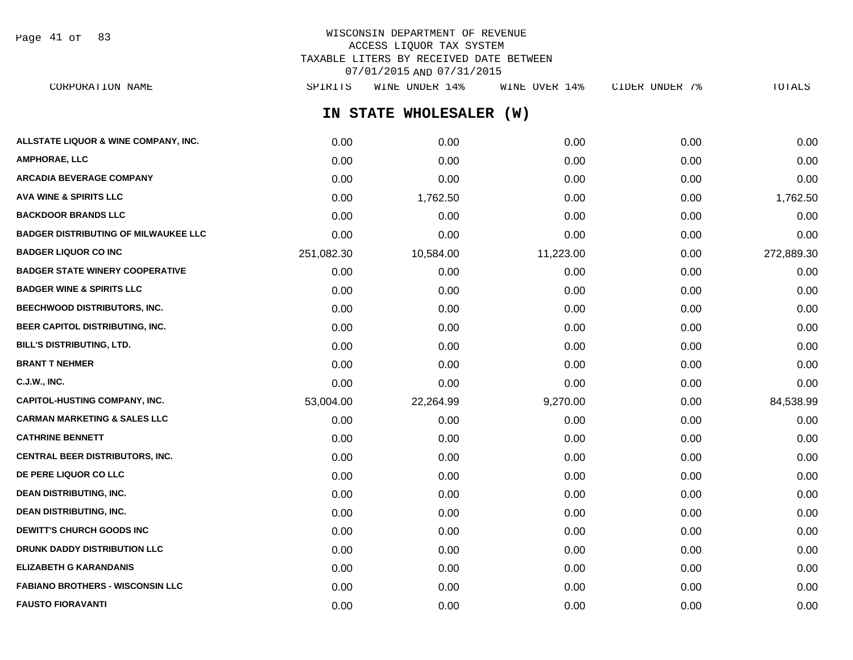Page 41 of 83

# WISCONSIN DEPARTMENT OF REVENUE ACCESS LIQUOR TAX SYSTEM TAXABLE LITERS BY RECEIVED DATE BETWEEN 07/01/2015 AND 07/31/2015

| CORPORATION NAME                            | SPIRITS    | WINE UNDER 14%          | WINE OVER 14% | CIDER UNDER 7% | TOTALS     |
|---------------------------------------------|------------|-------------------------|---------------|----------------|------------|
|                                             |            | IN STATE WHOLESALER (W) |               |                |            |
| ALLSTATE LIQUOR & WINE COMPANY, INC.        | 0.00       | 0.00                    | 0.00          | 0.00           | 0.00       |
| AMPHORAE, LLC                               | 0.00       | 0.00                    | 0.00          | 0.00           | 0.00       |
| ARCADIA BEVERAGE COMPANY                    | 0.00       | 0.00                    | 0.00          | 0.00           | 0.00       |
| AVA WINE & SPIRITS LLC                      | 0.00       | 1,762.50                | 0.00          | 0.00           | 1,762.50   |
| <b>BACKDOOR BRANDS LLC</b>                  | 0.00       | 0.00                    | 0.00          | 0.00           | 0.00       |
| <b>BADGER DISTRIBUTING OF MILWAUKEE LLC</b> | 0.00       | 0.00                    | 0.00          | 0.00           | 0.00       |
| <b>BADGER LIQUOR CO INC</b>                 | 251,082.30 | 10,584.00               | 11,223.00     | 0.00           | 272,889.30 |
| <b>BADGER STATE WINERY COOPERATIVE</b>      | 0.00       | 0.00                    | 0.00          | 0.00           | 0.00       |
| <b>BADGER WINE &amp; SPIRITS LLC</b>        | 0.00       | 0.00                    | 0.00          | 0.00           | 0.00       |
| <b>BEECHWOOD DISTRIBUTORS, INC.</b>         | 0.00       | 0.00                    | 0.00          | 0.00           | 0.00       |
| <b>BEER CAPITOL DISTRIBUTING, INC.</b>      | 0.00       | 0.00                    | 0.00          | 0.00           | 0.00       |
| <b>BILL'S DISTRIBUTING, LTD.</b>            | 0.00       | 0.00                    | 0.00          | 0.00           | 0.00       |
| <b>BRANT T NEHMER</b>                       | 0.00       | 0.00                    | 0.00          | 0.00           | 0.00       |
| C.J.W., INC.                                | 0.00       | 0.00                    | 0.00          | 0.00           | 0.00       |
| CAPITOL-HUSTING COMPANY, INC.               | 53,004.00  | 22,264.99               | 9,270.00      | 0.00           | 84,538.99  |
| CARMAN MARKETING & SALES LLC                | 0.00       | 0.00                    | 0.00          | 0.00           | 0.00       |
| <b>CATHRINE BENNETT</b>                     | 0.00       | 0.00                    | 0.00          | 0.00           | 0.00       |
| <b>CENTRAL BEER DISTRIBUTORS, INC.</b>      | 0.00       | 0.00                    | 0.00          | 0.00           | 0.00       |
| <b>DE PERE LIQUOR CO LLC</b>                | 0.00       | 0.00                    | 0.00          | 0.00           | 0.00       |
| <b>DEAN DISTRIBUTING, INC.</b>              | 0.00       | 0.00                    | 0.00          | 0.00           | 0.00       |
| DEAN DISTRIBUTING, INC.                     | 0.00       | 0.00                    | 0.00          | 0.00           | 0.00       |
| <b>DEWITT'S CHURCH GOODS INC</b>            | 0.00       | 0.00                    | 0.00          | 0.00           | 0.00       |
| <b>DRUNK DADDY DISTRIBUTION LLC</b>         | 0.00       | 0.00                    | 0.00          | 0.00           | 0.00       |
| ELIZABETH G KARANDANIS                      | 0.00       | 0.00                    | 0.00          | 0.00           | 0.00       |
| <b>FABIANO BROTHERS - WISCONSIN LLC</b>     | 0.00       | 0.00                    | 0.00          | 0.00           | 0.00       |

**FAUSTO FIORAVANTI** 0.00 0.00 0.00 0.00 0.00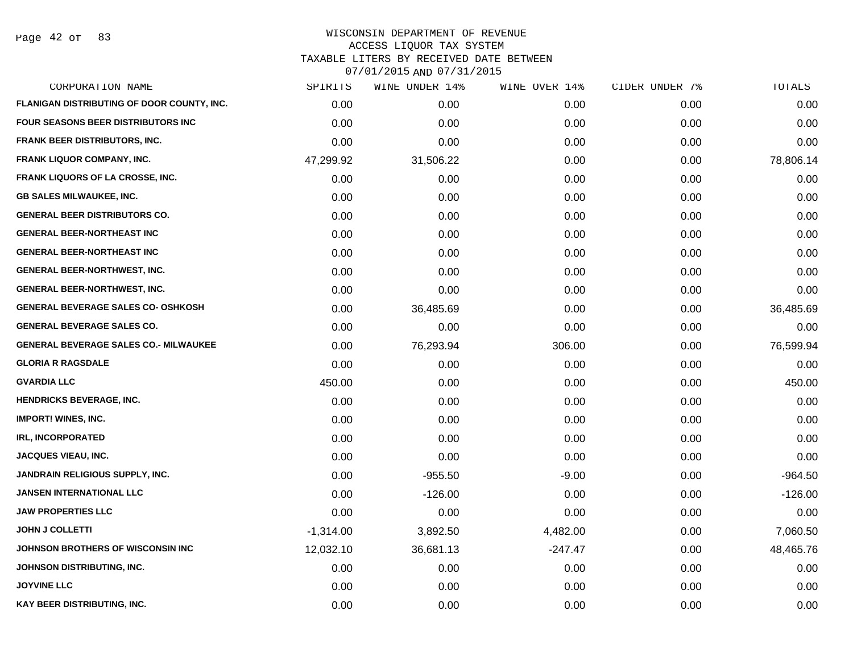Page 42 of 83

| CORPORATION NAME                             | SPIRITS     | WINE UNDER 14% | WINE OVER 14% | CIDER UNDER 7% | TOTALS    |
|----------------------------------------------|-------------|----------------|---------------|----------------|-----------|
| FLANIGAN DISTRIBUTING OF DOOR COUNTY, INC.   | 0.00        | 0.00           | 0.00          | 0.00           | 0.00      |
| FOUR SEASONS BEER DISTRIBUTORS INC           | 0.00        | 0.00           | 0.00          | 0.00           | 0.00      |
| FRANK BEER DISTRIBUTORS, INC.                | 0.00        | 0.00           | 0.00          | 0.00           | 0.00      |
| <b>FRANK LIQUOR COMPANY, INC.</b>            | 47,299.92   | 31,506.22      | 0.00          | 0.00           | 78,806.14 |
| <b>FRANK LIQUORS OF LA CROSSE, INC.</b>      | 0.00        | 0.00           | 0.00          | 0.00           | 0.00      |
| <b>GB SALES MILWAUKEE, INC.</b>              | 0.00        | 0.00           | 0.00          | 0.00           | 0.00      |
| <b>GENERAL BEER DISTRIBUTORS CO.</b>         | 0.00        | 0.00           | 0.00          | 0.00           | 0.00      |
| <b>GENERAL BEER-NORTHEAST INC</b>            | 0.00        | 0.00           | 0.00          | 0.00           | 0.00      |
| <b>GENERAL BEER-NORTHEAST INC</b>            | 0.00        | 0.00           | 0.00          | 0.00           | 0.00      |
| <b>GENERAL BEER-NORTHWEST, INC.</b>          | 0.00        | 0.00           | 0.00          | 0.00           | 0.00      |
| <b>GENERAL BEER-NORTHWEST, INC.</b>          | 0.00        | 0.00           | 0.00          | 0.00           | 0.00      |
| <b>GENERAL BEVERAGE SALES CO- OSHKOSH</b>    | 0.00        | 36,485.69      | 0.00          | 0.00           | 36,485.69 |
| <b>GENERAL BEVERAGE SALES CO.</b>            | 0.00        | 0.00           | 0.00          | 0.00           | 0.00      |
| <b>GENERAL BEVERAGE SALES CO.- MILWAUKEE</b> | 0.00        | 76,293.94      | 306.00        | 0.00           | 76,599.94 |
| <b>GLORIA R RAGSDALE</b>                     | 0.00        | 0.00           | 0.00          | 0.00           | 0.00      |
| <b>GVARDIA LLC</b>                           | 450.00      | 0.00           | 0.00          | 0.00           | 450.00    |
| <b>HENDRICKS BEVERAGE, INC.</b>              | 0.00        | 0.00           | 0.00          | 0.00           | 0.00      |
| <b>IMPORT! WINES, INC.</b>                   | 0.00        | 0.00           | 0.00          | 0.00           | 0.00      |
| <b>IRL, INCORPORATED</b>                     | 0.00        | 0.00           | 0.00          | 0.00           | 0.00      |
| <b>JACQUES VIEAU, INC.</b>                   | 0.00        | 0.00           | 0.00          | 0.00           | 0.00      |
| <b>JANDRAIN RELIGIOUS SUPPLY, INC.</b>       | 0.00        | $-955.50$      | $-9.00$       | 0.00           | $-964.50$ |
| <b>JANSEN INTERNATIONAL LLC</b>              | 0.00        | $-126.00$      | 0.00          | 0.00           | $-126.00$ |
| <b>JAW PROPERTIES LLC</b>                    | 0.00        | 0.00           | 0.00          | 0.00           | 0.00      |
| <b>JOHN J COLLETTI</b>                       | $-1,314.00$ | 3,892.50       | 4,482.00      | 0.00           | 7,060.50  |
| JOHNSON BROTHERS OF WISCONSIN INC            | 12,032.10   | 36,681.13      | $-247.47$     | 0.00           | 48,465.76 |
| JOHNSON DISTRIBUTING, INC.                   | 0.00        | 0.00           | 0.00          | 0.00           | 0.00      |
| <b>JOYVINE LLC</b>                           | 0.00        | 0.00           | 0.00          | 0.00           | 0.00      |
| KAY BEER DISTRIBUTING, INC.                  | 0.00        | 0.00           | 0.00          | 0.00           | 0.00      |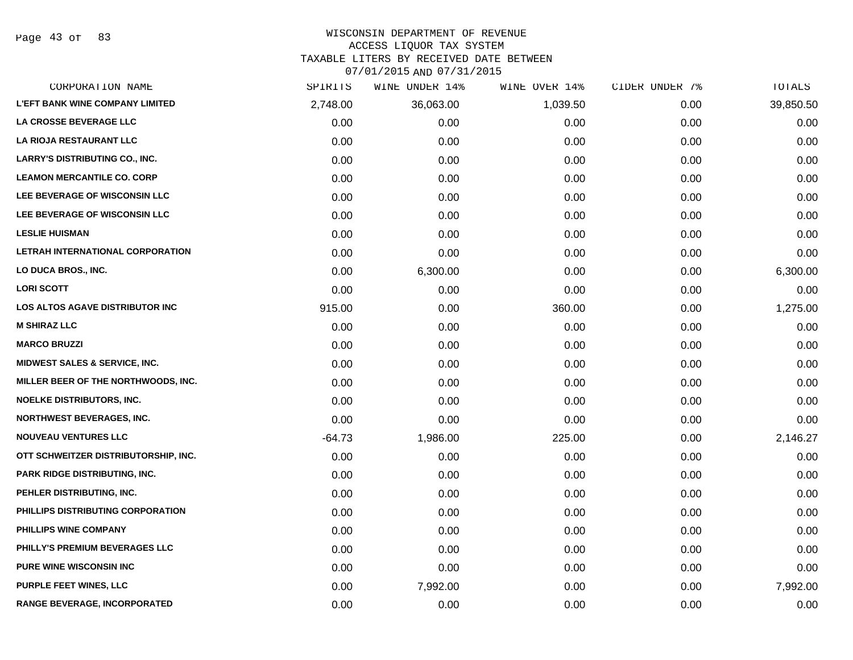Page 43 of 83

### WISCONSIN DEPARTMENT OF REVENUE ACCESS LIQUOR TAX SYSTEM

TAXABLE LITERS BY RECEIVED DATE BETWEEN

| CORPORATION NAME                       | SPIRITS  | WINE UNDER 14% | WINE OVER 14% | CIDER UNDER 7% | TOTALS    |
|----------------------------------------|----------|----------------|---------------|----------------|-----------|
| <b>L'EFT BANK WINE COMPANY LIMITED</b> | 2,748.00 | 36,063.00      | 1,039.50      | 0.00           | 39,850.50 |
| LA CROSSE BEVERAGE LLC                 | 0.00     | 0.00           | 0.00          | 0.00           | 0.00      |
| LA RIOJA RESTAURANT LLC                | 0.00     | 0.00           | 0.00          | 0.00           | 0.00      |
| <b>LARRY'S DISTRIBUTING CO., INC.</b>  | 0.00     | 0.00           | 0.00          | 0.00           | 0.00      |
| <b>LEAMON MERCANTILE CO. CORP</b>      | 0.00     | 0.00           | 0.00          | 0.00           | 0.00      |
| LEE BEVERAGE OF WISCONSIN LLC          | 0.00     | 0.00           | 0.00          | 0.00           | 0.00      |
| LEE BEVERAGE OF WISCONSIN LLC          | 0.00     | 0.00           | 0.00          | 0.00           | 0.00      |
| <b>LESLIE HUISMAN</b>                  | 0.00     | 0.00           | 0.00          | 0.00           | 0.00      |
| LETRAH INTERNATIONAL CORPORATION       | 0.00     | 0.00           | 0.00          | 0.00           | 0.00      |
| LO DUCA BROS., INC.                    | 0.00     | 6,300.00       | 0.00          | 0.00           | 6,300.00  |
| <b>LORI SCOTT</b>                      | 0.00     | 0.00           | 0.00          | 0.00           | 0.00      |
| LOS ALTOS AGAVE DISTRIBUTOR INC        | 915.00   | 0.00           | 360.00        | 0.00           | 1,275.00  |
| <b>M SHIRAZ LLC</b>                    | 0.00     | 0.00           | 0.00          | 0.00           | 0.00      |
| <b>MARCO BRUZZI</b>                    | 0.00     | 0.00           | 0.00          | 0.00           | 0.00      |
| MIDWEST SALES & SERVICE, INC.          | 0.00     | 0.00           | 0.00          | 0.00           | 0.00      |
| MILLER BEER OF THE NORTHWOODS, INC.    | 0.00     | 0.00           | 0.00          | 0.00           | 0.00      |
| <b>NOELKE DISTRIBUTORS, INC.</b>       | 0.00     | 0.00           | 0.00          | 0.00           | 0.00      |
| <b>NORTHWEST BEVERAGES, INC.</b>       | 0.00     | 0.00           | 0.00          | 0.00           | 0.00      |
| <b>NOUVEAU VENTURES LLC</b>            | $-64.73$ | 1,986.00       | 225.00        | 0.00           | 2,146.27  |
| OTT SCHWEITZER DISTRIBUTORSHIP, INC.   | 0.00     | 0.00           | 0.00          | 0.00           | 0.00      |
| PARK RIDGE DISTRIBUTING, INC.          | 0.00     | 0.00           | 0.00          | 0.00           | 0.00      |
| PEHLER DISTRIBUTING, INC.              | 0.00     | 0.00           | 0.00          | 0.00           | 0.00      |
| PHILLIPS DISTRIBUTING CORPORATION      | 0.00     | 0.00           | 0.00          | 0.00           | 0.00      |
| PHILLIPS WINE COMPANY                  | 0.00     | 0.00           | 0.00          | 0.00           | 0.00      |
| PHILLY'S PREMIUM BEVERAGES LLC         | 0.00     | 0.00           | 0.00          | 0.00           | 0.00      |
| PURE WINE WISCONSIN INC                | 0.00     | 0.00           | 0.00          | 0.00           | 0.00      |
| <b>PURPLE FEET WINES, LLC</b>          | 0.00     | 7,992.00       | 0.00          | 0.00           | 7,992.00  |
| RANGE BEVERAGE, INCORPORATED           | 0.00     | 0.00           | 0.00          | 0.00           | 0.00      |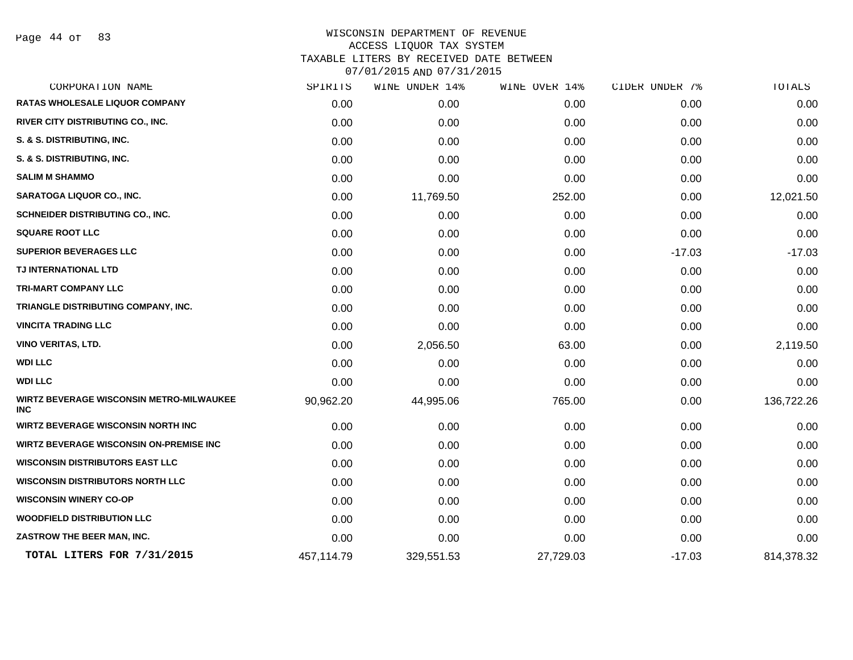Page 44 of 83

| CORPORATION NAME                                       | SPIRITS    | WINE UNDER 14% | WINE OVER 14% | CIDER UNDER 7% | TOTALS     |
|--------------------------------------------------------|------------|----------------|---------------|----------------|------------|
| RATAS WHOLESALE LIQUOR COMPANY                         | 0.00       | 0.00           | 0.00          | 0.00           | 0.00       |
| RIVER CITY DISTRIBUTING CO., INC.                      | 0.00       | 0.00           | 0.00          | 0.00           | 0.00       |
| S. & S. DISTRIBUTING, INC.                             | 0.00       | 0.00           | 0.00          | 0.00           | 0.00       |
| S. & S. DISTRIBUTING, INC.                             | 0.00       | 0.00           | 0.00          | 0.00           | 0.00       |
| <b>SALIM M SHAMMO</b>                                  | 0.00       | 0.00           | 0.00          | 0.00           | 0.00       |
| <b>SARATOGA LIQUOR CO., INC.</b>                       | 0.00       | 11,769.50      | 252.00        | 0.00           | 12,021.50  |
| SCHNEIDER DISTRIBUTING CO., INC.                       | 0.00       | 0.00           | 0.00          | 0.00           | 0.00       |
| <b>SQUARE ROOT LLC</b>                                 | 0.00       | 0.00           | 0.00          | 0.00           | 0.00       |
| <b>SUPERIOR BEVERAGES LLC</b>                          | 0.00       | 0.00           | 0.00          | $-17.03$       | $-17.03$   |
| TJ INTERNATIONAL LTD                                   | 0.00       | 0.00           | 0.00          | 0.00           | 0.00       |
| <b>TRI-MART COMPANY LLC</b>                            | 0.00       | 0.00           | 0.00          | 0.00           | 0.00       |
| TRIANGLE DISTRIBUTING COMPANY, INC.                    | 0.00       | 0.00           | 0.00          | 0.00           | 0.00       |
| <b>VINCITA TRADING LLC</b>                             | 0.00       | 0.00           | 0.00          | 0.00           | 0.00       |
| <b>VINO VERITAS, LTD.</b>                              | 0.00       | 2,056.50       | 63.00         | 0.00           | 2,119.50   |
| <b>WDI LLC</b>                                         | 0.00       | 0.00           | 0.00          | 0.00           | 0.00       |
| <b>WDI LLC</b>                                         | 0.00       | 0.00           | 0.00          | 0.00           | 0.00       |
| WIRTZ BEVERAGE WISCONSIN METRO-MILWAUKEE<br><b>INC</b> | 90,962.20  | 44,995.06      | 765.00        | 0.00           | 136,722.26 |
| <b>WIRTZ BEVERAGE WISCONSIN NORTH INC</b>              | 0.00       | 0.00           | 0.00          | 0.00           | 0.00       |
| <b>WIRTZ BEVERAGE WISCONSIN ON-PREMISE INC</b>         | 0.00       | 0.00           | 0.00          | 0.00           | 0.00       |
| <b>WISCONSIN DISTRIBUTORS EAST LLC</b>                 | 0.00       | 0.00           | 0.00          | 0.00           | 0.00       |
| <b>WISCONSIN DISTRIBUTORS NORTH LLC</b>                | 0.00       | 0.00           | 0.00          | 0.00           | 0.00       |
| <b>WISCONSIN WINERY CO-OP</b>                          | 0.00       | 0.00           | 0.00          | 0.00           | 0.00       |
| <b>WOODFIELD DISTRIBUTION LLC</b>                      | 0.00       | 0.00           | 0.00          | 0.00           | 0.00       |
| ZASTROW THE BEER MAN, INC.                             | 0.00       | 0.00           | 0.00          | 0.00           | 0.00       |
| TOTAL LITERS FOR 7/31/2015                             | 457,114.79 | 329,551.53     | 27,729.03     | $-17.03$       | 814,378.32 |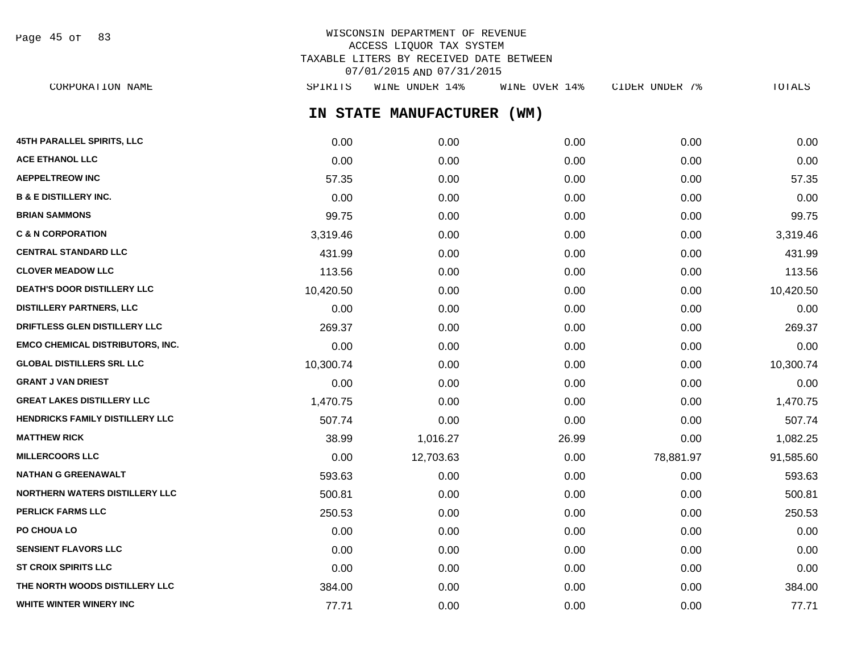WISCONSIN DEPARTMENT OF REVENUE ACCESS LIQUOR TAX SYSTEM TAXABLE LITERS BY RECEIVED DATE BETWEEN 07/01/2015 AND 07/31/2015 CORPORATION NAME SPIRITS WINE UNDER 14% WINE OVER 14% CIDER UNDER 7% TOTALS Page 45 of 83

**IN STATE MANUFACTURER (WM)**

| 45TH PARALLEL SPIRITS, LLC              | 0.00      | 0.00      | 0.00  | 0.00      | 0.00      |
|-----------------------------------------|-----------|-----------|-------|-----------|-----------|
| <b>ACE ETHANOL LLC</b>                  | 0.00      | 0.00      | 0.00  | 0.00      | 0.00      |
| <b>AEPPELTREOW INC</b>                  | 57.35     | 0.00      | 0.00  | 0.00      | 57.35     |
| <b>B &amp; E DISTILLERY INC.</b>        | 0.00      | 0.00      | 0.00  | 0.00      | 0.00      |
| <b>BRIAN SAMMONS</b>                    | 99.75     | 0.00      | 0.00  | 0.00      | 99.75     |
| <b>C &amp; N CORPORATION</b>            | 3,319.46  | 0.00      | 0.00  | 0.00      | 3,319.46  |
| <b>CENTRAL STANDARD LLC</b>             | 431.99    | 0.00      | 0.00  | 0.00      | 431.99    |
| <b>CLOVER MEADOW LLC</b>                | 113.56    | 0.00      | 0.00  | 0.00      | 113.56    |
| DEATH'S DOOR DISTILLERY LLC             | 10,420.50 | 0.00      | 0.00  | 0.00      | 10,420.50 |
| <b>DISTILLERY PARTNERS, LLC</b>         | 0.00      | 0.00      | 0.00  | 0.00      | 0.00      |
| DRIFTLESS GLEN DISTILLERY LLC           | 269.37    | 0.00      | 0.00  | 0.00      | 269.37    |
| <b>EMCO CHEMICAL DISTRIBUTORS, INC.</b> | 0.00      | 0.00      | 0.00  | 0.00      | 0.00      |
| <b>GLOBAL DISTILLERS SRL LLC</b>        | 10,300.74 | 0.00      | 0.00  | 0.00      | 10,300.74 |
| <b>GRANT J VAN DRIEST</b>               | 0.00      | 0.00      | 0.00  | 0.00      | 0.00      |
| <b>GREAT LAKES DISTILLERY LLC</b>       | 1,470.75  | 0.00      | 0.00  | 0.00      | 1,470.75  |
| HENDRICKS FAMILY DISTILLERY LLC         | 507.74    | 0.00      | 0.00  | 0.00      | 507.74    |
| <b>MATTHEW RICK</b>                     | 38.99     | 1,016.27  | 26.99 | 0.00      | 1,082.25  |
| <b>MILLERCOORS LLC</b>                  | 0.00      | 12,703.63 | 0.00  | 78,881.97 | 91,585.60 |
| <b>NATHAN G GREENAWALT</b>              | 593.63    | 0.00      | 0.00  | 0.00      | 593.63    |
| NORTHERN WATERS DISTILLERY LLC          | 500.81    | 0.00      | 0.00  | 0.00      | 500.81    |
| <b>PERLICK FARMS LLC</b>                | 250.53    | 0.00      | 0.00  | 0.00      | 250.53    |
| PO CHOUA LO                             | 0.00      | 0.00      | 0.00  | 0.00      | 0.00      |
| <b>SENSIENT FLAVORS LLC</b>             | 0.00      | 0.00      | 0.00  | 0.00      | 0.00      |
| <b>ST CROIX SPIRITS LLC</b>             | 0.00      | 0.00      | 0.00  | 0.00      | 0.00      |
| THE NORTH WOODS DISTILLERY LLC          | 384.00    | 0.00      | 0.00  | 0.00      | 384.00    |
| WHITE WINTER WINERY INC                 | 77.71     | 0.00      | 0.00  | 0.00      | 77.71     |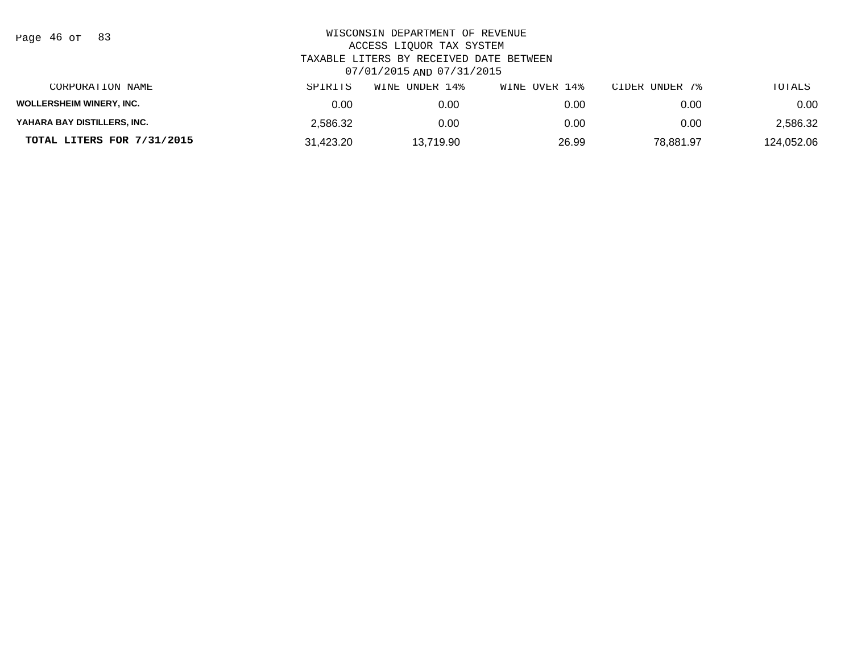| Page 46 of |  |  | 83 |
|------------|--|--|----|
|------------|--|--|----|

| CORPORATION NAME                | SPIRITS   | UNDER 14%<br>WINE | WINE OVER 14% | CIDER UNDER 7% | TOTALS     |
|---------------------------------|-----------|-------------------|---------------|----------------|------------|
| <b>WOLLERSHEIM WINERY, INC.</b> | 0.00      | 0.00              | 0.00          | 0.00           | 0.00       |
| YAHARA BAY DISTILLERS, INC.     | 2.586.32  | 0.00              | 0.00          | 0.00           | 2,586.32   |
| TOTAL LITERS FOR 7/31/2015      | 31.423.20 | 13.719.90         | 26.99         | 78.881.97      | 124,052.06 |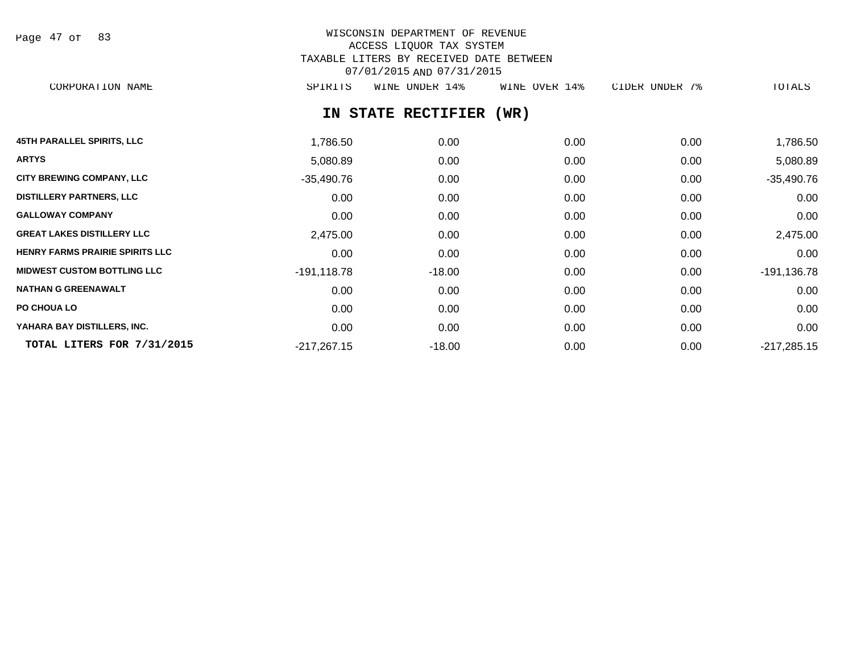| Page 47 of |  |  | 83 |
|------------|--|--|----|
|------------|--|--|----|

# WISCONSIN DEPARTMENT OF REVENUE ACCESS LIQUOR TAX SYSTEM TAXABLE LITERS BY RECEIVED DATE BETWEEN 07/01/2015 AND 07/31/2015

CORPORATION NAME SPIRITS WINE UNDER 14% WINE OVER 14% CIDER UNDER 7% TOTALS

# **IN STATE RECTIFIER (WR)**

| <b>45TH PARALLEL SPIRITS, LLC</b>      | 1,786.50       | 0.00     | 0.00 | 0.00 | 1,786.50       |
|----------------------------------------|----------------|----------|------|------|----------------|
| <b>ARTYS</b>                           | 5,080.89       | 0.00     | 0.00 | 0.00 | 5,080.89       |
| <b>CITY BREWING COMPANY, LLC</b>       | $-35,490.76$   | 0.00     | 0.00 | 0.00 | $-35,490.76$   |
| <b>DISTILLERY PARTNERS, LLC</b>        | 0.00           | 0.00     | 0.00 | 0.00 | 0.00           |
| <b>GALLOWAY COMPANY</b>                | 0.00           | 0.00     | 0.00 | 0.00 | 0.00           |
| <b>GREAT LAKES DISTILLERY LLC</b>      | 2,475.00       | 0.00     | 0.00 | 0.00 | 2,475.00       |
| <b>HENRY FARMS PRAIRIE SPIRITS LLC</b> | 0.00           | 0.00     | 0.00 | 0.00 | 0.00           |
| <b>MIDWEST CUSTOM BOTTLING LLC</b>     | $-191, 118.78$ | $-18.00$ | 0.00 | 0.00 | $-191, 136.78$ |
| <b>NATHAN G GREENAWALT</b>             | 0.00           | 0.00     | 0.00 | 0.00 | 0.00           |
| PO CHOUA LO                            | 0.00           | 0.00     | 0.00 | 0.00 | 0.00           |
| YAHARA BAY DISTILLERS, INC.            | 0.00           | 0.00     | 0.00 | 0.00 | 0.00           |
| TOTAL LITERS FOR 7/31/2015             | $-217,267.15$  | $-18.00$ | 0.00 | 0.00 | $-217,285.15$  |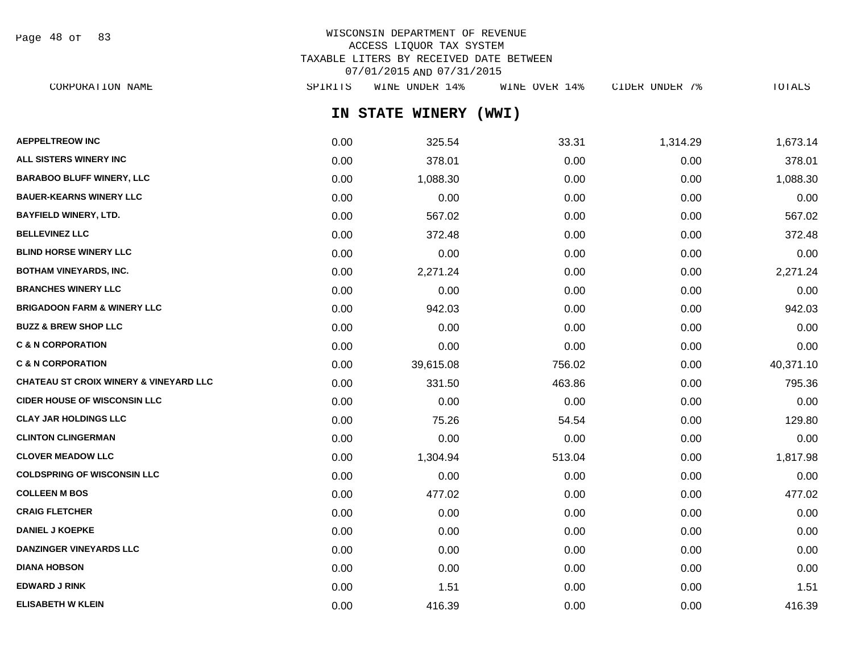Page 48 of 83

# WISCONSIN DEPARTMENT OF REVENUE ACCESS LIQUOR TAX SYSTEM TAXABLE LITERS BY RECEIVED DATE BETWEEN 07/01/2015 AND 07/31/2015

| CORPORATION NAME                                  | SPIRITS | WINE UNDER 14%  | WINE OVER 14% | CIDER UNDER 7% | TOTALS    |
|---------------------------------------------------|---------|-----------------|---------------|----------------|-----------|
|                                                   |         | IN STATE WINERY | (WWI)         |                |           |
| <b>AEPPELTREOW INC</b>                            | 0.00    | 325.54          | 33.31         | 1,314.29       | 1,673.14  |
| <b>ALL SISTERS WINERY INC</b>                     | 0.00    | 378.01          | 0.00          | 0.00           | 378.01    |
| <b>BARABOO BLUFF WINERY, LLC</b>                  | 0.00    | 1,088.30        | 0.00          | 0.00           | 1,088.30  |
| <b>BAUER-KEARNS WINERY LLC</b>                    | 0.00    | 0.00            | 0.00          | 0.00           | 0.00      |
| <b>BAYFIELD WINERY, LTD.</b>                      | 0.00    | 567.02          | 0.00          | 0.00           | 567.02    |
| <b>BELLEVINEZ LLC</b>                             | 0.00    | 372.48          | 0.00          | 0.00           | 372.48    |
| <b>BLIND HORSE WINERY LLC</b>                     | 0.00    | 0.00            | 0.00          | 0.00           | 0.00      |
| BOTHAM VINEYARDS, INC.                            | 0.00    | 2,271.24        | 0.00          | 0.00           | 2,271.24  |
| <b>BRANCHES WINERY LLC</b>                        | 0.00    | 0.00            | 0.00          | 0.00           | 0.00      |
| <b>BRIGADOON FARM &amp; WINERY LLC</b>            | 0.00    | 942.03          | 0.00          | 0.00           | 942.03    |
| <b>BUZZ &amp; BREW SHOP LLC</b>                   | 0.00    | 0.00            | 0.00          | 0.00           | 0.00      |
| <b>C &amp; N CORPORATION</b>                      | 0.00    | 0.00            | 0.00          | 0.00           | 0.00      |
| <b>C &amp; N CORPORATION</b>                      | 0.00    | 39,615.08       | 756.02        | 0.00           | 40,371.10 |
| <b>CHATEAU ST CROIX WINERY &amp; VINEYARD LLC</b> | 0.00    | 331.50          | 463.86        | 0.00           | 795.36    |
| <b>CIDER HOUSE OF WISCONSIN LLC</b>               | 0.00    | 0.00            | 0.00          | 0.00           | 0.00      |
| CLAY JAR HOLDINGS LLC                             | 0.00    | 75.26           | 54.54         | 0.00           | 129.80    |
| <b>CLINTON CLINGERMAN</b>                         | 0.00    | 0.00            | 0.00          | 0.00           | 0.00      |
| <b>CLOVER MEADOW LLC</b>                          | 0.00    | 1,304.94        | 513.04        | 0.00           | 1,817.98  |
| <b>COLDSPRING OF WISCONSIN LLC</b>                | 0.00    | 0.00            | 0.00          | 0.00           | 0.00      |
| <b>COLLEEN M BOS</b>                              | 0.00    | 477.02          | 0.00          | 0.00           | 477.02    |
| <b>CRAIG FLETCHER</b>                             | 0.00    | 0.00            | 0.00          | 0.00           | 0.00      |
| <b>DANIEL J KOEPKE</b>                            | 0.00    | 0.00            | 0.00          | 0.00           | 0.00      |
| <b>DANZINGER VINEYARDS LLC</b>                    | 0.00    | 0.00            | 0.00          | 0.00           | 0.00      |
| <b>DIANA HOBSON</b>                               | 0.00    | 0.00            | 0.00          | 0.00           | 0.00      |
|                                                   |         |                 |               |                |           |

**EDWARD J RINK** 0.00 1.51 0.00 0.00 1.51 **ELISABETH W KLEIN** 0.00 416.39 0.00 0.00 416.39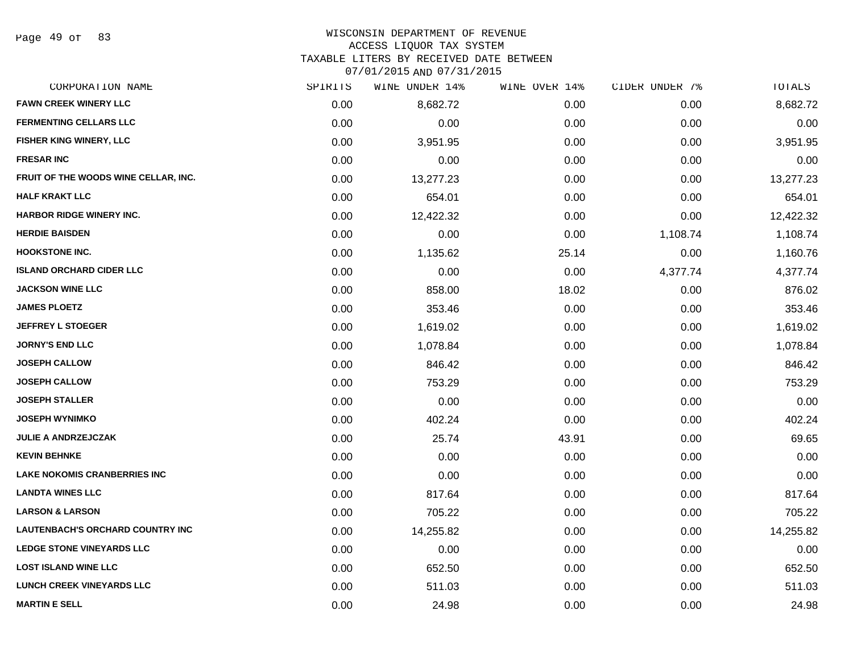# WISCONSIN DEPARTMENT OF REVENUE

### ACCESS LIQUOR TAX SYSTEM

TAXABLE LITERS BY RECEIVED DATE BETWEEN

| CORPORATION NAME                        | SPIRITS | WINE UNDER 14% | WINE OVER 14% | CIDER UNDER 7% | TOTALS    |
|-----------------------------------------|---------|----------------|---------------|----------------|-----------|
| <b>FAWN CREEK WINERY LLC</b>            | 0.00    | 8,682.72       | 0.00          | 0.00           | 8,682.72  |
| <b>FERMENTING CELLARS LLC</b>           | 0.00    | 0.00           | 0.00          | 0.00           | 0.00      |
| FISHER KING WINERY, LLC                 | 0.00    | 3,951.95       | 0.00          | 0.00           | 3,951.95  |
| <b>FRESAR INC</b>                       | 0.00    | 0.00           | 0.00          | 0.00           | 0.00      |
| FRUIT OF THE WOODS WINE CELLAR, INC.    | 0.00    | 13,277.23      | 0.00          | 0.00           | 13,277.23 |
| <b>HALF KRAKT LLC</b>                   | 0.00    | 654.01         | 0.00          | 0.00           | 654.01    |
| HARBOR RIDGE WINERY INC.                | 0.00    | 12,422.32      | 0.00          | 0.00           | 12,422.32 |
| <b>HERDIE BAISDEN</b>                   | 0.00    | 0.00           | 0.00          | 1,108.74       | 1,108.74  |
| <b>HOOKSTONE INC.</b>                   | 0.00    | 1,135.62       | 25.14         | 0.00           | 1,160.76  |
| <b>ISLAND ORCHARD CIDER LLC</b>         | 0.00    | 0.00           | 0.00          | 4,377.74       | 4,377.74  |
| <b>JACKSON WINE LLC</b>                 | 0.00    | 858.00         | 18.02         | 0.00           | 876.02    |
| <b>JAMES PLOETZ</b>                     | 0.00    | 353.46         | 0.00          | 0.00           | 353.46    |
| <b>JEFFREY L STOEGER</b>                | 0.00    | 1,619.02       | 0.00          | 0.00           | 1,619.02  |
| <b>JORNY'S END LLC</b>                  | 0.00    | 1,078.84       | 0.00          | 0.00           | 1,078.84  |
| <b>JOSEPH CALLOW</b>                    | 0.00    | 846.42         | 0.00          | 0.00           | 846.42    |
| <b>JOSEPH CALLOW</b>                    | 0.00    | 753.29         | 0.00          | 0.00           | 753.29    |
| <b>JOSEPH STALLER</b>                   | 0.00    | 0.00           | 0.00          | 0.00           | 0.00      |
| <b>JOSEPH WYNIMKO</b>                   | 0.00    | 402.24         | 0.00          | 0.00           | 402.24    |
| <b>JULIE A ANDRZEJCZAK</b>              | 0.00    | 25.74          | 43.91         | 0.00           | 69.65     |
| <b>KEVIN BEHNKE</b>                     | 0.00    | 0.00           | 0.00          | 0.00           | 0.00      |
| <b>LAKE NOKOMIS CRANBERRIES INC</b>     | 0.00    | 0.00           | 0.00          | 0.00           | 0.00      |
| <b>LANDTA WINES LLC</b>                 | 0.00    | 817.64         | 0.00          | 0.00           | 817.64    |
| <b>LARSON &amp; LARSON</b>              | 0.00    | 705.22         | 0.00          | 0.00           | 705.22    |
| <b>LAUTENBACH'S ORCHARD COUNTRY INC</b> | 0.00    | 14,255.82      | 0.00          | 0.00           | 14,255.82 |
| <b>LEDGE STONE VINEYARDS LLC</b>        | 0.00    | 0.00           | 0.00          | 0.00           | 0.00      |
| <b>LOST ISLAND WINE LLC</b>             | 0.00    | 652.50         | 0.00          | 0.00           | 652.50    |
| LUNCH CREEK VINEYARDS LLC               | 0.00    | 511.03         | 0.00          | 0.00           | 511.03    |
| <b>MARTIN E SELL</b>                    | 0.00    | 24.98          | 0.00          | 0.00           | 24.98     |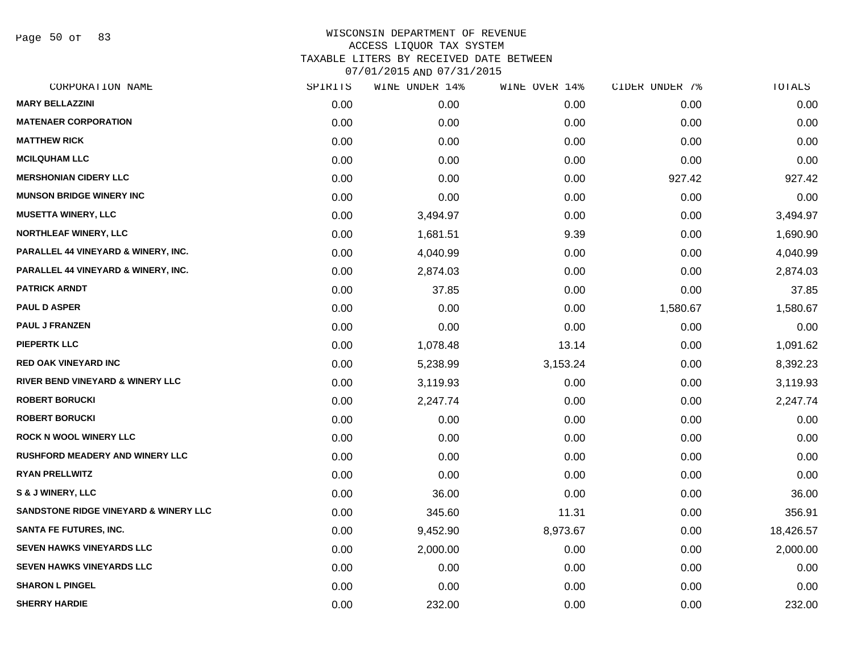Page 50 of 83

| CORPORATION NAME                                 | SPIRITS | WINE UNDER 14% | WINE OVER 14% | CIDER UNDER 7% | TOTALS    |
|--------------------------------------------------|---------|----------------|---------------|----------------|-----------|
| <b>MARY BELLAZZINI</b>                           | 0.00    | 0.00           | 0.00          | 0.00           | 0.00      |
| <b>MATENAER CORPORATION</b>                      | 0.00    | 0.00           | 0.00          | 0.00           | 0.00      |
| <b>MATTHEW RICK</b>                              | 0.00    | 0.00           | 0.00          | 0.00           | 0.00      |
| <b>MCILQUHAM LLC</b>                             | 0.00    | 0.00           | 0.00          | 0.00           | 0.00      |
| <b>MERSHONIAN CIDERY LLC</b>                     | 0.00    | 0.00           | 0.00          | 927.42         | 927.42    |
| <b>MUNSON BRIDGE WINERY INC</b>                  | 0.00    | 0.00           | 0.00          | 0.00           | 0.00      |
| <b>MUSETTA WINERY, LLC</b>                       | 0.00    | 3,494.97       | 0.00          | 0.00           | 3,494.97  |
| <b>NORTHLEAF WINERY, LLC</b>                     | 0.00    | 1,681.51       | 9.39          | 0.00           | 1,690.90  |
| PARALLEL 44 VINEYARD & WINERY, INC.              | 0.00    | 4,040.99       | 0.00          | 0.00           | 4,040.99  |
| PARALLEL 44 VINEYARD & WINERY, INC.              | 0.00    | 2,874.03       | 0.00          | 0.00           | 2,874.03  |
| <b>PATRICK ARNDT</b>                             | 0.00    | 37.85          | 0.00          | 0.00           | 37.85     |
| <b>PAUL D ASPER</b>                              | 0.00    | 0.00           | 0.00          | 1,580.67       | 1,580.67  |
| <b>PAUL J FRANZEN</b>                            | 0.00    | 0.00           | 0.00          | 0.00           | 0.00      |
| <b>PIEPERTK LLC</b>                              | 0.00    | 1,078.48       | 13.14         | 0.00           | 1,091.62  |
| <b>RED OAK VINEYARD INC</b>                      | 0.00    | 5,238.99       | 3,153.24      | 0.00           | 8,392.23  |
| RIVER BEND VINEYARD & WINERY LLC                 | 0.00    | 3,119.93       | 0.00          | 0.00           | 3,119.93  |
| <b>ROBERT BORUCKI</b>                            | 0.00    | 2,247.74       | 0.00          | 0.00           | 2,247.74  |
| <b>ROBERT BORUCKI</b>                            | 0.00    | 0.00           | 0.00          | 0.00           | 0.00      |
| <b>ROCK N WOOL WINERY LLC</b>                    | 0.00    | 0.00           | 0.00          | 0.00           | 0.00      |
| <b>RUSHFORD MEADERY AND WINERY LLC</b>           | 0.00    | 0.00           | 0.00          | 0.00           | 0.00      |
| <b>RYAN PRELLWITZ</b>                            | 0.00    | 0.00           | 0.00          | 0.00           | 0.00      |
| <b>S &amp; J WINERY, LLC</b>                     | 0.00    | 36.00          | 0.00          | 0.00           | 36.00     |
| <b>SANDSTONE RIDGE VINEYARD &amp; WINERY LLC</b> | 0.00    | 345.60         | 11.31         | 0.00           | 356.91    |
| <b>SANTA FE FUTURES, INC.</b>                    | 0.00    | 9,452.90       | 8,973.67      | 0.00           | 18,426.57 |
| <b>SEVEN HAWKS VINEYARDS LLC</b>                 | 0.00    | 2,000.00       | 0.00          | 0.00           | 2,000.00  |
| <b>SEVEN HAWKS VINEYARDS LLC</b>                 | 0.00    | 0.00           | 0.00          | 0.00           | 0.00      |
| <b>SHARON L PINGEL</b>                           | 0.00    | 0.00           | 0.00          | 0.00           | 0.00      |
| <b>SHERRY HARDIE</b>                             | 0.00    | 232.00         | 0.00          | 0.00           | 232.00    |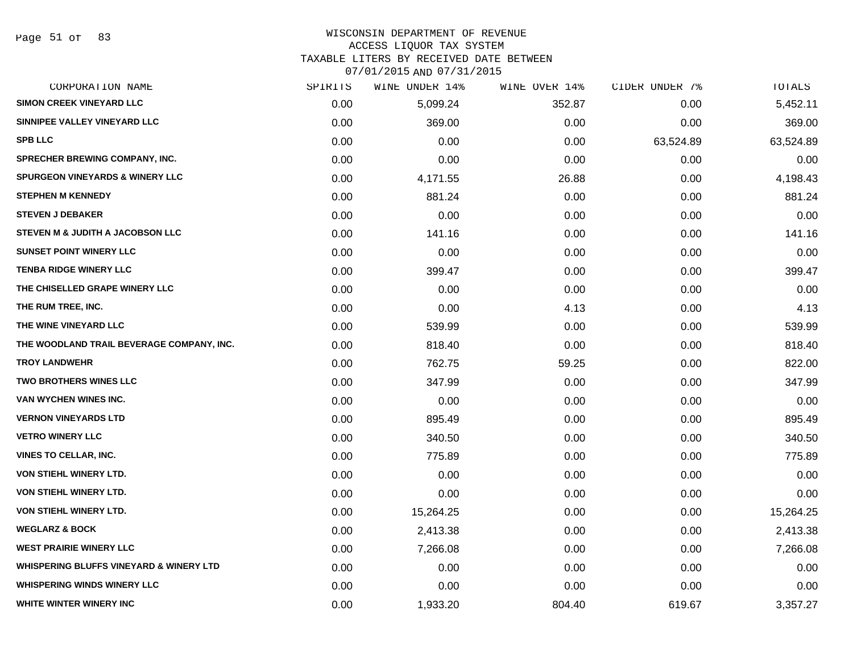# WISCONSIN DEPARTMENT OF REVENUE

### ACCESS LIQUOR TAX SYSTEM

TAXABLE LITERS BY RECEIVED DATE BETWEEN

| CORPORATION NAME                                   | SPIRITS | WINE UNDER 14% | WINE OVER 14% | CIDER UNDER 7% | TOTALS    |
|----------------------------------------------------|---------|----------------|---------------|----------------|-----------|
| <b>SIMON CREEK VINEYARD LLC</b>                    | 0.00    | 5,099.24       | 352.87        | 0.00           | 5,452.11  |
| SINNIPEE VALLEY VINEYARD LLC                       | 0.00    | 369.00         | 0.00          | 0.00           | 369.00    |
| <b>SPB LLC</b>                                     | 0.00    | 0.00           | 0.00          | 63,524.89      | 63,524.89 |
| SPRECHER BREWING COMPANY, INC.                     | 0.00    | 0.00           | 0.00          | 0.00           | 0.00      |
| <b>SPURGEON VINEYARDS &amp; WINERY LLC</b>         | 0.00    | 4,171.55       | 26.88         | 0.00           | 4,198.43  |
| <b>STEPHEN M KENNEDY</b>                           | 0.00    | 881.24         | 0.00          | 0.00           | 881.24    |
| <b>STEVEN J DEBAKER</b>                            | 0.00    | 0.00           | 0.00          | 0.00           | 0.00      |
| STEVEN M & JUDITH A JACOBSON LLC                   | 0.00    | 141.16         | 0.00          | 0.00           | 141.16    |
| <b>SUNSET POINT WINERY LLC</b>                     | 0.00    | 0.00           | 0.00          | 0.00           | 0.00      |
| <b>TENBA RIDGE WINERY LLC</b>                      | 0.00    | 399.47         | 0.00          | 0.00           | 399.47    |
| THE CHISELLED GRAPE WINERY LLC                     | 0.00    | 0.00           | 0.00          | 0.00           | 0.00      |
| THE RUM TREE, INC.                                 | 0.00    | 0.00           | 4.13          | 0.00           | 4.13      |
| THE WINE VINEYARD LLC                              | 0.00    | 539.99         | 0.00          | 0.00           | 539.99    |
| THE WOODLAND TRAIL BEVERAGE COMPANY, INC.          | 0.00    | 818.40         | 0.00          | 0.00           | 818.40    |
| <b>TROY LANDWEHR</b>                               | 0.00    | 762.75         | 59.25         | 0.00           | 822.00    |
| TWO BROTHERS WINES LLC                             | 0.00    | 347.99         | 0.00          | 0.00           | 347.99    |
| VAN WYCHEN WINES INC.                              | 0.00    | 0.00           | 0.00          | 0.00           | 0.00      |
| <b>VERNON VINEYARDS LTD</b>                        | 0.00    | 895.49         | 0.00          | 0.00           | 895.49    |
| <b>VETRO WINERY LLC</b>                            | 0.00    | 340.50         | 0.00          | 0.00           | 340.50    |
| <b>VINES TO CELLAR, INC.</b>                       | 0.00    | 775.89         | 0.00          | 0.00           | 775.89    |
| <b>VON STIEHL WINERY LTD.</b>                      | 0.00    | 0.00           | 0.00          | 0.00           | 0.00      |
| VON STIEHL WINERY LTD.                             | 0.00    | 0.00           | 0.00          | 0.00           | 0.00      |
| VON STIEHL WINERY LTD.                             | 0.00    | 15,264.25      | 0.00          | 0.00           | 15,264.25 |
| <b>WEGLARZ &amp; BOCK</b>                          | 0.00    | 2,413.38       | 0.00          | 0.00           | 2,413.38  |
| <b>WEST PRAIRIE WINERY LLC</b>                     | 0.00    | 7,266.08       | 0.00          | 0.00           | 7,266.08  |
| <b>WHISPERING BLUFFS VINEYARD &amp; WINERY LTD</b> | 0.00    | 0.00           | 0.00          | 0.00           | 0.00      |
| <b>WHISPERING WINDS WINERY LLC</b>                 | 0.00    | 0.00           | 0.00          | 0.00           | 0.00      |
| WHITE WINTER WINERY INC                            | 0.00    | 1,933.20       | 804.40        | 619.67         | 3,357.27  |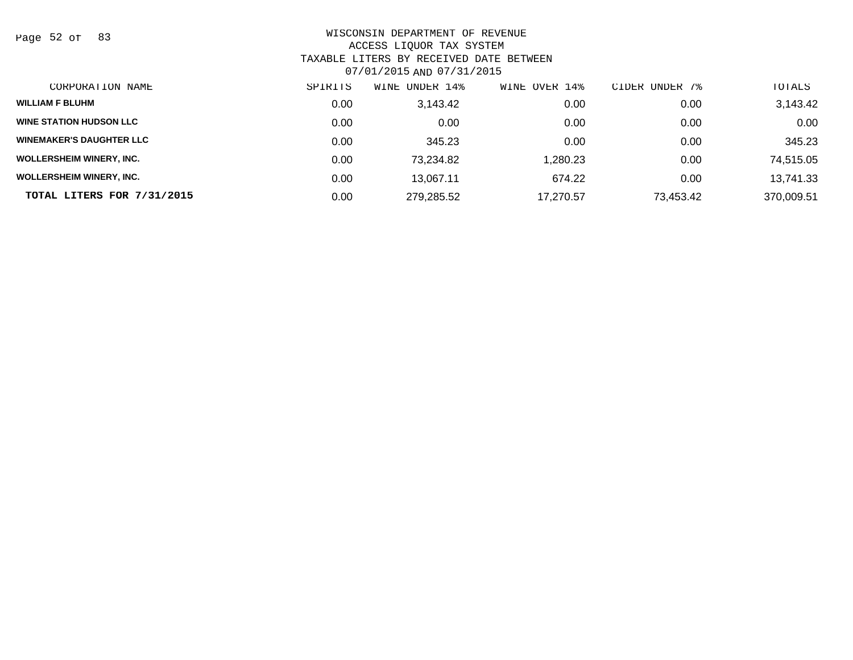Page 52 of 83

| CORPORATION NAME                | SPIRITS | WINE UNDER 14% | WINE OVER 14% | CIDER UNDER 7% | TOTALS     |
|---------------------------------|---------|----------------|---------------|----------------|------------|
| <b>WILLIAM F BLUHM</b>          | 0.00    | 3,143.42       | 0.00          | 0.00           | 3,143.42   |
| <b>WINE STATION HUDSON LLC</b>  | 0.00    | 0.00           | 0.00          | 0.00           | 0.00       |
| <b>WINEMAKER'S DAUGHTER LLC</b> | 0.00    | 345.23         | 0.00          | 0.00           | 345.23     |
| <b>WOLLERSHEIM WINERY, INC.</b> | 0.00    | 73,234.82      | 1,280.23      | 0.00           | 74,515.05  |
| <b>WOLLERSHEIM WINERY, INC.</b> | 0.00    | 13,067.11      | 674.22        | 0.00           | 13,741.33  |
| TOTAL LITERS FOR 7/31/2015      | 0.00    | 279,285.52     | 17.270.57     | 73,453.42      | 370,009.51 |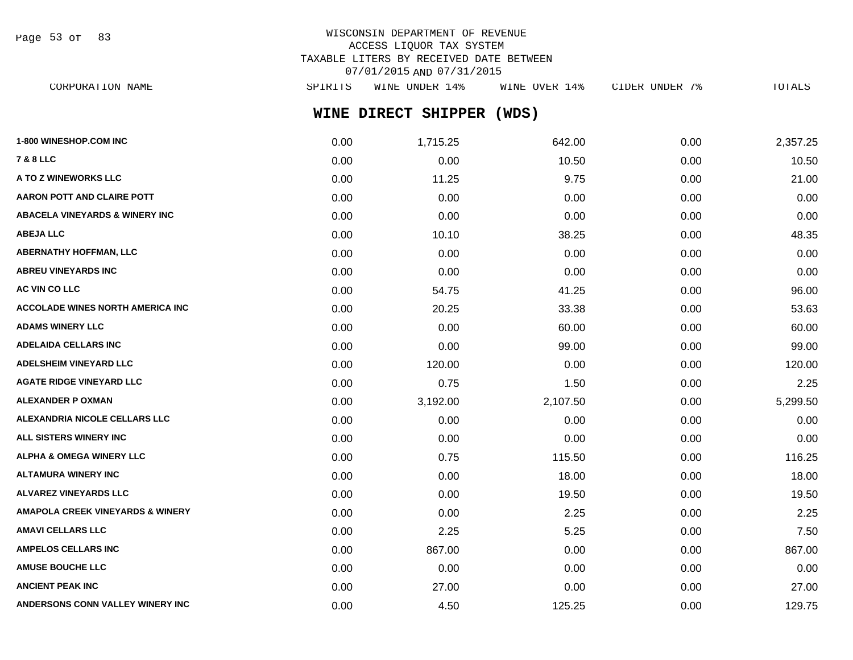Page 53 of 83

# WISCONSIN DEPARTMENT OF REVENUE ACCESS LIQUOR TAX SYSTEM TAXABLE LITERS BY RECEIVED DATE BETWEEN 07/01/2015 AND 07/31/2015

**WINE DIRECT SHIPPER (WDS)** CORPORATION NAME SPIRITS WINE UNDER 14% WINE OVER 14% CIDER UNDER 7% TOTALS

| 1-800 WINESHOP.COM INC                      | 0.00 | 1,715.25 | 642.00   | 0.00 | 2,357.25 |
|---------------------------------------------|------|----------|----------|------|----------|
| <b>7 &amp; 8 LLC</b>                        | 0.00 | 0.00     | 10.50    | 0.00 | 10.50    |
| A TO Z WINEWORKS LLC                        | 0.00 | 11.25    | 9.75     | 0.00 | 21.00    |
| <b>AARON POTT AND CLAIRE POTT</b>           | 0.00 | 0.00     | 0.00     | 0.00 | 0.00     |
| <b>ABACELA VINEYARDS &amp; WINERY INC</b>   | 0.00 | 0.00     | 0.00     | 0.00 | 0.00     |
| <b>ABEJA LLC</b>                            | 0.00 | 10.10    | 38.25    | 0.00 | 48.35    |
| <b>ABERNATHY HOFFMAN, LLC</b>               | 0.00 | 0.00     | 0.00     | 0.00 | 0.00     |
| <b>ABREU VINEYARDS INC</b>                  | 0.00 | 0.00     | 0.00     | 0.00 | 0.00     |
| AC VIN CO LLC                               | 0.00 | 54.75    | 41.25    | 0.00 | 96.00    |
| <b>ACCOLADE WINES NORTH AMERICA INC</b>     | 0.00 | 20.25    | 33.38    | 0.00 | 53.63    |
| <b>ADAMS WINERY LLC</b>                     | 0.00 | 0.00     | 60.00    | 0.00 | 60.00    |
| <b>ADELAIDA CELLARS INC</b>                 | 0.00 | 0.00     | 99.00    | 0.00 | 99.00    |
| ADELSHEIM VINEYARD LLC                      | 0.00 | 120.00   | 0.00     | 0.00 | 120.00   |
| <b>AGATE RIDGE VINEYARD LLC</b>             | 0.00 | 0.75     | 1.50     | 0.00 | 2.25     |
| <b>ALEXANDER P OXMAN</b>                    | 0.00 | 3,192.00 | 2,107.50 | 0.00 | 5,299.50 |
| ALEXANDRIA NICOLE CELLARS LLC               | 0.00 | 0.00     | 0.00     | 0.00 | 0.00     |
| ALL SISTERS WINERY INC                      | 0.00 | 0.00     | 0.00     | 0.00 | 0.00     |
| <b>ALPHA &amp; OMEGA WINERY LLC</b>         | 0.00 | 0.75     | 115.50   | 0.00 | 116.25   |
| <b>ALTAMURA WINERY INC</b>                  | 0.00 | 0.00     | 18.00    | 0.00 | 18.00    |
| ALVAREZ VINEYARDS LLC                       | 0.00 | 0.00     | 19.50    | 0.00 | 19.50    |
| <b>AMAPOLA CREEK VINEYARDS &amp; WINERY</b> | 0.00 | 0.00     | 2.25     | 0.00 | 2.25     |
| <b>AMAVI CELLARS LLC</b>                    | 0.00 | 2.25     | 5.25     | 0.00 | 7.50     |
| <b>AMPELOS CELLARS INC</b>                  | 0.00 | 867.00   | 0.00     | 0.00 | 867.00   |
| <b>AMUSE BOUCHE LLC</b>                     | 0.00 | 0.00     | 0.00     | 0.00 | 0.00     |
| <b>ANCIENT PEAK INC</b>                     | 0.00 | 27.00    | 0.00     | 0.00 | 27.00    |
| ANDERSONS CONN VALLEY WINERY INC            | 0.00 | 4.50     | 125.25   | 0.00 | 129.75   |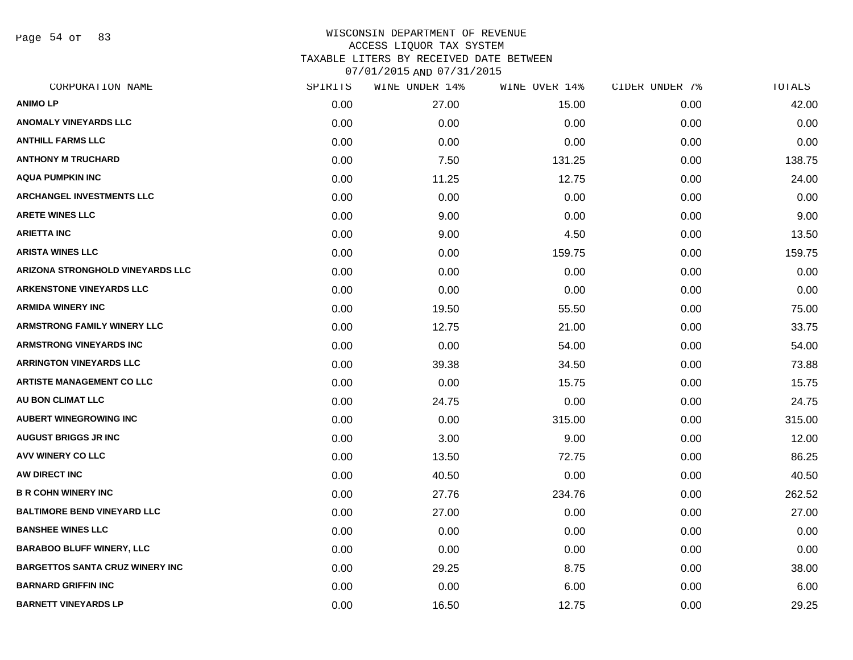Page 54 of 83

| CORPORATION NAME                        | SPIRITS | WINE UNDER 14% | WINE OVER 14% | CIDER UNDER 7% | TOTALS |
|-----------------------------------------|---------|----------------|---------------|----------------|--------|
| <b>ANIMOLP</b>                          | 0.00    | 27.00          | 15.00         | 0.00           | 42.00  |
| <b>ANOMALY VINEYARDS LLC</b>            | 0.00    | 0.00           | 0.00          | 0.00           | 0.00   |
| <b>ANTHILL FARMS LLC</b>                | 0.00    | 0.00           | 0.00          | 0.00           | 0.00   |
| <b>ANTHONY M TRUCHARD</b>               | 0.00    | 7.50           | 131.25        | 0.00           | 138.75 |
| <b>AQUA PUMPKIN INC</b>                 | 0.00    | 11.25          | 12.75         | 0.00           | 24.00  |
| <b>ARCHANGEL INVESTMENTS LLC</b>        | 0.00    | 0.00           | 0.00          | 0.00           | 0.00   |
| <b>ARETE WINES LLC</b>                  | 0.00    | 9.00           | 0.00          | 0.00           | 9.00   |
| <b>ARIETTA INC</b>                      | 0.00    | 9.00           | 4.50          | 0.00           | 13.50  |
| <b>ARISTA WINES LLC</b>                 | 0.00    | 0.00           | 159.75        | 0.00           | 159.75 |
| <b>ARIZONA STRONGHOLD VINEYARDS LLC</b> | 0.00    | 0.00           | 0.00          | 0.00           | 0.00   |
| <b>ARKENSTONE VINEYARDS LLC</b>         | 0.00    | 0.00           | 0.00          | 0.00           | 0.00   |
| <b>ARMIDA WINERY INC</b>                | 0.00    | 19.50          | 55.50         | 0.00           | 75.00  |
| <b>ARMSTRONG FAMILY WINERY LLC</b>      | 0.00    | 12.75          | 21.00         | 0.00           | 33.75  |
| <b>ARMSTRONG VINEYARDS INC</b>          | 0.00    | 0.00           | 54.00         | 0.00           | 54.00  |
| <b>ARRINGTON VINEYARDS LLC</b>          | 0.00    | 39.38          | 34.50         | 0.00           | 73.88  |
| <b>ARTISTE MANAGEMENT CO LLC</b>        | 0.00    | 0.00           | 15.75         | 0.00           | 15.75  |
| AU BON CLIMAT LLC                       | 0.00    | 24.75          | 0.00          | 0.00           | 24.75  |
| <b>AUBERT WINEGROWING INC</b>           | 0.00    | 0.00           | 315.00        | 0.00           | 315.00 |
| <b>AUGUST BRIGGS JR INC</b>             | 0.00    | 3.00           | 9.00          | 0.00           | 12.00  |
| <b>AVV WINERY CO LLC</b>                | 0.00    | 13.50          | 72.75         | 0.00           | 86.25  |
| AW DIRECT INC                           | 0.00    | 40.50          | 0.00          | 0.00           | 40.50  |
| <b>B R COHN WINERY INC</b>              | 0.00    | 27.76          | 234.76        | 0.00           | 262.52 |
| <b>BALTIMORE BEND VINEYARD LLC</b>      | 0.00    | 27.00          | 0.00          | 0.00           | 27.00  |
| <b>BANSHEE WINES LLC</b>                | 0.00    | 0.00           | 0.00          | 0.00           | 0.00   |
| <b>BARABOO BLUFF WINERY, LLC</b>        | 0.00    | 0.00           | 0.00          | 0.00           | 0.00   |
| <b>BARGETTOS SANTA CRUZ WINERY INC</b>  | 0.00    | 29.25          | 8.75          | 0.00           | 38.00  |
| <b>BARNARD GRIFFIN INC</b>              | 0.00    | 0.00           | 6.00          | 0.00           | 6.00   |
| <b>BARNETT VINEYARDS LP</b>             | 0.00    | 16.50          | 12.75         | 0.00           | 29.25  |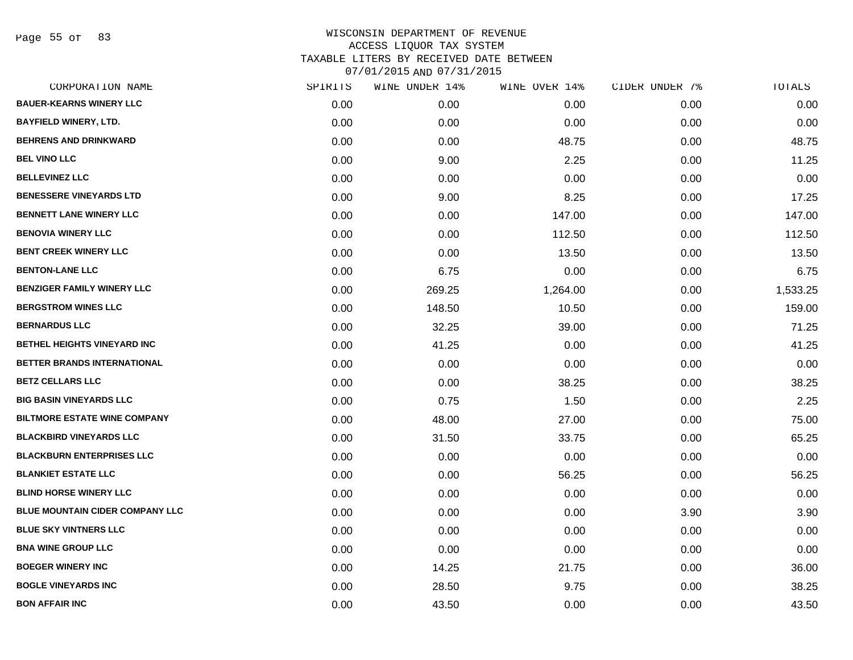Page 55 of 83

| CORPORATION NAME                    | SPIRITS | WINE UNDER 14% | WINE OVER 14% | CIDER UNDER 7% | TOTALS   |
|-------------------------------------|---------|----------------|---------------|----------------|----------|
| <b>BAUER-KEARNS WINERY LLC</b>      | 0.00    | 0.00           | 0.00          | 0.00           | 0.00     |
| <b>BAYFIELD WINERY, LTD.</b>        | 0.00    | 0.00           | 0.00          | 0.00           | 0.00     |
| <b>BEHRENS AND DRINKWARD</b>        | 0.00    | 0.00           | 48.75         | 0.00           | 48.75    |
| <b>BEL VINO LLC</b>                 | 0.00    | 9.00           | 2.25          | 0.00           | 11.25    |
| <b>BELLEVINEZ LLC</b>               | 0.00    | 0.00           | 0.00          | 0.00           | 0.00     |
| <b>BENESSERE VINEYARDS LTD</b>      | 0.00    | 9.00           | 8.25          | 0.00           | 17.25    |
| <b>BENNETT LANE WINERY LLC</b>      | 0.00    | 0.00           | 147.00        | 0.00           | 147.00   |
| <b>BENOVIA WINERY LLC</b>           | 0.00    | 0.00           | 112.50        | 0.00           | 112.50   |
| <b>BENT CREEK WINERY LLC</b>        | 0.00    | 0.00           | 13.50         | 0.00           | 13.50    |
| <b>BENTON-LANE LLC</b>              | 0.00    | 6.75           | 0.00          | 0.00           | 6.75     |
| <b>BENZIGER FAMILY WINERY LLC</b>   | 0.00    | 269.25         | 1,264.00      | 0.00           | 1,533.25 |
| <b>BERGSTROM WINES LLC</b>          | 0.00    | 148.50         | 10.50         | 0.00           | 159.00   |
| <b>BERNARDUS LLC</b>                | 0.00    | 32.25          | 39.00         | 0.00           | 71.25    |
| BETHEL HEIGHTS VINEYARD INC         | 0.00    | 41.25          | 0.00          | 0.00           | 41.25    |
| BETTER BRANDS INTERNATIONAL         | 0.00    | 0.00           | 0.00          | 0.00           | 0.00     |
| <b>BETZ CELLARS LLC</b>             | 0.00    | 0.00           | 38.25         | 0.00           | 38.25    |
| <b>BIG BASIN VINEYARDS LLC</b>      | 0.00    | 0.75           | 1.50          | 0.00           | 2.25     |
| <b>BILTMORE ESTATE WINE COMPANY</b> | 0.00    | 48.00          | 27.00         | 0.00           | 75.00    |
| <b>BLACKBIRD VINEYARDS LLC</b>      | 0.00    | 31.50          | 33.75         | 0.00           | 65.25    |
| <b>BLACKBURN ENTERPRISES LLC</b>    | 0.00    | 0.00           | 0.00          | 0.00           | 0.00     |
| <b>BLANKIET ESTATE LLC</b>          | 0.00    | 0.00           | 56.25         | 0.00           | 56.25    |
| <b>BLIND HORSE WINERY LLC</b>       | 0.00    | 0.00           | 0.00          | 0.00           | 0.00     |
| BLUE MOUNTAIN CIDER COMPANY LLC     | 0.00    | 0.00           | 0.00          | 3.90           | 3.90     |
| <b>BLUE SKY VINTNERS LLC</b>        | 0.00    | 0.00           | 0.00          | 0.00           | 0.00     |
| <b>BNA WINE GROUP LLC</b>           | 0.00    | 0.00           | 0.00          | 0.00           | 0.00     |
| <b>BOEGER WINERY INC</b>            | 0.00    | 14.25          | 21.75         | 0.00           | 36.00    |
| <b>BOGLE VINEYARDS INC</b>          | 0.00    | 28.50          | 9.75          | 0.00           | 38.25    |
| <b>BON AFFAIR INC</b>               | 0.00    | 43.50          | 0.00          | 0.00           | 43.50    |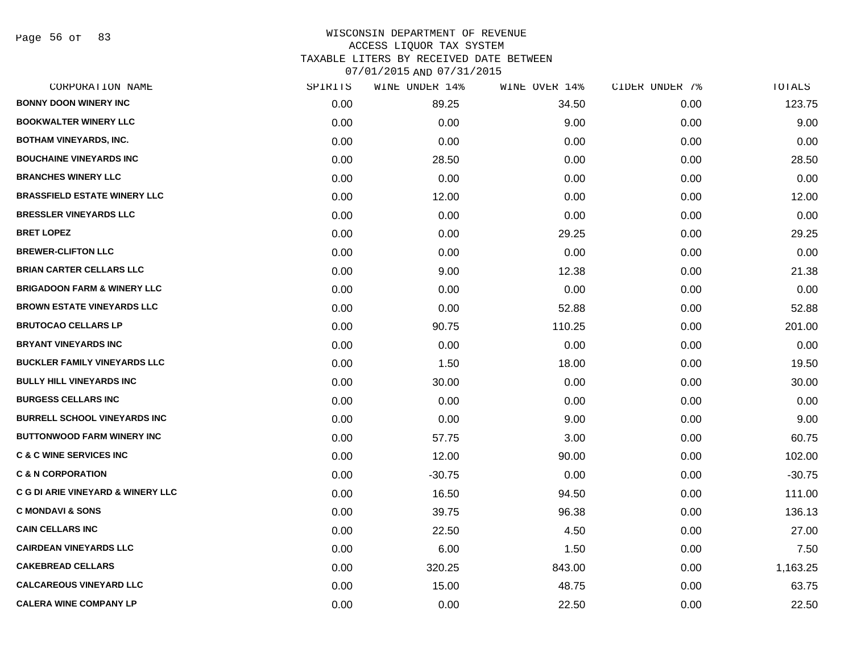Page 56 of 83

| CORPORATION NAME                             | SPIRITS | WINE UNDER 14% | WINE OVER 14% | CIDER UNDER 7% | TOTALS   |
|----------------------------------------------|---------|----------------|---------------|----------------|----------|
| <b>BONNY DOON WINERY INC</b>                 | 0.00    | 89.25          | 34.50         | 0.00           | 123.75   |
| <b>BOOKWALTER WINERY LLC</b>                 | 0.00    | 0.00           | 9.00          | 0.00           | 9.00     |
| <b>BOTHAM VINEYARDS, INC.</b>                | 0.00    | 0.00           | 0.00          | 0.00           | 0.00     |
| <b>BOUCHAINE VINEYARDS INC</b>               | 0.00    | 28.50          | 0.00          | 0.00           | 28.50    |
| <b>BRANCHES WINERY LLC</b>                   | 0.00    | 0.00           | 0.00          | 0.00           | 0.00     |
| <b>BRASSFIELD ESTATE WINERY LLC</b>          | 0.00    | 12.00          | 0.00          | 0.00           | 12.00    |
| <b>BRESSLER VINEYARDS LLC</b>                | 0.00    | 0.00           | 0.00          | 0.00           | 0.00     |
| <b>BRET LOPEZ</b>                            | 0.00    | 0.00           | 29.25         | 0.00           | 29.25    |
| <b>BREWER-CLIFTON LLC</b>                    | 0.00    | 0.00           | 0.00          | 0.00           | 0.00     |
| <b>BRIAN CARTER CELLARS LLC</b>              | 0.00    | 9.00           | 12.38         | 0.00           | 21.38    |
| <b>BRIGADOON FARM &amp; WINERY LLC</b>       | 0.00    | 0.00           | 0.00          | 0.00           | 0.00     |
| <b>BROWN ESTATE VINEYARDS LLC</b>            | 0.00    | 0.00           | 52.88         | 0.00           | 52.88    |
| <b>BRUTOCAO CELLARS LP</b>                   | 0.00    | 90.75          | 110.25        | 0.00           | 201.00   |
| <b>BRYANT VINEYARDS INC</b>                  | 0.00    | 0.00           | 0.00          | 0.00           | 0.00     |
| <b>BUCKLER FAMILY VINEYARDS LLC</b>          | 0.00    | 1.50           | 18.00         | 0.00           | 19.50    |
| <b>BULLY HILL VINEYARDS INC</b>              | 0.00    | 30.00          | 0.00          | 0.00           | 30.00    |
| <b>BURGESS CELLARS INC</b>                   | 0.00    | 0.00           | 0.00          | 0.00           | 0.00     |
| <b>BURRELL SCHOOL VINEYARDS INC</b>          | 0.00    | 0.00           | 9.00          | 0.00           | 9.00     |
| <b>BUTTONWOOD FARM WINERY INC</b>            | 0.00    | 57.75          | 3.00          | 0.00           | 60.75    |
| <b>C &amp; C WINE SERVICES INC</b>           | 0.00    | 12.00          | 90.00         | 0.00           | 102.00   |
| <b>C &amp; N CORPORATION</b>                 | 0.00    | $-30.75$       | 0.00          | 0.00           | $-30.75$ |
| <b>C G DI ARIE VINEYARD &amp; WINERY LLC</b> | 0.00    | 16.50          | 94.50         | 0.00           | 111.00   |
| <b>C MONDAVI &amp; SONS</b>                  | 0.00    | 39.75          | 96.38         | 0.00           | 136.13   |
| <b>CAIN CELLARS INC</b>                      | 0.00    | 22.50          | 4.50          | 0.00           | 27.00    |
| <b>CAIRDEAN VINEYARDS LLC</b>                | 0.00    | 6.00           | 1.50          | 0.00           | 7.50     |
| <b>CAKEBREAD CELLARS</b>                     | 0.00    | 320.25         | 843.00        | 0.00           | 1,163.25 |
| <b>CALCAREOUS VINEYARD LLC</b>               | 0.00    | 15.00          | 48.75         | 0.00           | 63.75    |
| <b>CALERA WINE COMPANY LP</b>                | 0.00    | 0.00           | 22.50         | 0.00           | 22.50    |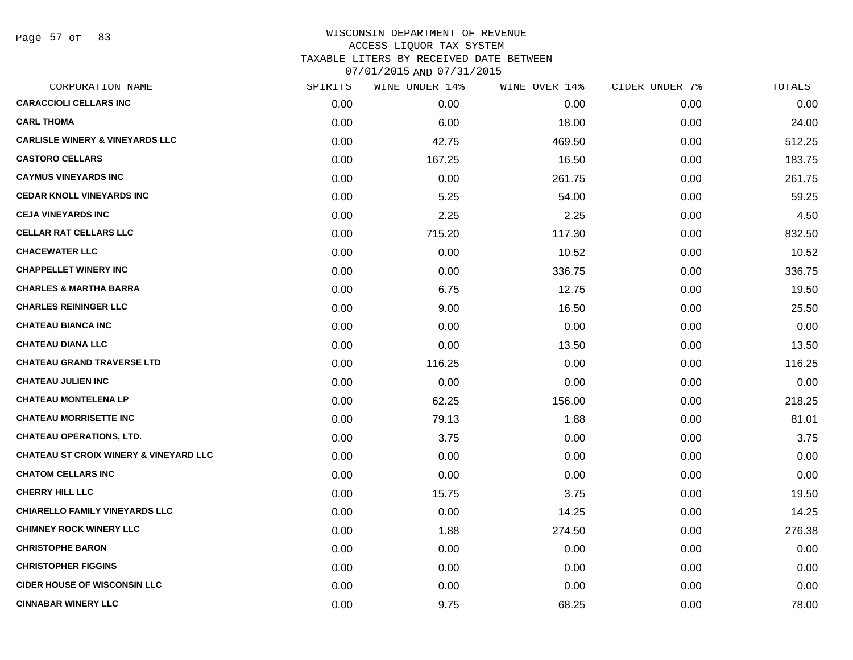Page 57 of 83

|      | WINE UNDER 14% |        |               | TOTALS         |
|------|----------------|--------|---------------|----------------|
| 0.00 | 0.00           | 0.00   | 0.00          | 0.00           |
| 0.00 | 6.00           | 18.00  | 0.00          | 24.00          |
| 0.00 | 42.75          | 469.50 | 0.00          | 512.25         |
| 0.00 | 167.25         | 16.50  | 0.00          | 183.75         |
| 0.00 | 0.00           | 261.75 | 0.00          | 261.75         |
| 0.00 | 5.25           | 54.00  | 0.00          | 59.25          |
| 0.00 | 2.25           | 2.25   | 0.00          | 4.50           |
| 0.00 | 715.20         | 117.30 | 0.00          | 832.50         |
| 0.00 | 0.00           | 10.52  | 0.00          | 10.52          |
| 0.00 | 0.00           | 336.75 | 0.00          | 336.75         |
| 0.00 | 6.75           | 12.75  | 0.00          | 19.50          |
| 0.00 | 9.00           | 16.50  | 0.00          | 25.50          |
| 0.00 | 0.00           | 0.00   | 0.00          | 0.00           |
| 0.00 | 0.00           | 13.50  | 0.00          | 13.50          |
| 0.00 | 116.25         | 0.00   | 0.00          | 116.25         |
| 0.00 | 0.00           | 0.00   | 0.00          | 0.00           |
| 0.00 | 62.25          | 156.00 | 0.00          | 218.25         |
| 0.00 | 79.13          | 1.88   | 0.00          | 81.01          |
| 0.00 | 3.75           | 0.00   | 0.00          | 3.75           |
| 0.00 | 0.00           | 0.00   | 0.00          | 0.00           |
| 0.00 | 0.00           | 0.00   | 0.00          | 0.00           |
| 0.00 | 15.75          | 3.75   | 0.00          | 19.50          |
| 0.00 | 0.00           | 14.25  | 0.00          | 14.25          |
| 0.00 | 1.88           | 274.50 | 0.00          | 276.38         |
| 0.00 | 0.00           | 0.00   | 0.00          | 0.00           |
| 0.00 | 0.00           | 0.00   | 0.00          | 0.00           |
| 0.00 | 0.00           | 0.00   | 0.00          | 0.00           |
| 0.00 | 9.75           | 68.25  | 0.00          | 78.00          |
|      | SPIRITS        |        | WINE OVER 14% | CIDER UNDER 7% |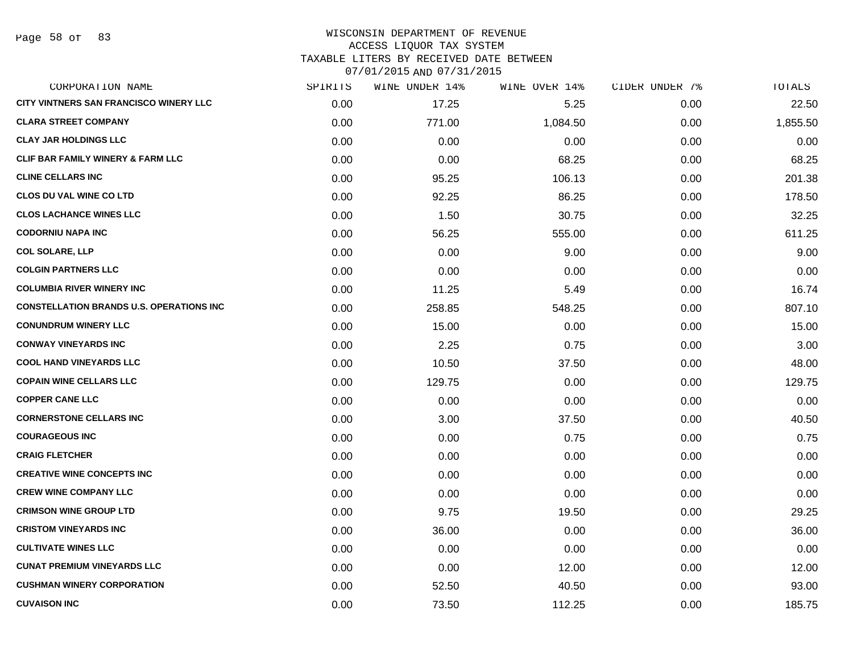Page 58 of 83

# WISCONSIN DEPARTMENT OF REVENUE ACCESS LIQUOR TAX SYSTEM TAXABLE LITERS BY RECEIVED DATE BETWEEN

| CORPORATION NAME                                | SPIRITS | WINE UNDER 14% | WINE OVER 14% | CIDER UNDER 7% | TOTALS   |
|-------------------------------------------------|---------|----------------|---------------|----------------|----------|
| CITY VINTNERS SAN FRANCISCO WINERY LLC          | 0.00    | 17.25          | 5.25          | 0.00           | 22.50    |
| <b>CLARA STREET COMPANY</b>                     | 0.00    | 771.00         | 1,084.50      | 0.00           | 1,855.50 |
| <b>CLAY JAR HOLDINGS LLC</b>                    | 0.00    | 0.00           | 0.00          | 0.00           | 0.00     |
| <b>CLIF BAR FAMILY WINERY &amp; FARM LLC</b>    | 0.00    | 0.00           | 68.25         | 0.00           | 68.25    |
| <b>CLINE CELLARS INC</b>                        | 0.00    | 95.25          | 106.13        | 0.00           | 201.38   |
| <b>CLOS DU VAL WINE CO LTD</b>                  | 0.00    | 92.25          | 86.25         | 0.00           | 178.50   |
| <b>CLOS LACHANCE WINES LLC</b>                  | 0.00    | 1.50           | 30.75         | 0.00           | 32.25    |
| <b>CODORNIU NAPA INC</b>                        | 0.00    | 56.25          | 555.00        | 0.00           | 611.25   |
| <b>COL SOLARE, LLP</b>                          | 0.00    | 0.00           | 9.00          | 0.00           | 9.00     |
| <b>COLGIN PARTNERS LLC</b>                      | 0.00    | 0.00           | 0.00          | 0.00           | 0.00     |
| <b>COLUMBIA RIVER WINERY INC</b>                | 0.00    | 11.25          | 5.49          | 0.00           | 16.74    |
| <b>CONSTELLATION BRANDS U.S. OPERATIONS INC</b> | 0.00    | 258.85         | 548.25        | 0.00           | 807.10   |
| <b>CONUNDRUM WINERY LLC</b>                     | 0.00    | 15.00          | 0.00          | 0.00           | 15.00    |
| <b>CONWAY VINEYARDS INC</b>                     | 0.00    | 2.25           | 0.75          | 0.00           | 3.00     |
| <b>COOL HAND VINEYARDS LLC</b>                  | 0.00    | 10.50          | 37.50         | 0.00           | 48.00    |
| <b>COPAIN WINE CELLARS LLC</b>                  | 0.00    | 129.75         | 0.00          | 0.00           | 129.75   |
| <b>COPPER CANE LLC</b>                          | 0.00    | 0.00           | 0.00          | 0.00           | 0.00     |
| <b>CORNERSTONE CELLARS INC</b>                  | 0.00    | 3.00           | 37.50         | 0.00           | 40.50    |
| <b>COURAGEOUS INC</b>                           | 0.00    | 0.00           | 0.75          | 0.00           | 0.75     |
| <b>CRAIG FLETCHER</b>                           | 0.00    | 0.00           | 0.00          | 0.00           | 0.00     |
| <b>CREATIVE WINE CONCEPTS INC</b>               | 0.00    | 0.00           | 0.00          | 0.00           | 0.00     |
| <b>CREW WINE COMPANY LLC</b>                    | 0.00    | 0.00           | 0.00          | 0.00           | 0.00     |
| <b>CRIMSON WINE GROUP LTD</b>                   | 0.00    | 9.75           | 19.50         | 0.00           | 29.25    |
| <b>CRISTOM VINEYARDS INC</b>                    | 0.00    | 36.00          | 0.00          | 0.00           | 36.00    |
| <b>CULTIVATE WINES LLC</b>                      | 0.00    | 0.00           | 0.00          | 0.00           | 0.00     |
| <b>CUNAT PREMIUM VINEYARDS LLC</b>              | 0.00    | 0.00           | 12.00         | 0.00           | 12.00    |
| <b>CUSHMAN WINERY CORPORATION</b>               | 0.00    | 52.50          | 40.50         | 0.00           | 93.00    |
| <b>CUVAISON INC</b>                             | 0.00    | 73.50          | 112.25        | 0.00           | 185.75   |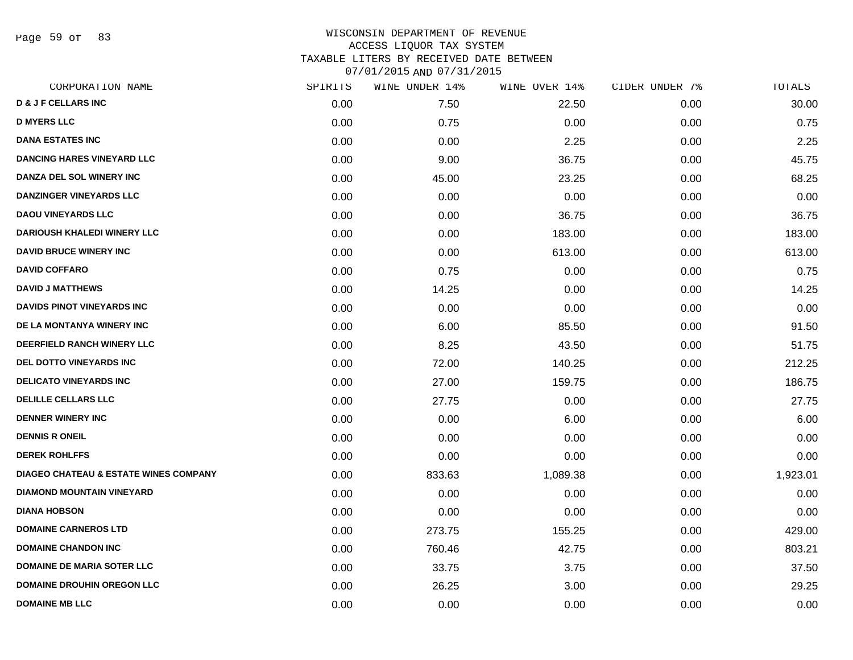Page 59 of 83

| SPIRITS | WINE UNDER 14% | WINE OVER 14% | CIDER UNDER 7% | TOTALS   |
|---------|----------------|---------------|----------------|----------|
| 0.00    | 7.50           | 22.50         | 0.00           | 30.00    |
| 0.00    | 0.75           | 0.00          | 0.00           | 0.75     |
| 0.00    | 0.00           | 2.25          | 0.00           | 2.25     |
| 0.00    | 9.00           | 36.75         | 0.00           | 45.75    |
| 0.00    | 45.00          | 23.25         | 0.00           | 68.25    |
| 0.00    | 0.00           | 0.00          | 0.00           | 0.00     |
| 0.00    | 0.00           | 36.75         | 0.00           | 36.75    |
| 0.00    | 0.00           | 183.00        | 0.00           | 183.00   |
| 0.00    | 0.00           | 613.00        | 0.00           | 613.00   |
| 0.00    | 0.75           | 0.00          | 0.00           | 0.75     |
| 0.00    | 14.25          | 0.00          | 0.00           | 14.25    |
| 0.00    | 0.00           | 0.00          | 0.00           | 0.00     |
| 0.00    | 6.00           | 85.50         | 0.00           | 91.50    |
| 0.00    | 8.25           | 43.50         | 0.00           | 51.75    |
| 0.00    | 72.00          | 140.25        | 0.00           | 212.25   |
| 0.00    | 27.00          | 159.75        | 0.00           | 186.75   |
| 0.00    | 27.75          | 0.00          | 0.00           | 27.75    |
| 0.00    | 0.00           | 6.00          | 0.00           | 6.00     |
| 0.00    | 0.00           | 0.00          | 0.00           | 0.00     |
| 0.00    | 0.00           | 0.00          | 0.00           | 0.00     |
| 0.00    | 833.63         | 1,089.38      | 0.00           | 1,923.01 |
| 0.00    | 0.00           | 0.00          | 0.00           | 0.00     |
| 0.00    | 0.00           | 0.00          | 0.00           | 0.00     |
| 0.00    | 273.75         | 155.25        | 0.00           | 429.00   |
| 0.00    | 760.46         | 42.75         | 0.00           | 803.21   |
| 0.00    | 33.75          | 3.75          | 0.00           | 37.50    |
| 0.00    | 26.25          | 3.00          | 0.00           | 29.25    |
| 0.00    | 0.00           | 0.00          | 0.00           | 0.00     |
|         |                |               |                |          |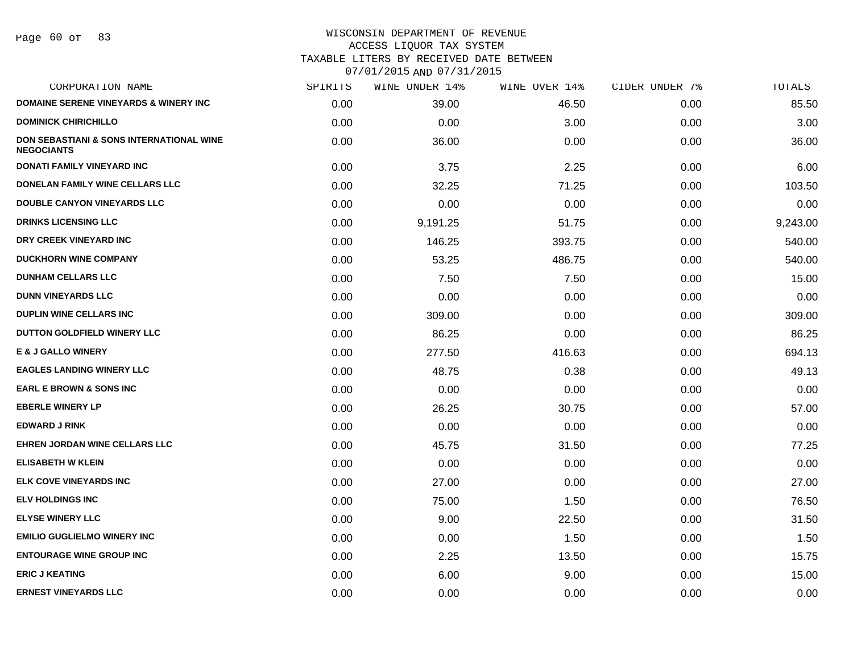Page 60 of 83

| CORPORATION NAME                                                         | SPIRITS | WINE UNDER 14% | WINE OVER 14% | CIDER UNDER 7% | TOTALS   |
|--------------------------------------------------------------------------|---------|----------------|---------------|----------------|----------|
| <b>DOMAINE SERENE VINEYARDS &amp; WINERY INC</b>                         | 0.00    | 39.00          | 46.50         | 0.00           | 85.50    |
| <b>DOMINICK CHIRICHILLO</b>                                              | 0.00    | 0.00           | 3.00          | 0.00           | 3.00     |
| <b>DON SEBASTIANI &amp; SONS INTERNATIONAL WINE</b><br><b>NEGOCIANTS</b> | 0.00    | 36.00          | 0.00          | 0.00           | 36.00    |
| DONATI FAMILY VINEYARD INC                                               | 0.00    | 3.75           | 2.25          | 0.00           | 6.00     |
| DONELAN FAMILY WINE CELLARS LLC                                          | 0.00    | 32.25          | 71.25         | 0.00           | 103.50   |
| <b>DOUBLE CANYON VINEYARDS LLC</b>                                       | 0.00    | 0.00           | 0.00          | 0.00           | 0.00     |
| <b>DRINKS LICENSING LLC</b>                                              | 0.00    | 9,191.25       | 51.75         | 0.00           | 9,243.00 |
| DRY CREEK VINEYARD INC                                                   | 0.00    | 146.25         | 393.75        | 0.00           | 540.00   |
| <b>DUCKHORN WINE COMPANY</b>                                             | 0.00    | 53.25          | 486.75        | 0.00           | 540.00   |
| <b>DUNHAM CELLARS LLC</b>                                                | 0.00    | 7.50           | 7.50          | 0.00           | 15.00    |
| <b>DUNN VINEYARDS LLC</b>                                                | 0.00    | 0.00           | 0.00          | 0.00           | 0.00     |
| <b>DUPLIN WINE CELLARS INC</b>                                           | 0.00    | 309.00         | 0.00          | 0.00           | 309.00   |
| DUTTON GOLDFIELD WINERY LLC                                              | 0.00    | 86.25          | 0.00          | 0.00           | 86.25    |
| <b>E &amp; J GALLO WINERY</b>                                            | 0.00    | 277.50         | 416.63        | 0.00           | 694.13   |
| <b>EAGLES LANDING WINERY LLC</b>                                         | 0.00    | 48.75          | 0.38          | 0.00           | 49.13    |
| <b>EARL E BROWN &amp; SONS INC</b>                                       | 0.00    | 0.00           | 0.00          | 0.00           | 0.00     |
| <b>EBERLE WINERY LP</b>                                                  | 0.00    | 26.25          | 30.75         | 0.00           | 57.00    |
| <b>EDWARD J RINK</b>                                                     | 0.00    | 0.00           | 0.00          | 0.00           | 0.00     |
| <b>EHREN JORDAN WINE CELLARS LLC</b>                                     | 0.00    | 45.75          | 31.50         | 0.00           | 77.25    |
| <b>ELISABETH W KLEIN</b>                                                 | 0.00    | 0.00           | 0.00          | 0.00           | 0.00     |
| ELK COVE VINEYARDS INC                                                   | 0.00    | 27.00          | 0.00          | 0.00           | 27.00    |
| <b>ELV HOLDINGS INC</b>                                                  | 0.00    | 75.00          | 1.50          | 0.00           | 76.50    |
| <b>ELYSE WINERY LLC</b>                                                  | 0.00    | 9.00           | 22.50         | 0.00           | 31.50    |
| <b>EMILIO GUGLIELMO WINERY INC</b>                                       | 0.00    | 0.00           | 1.50          | 0.00           | 1.50     |
| <b>ENTOURAGE WINE GROUP INC</b>                                          | 0.00    | 2.25           | 13.50         | 0.00           | 15.75    |
| <b>ERIC J KEATING</b>                                                    | 0.00    | 6.00           | 9.00          | 0.00           | 15.00    |
| <b>ERNEST VINEYARDS LLC</b>                                              | 0.00    | 0.00           | 0.00          | 0.00           | 0.00     |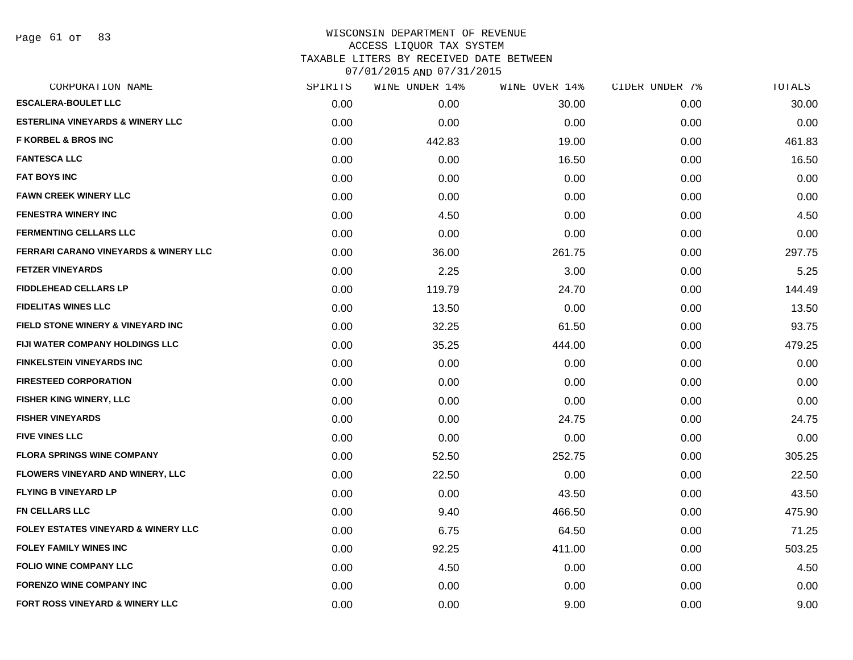Page 61 of 83

| CORPORATION NAME                                 | SPIRITS | WINE UNDER 14% | WINE OVER 14% | CIDER UNDER 7% | TOTALS |
|--------------------------------------------------|---------|----------------|---------------|----------------|--------|
| <b>ESCALERA-BOULET LLC</b>                       | 0.00    | 0.00           | 30.00         | 0.00           | 30.00  |
| <b>ESTERLINA VINEYARDS &amp; WINERY LLC</b>      | 0.00    | 0.00           | 0.00          | 0.00           | 0.00   |
| <b>F KORBEL &amp; BROS INC</b>                   | 0.00    | 442.83         | 19.00         | 0.00           | 461.83 |
| <b>FANTESCA LLC</b>                              | 0.00    | 0.00           | 16.50         | 0.00           | 16.50  |
| <b>FAT BOYS INC</b>                              | 0.00    | 0.00           | 0.00          | 0.00           | 0.00   |
| <b>FAWN CREEK WINERY LLC</b>                     | 0.00    | 0.00           | 0.00          | 0.00           | 0.00   |
| <b>FENESTRA WINERY INC</b>                       | 0.00    | 4.50           | 0.00          | 0.00           | 4.50   |
| <b>FERMENTING CELLARS LLC</b>                    | 0.00    | 0.00           | 0.00          | 0.00           | 0.00   |
| <b>FERRARI CARANO VINEYARDS &amp; WINERY LLC</b> | 0.00    | 36.00          | 261.75        | 0.00           | 297.75 |
| <b>FETZER VINEYARDS</b>                          | 0.00    | 2.25           | 3.00          | 0.00           | 5.25   |
| <b>FIDDLEHEAD CELLARS LP</b>                     | 0.00    | 119.79         | 24.70         | 0.00           | 144.49 |
| <b>FIDELITAS WINES LLC</b>                       | 0.00    | 13.50          | 0.00          | 0.00           | 13.50  |
| FIELD STONE WINERY & VINEYARD INC                | 0.00    | 32.25          | 61.50         | 0.00           | 93.75  |
| FIJI WATER COMPANY HOLDINGS LLC                  | 0.00    | 35.25          | 444.00        | 0.00           | 479.25 |
| <b>FINKELSTEIN VINEYARDS INC</b>                 | 0.00    | 0.00           | 0.00          | 0.00           | 0.00   |
| <b>FIRESTEED CORPORATION</b>                     | 0.00    | 0.00           | 0.00          | 0.00           | 0.00   |
| <b>FISHER KING WINERY, LLC</b>                   | 0.00    | 0.00           | 0.00          | 0.00           | 0.00   |
| <b>FISHER VINEYARDS</b>                          | 0.00    | 0.00           | 24.75         | 0.00           | 24.75  |
| <b>FIVE VINES LLC</b>                            | 0.00    | 0.00           | 0.00          | 0.00           | 0.00   |
| <b>FLORA SPRINGS WINE COMPANY</b>                | 0.00    | 52.50          | 252.75        | 0.00           | 305.25 |
| <b>FLOWERS VINEYARD AND WINERY, LLC</b>          | 0.00    | 22.50          | 0.00          | 0.00           | 22.50  |
| <b>FLYING B VINEYARD LP</b>                      | 0.00    | 0.00           | 43.50         | 0.00           | 43.50  |
| <b>FN CELLARS LLC</b>                            | 0.00    | 9.40           | 466.50        | 0.00           | 475.90 |
| <b>FOLEY ESTATES VINEYARD &amp; WINERY LLC</b>   | 0.00    | 6.75           | 64.50         | 0.00           | 71.25  |
| <b>FOLEY FAMILY WINES INC</b>                    | 0.00    | 92.25          | 411.00        | 0.00           | 503.25 |
| <b>FOLIO WINE COMPANY LLC</b>                    | 0.00    | 4.50           | 0.00          | 0.00           | 4.50   |
| <b>FORENZO WINE COMPANY INC</b>                  | 0.00    | 0.00           | 0.00          | 0.00           | 0.00   |
| FORT ROSS VINEYARD & WINERY LLC                  | 0.00    | 0.00           | 9.00          | 0.00           | 9.00   |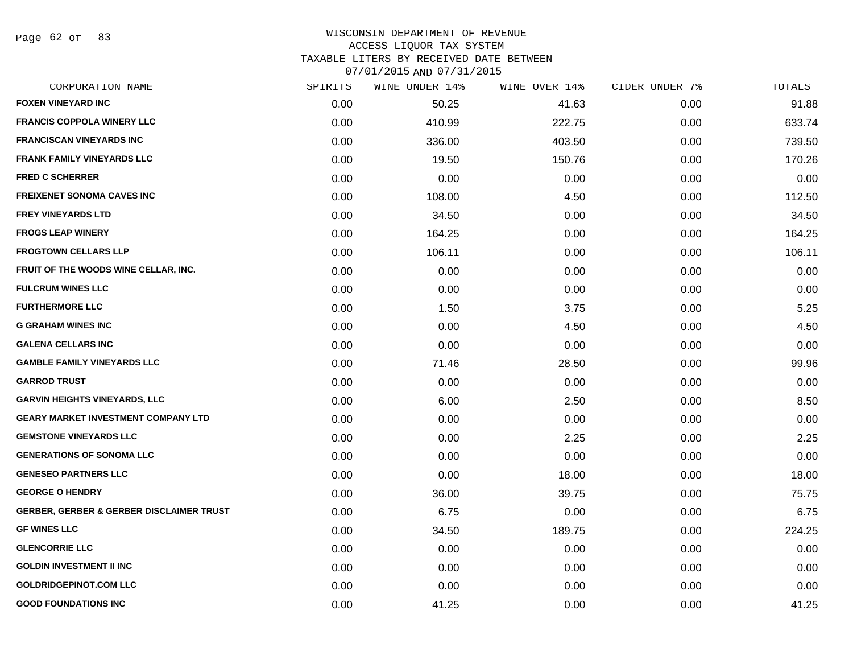Page 62 of 83

# WISCONSIN DEPARTMENT OF REVENUE ACCESS LIQUOR TAX SYSTEM

TAXABLE LITERS BY RECEIVED DATE BETWEEN

| CORPORATION NAME                                    | SPIRITS | WINE UNDER 14% | WINE OVER 14% | CIDER UNDER 7% | TOTALS |
|-----------------------------------------------------|---------|----------------|---------------|----------------|--------|
| <b>FOXEN VINEYARD INC</b>                           | 0.00    | 50.25          | 41.63         | 0.00           | 91.88  |
| <b>FRANCIS COPPOLA WINERY LLC</b>                   | 0.00    | 410.99         | 222.75        | 0.00           | 633.74 |
| <b>FRANCISCAN VINEYARDS INC</b>                     | 0.00    | 336.00         | 403.50        | 0.00           | 739.50 |
| <b>FRANK FAMILY VINEYARDS LLC</b>                   | 0.00    | 19.50          | 150.76        | 0.00           | 170.26 |
| <b>FRED C SCHERRER</b>                              | 0.00    | 0.00           | 0.00          | 0.00           | 0.00   |
| <b>FREIXENET SONOMA CAVES INC</b>                   | 0.00    | 108.00         | 4.50          | 0.00           | 112.50 |
| <b>FREY VINEYARDS LTD</b>                           | 0.00    | 34.50          | 0.00          | 0.00           | 34.50  |
| <b>FROGS LEAP WINERY</b>                            | 0.00    | 164.25         | 0.00          | 0.00           | 164.25 |
| <b>FROGTOWN CELLARS LLP</b>                         | 0.00    | 106.11         | 0.00          | 0.00           | 106.11 |
| FRUIT OF THE WOODS WINE CELLAR, INC.                | 0.00    | 0.00           | 0.00          | 0.00           | 0.00   |
| <b>FULCRUM WINES LLC</b>                            | 0.00    | 0.00           | 0.00          | 0.00           | 0.00   |
| <b>FURTHERMORE LLC</b>                              | 0.00    | 1.50           | 3.75          | 0.00           | 5.25   |
| <b>G GRAHAM WINES INC</b>                           | 0.00    | 0.00           | 4.50          | 0.00           | 4.50   |
| <b>GALENA CELLARS INC</b>                           | 0.00    | 0.00           | 0.00          | 0.00           | 0.00   |
| <b>GAMBLE FAMILY VINEYARDS LLC</b>                  | 0.00    | 71.46          | 28.50         | 0.00           | 99.96  |
| <b>GARROD TRUST</b>                                 | 0.00    | 0.00           | 0.00          | 0.00           | 0.00   |
| <b>GARVIN HEIGHTS VINEYARDS, LLC</b>                | 0.00    | 6.00           | 2.50          | 0.00           | 8.50   |
| <b>GEARY MARKET INVESTMENT COMPANY LTD</b>          | 0.00    | 0.00           | 0.00          | 0.00           | 0.00   |
| <b>GEMSTONE VINEYARDS LLC</b>                       | 0.00    | 0.00           | 2.25          | 0.00           | 2.25   |
| <b>GENERATIONS OF SONOMA LLC</b>                    | 0.00    | 0.00           | 0.00          | 0.00           | 0.00   |
| <b>GENESEO PARTNERS LLC</b>                         | 0.00    | 0.00           | 18.00         | 0.00           | 18.00  |
| <b>GEORGE O HENDRY</b>                              | 0.00    | 36.00          | 39.75         | 0.00           | 75.75  |
| <b>GERBER, GERBER &amp; GERBER DISCLAIMER TRUST</b> | 0.00    | 6.75           | 0.00          | 0.00           | 6.75   |
| <b>GF WINES LLC</b>                                 | 0.00    | 34.50          | 189.75        | 0.00           | 224.25 |
| <b>GLENCORRIE LLC</b>                               | 0.00    | 0.00           | 0.00          | 0.00           | 0.00   |
| <b>GOLDIN INVESTMENT II INC</b>                     | 0.00    | 0.00           | 0.00          | 0.00           | 0.00   |
| <b>GOLDRIDGEPINOT.COM LLC</b>                       | 0.00    | 0.00           | 0.00          | 0.00           | 0.00   |
| <b>GOOD FOUNDATIONS INC</b>                         | 0.00    | 41.25          | 0.00          | 0.00           | 41.25  |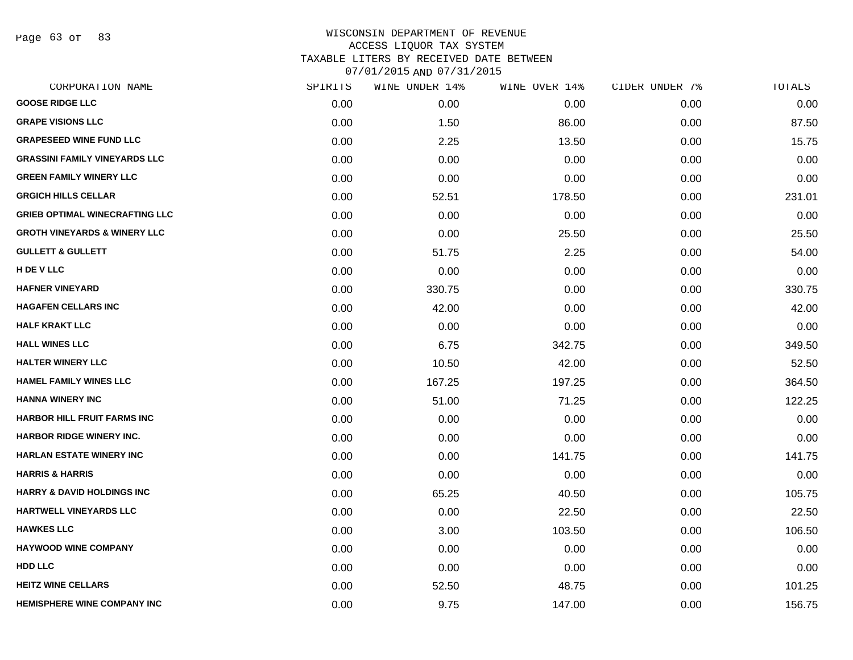Page 63 of 83

|      | WINE UNDER 14% |        | CIDER UNDER 7% | TOTALS |
|------|----------------|--------|----------------|--------|
| 0.00 | 0.00           | 0.00   | 0.00           | 0.00   |
| 0.00 | 1.50           | 86.00  | 0.00           | 87.50  |
| 0.00 | 2.25           | 13.50  | 0.00           | 15.75  |
| 0.00 | 0.00           | 0.00   | 0.00           | 0.00   |
| 0.00 | 0.00           | 0.00   | 0.00           | 0.00   |
| 0.00 | 52.51          | 178.50 | 0.00           | 231.01 |
| 0.00 | 0.00           | 0.00   | 0.00           | 0.00   |
| 0.00 | 0.00           | 25.50  | 0.00           | 25.50  |
| 0.00 | 51.75          | 2.25   | 0.00           | 54.00  |
| 0.00 | 0.00           | 0.00   | 0.00           | 0.00   |
| 0.00 | 330.75         | 0.00   | 0.00           | 330.75 |
| 0.00 | 42.00          | 0.00   | 0.00           | 42.00  |
| 0.00 | 0.00           | 0.00   | 0.00           | 0.00   |
| 0.00 | 6.75           | 342.75 | 0.00           | 349.50 |
| 0.00 | 10.50          | 42.00  | 0.00           | 52.50  |
| 0.00 | 167.25         | 197.25 | 0.00           | 364.50 |
| 0.00 | 51.00          | 71.25  | 0.00           | 122.25 |
| 0.00 | 0.00           | 0.00   | 0.00           | 0.00   |
| 0.00 | 0.00           | 0.00   | 0.00           | 0.00   |
| 0.00 | 0.00           | 141.75 | 0.00           | 141.75 |
| 0.00 | 0.00           | 0.00   | 0.00           | 0.00   |
| 0.00 | 65.25          | 40.50  | 0.00           | 105.75 |
| 0.00 | 0.00           | 22.50  | 0.00           | 22.50  |
| 0.00 | 3.00           | 103.50 | 0.00           | 106.50 |
| 0.00 | 0.00           | 0.00   | 0.00           | 0.00   |
| 0.00 | 0.00           | 0.00   | 0.00           | 0.00   |
| 0.00 | 52.50          | 48.75  | 0.00           | 101.25 |
| 0.00 | 9.75           | 147.00 | 0.00           | 156.75 |
|      | SPIRITS        |        | WINE OVER 14%  |        |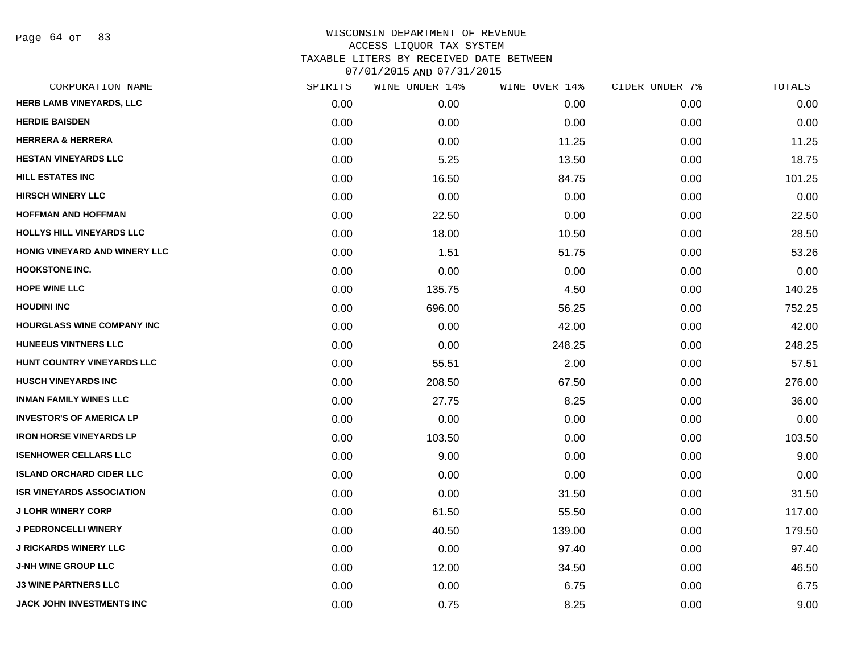Page 64 of 83

| CORPORATION NAME                  | SPIRITS | WINE UNDER 14% | WINE OVER 14% | CIDER UNDER 7% | TOTALS |
|-----------------------------------|---------|----------------|---------------|----------------|--------|
| HERB LAMB VINEYARDS, LLC          | 0.00    | 0.00           | 0.00          | 0.00           | 0.00   |
| <b>HERDIE BAISDEN</b>             | 0.00    | 0.00           | 0.00          | 0.00           | 0.00   |
| <b>HERRERA &amp; HERRERA</b>      | 0.00    | 0.00           | 11.25         | 0.00           | 11.25  |
| <b>HESTAN VINEYARDS LLC</b>       | 0.00    | 5.25           | 13.50         | 0.00           | 18.75  |
| <b>HILL ESTATES INC</b>           | 0.00    | 16.50          | 84.75         | 0.00           | 101.25 |
| <b>HIRSCH WINERY LLC</b>          | 0.00    | 0.00           | 0.00          | 0.00           | 0.00   |
| <b>HOFFMAN AND HOFFMAN</b>        | 0.00    | 22.50          | 0.00          | 0.00           | 22.50  |
| <b>HOLLYS HILL VINEYARDS LLC</b>  | 0.00    | 18.00          | 10.50         | 0.00           | 28.50  |
| HONIG VINEYARD AND WINERY LLC     | 0.00    | 1.51           | 51.75         | 0.00           | 53.26  |
| <b>HOOKSTONE INC.</b>             | 0.00    | 0.00           | 0.00          | 0.00           | 0.00   |
| <b>HOPE WINE LLC</b>              | 0.00    | 135.75         | 4.50          | 0.00           | 140.25 |
| <b>HOUDINI INC</b>                | 0.00    | 696.00         | 56.25         | 0.00           | 752.25 |
| <b>HOURGLASS WINE COMPANY INC</b> | 0.00    | 0.00           | 42.00         | 0.00           | 42.00  |
| <b>HUNEEUS VINTNERS LLC</b>       | 0.00    | 0.00           | 248.25        | 0.00           | 248.25 |
| HUNT COUNTRY VINEYARDS LLC        | 0.00    | 55.51          | 2.00          | 0.00           | 57.51  |
| <b>HUSCH VINEYARDS INC</b>        | 0.00    | 208.50         | 67.50         | 0.00           | 276.00 |
| <b>INMAN FAMILY WINES LLC</b>     | 0.00    | 27.75          | 8.25          | 0.00           | 36.00  |
| <b>INVESTOR'S OF AMERICA LP</b>   | 0.00    | 0.00           | 0.00          | 0.00           | 0.00   |
| <b>IRON HORSE VINEYARDS LP</b>    | 0.00    | 103.50         | 0.00          | 0.00           | 103.50 |
| <b>ISENHOWER CELLARS LLC</b>      | 0.00    | 9.00           | 0.00          | 0.00           | 9.00   |
| <b>ISLAND ORCHARD CIDER LLC</b>   | 0.00    | 0.00           | 0.00          | 0.00           | 0.00   |
| <b>ISR VINEYARDS ASSOCIATION</b>  | 0.00    | 0.00           | 31.50         | 0.00           | 31.50  |
| <b>J LOHR WINERY CORP</b>         | 0.00    | 61.50          | 55.50         | 0.00           | 117.00 |
| <b>J PEDRONCELLI WINERY</b>       | 0.00    | 40.50          | 139.00        | 0.00           | 179.50 |
| <b>J RICKARDS WINERY LLC</b>      | 0.00    | 0.00           | 97.40         | 0.00           | 97.40  |
| <b>J-NH WINE GROUP LLC</b>        | 0.00    | 12.00          | 34.50         | 0.00           | 46.50  |
| <b>J3 WINE PARTNERS LLC</b>       | 0.00    | 0.00           | 6.75          | 0.00           | 6.75   |
| <b>JACK JOHN INVESTMENTS INC</b>  | 0.00    | 0.75           | 8.25          | 0.00           | 9.00   |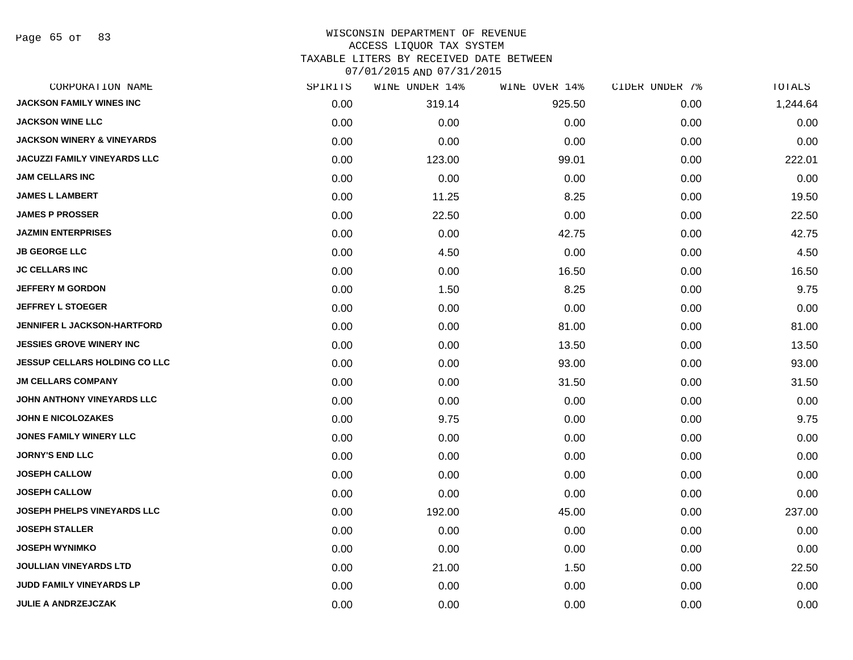Page 65 of 83

| CORPORATION NAME                      | SPIRITS | WINE UNDER 14% | WINE OVER 14% | CIDER UNDER 7% | TOTALS   |
|---------------------------------------|---------|----------------|---------------|----------------|----------|
| <b>JACKSON FAMILY WINES INC</b>       | 0.00    | 319.14         | 925.50        | 0.00           | 1,244.64 |
| <b>JACKSON WINE LLC</b>               | 0.00    | 0.00           | 0.00          | 0.00           | 0.00     |
| <b>JACKSON WINERY &amp; VINEYARDS</b> | 0.00    | 0.00           | 0.00          | 0.00           | 0.00     |
| JACUZZI FAMILY VINEYARDS LLC          | 0.00    | 123.00         | 99.01         | 0.00           | 222.01   |
| <b>JAM CELLARS INC</b>                | 0.00    | 0.00           | 0.00          | 0.00           | 0.00     |
| <b>JAMES L LAMBERT</b>                | 0.00    | 11.25          | 8.25          | 0.00           | 19.50    |
| <b>JAMES P PROSSER</b>                | 0.00    | 22.50          | 0.00          | 0.00           | 22.50    |
| <b>JAZMIN ENTERPRISES</b>             | 0.00    | 0.00           | 42.75         | 0.00           | 42.75    |
| <b>JB GEORGE LLC</b>                  | 0.00    | 4.50           | 0.00          | 0.00           | 4.50     |
| <b>JC CELLARS INC</b>                 | 0.00    | 0.00           | 16.50         | 0.00           | 16.50    |
| <b>JEFFERY M GORDON</b>               | 0.00    | 1.50           | 8.25          | 0.00           | 9.75     |
| <b>JEFFREY L STOEGER</b>              | 0.00    | 0.00           | 0.00          | 0.00           | 0.00     |
| JENNIFER L JACKSON-HARTFORD           | 0.00    | 0.00           | 81.00         | 0.00           | 81.00    |
| <b>JESSIES GROVE WINERY INC</b>       | 0.00    | 0.00           | 13.50         | 0.00           | 13.50    |
| <b>JESSUP CELLARS HOLDING CO LLC</b>  | 0.00    | 0.00           | 93.00         | 0.00           | 93.00    |
| <b>JM CELLARS COMPANY</b>             | 0.00    | 0.00           | 31.50         | 0.00           | 31.50    |
| JOHN ANTHONY VINEYARDS LLC            | 0.00    | 0.00           | 0.00          | 0.00           | 0.00     |
| <b>JOHN E NICOLOZAKES</b>             | 0.00    | 9.75           | 0.00          | 0.00           | 9.75     |
| <b>JONES FAMILY WINERY LLC</b>        | 0.00    | 0.00           | 0.00          | 0.00           | 0.00     |
| <b>JORNY'S END LLC</b>                | 0.00    | 0.00           | 0.00          | 0.00           | 0.00     |
| <b>JOSEPH CALLOW</b>                  | 0.00    | 0.00           | 0.00          | 0.00           | 0.00     |
| <b>JOSEPH CALLOW</b>                  | 0.00    | 0.00           | 0.00          | 0.00           | 0.00     |
| JOSEPH PHELPS VINEYARDS LLC           | 0.00    | 192.00         | 45.00         | 0.00           | 237.00   |
| <b>JOSEPH STALLER</b>                 | 0.00    | 0.00           | 0.00          | 0.00           | 0.00     |
| <b>JOSEPH WYNIMKO</b>                 | 0.00    | 0.00           | 0.00          | 0.00           | 0.00     |
| <b>JOULLIAN VINEYARDS LTD</b>         | 0.00    | 21.00          | 1.50          | 0.00           | 22.50    |
| JUDD FAMILY VINEYARDS LP              | 0.00    | 0.00           | 0.00          | 0.00           | 0.00     |
| <b>JULIE A ANDRZEJCZAK</b>            | 0.00    | 0.00           | 0.00          | 0.00           | 0.00     |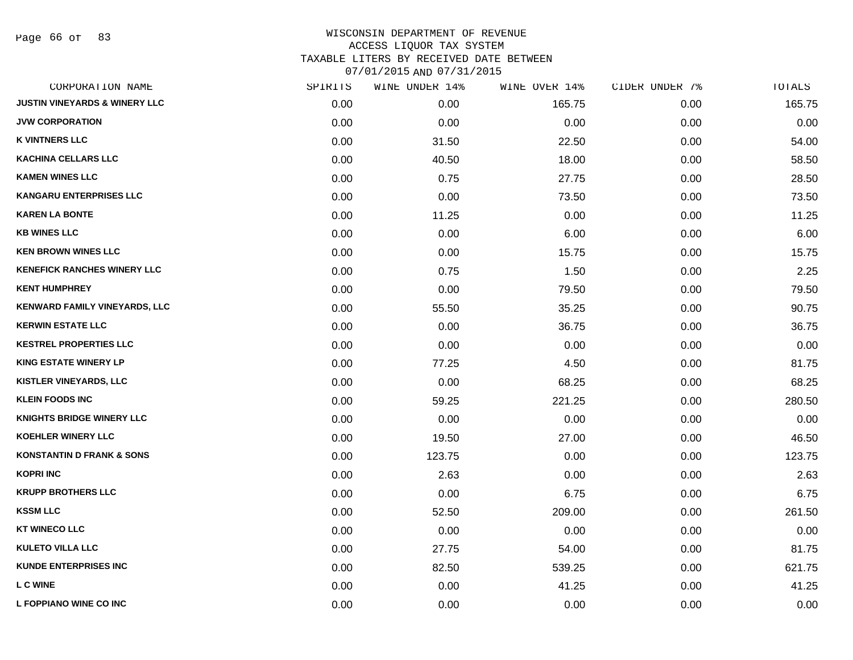Page 66 of 83

| CORPORATION NAME                         | SPIRITS | WINE UNDER 14% | WINE OVER 14% | CIDER UNDER 7% | TOTALS |
|------------------------------------------|---------|----------------|---------------|----------------|--------|
| <b>JUSTIN VINEYARDS &amp; WINERY LLC</b> | 0.00    | 0.00           | 165.75        | 0.00           | 165.75 |
| <b>JVW CORPORATION</b>                   | 0.00    | 0.00           | 0.00          | 0.00           | 0.00   |
| <b>K VINTNERS LLC</b>                    | 0.00    | 31.50          | 22.50         | 0.00           | 54.00  |
| <b>KACHINA CELLARS LLC</b>               | 0.00    | 40.50          | 18.00         | 0.00           | 58.50  |
| <b>KAMEN WINES LLC</b>                   | 0.00    | 0.75           | 27.75         | 0.00           | 28.50  |
| <b>KANGARU ENTERPRISES LLC</b>           | 0.00    | 0.00           | 73.50         | 0.00           | 73.50  |
| <b>KAREN LA BONTE</b>                    | 0.00    | 11.25          | 0.00          | 0.00           | 11.25  |
| <b>KB WINES LLC</b>                      | 0.00    | 0.00           | 6.00          | 0.00           | 6.00   |
| <b>KEN BROWN WINES LLC</b>               | 0.00    | 0.00           | 15.75         | 0.00           | 15.75  |
| <b>KENEFICK RANCHES WINERY LLC</b>       | 0.00    | 0.75           | 1.50          | 0.00           | 2.25   |
| <b>KENT HUMPHREY</b>                     | 0.00    | 0.00           | 79.50         | 0.00           | 79.50  |
| KENWARD FAMILY VINEYARDS, LLC            | 0.00    | 55.50          | 35.25         | 0.00           | 90.75  |
| <b>KERWIN ESTATE LLC</b>                 | 0.00    | 0.00           | 36.75         | 0.00           | 36.75  |
| <b>KESTREL PROPERTIES LLC</b>            | 0.00    | 0.00           | 0.00          | 0.00           | 0.00   |
| <b>KING ESTATE WINERY LP</b>             | 0.00    | 77.25          | 4.50          | 0.00           | 81.75  |
| KISTLER VINEYARDS, LLC                   | 0.00    | 0.00           | 68.25         | 0.00           | 68.25  |
| <b>KLEIN FOODS INC</b>                   | 0.00    | 59.25          | 221.25        | 0.00           | 280.50 |
| <b>KNIGHTS BRIDGE WINERY LLC</b>         | 0.00    | 0.00           | 0.00          | 0.00           | 0.00   |
| KOEHLER WINERY LLC                       | 0.00    | 19.50          | 27.00         | 0.00           | 46.50  |
| <b>KONSTANTIN D FRANK &amp; SONS</b>     | 0.00    | 123.75         | 0.00          | 0.00           | 123.75 |
| <b>KOPRI INC</b>                         | 0.00    | 2.63           | 0.00          | 0.00           | 2.63   |
| <b>KRUPP BROTHERS LLC</b>                | 0.00    | 0.00           | 6.75          | 0.00           | 6.75   |
| <b>KSSM LLC</b>                          | 0.00    | 52.50          | 209.00        | 0.00           | 261.50 |
| <b>KT WINECO LLC</b>                     | 0.00    | 0.00           | 0.00          | 0.00           | 0.00   |
| <b>KULETO VILLA LLC</b>                  | 0.00    | 27.75          | 54.00         | 0.00           | 81.75  |
| <b>KUNDE ENTERPRISES INC</b>             | 0.00    | 82.50          | 539.25        | 0.00           | 621.75 |
| <b>L C WINE</b>                          | 0.00    | 0.00           | 41.25         | 0.00           | 41.25  |
| L FOPPIANO WINE CO INC                   | 0.00    | 0.00           | 0.00          | 0.00           | 0.00   |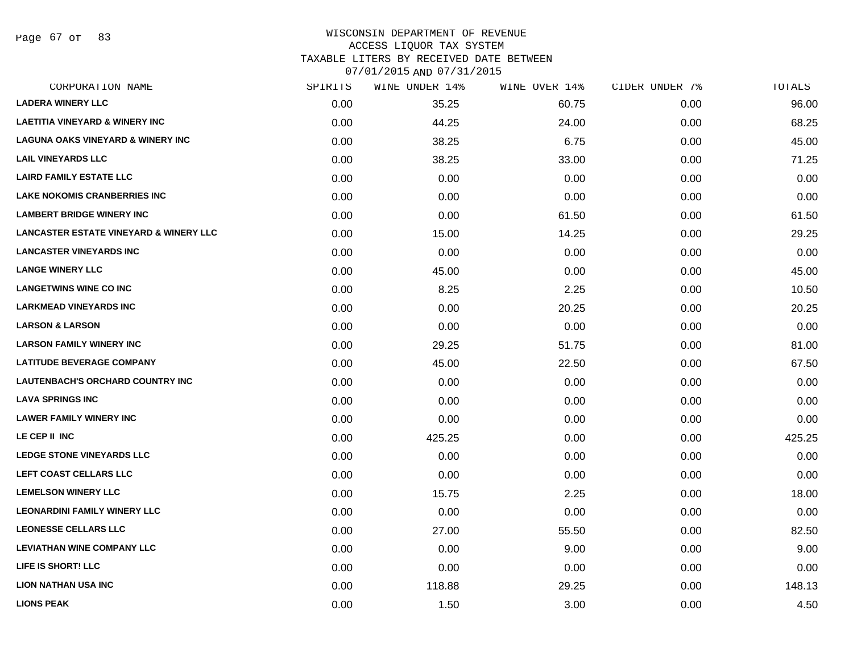Page 67 of 83

# WISCONSIN DEPARTMENT OF REVENUE ACCESS LIQUOR TAX SYSTEM TAXABLE LITERS BY RECEIVED DATE BETWEEN

| CORPORATION NAME                                  | SPIRITS | WINE UNDER 14% | WINE OVER 14% | CIDER UNDER 7% | TOTALS |
|---------------------------------------------------|---------|----------------|---------------|----------------|--------|
| <b>LADERA WINERY LLC</b>                          | 0.00    | 35.25          | 60.75         | 0.00           | 96.00  |
| <b>LAETITIA VINEYARD &amp; WINERY INC</b>         | 0.00    | 44.25          | 24.00         | 0.00           | 68.25  |
| <b>LAGUNA OAKS VINEYARD &amp; WINERY INC</b>      | 0.00    | 38.25          | 6.75          | 0.00           | 45.00  |
| <b>LAIL VINEYARDS LLC</b>                         | 0.00    | 38.25          | 33.00         | 0.00           | 71.25  |
| <b>LAIRD FAMILY ESTATE LLC</b>                    | 0.00    | 0.00           | 0.00          | 0.00           | 0.00   |
| <b>LAKE NOKOMIS CRANBERRIES INC</b>               | 0.00    | 0.00           | 0.00          | 0.00           | 0.00   |
| <b>LAMBERT BRIDGE WINERY INC</b>                  | 0.00    | 0.00           | 61.50         | 0.00           | 61.50  |
| <b>LANCASTER ESTATE VINEYARD &amp; WINERY LLC</b> | 0.00    | 15.00          | 14.25         | 0.00           | 29.25  |
| <b>LANCASTER VINEYARDS INC</b>                    | 0.00    | 0.00           | 0.00          | 0.00           | 0.00   |
| <b>LANGE WINERY LLC</b>                           | 0.00    | 45.00          | 0.00          | 0.00           | 45.00  |
| <b>LANGETWINS WINE CO INC</b>                     | 0.00    | 8.25           | 2.25          | 0.00           | 10.50  |
| <b>LARKMEAD VINEYARDS INC</b>                     | 0.00    | 0.00           | 20.25         | 0.00           | 20.25  |
| <b>LARSON &amp; LARSON</b>                        | 0.00    | 0.00           | 0.00          | 0.00           | 0.00   |
| <b>LARSON FAMILY WINERY INC</b>                   | 0.00    | 29.25          | 51.75         | 0.00           | 81.00  |
| <b>LATITUDE BEVERAGE COMPANY</b>                  | 0.00    | 45.00          | 22.50         | 0.00           | 67.50  |
| <b>LAUTENBACH'S ORCHARD COUNTRY INC</b>           | 0.00    | 0.00           | 0.00          | 0.00           | 0.00   |
| <b>LAVA SPRINGS INC</b>                           | 0.00    | 0.00           | 0.00          | 0.00           | 0.00   |
| <b>LAWER FAMILY WINERY INC</b>                    | 0.00    | 0.00           | 0.00          | 0.00           | 0.00   |
| LE CEP II INC                                     | 0.00    | 425.25         | 0.00          | 0.00           | 425.25 |
| <b>LEDGE STONE VINEYARDS LLC</b>                  | 0.00    | 0.00           | 0.00          | 0.00           | 0.00   |
| LEFT COAST CELLARS LLC                            | 0.00    | 0.00           | 0.00          | 0.00           | 0.00   |
| <b>LEMELSON WINERY LLC</b>                        | 0.00    | 15.75          | 2.25          | 0.00           | 18.00  |
| <b>LEONARDINI FAMILY WINERY LLC</b>               | 0.00    | 0.00           | 0.00          | 0.00           | 0.00   |
| <b>LEONESSE CELLARS LLC</b>                       | 0.00    | 27.00          | 55.50         | 0.00           | 82.50  |
| <b>LEVIATHAN WINE COMPANY LLC</b>                 | 0.00    | 0.00           | 9.00          | 0.00           | 9.00   |
| LIFE IS SHORT! LLC                                | 0.00    | 0.00           | 0.00          | 0.00           | 0.00   |
| <b>LION NATHAN USA INC</b>                        | 0.00    | 118.88         | 29.25         | 0.00           | 148.13 |
| <b>LIONS PEAK</b>                                 | 0.00    | 1.50           | 3.00          | 0.00           | 4.50   |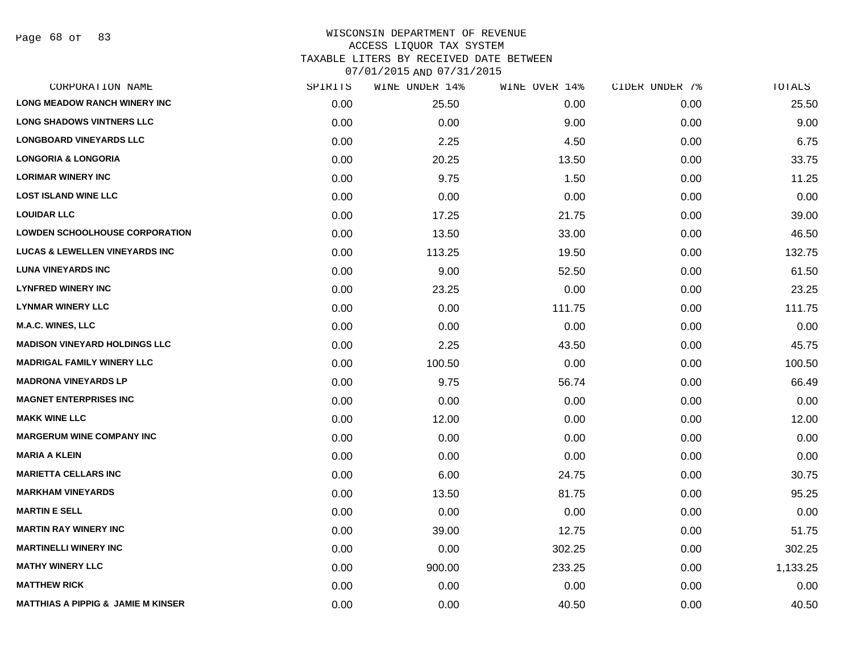Page 68 of 83

| CORPORATION NAME                              | SPIRITS | WINE UNDER 14% | WINE OVER 14% | CIDER UNDER 7% | TOTALS   |
|-----------------------------------------------|---------|----------------|---------------|----------------|----------|
| <b>LONG MEADOW RANCH WINERY INC</b>           | 0.00    | 25.50          | 0.00          | 0.00           | 25.50    |
| <b>LONG SHADOWS VINTNERS LLC</b>              | 0.00    | 0.00           | 9.00          | 0.00           | 9.00     |
| <b>LONGBOARD VINEYARDS LLC</b>                | 0.00    | 2.25           | 4.50          | 0.00           | 6.75     |
| <b>LONGORIA &amp; LONGORIA</b>                | 0.00    | 20.25          | 13.50         | 0.00           | 33.75    |
| <b>LORIMAR WINERY INC</b>                     | 0.00    | 9.75           | 1.50          | 0.00           | 11.25    |
| <b>LOST ISLAND WINE LLC</b>                   | 0.00    | 0.00           | 0.00          | 0.00           | 0.00     |
| <b>LOUIDAR LLC</b>                            | 0.00    | 17.25          | 21.75         | 0.00           | 39.00    |
| <b>LOWDEN SCHOOLHOUSE CORPORATION</b>         | 0.00    | 13.50          | 33.00         | 0.00           | 46.50    |
| <b>LUCAS &amp; LEWELLEN VINEYARDS INC</b>     | 0.00    | 113.25         | 19.50         | 0.00           | 132.75   |
| <b>LUNA VINEYARDS INC</b>                     | 0.00    | 9.00           | 52.50         | 0.00           | 61.50    |
| <b>LYNFRED WINERY INC</b>                     | 0.00    | 23.25          | 0.00          | 0.00           | 23.25    |
| <b>LYNMAR WINERY LLC</b>                      | 0.00    | 0.00           | 111.75        | 0.00           | 111.75   |
| M.A.C. WINES, LLC                             | 0.00    | 0.00           | 0.00          | 0.00           | 0.00     |
| <b>MADISON VINEYARD HOLDINGS LLC</b>          | 0.00    | 2.25           | 43.50         | 0.00           | 45.75    |
| <b>MADRIGAL FAMILY WINERY LLC</b>             | 0.00    | 100.50         | 0.00          | 0.00           | 100.50   |
| <b>MADRONA VINEYARDS LP</b>                   | 0.00    | 9.75           | 56.74         | 0.00           | 66.49    |
| <b>MAGNET ENTERPRISES INC</b>                 | 0.00    | 0.00           | 0.00          | 0.00           | 0.00     |
| <b>MAKK WINE LLC</b>                          | 0.00    | 12.00          | 0.00          | 0.00           | 12.00    |
| <b>MARGERUM WINE COMPANY INC</b>              | 0.00    | 0.00           | 0.00          | 0.00           | 0.00     |
| <b>MARIA A KLEIN</b>                          | 0.00    | 0.00           | 0.00          | 0.00           | 0.00     |
| <b>MARIETTA CELLARS INC</b>                   | 0.00    | 6.00           | 24.75         | 0.00           | 30.75    |
| <b>MARKHAM VINEYARDS</b>                      | 0.00    | 13.50          | 81.75         | 0.00           | 95.25    |
| <b>MARTIN E SELL</b>                          | 0.00    | 0.00           | 0.00          | 0.00           | 0.00     |
| <b>MARTIN RAY WINERY INC</b>                  | 0.00    | 39.00          | 12.75         | 0.00           | 51.75    |
| <b>MARTINELLI WINERY INC</b>                  | 0.00    | 0.00           | 302.25        | 0.00           | 302.25   |
| <b>MATHY WINERY LLC</b>                       | 0.00    | 900.00         | 233.25        | 0.00           | 1,133.25 |
| <b>MATTHEW RICK</b>                           | 0.00    | 0.00           | 0.00          | 0.00           | 0.00     |
| <b>MATTHIAS A PIPPIG &amp; JAMIE M KINSER</b> | 0.00    | 0.00           | 40.50         | 0.00           | 40.50    |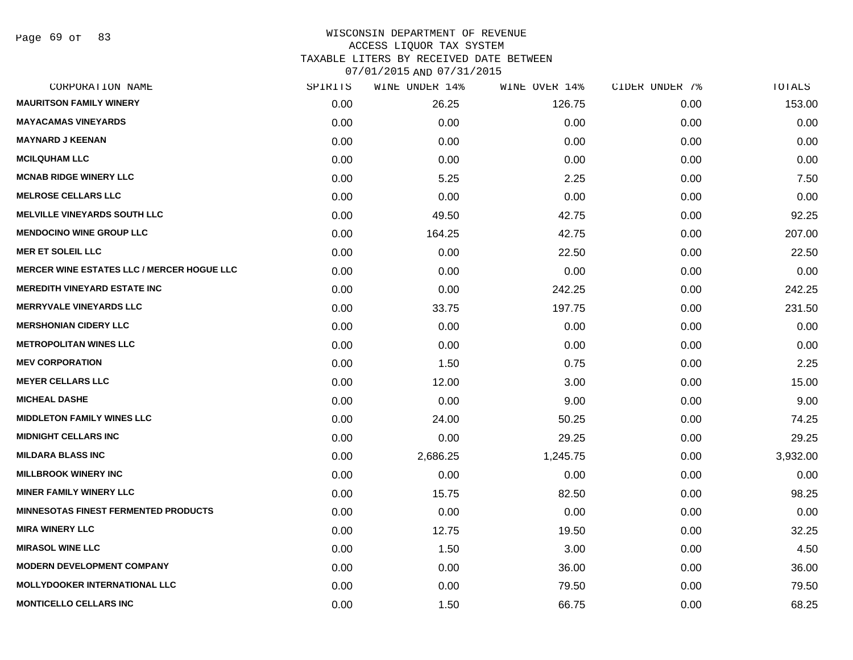Page 69 of 83

| CORPORATION NAME                                  | SPIRITS | WINE UNDER 14% | WINE OVER 14% | CIDER UNDER 7% | TOTALS   |
|---------------------------------------------------|---------|----------------|---------------|----------------|----------|
| <b>MAURITSON FAMILY WINERY</b>                    | 0.00    | 26.25          | 126.75        | 0.00           | 153.00   |
| <b>MAYACAMAS VINEYARDS</b>                        | 0.00    | 0.00           | 0.00          | 0.00           | 0.00     |
| <b>MAYNARD J KEENAN</b>                           | 0.00    | 0.00           | 0.00          | 0.00           | 0.00     |
| <b>MCILQUHAM LLC</b>                              | 0.00    | 0.00           | 0.00          | 0.00           | 0.00     |
| <b>MCNAB RIDGE WINERY LLC</b>                     | 0.00    | 5.25           | 2.25          | 0.00           | 7.50     |
| <b>MELROSE CELLARS LLC</b>                        | 0.00    | 0.00           | 0.00          | 0.00           | 0.00     |
| <b>MELVILLE VINEYARDS SOUTH LLC</b>               | 0.00    | 49.50          | 42.75         | 0.00           | 92.25    |
| <b>MENDOCINO WINE GROUP LLC</b>                   | 0.00    | 164.25         | 42.75         | 0.00           | 207.00   |
| <b>MER ET SOLEIL LLC</b>                          | 0.00    | 0.00           | 22.50         | 0.00           | 22.50    |
| <b>MERCER WINE ESTATES LLC / MERCER HOGUE LLC</b> | 0.00    | 0.00           | 0.00          | 0.00           | 0.00     |
| <b>MEREDITH VINEYARD ESTATE INC</b>               | 0.00    | 0.00           | 242.25        | 0.00           | 242.25   |
| <b>MERRYVALE VINEYARDS LLC</b>                    | 0.00    | 33.75          | 197.75        | 0.00           | 231.50   |
| <b>MERSHONIAN CIDERY LLC</b>                      | 0.00    | 0.00           | 0.00          | 0.00           | 0.00     |
| <b>METROPOLITAN WINES LLC</b>                     | 0.00    | 0.00           | 0.00          | 0.00           | 0.00     |
| <b>MEV CORPORATION</b>                            | 0.00    | 1.50           | 0.75          | 0.00           | 2.25     |
| <b>MEYER CELLARS LLC</b>                          | 0.00    | 12.00          | 3.00          | 0.00           | 15.00    |
| <b>MICHEAL DASHE</b>                              | 0.00    | 0.00           | 9.00          | 0.00           | 9.00     |
| <b>MIDDLETON FAMILY WINES LLC</b>                 | 0.00    | 24.00          | 50.25         | 0.00           | 74.25    |
| <b>MIDNIGHT CELLARS INC</b>                       | 0.00    | 0.00           | 29.25         | 0.00           | 29.25    |
| <b>MILDARA BLASS INC</b>                          | 0.00    | 2,686.25       | 1,245.75      | 0.00           | 3,932.00 |
| <b>MILLBROOK WINERY INC</b>                       | 0.00    | 0.00           | 0.00          | 0.00           | 0.00     |
| <b>MINER FAMILY WINERY LLC</b>                    | 0.00    | 15.75          | 82.50         | 0.00           | 98.25    |
| <b>MINNESOTAS FINEST FERMENTED PRODUCTS</b>       | 0.00    | 0.00           | 0.00          | 0.00           | 0.00     |
| <b>MIRA WINERY LLC</b>                            | 0.00    | 12.75          | 19.50         | 0.00           | 32.25    |
| <b>MIRASOL WINE LLC</b>                           | 0.00    | 1.50           | 3.00          | 0.00           | 4.50     |
| <b>MODERN DEVELOPMENT COMPANY</b>                 | 0.00    | 0.00           | 36.00         | 0.00           | 36.00    |
| <b>MOLLYDOOKER INTERNATIONAL LLC</b>              | 0.00    | 0.00           | 79.50         | 0.00           | 79.50    |
| <b>MONTICELLO CELLARS INC</b>                     | 0.00    | 1.50           | 66.75         | 0.00           | 68.25    |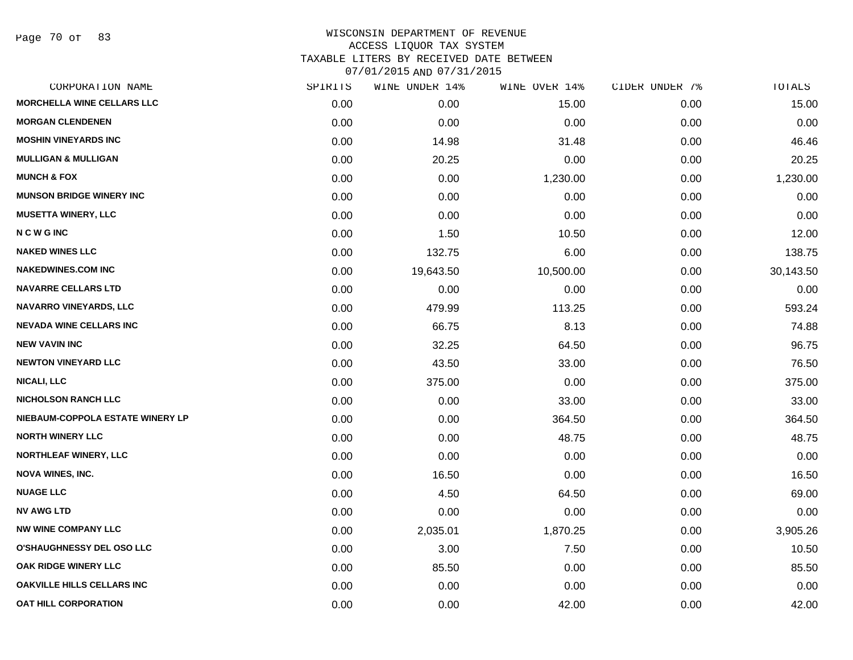Page 70 of 83

| CORPORATION NAME                  | SPIRITS | WINE UNDER 14% | WINE OVER 14% | CIDER UNDER 7% | TOTALS    |
|-----------------------------------|---------|----------------|---------------|----------------|-----------|
| <b>MORCHELLA WINE CELLARS LLC</b> | 0.00    | 0.00           | 15.00         | 0.00           | 15.00     |
| <b>MORGAN CLENDENEN</b>           | 0.00    | 0.00           | 0.00          | 0.00           | 0.00      |
| <b>MOSHIN VINEYARDS INC</b>       | 0.00    | 14.98          | 31.48         | 0.00           | 46.46     |
| <b>MULLIGAN &amp; MULLIGAN</b>    | 0.00    | 20.25          | 0.00          | 0.00           | 20.25     |
| <b>MUNCH &amp; FOX</b>            | 0.00    | 0.00           | 1,230.00      | 0.00           | 1,230.00  |
| <b>MUNSON BRIDGE WINERY INC</b>   | 0.00    | 0.00           | 0.00          | 0.00           | 0.00      |
| <b>MUSETTA WINERY, LLC</b>        | 0.00    | 0.00           | 0.00          | 0.00           | 0.00      |
| <b>NCWGINC</b>                    | 0.00    | 1.50           | 10.50         | 0.00           | 12.00     |
| <b>NAKED WINES LLC</b>            | 0.00    | 132.75         | 6.00          | 0.00           | 138.75    |
| <b>NAKEDWINES.COM INC</b>         | 0.00    | 19,643.50      | 10,500.00     | 0.00           | 30,143.50 |
| <b>NAVARRE CELLARS LTD</b>        | 0.00    | 0.00           | 0.00          | 0.00           | 0.00      |
| <b>NAVARRO VINEYARDS, LLC</b>     | 0.00    | 479.99         | 113.25        | 0.00           | 593.24    |
| <b>NEVADA WINE CELLARS INC</b>    | 0.00    | 66.75          | 8.13          | 0.00           | 74.88     |
| <b>NEW VAVIN INC</b>              | 0.00    | 32.25          | 64.50         | 0.00           | 96.75     |
| <b>NEWTON VINEYARD LLC</b>        | 0.00    | 43.50          | 33.00         | 0.00           | 76.50     |
| <b>NICALI, LLC</b>                | 0.00    | 375.00         | 0.00          | 0.00           | 375.00    |
| <b>NICHOLSON RANCH LLC</b>        | 0.00    | 0.00           | 33.00         | 0.00           | 33.00     |
| NIEBAUM-COPPOLA ESTATE WINERY LP  | 0.00    | 0.00           | 364.50        | 0.00           | 364.50    |
| <b>NORTH WINERY LLC</b>           | 0.00    | 0.00           | 48.75         | 0.00           | 48.75     |
| <b>NORTHLEAF WINERY, LLC</b>      | 0.00    | 0.00           | 0.00          | 0.00           | 0.00      |
| <b>NOVA WINES, INC.</b>           | 0.00    | 16.50          | 0.00          | 0.00           | 16.50     |
| <b>NUAGE LLC</b>                  | 0.00    | 4.50           | 64.50         | 0.00           | 69.00     |
| <b>NV AWG LTD</b>                 | 0.00    | 0.00           | 0.00          | 0.00           | 0.00      |
| <b>NW WINE COMPANY LLC</b>        | 0.00    | 2,035.01       | 1,870.25      | 0.00           | 3,905.26  |
| O'SHAUGHNESSY DEL OSO LLC         | 0.00    | 3.00           | 7.50          | 0.00           | 10.50     |
| OAK RIDGE WINERY LLC              | 0.00    | 85.50          | 0.00          | 0.00           | 85.50     |
| <b>OAKVILLE HILLS CELLARS INC</b> | 0.00    | 0.00           | 0.00          | 0.00           | 0.00      |
| <b>OAT HILL CORPORATION</b>       | 0.00    | 0.00           | 42.00         | 0.00           | 42.00     |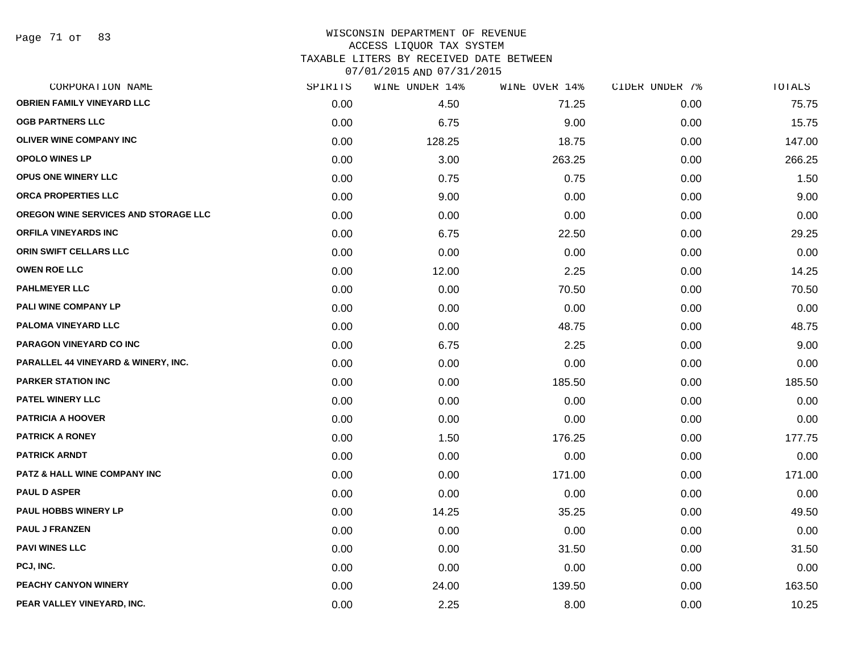Page 71 of 83

# WISCONSIN DEPARTMENT OF REVENUE ACCESS LIQUOR TAX SYSTEM

TAXABLE LITERS BY RECEIVED DATE BETWEEN

| CORPORATION NAME                        | SPIRITS | WINE UNDER 14% | WINE OVER 14% | CIDER UNDER 7% | TOTALS |
|-----------------------------------------|---------|----------------|---------------|----------------|--------|
| <b>OBRIEN FAMILY VINEYARD LLC</b>       | 0.00    | 4.50           | 71.25         | 0.00           | 75.75  |
| <b>OGB PARTNERS LLC</b>                 | 0.00    | 6.75           | 9.00          | 0.00           | 15.75  |
| <b>OLIVER WINE COMPANY INC</b>          | 0.00    | 128.25         | 18.75         | 0.00           | 147.00 |
| <b>OPOLO WINES LP</b>                   | 0.00    | 3.00           | 263.25        | 0.00           | 266.25 |
| OPUS ONE WINERY LLC                     | 0.00    | 0.75           | 0.75          | 0.00           | 1.50   |
| ORCA PROPERTIES LLC                     | 0.00    | 9.00           | 0.00          | 0.00           | 9.00   |
| OREGON WINE SERVICES AND STORAGE LLC    | 0.00    | 0.00           | 0.00          | 0.00           | 0.00   |
| <b>ORFILA VINEYARDS INC</b>             | 0.00    | 6.75           | 22.50         | 0.00           | 29.25  |
| ORIN SWIFT CELLARS LLC                  | 0.00    | 0.00           | 0.00          | 0.00           | 0.00   |
| <b>OWEN ROE LLC</b>                     | 0.00    | 12.00          | 2.25          | 0.00           | 14.25  |
| <b>PAHLMEYER LLC</b>                    | 0.00    | 0.00           | 70.50         | 0.00           | 70.50  |
| PALI WINE COMPANY LP                    | 0.00    | 0.00           | 0.00          | 0.00           | 0.00   |
| PALOMA VINEYARD LLC                     | 0.00    | 0.00           | 48.75         | 0.00           | 48.75  |
| <b>PARAGON VINEYARD CO INC</b>          | 0.00    | 6.75           | 2.25          | 0.00           | 9.00   |
| PARALLEL 44 VINEYARD & WINERY, INC.     | 0.00    | 0.00           | 0.00          | 0.00           | 0.00   |
| <b>PARKER STATION INC</b>               | 0.00    | 0.00           | 185.50        | 0.00           | 185.50 |
| PATEL WINERY LLC                        | 0.00    | 0.00           | 0.00          | 0.00           | 0.00   |
| <b>PATRICIA A HOOVER</b>                | 0.00    | 0.00           | 0.00          | 0.00           | 0.00   |
| <b>PATRICK A RONEY</b>                  | 0.00    | 1.50           | 176.25        | 0.00           | 177.75 |
| <b>PATRICK ARNDT</b>                    | 0.00    | 0.00           | 0.00          | 0.00           | 0.00   |
| <b>PATZ &amp; HALL WINE COMPANY INC</b> | 0.00    | 0.00           | 171.00        | 0.00           | 171.00 |
| <b>PAUL D ASPER</b>                     | 0.00    | 0.00           | 0.00          | 0.00           | 0.00   |
| PAUL HOBBS WINERY LP                    | 0.00    | 14.25          | 35.25         | 0.00           | 49.50  |
| <b>PAUL J FRANZEN</b>                   | 0.00    | 0.00           | 0.00          | 0.00           | 0.00   |
| <b>PAVI WINES LLC</b>                   | 0.00    | 0.00           | 31.50         | 0.00           | 31.50  |
| PCJ, INC.                               | 0.00    | 0.00           | 0.00          | 0.00           | 0.00   |
| PEACHY CANYON WINERY                    | 0.00    | 24.00          | 139.50        | 0.00           | 163.50 |
| PEAR VALLEY VINEYARD, INC.              | 0.00    | 2.25           | 8.00          | 0.00           | 10.25  |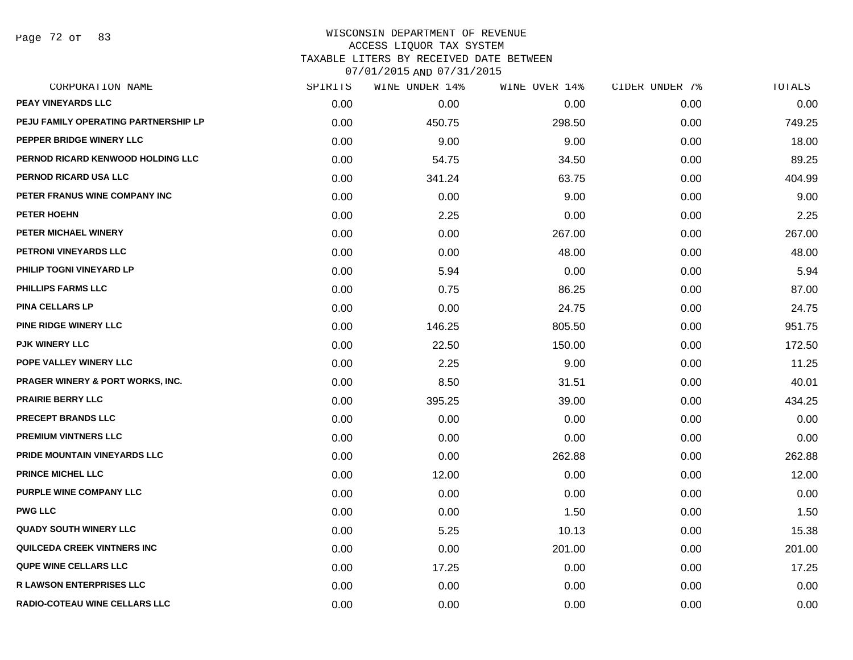Page 72 of 83

| CORPORATION NAME                     | SPIRITS | <b>WINE UNDER 14%</b> | WINE OVER 14% | CIDER UNDER 7% | TOTALS |
|--------------------------------------|---------|-----------------------|---------------|----------------|--------|
| <b>PEAY VINEYARDS LLC</b>            | 0.00    | 0.00                  | 0.00          | 0.00           | 0.00   |
| PEJU FAMILY OPERATING PARTNERSHIP LP | 0.00    | 450.75                | 298.50        | 0.00           | 749.25 |
| PEPPER BRIDGE WINERY LLC             | 0.00    | 9.00                  | 9.00          | 0.00           | 18.00  |
| PERNOD RICARD KENWOOD HOLDING LLC    | 0.00    | 54.75                 | 34.50         | 0.00           | 89.25  |
| PERNOD RICARD USA LLC                | 0.00    | 341.24                | 63.75         | 0.00           | 404.99 |
| PETER FRANUS WINE COMPANY INC        | 0.00    | 0.00                  | 9.00          | 0.00           | 9.00   |
| PETER HOEHN                          | 0.00    | 2.25                  | 0.00          | 0.00           | 2.25   |
| PETER MICHAEL WINERY                 | 0.00    | 0.00                  | 267.00        | 0.00           | 267.00 |
| PETRONI VINEYARDS LLC                | 0.00    | 0.00                  | 48.00         | 0.00           | 48.00  |
| PHILIP TOGNI VINEYARD LP             | 0.00    | 5.94                  | 0.00          | 0.00           | 5.94   |
| <b>PHILLIPS FARMS LLC</b>            | 0.00    | 0.75                  | 86.25         | 0.00           | 87.00  |
| <b>PINA CELLARS LP</b>               | 0.00    | 0.00                  | 24.75         | 0.00           | 24.75  |
| <b>PINE RIDGE WINERY LLC</b>         | 0.00    | 146.25                | 805.50        | 0.00           | 951.75 |
| <b>PJK WINERY LLC</b>                | 0.00    | 22.50                 | 150.00        | 0.00           | 172.50 |
| POPE VALLEY WINERY LLC               | 0.00    | 2.25                  | 9.00          | 0.00           | 11.25  |
| PRAGER WINERY & PORT WORKS, INC.     | 0.00    | 8.50                  | 31.51         | 0.00           | 40.01  |
| <b>PRAIRIE BERRY LLC</b>             | 0.00    | 395.25                | 39.00         | 0.00           | 434.25 |
| PRECEPT BRANDS LLC                   | 0.00    | 0.00                  | 0.00          | 0.00           | 0.00   |
| PREMIUM VINTNERS LLC                 | 0.00    | 0.00                  | 0.00          | 0.00           | 0.00   |
| PRIDE MOUNTAIN VINEYARDS LLC         | 0.00    | 0.00                  | 262.88        | 0.00           | 262.88 |
| <b>PRINCE MICHEL LLC</b>             | 0.00    | 12.00                 | 0.00          | 0.00           | 12.00  |
| PURPLE WINE COMPANY LLC              | 0.00    | 0.00                  | 0.00          | 0.00           | 0.00   |
| <b>PWG LLC</b>                       | 0.00    | 0.00                  | 1.50          | 0.00           | 1.50   |
| <b>QUADY SOUTH WINERY LLC</b>        | 0.00    | 5.25                  | 10.13         | 0.00           | 15.38  |
| QUILCEDA CREEK VINTNERS INC          | 0.00    | 0.00                  | 201.00        | 0.00           | 201.00 |
| <b>QUPE WINE CELLARS LLC</b>         | 0.00    | 17.25                 | 0.00          | 0.00           | 17.25  |
| <b>R LAWSON ENTERPRISES LLC</b>      | 0.00    | 0.00                  | 0.00          | 0.00           | 0.00   |
| <b>RADIO-COTEAU WINE CELLARS LLC</b> | 0.00    | 0.00                  | 0.00          | 0.00           | 0.00   |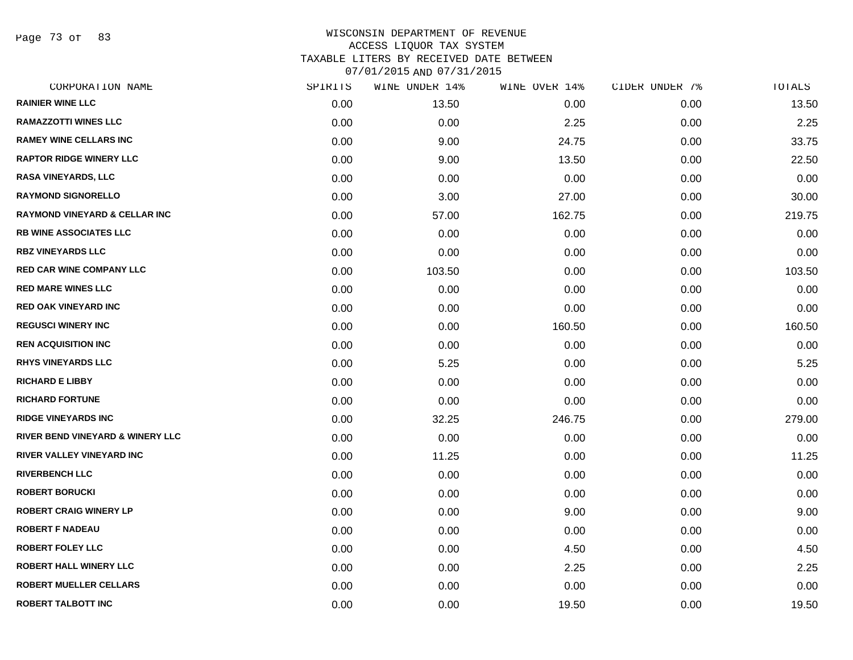Page 73 of 83

| CORPORATION NAME                            | SPIRITS | WINE UNDER 14% | WINE OVER 14% | CIDER UNDER 7% | TOTALS |
|---------------------------------------------|---------|----------------|---------------|----------------|--------|
| <b>RAINIER WINE LLC</b>                     | 0.00    | 13.50          | 0.00          | 0.00           | 13.50  |
| <b>RAMAZZOTTI WINES LLC</b>                 | 0.00    | 0.00           | 2.25          | 0.00           | 2.25   |
| <b>RAMEY WINE CELLARS INC</b>               | 0.00    | 9.00           | 24.75         | 0.00           | 33.75  |
| <b>RAPTOR RIDGE WINERY LLC</b>              | 0.00    | 9.00           | 13.50         | 0.00           | 22.50  |
| <b>RASA VINEYARDS, LLC</b>                  | 0.00    | 0.00           | 0.00          | 0.00           | 0.00   |
| <b>RAYMOND SIGNORELLO</b>                   | 0.00    | 3.00           | 27.00         | 0.00           | 30.00  |
| <b>RAYMOND VINEYARD &amp; CELLAR INC</b>    | 0.00    | 57.00          | 162.75        | 0.00           | 219.75 |
| <b>RB WINE ASSOCIATES LLC</b>               | 0.00    | 0.00           | 0.00          | 0.00           | 0.00   |
| <b>RBZ VINEYARDS LLC</b>                    | 0.00    | 0.00           | 0.00          | 0.00           | 0.00   |
| <b>RED CAR WINE COMPANY LLC</b>             | 0.00    | 103.50         | 0.00          | 0.00           | 103.50 |
| <b>RED MARE WINES LLC</b>                   | 0.00    | 0.00           | 0.00          | 0.00           | 0.00   |
| <b>RED OAK VINEYARD INC</b>                 | 0.00    | 0.00           | 0.00          | 0.00           | 0.00   |
| <b>REGUSCI WINERY INC</b>                   | 0.00    | 0.00           | 160.50        | 0.00           | 160.50 |
| <b>REN ACQUISITION INC</b>                  | 0.00    | 0.00           | 0.00          | 0.00           | 0.00   |
| <b>RHYS VINEYARDS LLC</b>                   | 0.00    | 5.25           | 0.00          | 0.00           | 5.25   |
| <b>RICHARD E LIBBY</b>                      | 0.00    | 0.00           | 0.00          | 0.00           | 0.00   |
| <b>RICHARD FORTUNE</b>                      | 0.00    | 0.00           | 0.00          | 0.00           | 0.00   |
| <b>RIDGE VINEYARDS INC</b>                  | 0.00    | 32.25          | 246.75        | 0.00           | 279.00 |
| <b>RIVER BEND VINEYARD &amp; WINERY LLC</b> | 0.00    | 0.00           | 0.00          | 0.00           | 0.00   |
| RIVER VALLEY VINEYARD INC                   | 0.00    | 11.25          | 0.00          | 0.00           | 11.25  |
| <b>RIVERBENCH LLC</b>                       | 0.00    | 0.00           | 0.00          | 0.00           | 0.00   |
| <b>ROBERT BORUCKI</b>                       | 0.00    | 0.00           | 0.00          | 0.00           | 0.00   |
| <b>ROBERT CRAIG WINERY LP</b>               | 0.00    | 0.00           | 9.00          | 0.00           | 9.00   |
| <b>ROBERT F NADEAU</b>                      | 0.00    | 0.00           | 0.00          | 0.00           | 0.00   |
| <b>ROBERT FOLEY LLC</b>                     | 0.00    | 0.00           | 4.50          | 0.00           | 4.50   |
| ROBERT HALL WINERY LLC                      | 0.00    | 0.00           | 2.25          | 0.00           | 2.25   |
| <b>ROBERT MUELLER CELLARS</b>               | 0.00    | 0.00           | 0.00          | 0.00           | 0.00   |
| <b>ROBERT TALBOTT INC</b>                   | 0.00    | 0.00           | 19.50         | 0.00           | 19.50  |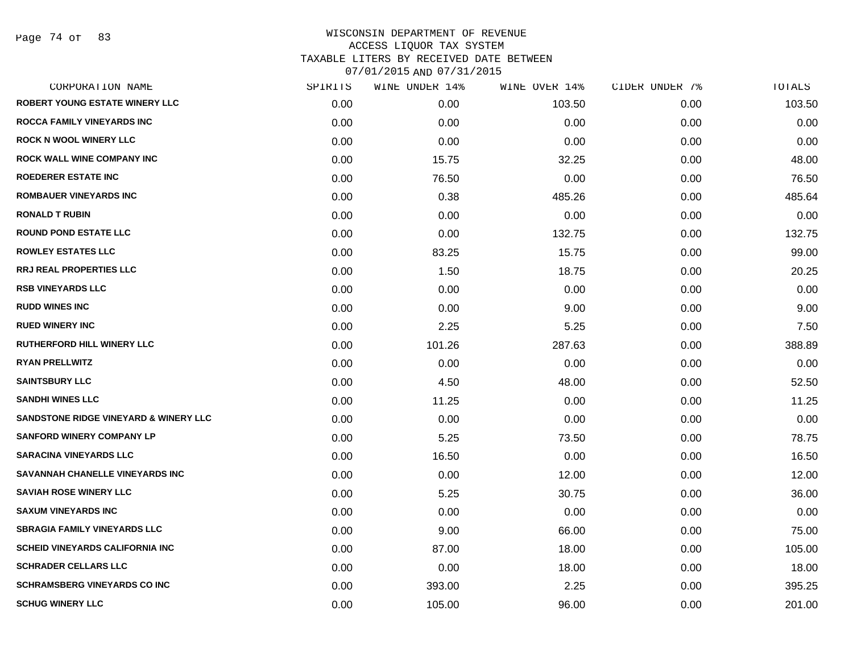Page 74 of 83

| CORPORATION NAME                       | SPIRITS | WINE UNDER 14% | WINE OVER 14% | CIDER UNDER 7% | TOTALS |
|----------------------------------------|---------|----------------|---------------|----------------|--------|
| <b>ROBERT YOUNG ESTATE WINERY LLC</b>  | 0.00    | 0.00           | 103.50        | 0.00           | 103.50 |
| <b>ROCCA FAMILY VINEYARDS INC</b>      | 0.00    | 0.00           | 0.00          | 0.00           | 0.00   |
| <b>ROCK N WOOL WINERY LLC</b>          | 0.00    | 0.00           | 0.00          | 0.00           | 0.00   |
| <b>ROCK WALL WINE COMPANY INC</b>      | 0.00    | 15.75          | 32.25         | 0.00           | 48.00  |
| <b>ROEDERER ESTATE INC</b>             | 0.00    | 76.50          | 0.00          | 0.00           | 76.50  |
| <b>ROMBAUER VINEYARDS INC</b>          | 0.00    | 0.38           | 485.26        | 0.00           | 485.64 |
| <b>RONALD T RUBIN</b>                  | 0.00    | 0.00           | 0.00          | 0.00           | 0.00   |
| <b>ROUND POND ESTATE LLC</b>           | 0.00    | 0.00           | 132.75        | 0.00           | 132.75 |
| <b>ROWLEY ESTATES LLC</b>              | 0.00    | 83.25          | 15.75         | 0.00           | 99.00  |
| <b>RRJ REAL PROPERTIES LLC</b>         | 0.00    | 1.50           | 18.75         | 0.00           | 20.25  |
| <b>RSB VINEYARDS LLC</b>               | 0.00    | 0.00           | 0.00          | 0.00           | 0.00   |
| <b>RUDD WINES INC</b>                  | 0.00    | 0.00           | 9.00          | 0.00           | 9.00   |
| <b>RUED WINERY INC</b>                 | 0.00    | 2.25           | 5.25          | 0.00           | 7.50   |
| RUTHERFORD HILL WINERY LLC             | 0.00    | 101.26         | 287.63        | 0.00           | 388.89 |
| <b>RYAN PRELLWITZ</b>                  | 0.00    | 0.00           | 0.00          | 0.00           | 0.00   |
| <b>SAINTSBURY LLC</b>                  | 0.00    | 4.50           | 48.00         | 0.00           | 52.50  |
| <b>SANDHI WINES LLC</b>                | 0.00    | 11.25          | 0.00          | 0.00           | 11.25  |
| SANDSTONE RIDGE VINEYARD & WINERY LLC  | 0.00    | 0.00           | 0.00          | 0.00           | 0.00   |
| <b>SANFORD WINERY COMPANY LP</b>       | 0.00    | 5.25           | 73.50         | 0.00           | 78.75  |
| <b>SARACINA VINEYARDS LLC</b>          | 0.00    | 16.50          | 0.00          | 0.00           | 16.50  |
| SAVANNAH CHANELLE VINEYARDS INC        | 0.00    | 0.00           | 12.00         | 0.00           | 12.00  |
| <b>SAVIAH ROSE WINERY LLC</b>          | 0.00    | 5.25           | 30.75         | 0.00           | 36.00  |
| <b>SAXUM VINEYARDS INC</b>             | 0.00    | 0.00           | 0.00          | 0.00           | 0.00   |
| <b>SBRAGIA FAMILY VINEYARDS LLC</b>    | 0.00    | 9.00           | 66.00         | 0.00           | 75.00  |
| <b>SCHEID VINEYARDS CALIFORNIA INC</b> | 0.00    | 87.00          | 18.00         | 0.00           | 105.00 |
| <b>SCHRADER CELLARS LLC</b>            | 0.00    | 0.00           | 18.00         | 0.00           | 18.00  |
| <b>SCHRAMSBERG VINEYARDS CO INC</b>    | 0.00    | 393.00         | 2.25          | 0.00           | 395.25 |
| <b>SCHUG WINERY LLC</b>                | 0.00    | 105.00         | 96.00         | 0.00           | 201.00 |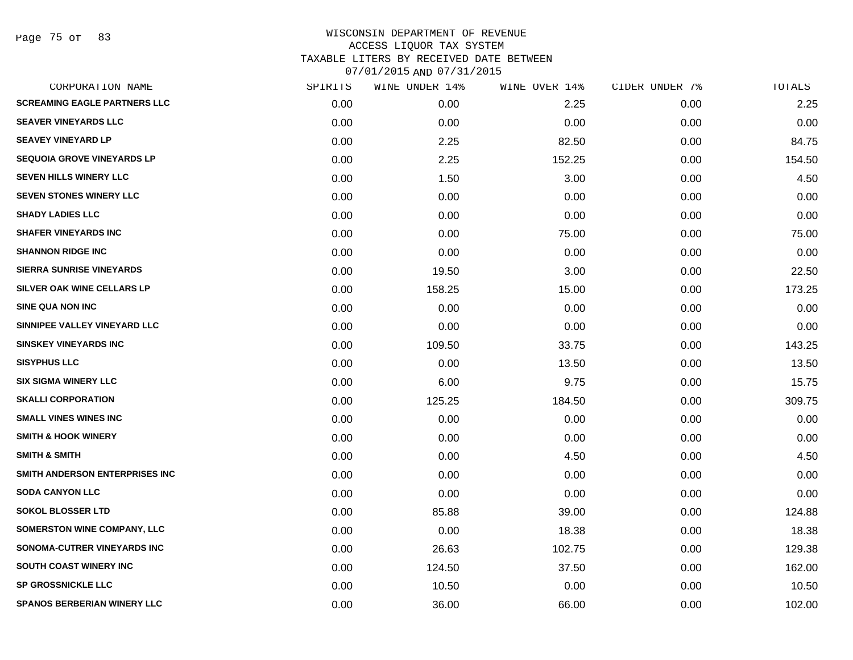Page 75 of 83

| CORPORATION NAME                    | SPIRITS | WINE UNDER 14% | WINE OVER 14% | CIDER UNDER 7% | TOTALS |
|-------------------------------------|---------|----------------|---------------|----------------|--------|
| <b>SCREAMING EAGLE PARTNERS LLC</b> | 0.00    | 0.00           | 2.25          | 0.00           | 2.25   |
| <b>SEAVER VINEYARDS LLC</b>         | 0.00    | 0.00           | 0.00          | 0.00           | 0.00   |
| <b>SEAVEY VINEYARD LP</b>           | 0.00    | 2.25           | 82.50         | 0.00           | 84.75  |
| <b>SEQUOIA GROVE VINEYARDS LP</b>   | 0.00    | 2.25           | 152.25        | 0.00           | 154.50 |
| <b>SEVEN HILLS WINERY LLC</b>       | 0.00    | 1.50           | 3.00          | 0.00           | 4.50   |
| <b>SEVEN STONES WINERY LLC</b>      | 0.00    | 0.00           | 0.00          | 0.00           | 0.00   |
| <b>SHADY LADIES LLC</b>             | 0.00    | 0.00           | 0.00          | 0.00           | 0.00   |
| <b>SHAFER VINEYARDS INC</b>         | 0.00    | 0.00           | 75.00         | 0.00           | 75.00  |
| <b>SHANNON RIDGE INC</b>            | 0.00    | 0.00           | 0.00          | 0.00           | 0.00   |
| <b>SIERRA SUNRISE VINEYARDS</b>     | 0.00    | 19.50          | 3.00          | 0.00           | 22.50  |
| SILVER OAK WINE CELLARS LP          | 0.00    | 158.25         | 15.00         | 0.00           | 173.25 |
| <b>SINE QUA NON INC</b>             | 0.00    | 0.00           | 0.00          | 0.00           | 0.00   |
| SINNIPEE VALLEY VINEYARD LLC        | 0.00    | 0.00           | 0.00          | 0.00           | 0.00   |
| <b>SINSKEY VINEYARDS INC</b>        | 0.00    | 109.50         | 33.75         | 0.00           | 143.25 |
| <b>SISYPHUS LLC</b>                 | 0.00    | 0.00           | 13.50         | 0.00           | 13.50  |
| <b>SIX SIGMA WINERY LLC</b>         | 0.00    | 6.00           | 9.75          | 0.00           | 15.75  |
| <b>SKALLI CORPORATION</b>           | 0.00    | 125.25         | 184.50        | 0.00           | 309.75 |
| <b>SMALL VINES WINES INC</b>        | 0.00    | 0.00           | 0.00          | 0.00           | 0.00   |
| <b>SMITH &amp; HOOK WINERY</b>      | 0.00    | 0.00           | 0.00          | 0.00           | 0.00   |
| <b>SMITH &amp; SMITH</b>            | 0.00    | 0.00           | 4.50          | 0.00           | 4.50   |
| SMITH ANDERSON ENTERPRISES INC      | 0.00    | 0.00           | 0.00          | 0.00           | 0.00   |
| <b>SODA CANYON LLC</b>              | 0.00    | 0.00           | 0.00          | 0.00           | 0.00   |
| <b>SOKOL BLOSSER LTD</b>            | 0.00    | 85.88          | 39.00         | 0.00           | 124.88 |
| <b>SOMERSTON WINE COMPANY, LLC</b>  | 0.00    | 0.00           | 18.38         | 0.00           | 18.38  |
| SONOMA-CUTRER VINEYARDS INC         | 0.00    | 26.63          | 102.75        | 0.00           | 129.38 |
| SOUTH COAST WINERY INC              | 0.00    | 124.50         | 37.50         | 0.00           | 162.00 |
| <b>SP GROSSNICKLE LLC</b>           | 0.00    | 10.50          | 0.00          | 0.00           | 10.50  |
| <b>SPANOS BERBERIAN WINERY LLC</b>  | 0.00    | 36.00          | 66.00         | 0.00           | 102.00 |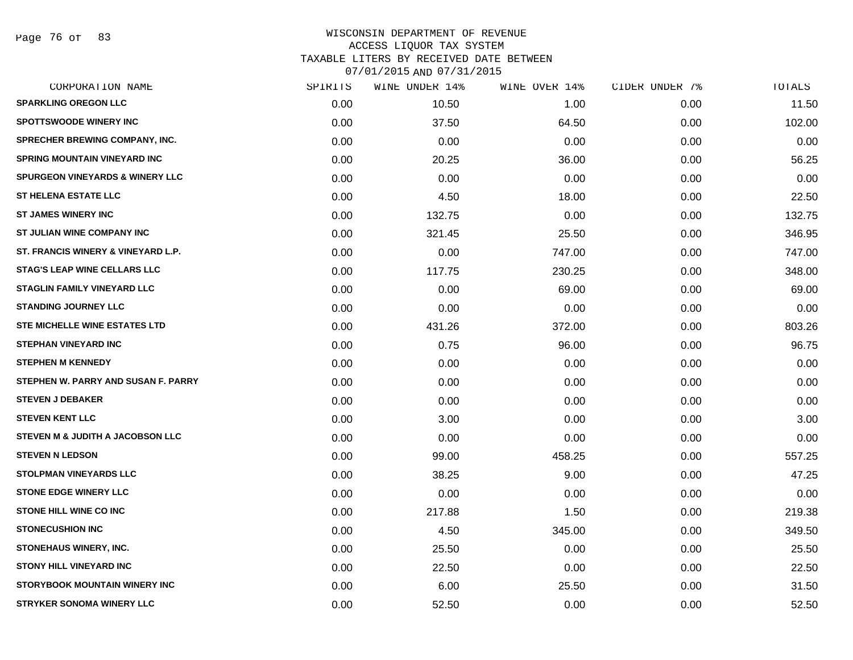Page 76 of 83

| CORPORATION NAME                           | SPIRITS | <b>WINE UNDER 14%</b> | WINE OVER 14% | CIDER UNDER 7% | <b>TOTALS</b> |
|--------------------------------------------|---------|-----------------------|---------------|----------------|---------------|
| <b>SPARKLING OREGON LLC</b>                | 0.00    | 10.50                 | 1.00          | 0.00           | 11.50         |
| <b>SPOTTSWOODE WINERY INC</b>              | 0.00    | 37.50                 | 64.50         | 0.00           | 102.00        |
| <b>SPRECHER BREWING COMPANY, INC.</b>      | 0.00    | 0.00                  | 0.00          | 0.00           | 0.00          |
| <b>SPRING MOUNTAIN VINEYARD INC</b>        | 0.00    | 20.25                 | 36.00         | 0.00           | 56.25         |
| <b>SPURGEON VINEYARDS &amp; WINERY LLC</b> | 0.00    | 0.00                  | 0.00          | 0.00           | 0.00          |
| <b>ST HELENA ESTATE LLC</b>                | 0.00    | 4.50                  | 18.00         | 0.00           | 22.50         |
| <b>ST JAMES WINERY INC</b>                 | 0.00    | 132.75                | 0.00          | 0.00           | 132.75        |
| ST JULIAN WINE COMPANY INC                 | 0.00    | 321.45                | 25.50         | 0.00           | 346.95        |
| ST. FRANCIS WINERY & VINEYARD L.P.         | 0.00    | 0.00                  | 747.00        | 0.00           | 747.00        |
| <b>STAG'S LEAP WINE CELLARS LLC</b>        | 0.00    | 117.75                | 230.25        | 0.00           | 348.00        |
| <b>STAGLIN FAMILY VINEYARD LLC</b>         | 0.00    | 0.00                  | 69.00         | 0.00           | 69.00         |
| <b>STANDING JOURNEY LLC</b>                | 0.00    | 0.00                  | 0.00          | 0.00           | 0.00          |
| <b>STE MICHELLE WINE ESTATES LTD</b>       | 0.00    | 431.26                | 372.00        | 0.00           | 803.26        |
| <b>STEPHAN VINEYARD INC</b>                | 0.00    | 0.75                  | 96.00         | 0.00           | 96.75         |
| <b>STEPHEN M KENNEDY</b>                   | 0.00    | 0.00                  | 0.00          | 0.00           | 0.00          |
| STEPHEN W. PARRY AND SUSAN F. PARRY        | 0.00    | 0.00                  | 0.00          | 0.00           | 0.00          |
| <b>STEVEN J DEBAKER</b>                    | 0.00    | 0.00                  | 0.00          | 0.00           | 0.00          |
| <b>STEVEN KENT LLC</b>                     | 0.00    | 3.00                  | 0.00          | 0.00           | 3.00          |
| STEVEN M & JUDITH A JACOBSON LLC           | 0.00    | 0.00                  | 0.00          | 0.00           | 0.00          |
| <b>STEVEN N LEDSON</b>                     | 0.00    | 99.00                 | 458.25        | 0.00           | 557.25        |
| <b>STOLPMAN VINEYARDS LLC</b>              | 0.00    | 38.25                 | 9.00          | 0.00           | 47.25         |
| <b>STONE EDGE WINERY LLC</b>               | 0.00    | 0.00                  | 0.00          | 0.00           | 0.00          |
| STONE HILL WINE CO INC                     | 0.00    | 217.88                | 1.50          | 0.00           | 219.38        |
| <b>STONECUSHION INC</b>                    | 0.00    | 4.50                  | 345.00        | 0.00           | 349.50        |
| STONEHAUS WINERY, INC.                     | 0.00    | 25.50                 | 0.00          | 0.00           | 25.50         |
| <b>STONY HILL VINEYARD INC</b>             | 0.00    | 22.50                 | 0.00          | 0.00           | 22.50         |
| <b>STORYBOOK MOUNTAIN WINERY INC</b>       | 0.00    | 6.00                  | 25.50         | 0.00           | 31.50         |
| <b>STRYKER SONOMA WINERY LLC</b>           | 0.00    | 52.50                 | 0.00          | 0.00           | 52.50         |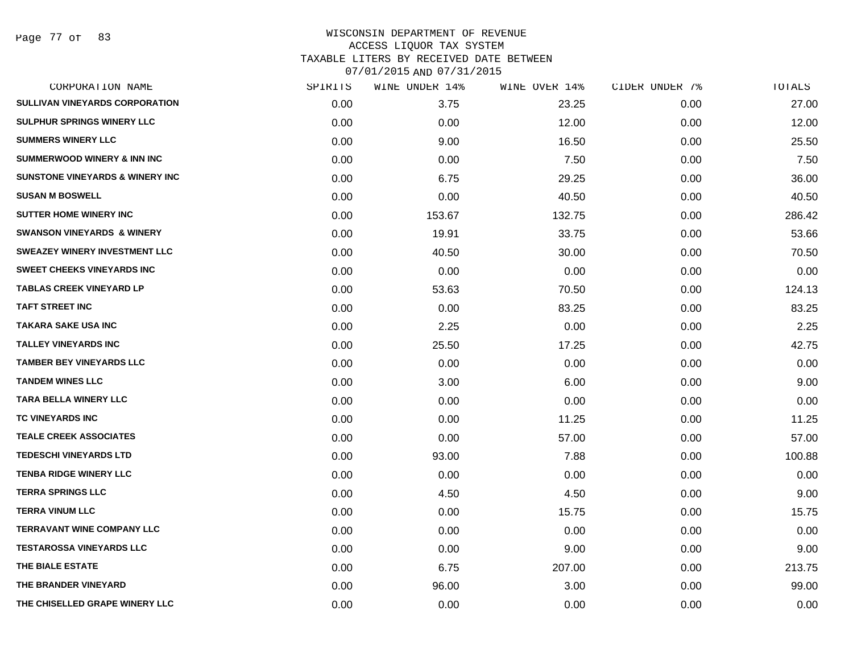Page 77 of 83

| CORPORATION NAME                           | SPIRITS | WINE UNDER 14% | WINE OVER 14% | CIDER UNDER 7% | TOTALS |
|--------------------------------------------|---------|----------------|---------------|----------------|--------|
| <b>SULLIVAN VINEYARDS CORPORATION</b>      | 0.00    | 3.75           | 23.25         | 0.00           | 27.00  |
| <b>SULPHUR SPRINGS WINERY LLC</b>          | 0.00    | 0.00           | 12.00         | 0.00           | 12.00  |
| <b>SUMMERS WINERY LLC</b>                  | 0.00    | 9.00           | 16.50         | 0.00           | 25.50  |
| <b>SUMMERWOOD WINERY &amp; INN INC</b>     | 0.00    | 0.00           | 7.50          | 0.00           | 7.50   |
| <b>SUNSTONE VINEYARDS &amp; WINERY INC</b> | 0.00    | 6.75           | 29.25         | 0.00           | 36.00  |
| <b>SUSAN M BOSWELL</b>                     | 0.00    | 0.00           | 40.50         | 0.00           | 40.50  |
| <b>SUTTER HOME WINERY INC</b>              | 0.00    | 153.67         | 132.75        | 0.00           | 286.42 |
| <b>SWANSON VINEYARDS &amp; WINERY</b>      | 0.00    | 19.91          | 33.75         | 0.00           | 53.66  |
| <b>SWEAZEY WINERY INVESTMENT LLC</b>       | 0.00    | 40.50          | 30.00         | 0.00           | 70.50  |
| <b>SWEET CHEEKS VINEYARDS INC</b>          | 0.00    | 0.00           | 0.00          | 0.00           | 0.00   |
| <b>TABLAS CREEK VINEYARD LP</b>            | 0.00    | 53.63          | 70.50         | 0.00           | 124.13 |
| <b>TAFT STREET INC</b>                     | 0.00    | 0.00           | 83.25         | 0.00           | 83.25  |
| <b>TAKARA SAKE USA INC</b>                 | 0.00    | 2.25           | 0.00          | 0.00           | 2.25   |
| <b>TALLEY VINEYARDS INC</b>                | 0.00    | 25.50          | 17.25         | 0.00           | 42.75  |
| <b>TAMBER BEY VINEYARDS LLC</b>            | 0.00    | 0.00           | 0.00          | 0.00           | 0.00   |
| <b>TANDEM WINES LLC</b>                    | 0.00    | 3.00           | 6.00          | 0.00           | 9.00   |
| <b>TARA BELLA WINERY LLC</b>               | 0.00    | 0.00           | 0.00          | 0.00           | 0.00   |
| TC VINEYARDS INC                           | 0.00    | 0.00           | 11.25         | 0.00           | 11.25  |
| <b>TEALE CREEK ASSOCIATES</b>              | 0.00    | 0.00           | 57.00         | 0.00           | 57.00  |
| <b>TEDESCHI VINEYARDS LTD</b>              | 0.00    | 93.00          | 7.88          | 0.00           | 100.88 |
| <b>TENBA RIDGE WINERY LLC</b>              | 0.00    | 0.00           | 0.00          | 0.00           | 0.00   |
| <b>TERRA SPRINGS LLC</b>                   | 0.00    | 4.50           | 4.50          | 0.00           | 9.00   |
| <b>TERRA VINUM LLC</b>                     | 0.00    | 0.00           | 15.75         | 0.00           | 15.75  |
| <b>TERRAVANT WINE COMPANY LLC</b>          | 0.00    | 0.00           | 0.00          | 0.00           | 0.00   |
| <b>TESTAROSSA VINEYARDS LLC</b>            | 0.00    | 0.00           | 9.00          | 0.00           | 9.00   |
| THE BIALE ESTATE                           | 0.00    | 6.75           | 207.00        | 0.00           | 213.75 |
| THE BRANDER VINEYARD                       | 0.00    | 96.00          | 3.00          | 0.00           | 99.00  |
| THE CHISELLED GRAPE WINERY LLC             | 0.00    | 0.00           | 0.00          | 0.00           | 0.00   |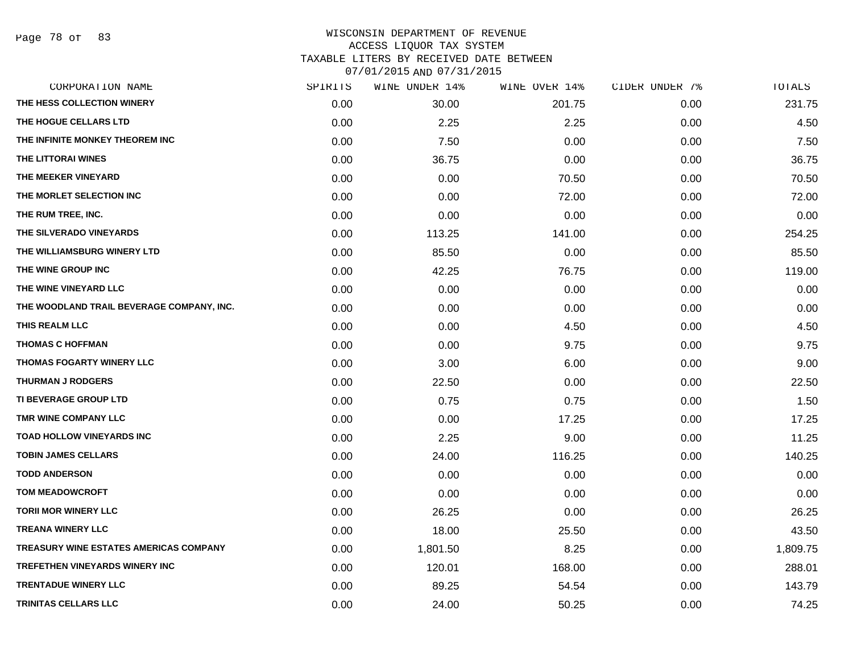Page 78 of 83

| CORPORATION NAME                          | SPIRITS | WINE UNDER 14% | WINE OVER 14% | CIDER UNDER 7% | TOTALS   |
|-------------------------------------------|---------|----------------|---------------|----------------|----------|
| THE HESS COLLECTION WINERY                | 0.00    | 30.00          | 201.75        | 0.00           | 231.75   |
| THE HOGUE CELLARS LTD                     | 0.00    | 2.25           | 2.25          | 0.00           | 4.50     |
| THE INFINITE MONKEY THEOREM INC           | 0.00    | 7.50           | 0.00          | 0.00           | 7.50     |
| THE LITTORAI WINES                        | 0.00    | 36.75          | 0.00          | 0.00           | 36.75    |
| THE MEEKER VINEYARD                       | 0.00    | 0.00           | 70.50         | 0.00           | 70.50    |
| THE MORLET SELECTION INC                  | 0.00    | 0.00           | 72.00         | 0.00           | 72.00    |
| THE RUM TREE, INC.                        | 0.00    | 0.00           | 0.00          | 0.00           | 0.00     |
| THE SILVERADO VINEYARDS                   | 0.00    | 113.25         | 141.00        | 0.00           | 254.25   |
| THE WILLIAMSBURG WINERY LTD               | 0.00    | 85.50          | 0.00          | 0.00           | 85.50    |
| THE WINE GROUP INC                        | 0.00    | 42.25          | 76.75         | 0.00           | 119.00   |
| THE WINE VINEYARD LLC                     | 0.00    | 0.00           | 0.00          | 0.00           | 0.00     |
| THE WOODLAND TRAIL BEVERAGE COMPANY, INC. | 0.00    | 0.00           | 0.00          | 0.00           | 0.00     |
| THIS REALM LLC                            | 0.00    | 0.00           | 4.50          | 0.00           | 4.50     |
| <b>THOMAS C HOFFMAN</b>                   | 0.00    | 0.00           | 9.75          | 0.00           | 9.75     |
| THOMAS FOGARTY WINERY LLC                 | 0.00    | 3.00           | 6.00          | 0.00           | 9.00     |
| <b>THURMAN J RODGERS</b>                  | 0.00    | 22.50          | 0.00          | 0.00           | 22.50    |
| TI BEVERAGE GROUP LTD                     | 0.00    | 0.75           | 0.75          | 0.00           | 1.50     |
| TMR WINE COMPANY LLC                      | 0.00    | 0.00           | 17.25         | 0.00           | 17.25    |
| <b>TOAD HOLLOW VINEYARDS INC</b>          | 0.00    | 2.25           | 9.00          | 0.00           | 11.25    |
| <b>TOBIN JAMES CELLARS</b>                | 0.00    | 24.00          | 116.25        | 0.00           | 140.25   |
| <b>TODD ANDERSON</b>                      | 0.00    | 0.00           | 0.00          | 0.00           | 0.00     |
| <b>TOM MEADOWCROFT</b>                    | 0.00    | 0.00           | 0.00          | 0.00           | 0.00     |
| <b>TORII MOR WINERY LLC</b>               | 0.00    | 26.25          | 0.00          | 0.00           | 26.25    |
| <b>TREANA WINERY LLC</b>                  | 0.00    | 18.00          | 25.50         | 0.00           | 43.50    |
| TREASURY WINE ESTATES AMERICAS COMPANY    | 0.00    | 1,801.50       | 8.25          | 0.00           | 1,809.75 |
| <b>TREFETHEN VINEYARDS WINERY INC</b>     | 0.00    | 120.01         | 168.00        | 0.00           | 288.01   |
| <b>TRENTADUE WINERY LLC</b>               | 0.00    | 89.25          | 54.54         | 0.00           | 143.79   |
| <b>TRINITAS CELLARS LLC</b>               | 0.00    | 24.00          | 50.25         | 0.00           | 74.25    |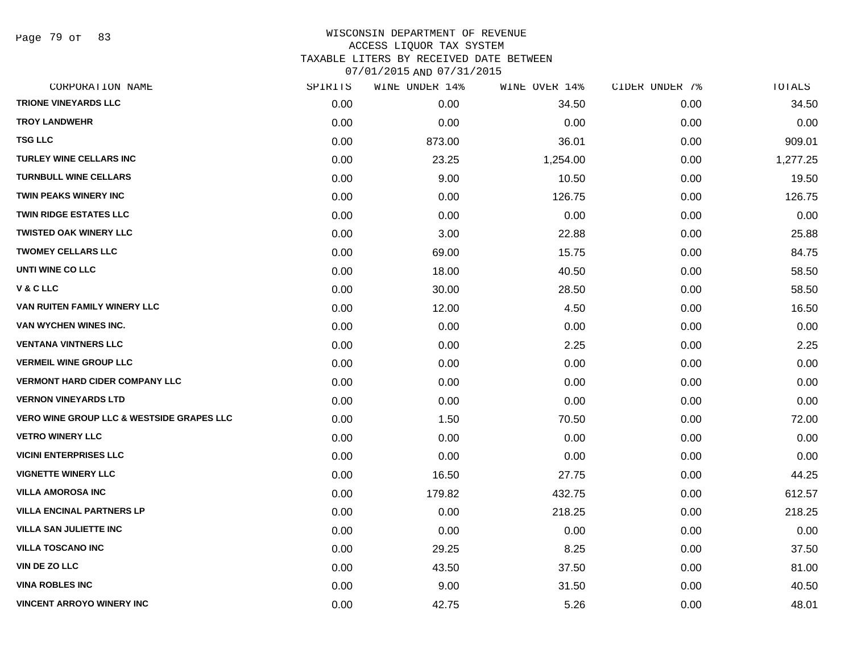Page 79 of 83

| CORPORATION NAME                                     | SPIRITS | WINE UNDER 14% | WINE OVER 14% | CIDER UNDER 7% | TOTALS   |
|------------------------------------------------------|---------|----------------|---------------|----------------|----------|
| <b>TRIONE VINEYARDS LLC</b>                          | 0.00    | 0.00           | 34.50         | 0.00           | 34.50    |
| <b>TROY LANDWEHR</b>                                 | 0.00    | 0.00           | 0.00          | 0.00           | 0.00     |
| <b>TSG LLC</b>                                       | 0.00    | 873.00         | 36.01         | 0.00           | 909.01   |
| <b>TURLEY WINE CELLARS INC</b>                       | 0.00    | 23.25          | 1,254.00      | 0.00           | 1,277.25 |
| <b>TURNBULL WINE CELLARS</b>                         | 0.00    | 9.00           | 10.50         | 0.00           | 19.50    |
| <b>TWIN PEAKS WINERY INC</b>                         | 0.00    | 0.00           | 126.75        | 0.00           | 126.75   |
| <b>TWIN RIDGE ESTATES LLC</b>                        | 0.00    | 0.00           | 0.00          | 0.00           | 0.00     |
| <b>TWISTED OAK WINERY LLC</b>                        | 0.00    | 3.00           | 22.88         | 0.00           | 25.88    |
| <b>TWOMEY CELLARS LLC</b>                            | 0.00    | 69.00          | 15.75         | 0.00           | 84.75    |
| UNTI WINE CO LLC                                     | 0.00    | 18.00          | 40.50         | 0.00           | 58.50    |
| V & C LLC                                            | 0.00    | 30.00          | 28.50         | 0.00           | 58.50    |
| VAN RUITEN FAMILY WINERY LLC                         | 0.00    | 12.00          | 4.50          | 0.00           | 16.50    |
| VAN WYCHEN WINES INC.                                | 0.00    | 0.00           | 0.00          | 0.00           | 0.00     |
| <b>VENTANA VINTNERS LLC</b>                          | 0.00    | 0.00           | 2.25          | 0.00           | 2.25     |
| <b>VERMEIL WINE GROUP LLC</b>                        | 0.00    | 0.00           | 0.00          | 0.00           | 0.00     |
| <b>VERMONT HARD CIDER COMPANY LLC</b>                | 0.00    | 0.00           | 0.00          | 0.00           | 0.00     |
| <b>VERNON VINEYARDS LTD</b>                          | 0.00    | 0.00           | 0.00          | 0.00           | 0.00     |
| <b>VERO WINE GROUP LLC &amp; WESTSIDE GRAPES LLC</b> | 0.00    | 1.50           | 70.50         | 0.00           | 72.00    |
| <b>VETRO WINERY LLC</b>                              | 0.00    | 0.00           | 0.00          | 0.00           | 0.00     |
| <b>VICINI ENTERPRISES LLC</b>                        | 0.00    | 0.00           | 0.00          | 0.00           | 0.00     |
| <b>VIGNETTE WINERY LLC</b>                           | 0.00    | 16.50          | 27.75         | 0.00           | 44.25    |
| <b>VILLA AMOROSA INC</b>                             | 0.00    | 179.82         | 432.75        | 0.00           | 612.57   |
| <b>VILLA ENCINAL PARTNERS LP</b>                     | 0.00    | 0.00           | 218.25        | 0.00           | 218.25   |
| <b>VILLA SAN JULIETTE INC</b>                        | 0.00    | 0.00           | 0.00          | 0.00           | 0.00     |
| <b>VILLA TOSCANO INC</b>                             | 0.00    | 29.25          | 8.25          | 0.00           | 37.50    |
| VIN DE ZO LLC                                        | 0.00    | 43.50          | 37.50         | 0.00           | 81.00    |
| <b>VINA ROBLES INC</b>                               | 0.00    | 9.00           | 31.50         | 0.00           | 40.50    |
| <b>VINCENT ARROYO WINERY INC</b>                     | 0.00    | 42.75          | 5.26          | 0.00           | 48.01    |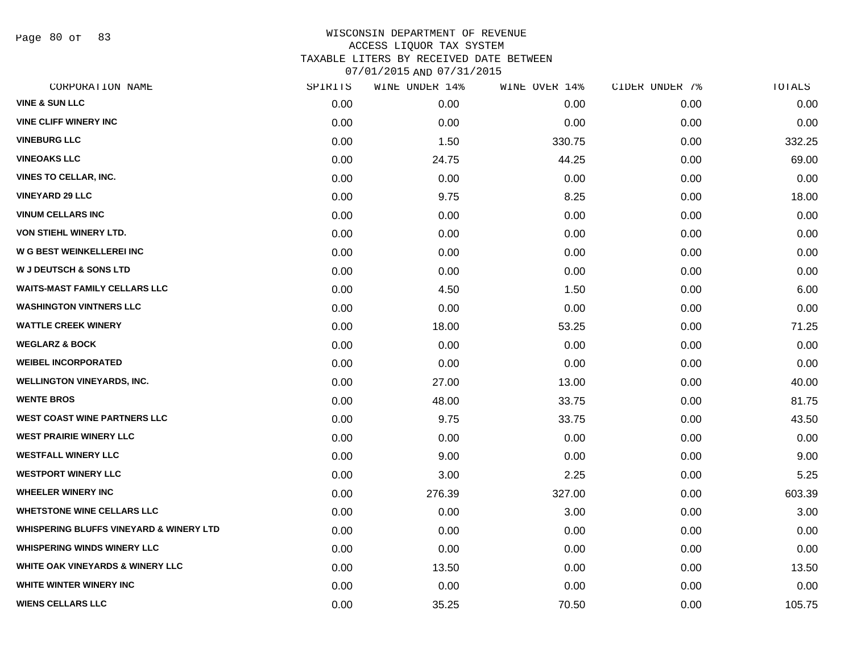Page 80 of 83

| CORPORATION NAME                                   | SPIRITS | WINE UNDER 14% | WINE OVER 14% | CIDER UNDER 7% | TOTALS |
|----------------------------------------------------|---------|----------------|---------------|----------------|--------|
| <b>VINE &amp; SUN LLC</b>                          | 0.00    | 0.00           | 0.00          | 0.00           | 0.00   |
| <b>VINE CLIFF WINERY INC</b>                       | 0.00    | 0.00           | 0.00          | 0.00           | 0.00   |
| <b>VINEBURG LLC</b>                                | 0.00    | 1.50           | 330.75        | 0.00           | 332.25 |
| <b>VINEOAKS LLC</b>                                | 0.00    | 24.75          | 44.25         | 0.00           | 69.00  |
| <b>VINES TO CELLAR, INC.</b>                       | 0.00    | 0.00           | 0.00          | 0.00           | 0.00   |
| <b>VINEYARD 29 LLC</b>                             | 0.00    | 9.75           | 8.25          | 0.00           | 18.00  |
| <b>VINUM CELLARS INC</b>                           | 0.00    | 0.00           | 0.00          | 0.00           | 0.00   |
| <b>VON STIEHL WINERY LTD.</b>                      | 0.00    | 0.00           | 0.00          | 0.00           | 0.00   |
| <b>W G BEST WEINKELLEREI INC</b>                   | 0.00    | 0.00           | 0.00          | 0.00           | 0.00   |
| <b>W J DEUTSCH &amp; SONS LTD</b>                  | 0.00    | 0.00           | 0.00          | 0.00           | 0.00   |
| <b>WAITS-MAST FAMILY CELLARS LLC</b>               | 0.00    | 4.50           | 1.50          | 0.00           | 6.00   |
| <b>WASHINGTON VINTNERS LLC</b>                     | 0.00    | 0.00           | 0.00          | 0.00           | 0.00   |
| <b>WATTLE CREEK WINERY</b>                         | 0.00    | 18.00          | 53.25         | 0.00           | 71.25  |
| <b>WEGLARZ &amp; BOCK</b>                          | 0.00    | 0.00           | 0.00          | 0.00           | 0.00   |
| <b>WEIBEL INCORPORATED</b>                         | 0.00    | 0.00           | 0.00          | 0.00           | 0.00   |
| <b>WELLINGTON VINEYARDS, INC.</b>                  | 0.00    | 27.00          | 13.00         | 0.00           | 40.00  |
| <b>WENTE BROS</b>                                  | 0.00    | 48.00          | 33.75         | 0.00           | 81.75  |
| <b>WEST COAST WINE PARTNERS LLC</b>                | 0.00    | 9.75           | 33.75         | 0.00           | 43.50  |
| <b>WEST PRAIRIE WINERY LLC</b>                     | 0.00    | 0.00           | 0.00          | 0.00           | 0.00   |
| <b>WESTFALL WINERY LLC</b>                         | 0.00    | 9.00           | 0.00          | 0.00           | 9.00   |
| <b>WESTPORT WINERY LLC</b>                         | 0.00    | 3.00           | 2.25          | 0.00           | 5.25   |
| <b>WHEELER WINERY INC</b>                          | 0.00    | 276.39         | 327.00        | 0.00           | 603.39 |
| <b>WHETSTONE WINE CELLARS LLC</b>                  | 0.00    | 0.00           | 3.00          | 0.00           | 3.00   |
| <b>WHISPERING BLUFFS VINEYARD &amp; WINERY LTD</b> | 0.00    | 0.00           | 0.00          | 0.00           | 0.00   |
| <b>WHISPERING WINDS WINERY LLC</b>                 | 0.00    | 0.00           | 0.00          | 0.00           | 0.00   |
| WHITE OAK VINEYARDS & WINERY LLC                   | 0.00    | 13.50          | 0.00          | 0.00           | 13.50  |
| WHITE WINTER WINERY INC                            | 0.00    | 0.00           | 0.00          | 0.00           | 0.00   |
| <b>WIENS CELLARS LLC</b>                           | 0.00    | 35.25          | 70.50         | 0.00           | 105.75 |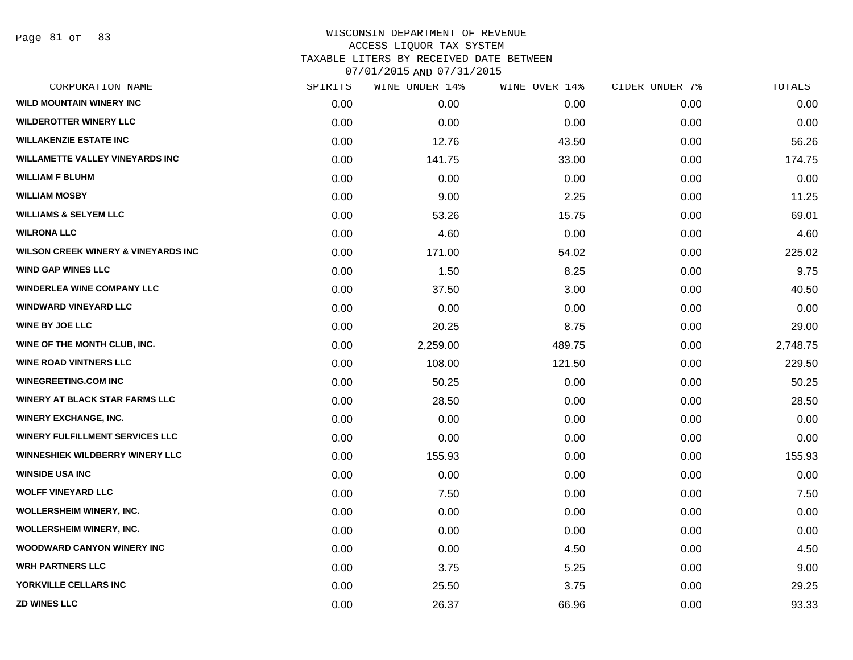| CORPORATION NAME                               | SPIRITS | WINE UNDER 14% | WINE OVER 14% | CIDER UNDER 7% | TOTALS   |
|------------------------------------------------|---------|----------------|---------------|----------------|----------|
| <b>WILD MOUNTAIN WINERY INC</b>                | 0.00    | 0.00           | 0.00          | 0.00           | 0.00     |
| <b>WILDEROTTER WINERY LLC</b>                  | 0.00    | 0.00           | 0.00          | 0.00           | 0.00     |
| <b>WILLAKENZIE ESTATE INC</b>                  | 0.00    | 12.76          | 43.50         | 0.00           | 56.26    |
| <b>WILLAMETTE VALLEY VINEYARDS INC</b>         | 0.00    | 141.75         | 33.00         | 0.00           | 174.75   |
| <b>WILLIAM F BLUHM</b>                         | 0.00    | 0.00           | 0.00          | 0.00           | 0.00     |
| <b>WILLIAM MOSBY</b>                           | 0.00    | 9.00           | 2.25          | 0.00           | 11.25    |
| <b>WILLIAMS &amp; SELYEM LLC</b>               | 0.00    | 53.26          | 15.75         | 0.00           | 69.01    |
| <b>WILRONA LLC</b>                             | 0.00    | 4.60           | 0.00          | 0.00           | 4.60     |
| <b>WILSON CREEK WINERY &amp; VINEYARDS INC</b> | 0.00    | 171.00         | 54.02         | 0.00           | 225.02   |
| <b>WIND GAP WINES LLC</b>                      | 0.00    | 1.50           | 8.25          | 0.00           | 9.75     |
| <b>WINDERLEA WINE COMPANY LLC</b>              | 0.00    | 37.50          | 3.00          | 0.00           | 40.50    |
| <b>WINDWARD VINEYARD LLC</b>                   | 0.00    | 0.00           | 0.00          | 0.00           | 0.00     |
| <b>WINE BY JOE LLC</b>                         | 0.00    | 20.25          | 8.75          | 0.00           | 29.00    |
| WINE OF THE MONTH CLUB, INC.                   | 0.00    | 2,259.00       | 489.75        | 0.00           | 2,748.75 |
| <b>WINE ROAD VINTNERS LLC</b>                  | 0.00    | 108.00         | 121.50        | 0.00           | 229.50   |
| <b>WINEGREETING.COM INC</b>                    | 0.00    | 50.25          | 0.00          | 0.00           | 50.25    |
| <b>WINERY AT BLACK STAR FARMS LLC</b>          | 0.00    | 28.50          | 0.00          | 0.00           | 28.50    |
| <b>WINERY EXCHANGE, INC.</b>                   | 0.00    | 0.00           | 0.00          | 0.00           | 0.00     |
| <b>WINERY FULFILLMENT SERVICES LLC</b>         | 0.00    | 0.00           | 0.00          | 0.00           | 0.00     |
| WINNESHIEK WILDBERRY WINERY LLC                | 0.00    | 155.93         | 0.00          | 0.00           | 155.93   |
| <b>WINSIDE USA INC</b>                         | 0.00    | 0.00           | 0.00          | 0.00           | 0.00     |
| <b>WOLFF VINEYARD LLC</b>                      | 0.00    | 7.50           | 0.00          | 0.00           | 7.50     |
| WOLLERSHEIM WINERY, INC.                       | 0.00    | 0.00           | 0.00          | 0.00           | 0.00     |
| <b>WOLLERSHEIM WINERY, INC.</b>                | 0.00    | 0.00           | 0.00          | 0.00           | 0.00     |
| <b>WOODWARD CANYON WINERY INC</b>              | 0.00    | 0.00           | 4.50          | 0.00           | 4.50     |
| <b>WRH PARTNERS LLC</b>                        | 0.00    | 3.75           | 5.25          | 0.00           | 9.00     |
| YORKVILLE CELLARS INC                          | 0.00    | 25.50          | 3.75          | 0.00           | 29.25    |
| <b>ZD WINES LLC</b>                            | 0.00    | 26.37          | 66.96         | 0.00           | 93.33    |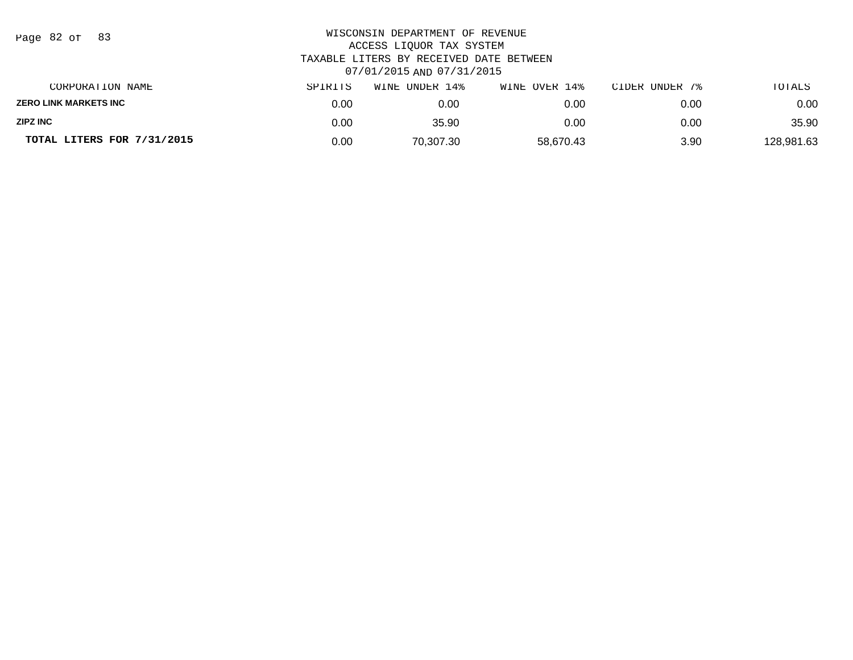| Page 82 of |  |  | 83 |
|------------|--|--|----|
|------------|--|--|----|

| CORPORATION NAME           | SPIRITS | WINE UNDER 14% | WINE OVER 14% | CIDER UNDER 7% | TOTALS     |
|----------------------------|---------|----------------|---------------|----------------|------------|
| ZERO LINK MARKETS INC      | 0.00    | 0.00           | 0.00          | 0.00           | 0.00       |
| ZIPZ INC                   | 0.00    | 35.90          | 0.00          | 0.00           | 35.90      |
| TOTAL LITERS FOR 7/31/2015 | 0.00    | 70.307.30      | 58.670.43     | 3.90           | 128,981.63 |